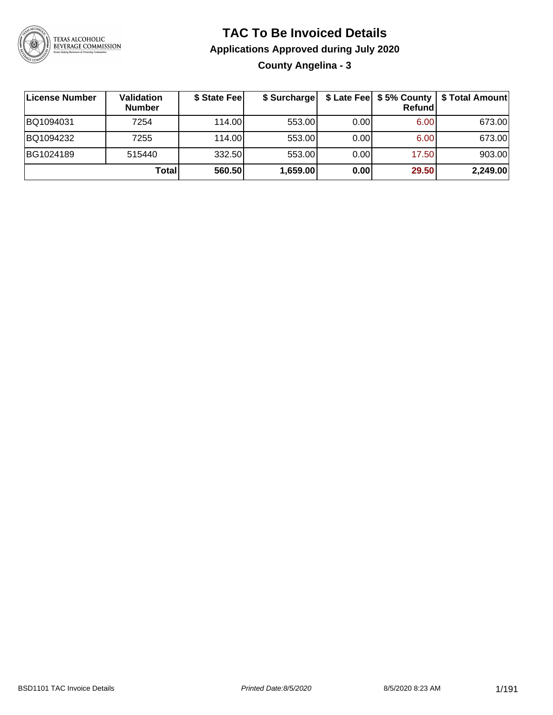

### **TAC To Be Invoiced Details**

**Applications Approved during July 2020**

**County Angelina - 3**

| License Number | Validation<br><b>Number</b> | \$ State Fee | \$ Surcharge |      | <b>Refund</b> | \$ Late Fee   \$5% County   \$ Total Amount |
|----------------|-----------------------------|--------------|--------------|------|---------------|---------------------------------------------|
| BQ1094031      | 7254                        | 114.00L      | 553.00       | 0.00 | 6.00          | 673.00                                      |
| BQ1094232      | 7255                        | 114.00L      | 553.00       | 0.00 | 6.00          | 673.00                                      |
| BG1024189      | 515440                      | 332.50       | 553.00       | 0.00 | 17.50         | 903.00                                      |
|                | Total                       | 560.50       | 1,659.00     | 0.00 | 29.50         | 2,249.00                                    |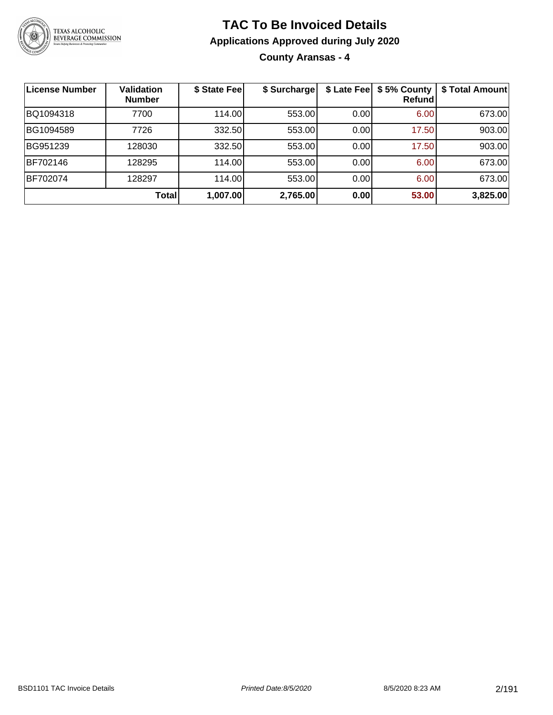

**County Aransas - 4**

| <b>License Number</b> | <b>Validation</b><br><b>Number</b> | \$ State Fee | \$ Surcharge |       | \$ Late Fee   \$5% County<br>Refundl | \$ Total Amount |
|-----------------------|------------------------------------|--------------|--------------|-------|--------------------------------------|-----------------|
| BQ1094318             | 7700                               | 114.00       | 553.00       | 0.00  | 6.00                                 | 673.00          |
| BG1094589             | 7726                               | 332.50       | 553.00       | 0.00  | 17.50                                | 903.00          |
| BG951239              | 128030                             | 332.50       | 553.00       | 0.00  | 17.50                                | 903.00          |
| BF702146              | 128295                             | 114.00       | 553.00       | 0.00  | 6.00                                 | 673.00          |
| BF702074              | 128297                             | 114.00       | 553.00       | 0.001 | 6.00                                 | 673.00          |
|                       | <b>Total</b>                       | 1,007.00     | 2,765.00     | 0.00  | 53.00                                | 3,825.00        |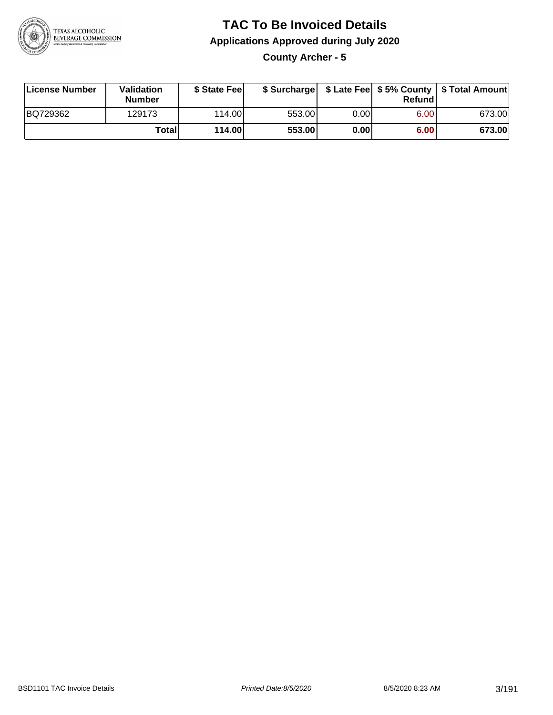

**County Archer - 5**

| License Number | Validation<br><b>Number</b> | \$ State Fee |        |      | Refundl | \$ Surcharge   \$ Late Fee   \$5% County   \$ Total Amount |
|----------------|-----------------------------|--------------|--------|------|---------|------------------------------------------------------------|
| BQ729362       | 129173                      | 114.00       | 553.00 | 0.00 | 6.00    | 673.00                                                     |
|                | <b>Total</b>                | 114.00       | 553.00 | 0.00 | 6.00    | 673.00                                                     |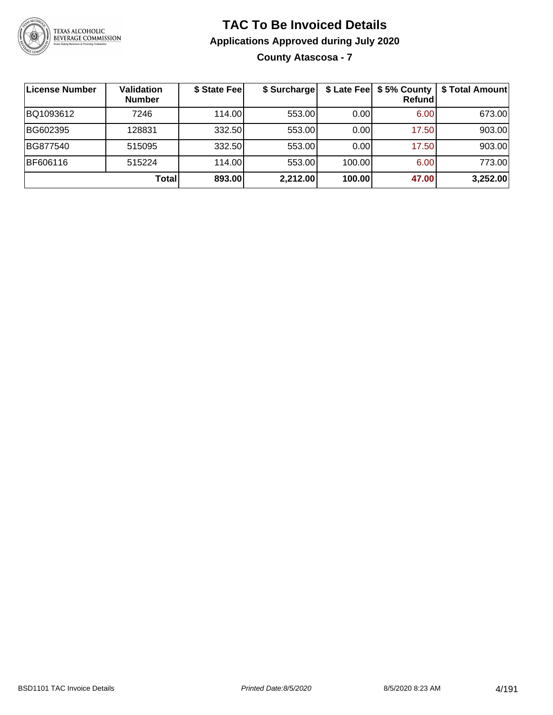

### **TAC To Be Invoiced Details Applications Approved during July 2020 County Atascosa - 7**

| License Number | <b>Validation</b><br><b>Number</b> | \$ State Fee | \$ Surcharge |        | \$ Late Fee   \$5% County<br>Refund | \$ Total Amount |
|----------------|------------------------------------|--------------|--------------|--------|-------------------------------------|-----------------|
| BQ1093612      | 7246                               | 114.00L      | 553.00       | 0.00   | 6.00                                | 673.00          |
| BG602395       | 128831                             | 332.50       | 553.00       | 0.00   | 17.50                               | 903.00          |
| BG877540       | 515095                             | 332.50       | 553.00       | 0.00   | 17.50                               | 903.00          |
| BF606116       | 515224                             | 114.00       | 553.00       | 100.00 | 6.00                                | 773.00          |
|                | Total                              | 893.00       | 2,212.00     | 100.00 | 47.00                               | 3,252.00        |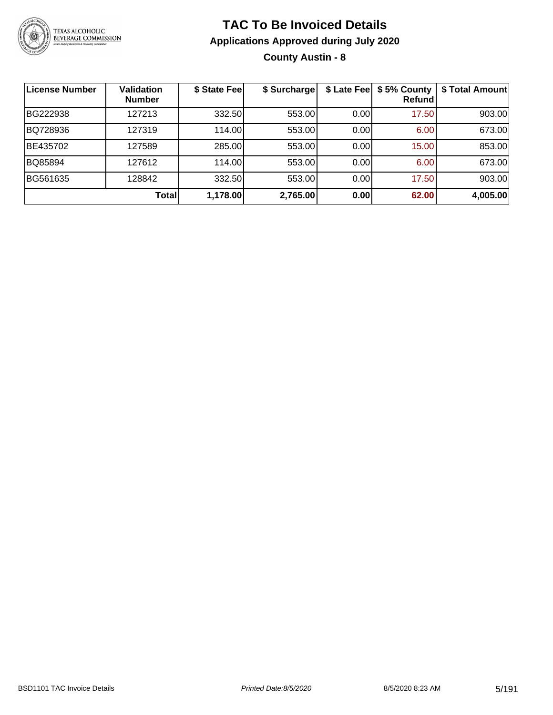

**County Austin - 8**

| <b>License Number</b> | <b>Validation</b><br><b>Number</b> | \$ State Fee | \$ Surcharge |       | \$ Late Fee   \$5% County<br>Refundl | \$ Total Amount |
|-----------------------|------------------------------------|--------------|--------------|-------|--------------------------------------|-----------------|
| BG222938              | 127213                             | 332.50       | 553.00       | 0.00  | 17.50                                | 903.00          |
| BQ728936              | 127319                             | 114.00       | 553.00       | 0.00  | 6.00                                 | 673.00          |
| BE435702              | 127589                             | 285.00       | 553.00       | 0.001 | 15.00                                | 853.00          |
| BQ85894               | 127612                             | 114.00       | 553.00       | 0.00  | 6.00                                 | 673.00          |
| BG561635              | 128842                             | 332.50       | 553.00       | 0.00  | 17.50                                | 903.00          |
|                       | <b>Total</b>                       | 1,178.00     | 2,765.00     | 0.00  | 62.00                                | 4,005.00        |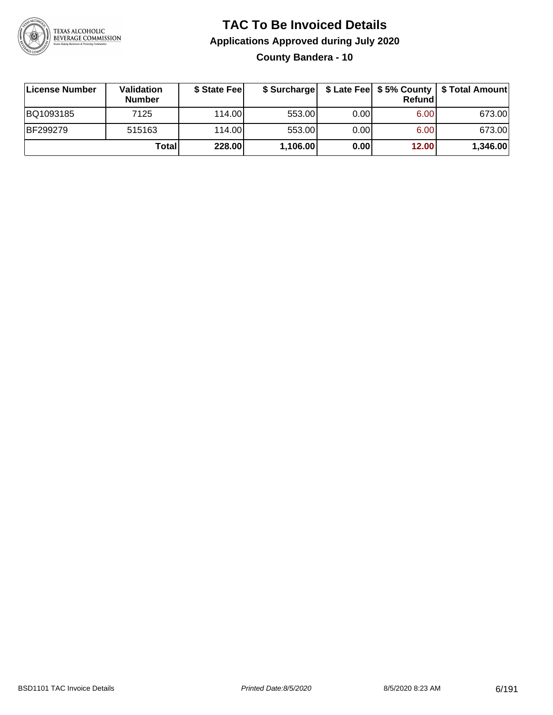

### **TAC To Be Invoiced Details Applications Approved during July 2020 County Bandera - 10**

| License Number | <b>Validation</b><br><b>Number</b> | \$ State Fee | \$ Surcharge |      | <b>Refund</b> | \$ Late Fee   \$5% County   \$ Total Amount |
|----------------|------------------------------------|--------------|--------------|------|---------------|---------------------------------------------|
| BQ1093185      | 7125                               | 114.00       | 553.00       | 0.00 | 6.00          | 673.00                                      |
| BF299279       | 515163                             | 114.00       | 553.00       | 0.00 | 6.00          | 673.00                                      |
|                | Totall                             | 228.00       | 1,106.00     | 0.00 | 12.00         | 1,346.00                                    |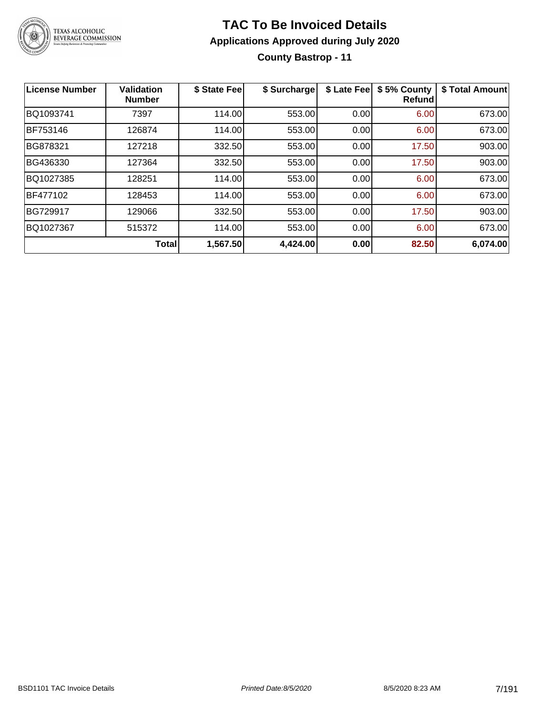

### **TAC To Be Invoiced Details Applications Approved during July 2020 County Bastrop - 11**

| <b>License Number</b> | <b>Validation</b><br><b>Number</b> | \$ State Fee | \$ Surcharge | \$ Late Fee | \$5% County<br>Refundl | \$ Total Amount |
|-----------------------|------------------------------------|--------------|--------------|-------------|------------------------|-----------------|
| BQ1093741             | 7397                               | 114.00       | 553.00       | 0.00        | 6.00                   | 673.00          |
| BF753146              | 126874                             | 114.00       | 553.00       | 0.00        | 6.00                   | 673.00          |
| BG878321              | 127218                             | 332.50       | 553.00       | 0.00        | 17.50                  | 903.00          |
| BG436330              | 127364                             | 332.50       | 553.00       | 0.00        | 17.50                  | 903.00          |
| BQ1027385             | 128251                             | 114.00       | 553.00       | 0.00        | 6.00                   | 673.00          |
| BF477102              | 128453                             | 114.00       | 553.00       | 0.00        | 6.00                   | 673.00          |
| BG729917              | 129066                             | 332.50       | 553.00       | 0.00        | 17.50                  | 903.00          |
| BQ1027367             | 515372                             | 114.00       | 553.00       | 0.00        | 6.00                   | 673.00          |
|                       | <b>Total</b>                       | 1,567.50     | 4,424.00     | 0.00        | 82.50                  | 6,074.00        |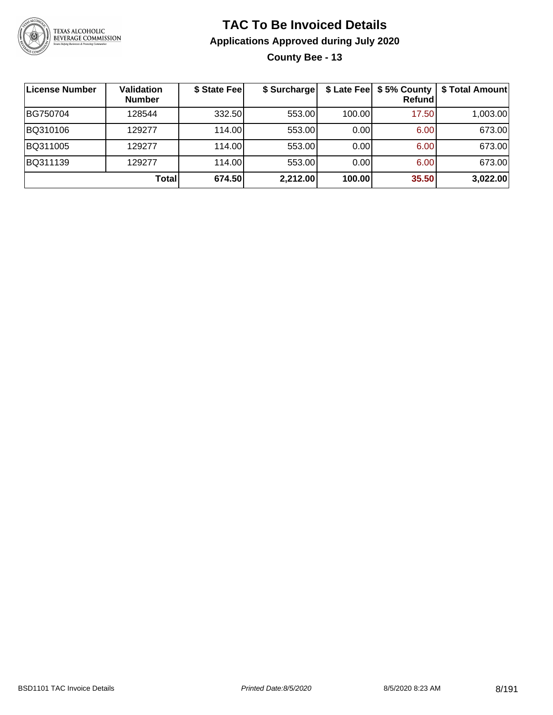

**County Bee - 13**

| License Number | <b>Validation</b><br><b>Number</b> | \$ State Fee | \$ Surcharge |        | \$ Late Fee   \$5% County  <br><b>Refund</b> | \$ Total Amount |
|----------------|------------------------------------|--------------|--------------|--------|----------------------------------------------|-----------------|
| BG750704       | 128544                             | 332.50       | 553.00       | 100.00 | 17.50                                        | 1,003.00        |
| BQ310106       | 129277                             | 114.00       | 553.00       | 0.00   | 6.00                                         | 673.00          |
| BQ311005       | 129277                             | 114.00       | 553.00       | 0.00   | 6.00                                         | 673.00          |
| BQ311139       | 129277                             | 114.00       | 553.00       | 0.00   | 6.00                                         | 673.00          |
|                | Total                              | 674.50       | 2,212.00     | 100.00 | 35.50                                        | 3,022.00        |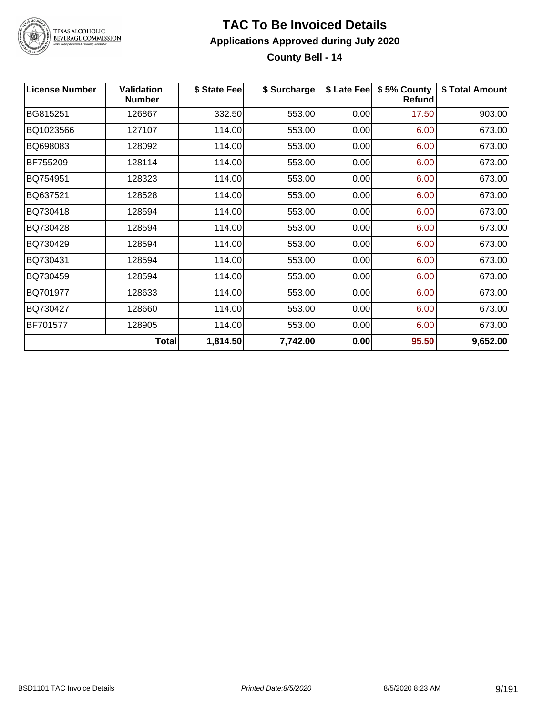

**County Bell - 14**

| License Number  | <b>Validation</b><br>Number | \$ State Fee | \$ Surcharge |      | \$ Late Fee   \$5% County<br>Refund | \$ Total Amount |
|-----------------|-----------------------------|--------------|--------------|------|-------------------------------------|-----------------|
| BG815251        | 126867                      | 332.50       | 553.00       | 0.00 | 17.50                               | 903.00          |
| BQ1023566       | 127107                      | 114.00       | 553.00       | 0.00 | 6.00                                | 673.00          |
| BQ698083        | 128092                      | 114.00       | 553.00       | 0.00 | 6.00                                | 673.00          |
| BF755209        | 128114                      | 114.00       | 553.00       | 0.00 | 6.00                                | 673.00          |
| BQ754951        | 128323                      | 114.00       | 553.00       | 0.00 | 6.00                                | 673.00          |
| BQ637521        | 128528                      | 114.00       | 553.00       | 0.00 | 6.00                                | 673.00          |
| BQ730418        | 128594                      | 114.00       | 553.00       | 0.00 | 6.00                                | 673.00          |
| BQ730428        | 128594                      | 114.00       | 553.00       | 0.00 | 6.00                                | 673.00          |
| BQ730429        | 128594                      | 114.00       | 553.00       | 0.00 | 6.00                                | 673.00          |
| BQ730431        | 128594                      | 114.00       | 553.00       | 0.00 | 6.00                                | 673.00          |
| BQ730459        | 128594                      | 114.00       | 553.00       | 0.00 | 6.00                                | 673.00          |
| BQ701977        | 128633                      | 114.00       | 553.00       | 0.00 | 6.00                                | 673.00          |
| BQ730427        | 128660                      | 114.00       | 553.00       | 0.00 | 6.00                                | 673.00          |
| <b>BF701577</b> | 128905                      | 114.00       | 553.00       | 0.00 | 6.00                                | 673.00          |
|                 | <b>Total</b>                | 1,814.50     | 7,742.00     | 0.00 | 95.50                               | 9,652.00        |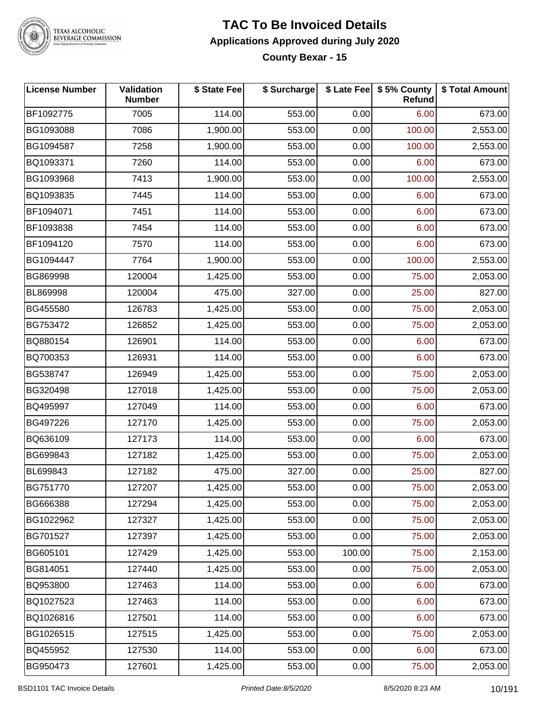

TEXAS ALCOHOLIC<br>BEVERAGE COMMISSION

#### **TAC To Be Invoiced Details Applications Approved during July 2020 County Bexar - 15**

| <b>License Number</b> | Validation<br><b>Number</b> | \$ State Fee | \$ Surcharge |        | \$ Late Fee   \$5% County<br>Refund | \$ Total Amount |
|-----------------------|-----------------------------|--------------|--------------|--------|-------------------------------------|-----------------|
| BF1092775             | 7005                        | 114.00       | 553.00       | 0.00   | 6.00                                | 673.00          |
| BG1093088             | 7086                        | 1,900.00     | 553.00       | 0.00   | 100.00                              | 2,553.00        |
| BG1094587             | 7258                        | 1,900.00     | 553.00       | 0.00   | 100.00                              | 2,553.00        |
| BQ1093371             | 7260                        | 114.00       | 553.00       | 0.00   | 6.00                                | 673.00          |
| BG1093968             | 7413                        | 1,900.00     | 553.00       | 0.00   | 100.00                              | 2,553.00        |
| BQ1093835             | 7445                        | 114.00       | 553.00       | 0.00   | 6.00                                | 673.00          |
| BF1094071             | 7451                        | 114.00       | 553.00       | 0.00   | 6.00                                | 673.00          |
| BF1093838             | 7454                        | 114.00       | 553.00       | 0.00   | 6.00                                | 673.00          |
| BF1094120             | 7570                        | 114.00       | 553.00       | 0.00   | 6.00                                | 673.00          |
| BG1094447             | 7764                        | 1,900.00     | 553.00       | 0.00   | 100.00                              | 2,553.00        |
| BG869998              | 120004                      | 1,425.00     | 553.00       | 0.00   | 75.00                               | 2,053.00        |
| BL869998              | 120004                      | 475.00       | 327.00       | 0.00   | 25.00                               | 827.00          |
| BG455580              | 126783                      | 1,425.00     | 553.00       | 0.00   | 75.00                               | 2,053.00        |
| BG753472              | 126852                      | 1,425.00     | 553.00       | 0.00   | 75.00                               | 2,053.00        |
| BQ880154              | 126901                      | 114.00       | 553.00       | 0.00   | 6.00                                | 673.00          |
| BQ700353              | 126931                      | 114.00       | 553.00       | 0.00   | 6.00                                | 673.00          |
| BG538747              | 126949                      | 1,425.00     | 553.00       | 0.00   | 75.00                               | 2,053.00        |
| BG320498              | 127018                      | 1,425.00     | 553.00       | 0.00   | 75.00                               | 2,053.00        |
| BQ495997              | 127049                      | 114.00       | 553.00       | 0.00   | 6.00                                | 673.00          |
| BG497226              | 127170                      | 1,425.00     | 553.00       | 0.00   | 75.00                               | 2,053.00        |
| BQ636109              | 127173                      | 114.00       | 553.00       | 0.00   | 6.00                                | 673.00          |
| BG699843              | 127182                      | 1,425.00     | 553.00       | 0.00   | 75.00                               | 2,053.00        |
| BL699843              | 127182                      | 475.00       | 327.00       | 0.00   | 25.00                               | 827.00          |
| BG751770              | 127207                      | 1,425.00     | 553.00       | 0.00   | 75.00                               | 2,053.00        |
| BG666388              | 127294                      | 1,425.00     | 553.00       | 0.00   | 75.00                               | 2,053.00        |
| BG1022962             | 127327                      | 1,425.00     | 553.00       | 0.00   | 75.00                               | 2,053.00        |
| BG701527              | 127397                      | 1,425.00     | 553.00       | 0.00   | 75.00                               | 2,053.00        |
| BG605101              | 127429                      | 1,425.00     | 553.00       | 100.00 | 75.00                               | 2,153.00        |
| BG814051              | 127440                      | 1,425.00     | 553.00       | 0.00   | 75.00                               | 2,053.00        |
| BQ953800              | 127463                      | 114.00       | 553.00       | 0.00   | 6.00                                | 673.00          |
| BQ1027523             | 127463                      | 114.00       | 553.00       | 0.00   | 6.00                                | 673.00          |
| BQ1026816             | 127501                      | 114.00       | 553.00       | 0.00   | 6.00                                | 673.00          |
| BG1026515             | 127515                      | 1,425.00     | 553.00       | 0.00   | 75.00                               | 2,053.00        |
| BQ455952              | 127530                      | 114.00       | 553.00       | 0.00   | 6.00                                | 673.00          |
| BG950473              | 127601                      | 1,425.00     | 553.00       | 0.00   | 75.00                               | 2,053.00        |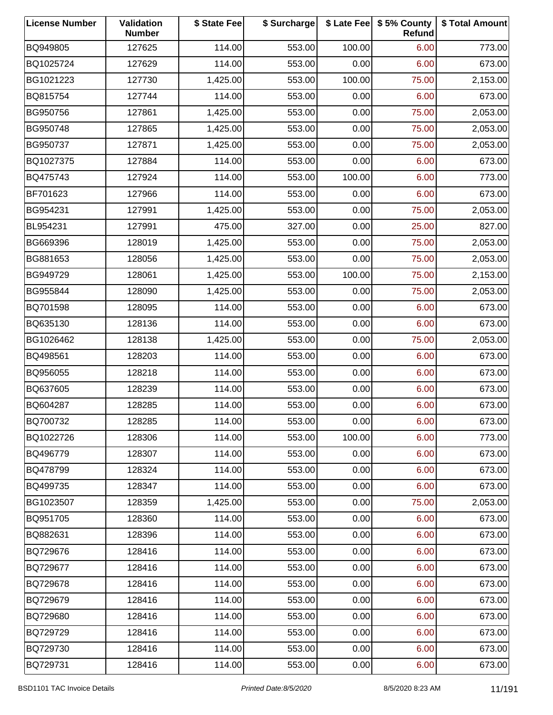| <b>License Number</b> | Validation<br><b>Number</b> | \$ State Fee | \$ Surcharge |        | \$ Late Fee   \$5% County<br>Refund | \$ Total Amount |
|-----------------------|-----------------------------|--------------|--------------|--------|-------------------------------------|-----------------|
| BQ949805              | 127625                      | 114.00       | 553.00       | 100.00 | 6.00                                | 773.00          |
| BQ1025724             | 127629                      | 114.00       | 553.00       | 0.00   | 6.00                                | 673.00          |
| BG1021223             | 127730                      | 1,425.00     | 553.00       | 100.00 | 75.00                               | 2,153.00        |
| BQ815754              | 127744                      | 114.00       | 553.00       | 0.00   | 6.00                                | 673.00          |
| BG950756              | 127861                      | 1,425.00     | 553.00       | 0.00   | 75.00                               | 2,053.00        |
| BG950748              | 127865                      | 1,425.00     | 553.00       | 0.00   | 75.00                               | 2,053.00        |
| BG950737              | 127871                      | 1,425.00     | 553.00       | 0.00   | 75.00                               | 2,053.00        |
| BQ1027375             | 127884                      | 114.00       | 553.00       | 0.00   | 6.00                                | 673.00          |
| BQ475743              | 127924                      | 114.00       | 553.00       | 100.00 | 6.00                                | 773.00          |
| BF701623              | 127966                      | 114.00       | 553.00       | 0.00   | 6.00                                | 673.00          |
| BG954231              | 127991                      | 1,425.00     | 553.00       | 0.00   | 75.00                               | 2,053.00        |
| BL954231              | 127991                      | 475.00       | 327.00       | 0.00   | 25.00                               | 827.00          |
| BG669396              | 128019                      | 1,425.00     | 553.00       | 0.00   | 75.00                               | 2,053.00        |
| BG881653              | 128056                      | 1,425.00     | 553.00       | 0.00   | 75.00                               | 2,053.00        |
| BG949729              | 128061                      | 1,425.00     | 553.00       | 100.00 | 75.00                               | 2,153.00        |
| BG955844              | 128090                      | 1,425.00     | 553.00       | 0.00   | 75.00                               | 2,053.00        |
| BQ701598              | 128095                      | 114.00       | 553.00       | 0.00   | 6.00                                | 673.00          |
| BQ635130              | 128136                      | 114.00       | 553.00       | 0.00   | 6.00                                | 673.00          |
| BG1026462             | 128138                      | 1,425.00     | 553.00       | 0.00   | 75.00                               | 2,053.00        |
| BQ498561              | 128203                      | 114.00       | 553.00       | 0.00   | 6.00                                | 673.00          |
| BQ956055              | 128218                      | 114.00       | 553.00       | 0.00   | 6.00                                | 673.00          |
| BQ637605              | 128239                      | 114.00       | 553.00       | 0.00   | 6.00                                | 673.00          |
| BQ604287              | 128285                      | 114.00       | 553.00       | 0.00   | 6.00                                | 673.00          |
| BQ700732              | 128285                      | 114.00       | 553.00       | 0.00   | 6.00                                | 673.00          |
| BQ1022726             | 128306                      | 114.00       | 553.00       | 100.00 | 6.00                                | 773.00          |
| BQ496779              | 128307                      | 114.00       | 553.00       | 0.00   | 6.00                                | 673.00          |
| BQ478799              | 128324                      | 114.00       | 553.00       | 0.00   | 6.00                                | 673.00          |
| BQ499735              | 128347                      | 114.00       | 553.00       | 0.00   | 6.00                                | 673.00          |
| BG1023507             | 128359                      | 1,425.00     | 553.00       | 0.00   | 75.00                               | 2,053.00        |
| BQ951705              | 128360                      | 114.00       | 553.00       | 0.00   | 6.00                                | 673.00          |
| BQ882631              | 128396                      | 114.00       | 553.00       | 0.00   | 6.00                                | 673.00          |
| BQ729676              | 128416                      | 114.00       | 553.00       | 0.00   | 6.00                                | 673.00          |
| BQ729677              | 128416                      | 114.00       | 553.00       | 0.00   | 6.00                                | 673.00          |
| BQ729678              | 128416                      | 114.00       | 553.00       | 0.00   | 6.00                                | 673.00          |
| BQ729679              | 128416                      | 114.00       | 553.00       | 0.00   | 6.00                                | 673.00          |
| BQ729680              | 128416                      | 114.00       | 553.00       | 0.00   | 6.00                                | 673.00          |
| BQ729729              | 128416                      | 114.00       | 553.00       | 0.00   | 6.00                                | 673.00          |
| BQ729730              | 128416                      | 114.00       | 553.00       | 0.00   | 6.00                                | 673.00          |
| BQ729731              | 128416                      | 114.00       | 553.00       | 0.00   | 6.00                                | 673.00          |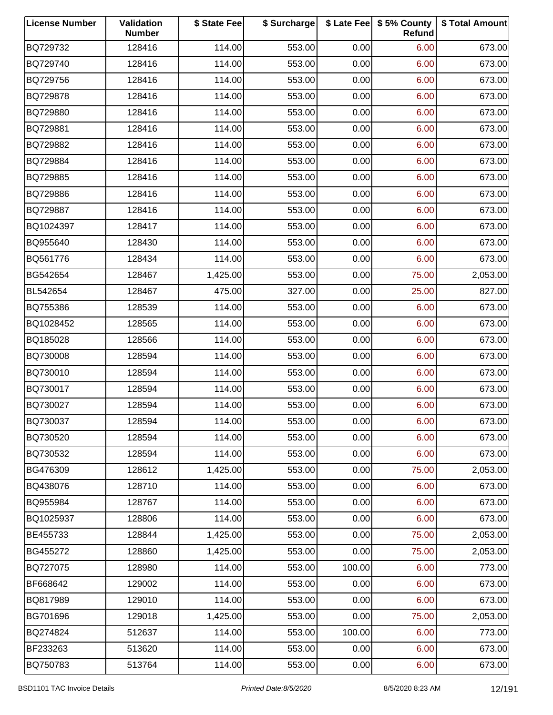| <b>License Number</b> | Validation<br><b>Number</b> | \$ State Fee | \$ Surcharge |        | \$ Late Fee   \$5% County<br>Refund | \$ Total Amount |
|-----------------------|-----------------------------|--------------|--------------|--------|-------------------------------------|-----------------|
| BQ729732              | 128416                      | 114.00       | 553.00       | 0.00   | 6.00                                | 673.00          |
| BQ729740              | 128416                      | 114.00       | 553.00       | 0.00   | 6.00                                | 673.00          |
| BQ729756              | 128416                      | 114.00       | 553.00       | 0.00   | 6.00                                | 673.00          |
| BQ729878              | 128416                      | 114.00       | 553.00       | 0.00   | 6.00                                | 673.00          |
| BQ729880              | 128416                      | 114.00       | 553.00       | 0.00   | 6.00                                | 673.00          |
| BQ729881              | 128416                      | 114.00       | 553.00       | 0.00   | 6.00                                | 673.00          |
| BQ729882              | 128416                      | 114.00       | 553.00       | 0.00   | 6.00                                | 673.00          |
| BQ729884              | 128416                      | 114.00       | 553.00       | 0.00   | 6.00                                | 673.00          |
| BQ729885              | 128416                      | 114.00       | 553.00       | 0.00   | 6.00                                | 673.00          |
| BQ729886              | 128416                      | 114.00       | 553.00       | 0.00   | 6.00                                | 673.00          |
| BQ729887              | 128416                      | 114.00       | 553.00       | 0.00   | 6.00                                | 673.00          |
| BQ1024397             | 128417                      | 114.00       | 553.00       | 0.00   | 6.00                                | 673.00          |
| BQ955640              | 128430                      | 114.00       | 553.00       | 0.00   | 6.00                                | 673.00          |
| BQ561776              | 128434                      | 114.00       | 553.00       | 0.00   | 6.00                                | 673.00          |
| BG542654              | 128467                      | 1,425.00     | 553.00       | 0.00   | 75.00                               | 2,053.00        |
| BL542654              | 128467                      | 475.00       | 327.00       | 0.00   | 25.00                               | 827.00          |
| BQ755386              | 128539                      | 114.00       | 553.00       | 0.00   | 6.00                                | 673.00          |
| BQ1028452             | 128565                      | 114.00       | 553.00       | 0.00   | 6.00                                | 673.00          |
| BQ185028              | 128566                      | 114.00       | 553.00       | 0.00   | 6.00                                | 673.00          |
| BQ730008              | 128594                      | 114.00       | 553.00       | 0.00   | 6.00                                | 673.00          |
| BQ730010              | 128594                      | 114.00       | 553.00       | 0.00   | 6.00                                | 673.00          |
| BQ730017              | 128594                      | 114.00       | 553.00       | 0.00   | 6.00                                | 673.00          |
| BQ730027              | 128594                      | 114.00       | 553.00       | 0.00   | 6.00                                | 673.00          |
| BQ730037              | 128594                      | 114.00       | 553.00       | 0.00   | 6.00                                | 673.00          |
| BQ730520              | 128594                      | 114.00       | 553.00       | 0.00   | 6.00                                | 673.00          |
| BQ730532              | 128594                      | 114.00       | 553.00       | 0.00   | 6.00                                | 673.00          |
| BG476309              | 128612                      | 1,425.00     | 553.00       | 0.00   | 75.00                               | 2,053.00        |
| BQ438076              | 128710                      | 114.00       | 553.00       | 0.00   | 6.00                                | 673.00          |
| BQ955984              | 128767                      | 114.00       | 553.00       | 0.00   | 6.00                                | 673.00          |
| BQ1025937             | 128806                      | 114.00       | 553.00       | 0.00   | 6.00                                | 673.00          |
| BE455733              | 128844                      | 1,425.00     | 553.00       | 0.00   | 75.00                               | 2,053.00        |
| BG455272              | 128860                      | 1,425.00     | 553.00       | 0.00   | 75.00                               | 2,053.00        |
| BQ727075              | 128980                      | 114.00       | 553.00       | 100.00 | 6.00                                | 773.00          |
| BF668642              | 129002                      | 114.00       | 553.00       | 0.00   | 6.00                                | 673.00          |
| BQ817989              | 129010                      | 114.00       | 553.00       | 0.00   | 6.00                                | 673.00          |
| BG701696              | 129018                      | 1,425.00     | 553.00       | 0.00   | 75.00                               | 2,053.00        |
| BQ274824              | 512637                      | 114.00       | 553.00       | 100.00 | 6.00                                | 773.00          |
| BF233263              | 513620                      | 114.00       | 553.00       | 0.00   | 6.00                                | 673.00          |
| BQ750783              | 513764                      | 114.00       | 553.00       | 0.00   | 6.00                                | 673.00          |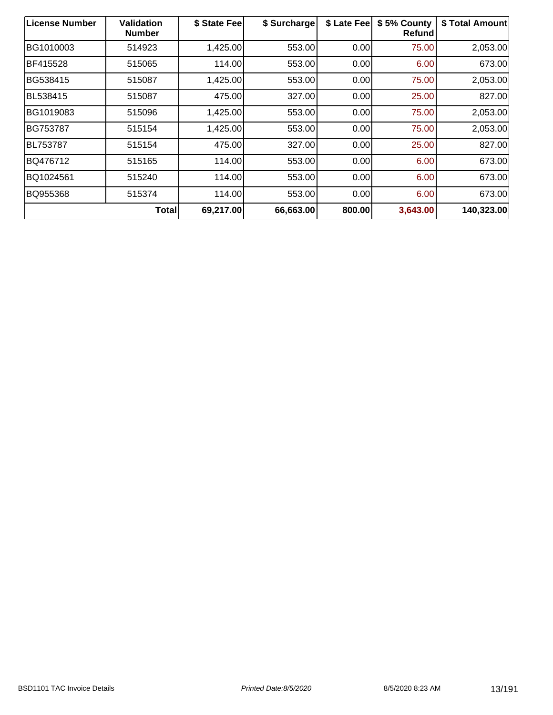| <b>License Number</b> | <b>Validation</b><br><b>Number</b> | \$ State Fee | \$ Surcharge | \$ Late Fee | \$5% County<br>Refund | \$ Total Amount |
|-----------------------|------------------------------------|--------------|--------------|-------------|-----------------------|-----------------|
| BG1010003             | 514923                             | 1,425.00     | 553.00       | 0.00        | 75.00                 | 2,053.00        |
| <b>BF415528</b>       | 515065                             | 114.00       | 553.00       | 0.00        | 6.00                  | 673.00          |
| BG538415              | 515087                             | 1,425.00     | 553.00       | 0.00        | 75.00                 | 2,053.00        |
| BL538415              | 515087                             | 475.00       | 327.00       | 0.00        | 25.00                 | 827.00          |
| BG1019083             | 515096                             | 1,425.00     | 553.00       | 0.00        | 75.00                 | 2,053.00        |
| BG753787              | 515154                             | 1,425.00     | 553.00       | 0.00        | 75.00                 | 2,053.00        |
| <b>BL753787</b>       | 515154                             | 475.00       | 327.00       | 0.00        | 25.00                 | 827.00          |
| BQ476712              | 515165                             | 114.00       | 553.00       | 0.00        | 6.00                  | 673.00          |
| BQ1024561             | 515240                             | 114.00       | 553.00       | 0.00        | 6.00                  | 673.00          |
| BQ955368              | 515374                             | 114.00       | 553.00       | 0.00        | 6.00                  | 673.00          |
|                       | <b>Total</b>                       | 69,217.00    | 66,663.00    | 800.00      | 3,643.00              | 140,323.00      |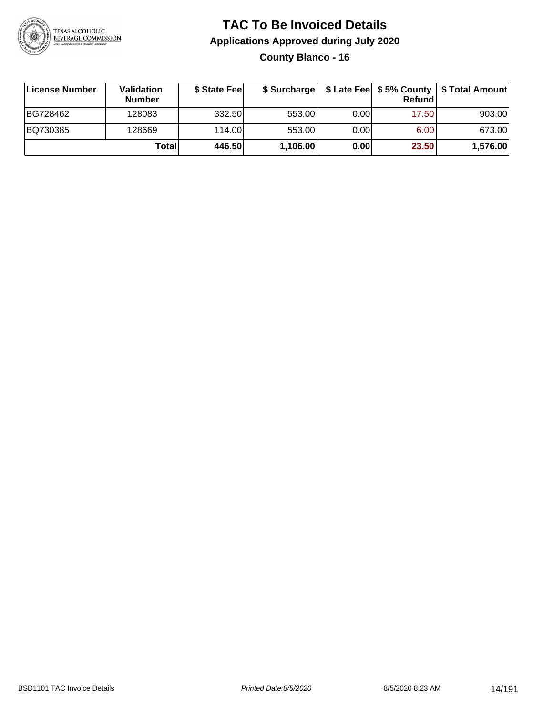

**County Blanco - 16**

| ∣License Number | <b>Validation</b><br><b>Number</b> | \$ State Feel | \$ Surcharge |       | Refundl | \$ Late Fee   \$5% County   \$ Total Amount |
|-----------------|------------------------------------|---------------|--------------|-------|---------|---------------------------------------------|
| BG728462        | 128083                             | 332.50        | 553.00       | 0.001 | 17.50   | 903.00                                      |
| BQ730385        | 128669                             | 114.00L       | 553.00       | 0.00  | 6.00    | 673.00                                      |
|                 | Total                              | 446.50        | 1,106.00     | 0.00  | 23.50   | 1,576.00                                    |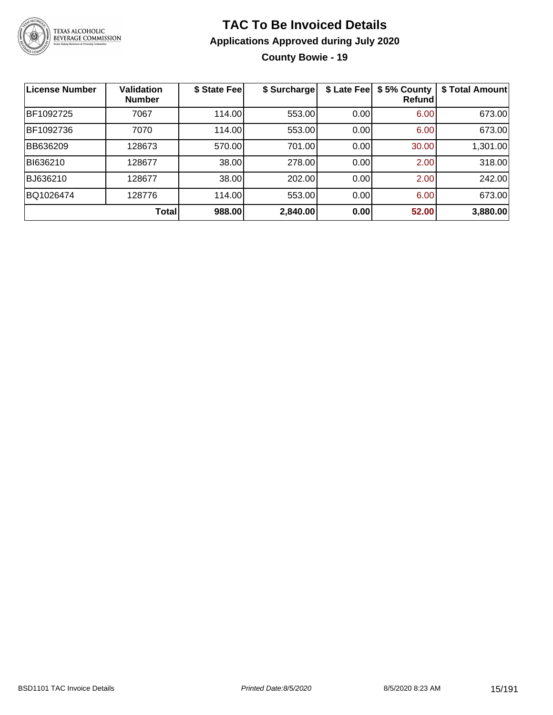

**County Bowie - 19**

| <b>License Number</b> | <b>Validation</b><br><b>Number</b> | \$ State Fee | \$ Surcharge | \$ Late Fee | \$5% County<br>Refundl | \$ Total Amount |
|-----------------------|------------------------------------|--------------|--------------|-------------|------------------------|-----------------|
| BF1092725             | 7067                               | 114.00       | 553.00       | 0.00        | 6.00                   | 673.00          |
| BF1092736             | 7070                               | 114.00       | 553.00       | 0.00        | 6.00                   | 673.00          |
| BB636209              | 128673                             | 570.00       | 701.00       | 0.00        | 30.00                  | 1,301.00        |
| BI636210              | 128677                             | 38.00        | 278.00       | 0.00        | 2.00                   | 318.00          |
| BJ636210              | 128677                             | 38.00        | 202.00       | 0.00        | 2.00                   | 242.00          |
| BQ1026474             | 128776                             | 114.00       | 553.00       | 0.00        | 6.00                   | 673.00          |
|                       | Total                              | 988.00       | 2,840.00     | 0.00        | 52.00                  | 3,880.00        |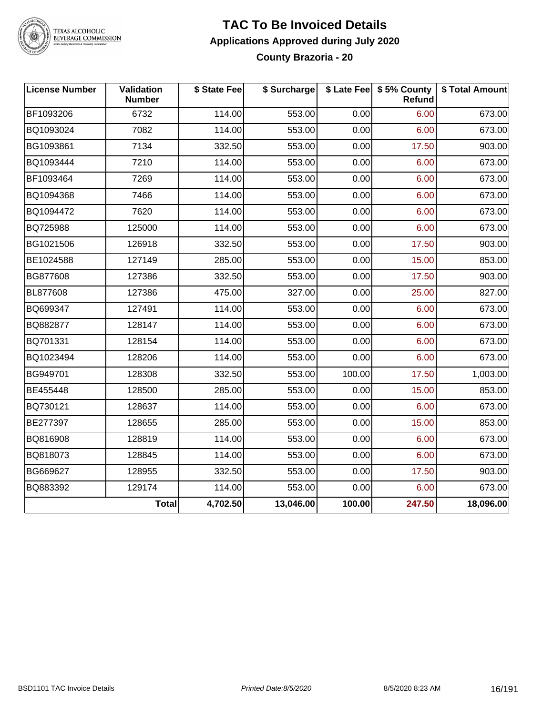

# TEXAS ALCOHOLIC<br>BEVERAGE COMMISSION

#### **TAC To Be Invoiced Details Applications Approved during July 2020 County Brazoria - 20**

| <b>License Number</b> | Validation<br><b>Number</b> | \$ State Fee | \$ Surcharge |        | \$ Late Fee   \$5% County<br><b>Refund</b> | \$ Total Amount |
|-----------------------|-----------------------------|--------------|--------------|--------|--------------------------------------------|-----------------|
| BF1093206             | 6732                        | 114.00       | 553.00       | 0.00   | 6.00                                       | 673.00          |
| BQ1093024             | 7082                        | 114.00       | 553.00       | 0.00   | 6.00                                       | 673.00          |
| BG1093861             | 7134                        | 332.50       | 553.00       | 0.00   | 17.50                                      | 903.00          |
| BQ1093444             | 7210                        | 114.00       | 553.00       | 0.00   | 6.00                                       | 673.00          |
| BF1093464             | 7269                        | 114.00       | 553.00       | 0.00   | 6.00                                       | 673.00          |
| BQ1094368             | 7466                        | 114.00       | 553.00       | 0.00   | 6.00                                       | 673.00          |
| BQ1094472             | 7620                        | 114.00       | 553.00       | 0.00   | 6.00                                       | 673.00          |
| BQ725988              | 125000                      | 114.00       | 553.00       | 0.00   | 6.00                                       | 673.00          |
| BG1021506             | 126918                      | 332.50       | 553.00       | 0.00   | 17.50                                      | 903.00          |
| BE1024588             | 127149                      | 285.00       | 553.00       | 0.00   | 15.00                                      | 853.00          |
| BG877608              | 127386                      | 332.50       | 553.00       | 0.00   | 17.50                                      | 903.00          |
| BL877608              | 127386                      | 475.00       | 327.00       | 0.00   | 25.00                                      | 827.00          |
| BQ699347              | 127491                      | 114.00       | 553.00       | 0.00   | 6.00                                       | 673.00          |
| BQ882877              | 128147                      | 114.00       | 553.00       | 0.00   | 6.00                                       | 673.00          |
| BQ701331              | 128154                      | 114.00       | 553.00       | 0.00   | 6.00                                       | 673.00          |
| BQ1023494             | 128206                      | 114.00       | 553.00       | 0.00   | 6.00                                       | 673.00          |
| BG949701              | 128308                      | 332.50       | 553.00       | 100.00 | 17.50                                      | 1,003.00        |
| BE455448              | 128500                      | 285.00       | 553.00       | 0.00   | 15.00                                      | 853.00          |
| BQ730121              | 128637                      | 114.00       | 553.00       | 0.00   | 6.00                                       | 673.00          |
| BE277397              | 128655                      | 285.00       | 553.00       | 0.00   | 15.00                                      | 853.00          |
| BQ816908              | 128819                      | 114.00       | 553.00       | 0.00   | 6.00                                       | 673.00          |
| BQ818073              | 128845                      | 114.00       | 553.00       | 0.00   | 6.00                                       | 673.00          |
| BG669627              | 128955                      | 332.50       | 553.00       | 0.00   | 17.50                                      | 903.00          |
| BQ883392              | 129174                      | 114.00       | 553.00       | 0.00   | 6.00                                       | 673.00          |
|                       | <b>Total</b>                | 4,702.50     | 13,046.00    | 100.00 | 247.50                                     | 18,096.00       |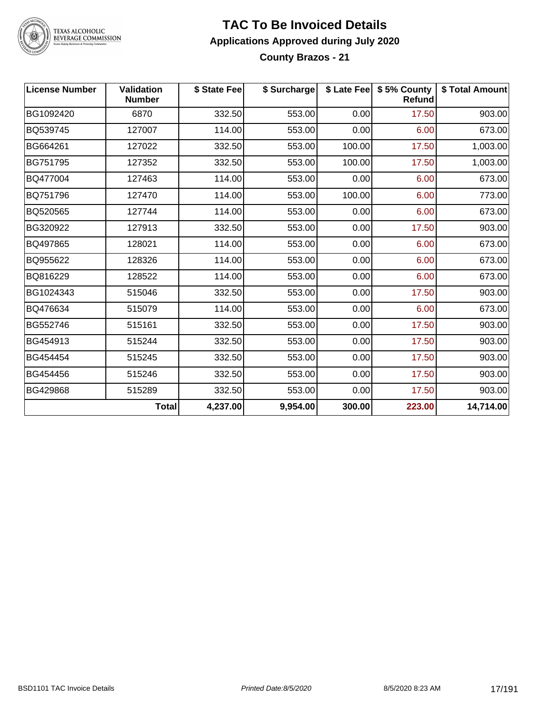

# TEXAS ALCOHOLIC<br>BEVERAGE COMMISSION

# **TAC To Be Invoiced Details Applications Approved during July 2020**

**County Brazos - 21**

| <b>License Number</b> | <b>Validation</b><br><b>Number</b> | \$ State Fee | \$ Surcharge |        | \$ Late Fee   \$5% County<br>Refund | \$ Total Amount |
|-----------------------|------------------------------------|--------------|--------------|--------|-------------------------------------|-----------------|
| BG1092420             | 6870                               | 332.50       | 553.00       | 0.00   | 17.50                               | 903.00          |
| BQ539745              | 127007                             | 114.00       | 553.00       | 0.00   | 6.00                                | 673.00          |
| BG664261              | 127022                             | 332.50       | 553.00       | 100.00 | 17.50                               | 1,003.00        |
| BG751795              | 127352                             | 332.50       | 553.00       | 100.00 | 17.50                               | 1,003.00        |
| BQ477004              | 127463                             | 114.00       | 553.00       | 0.00   | 6.00                                | 673.00          |
| BQ751796              | 127470                             | 114.00       | 553.00       | 100.00 | 6.00                                | 773.00          |
| BQ520565              | 127744                             | 114.00       | 553.00       | 0.00   | 6.00                                | 673.00          |
| BG320922              | 127913                             | 332.50       | 553.00       | 0.00   | 17.50                               | 903.00          |
| BQ497865              | 128021                             | 114.00       | 553.00       | 0.00   | 6.00                                | 673.00          |
| BQ955622              | 128326                             | 114.00       | 553.00       | 0.00   | 6.00                                | 673.00          |
| BQ816229              | 128522                             | 114.00       | 553.00       | 0.00   | 6.00                                | 673.00          |
| BG1024343             | 515046                             | 332.50       | 553.00       | 0.00   | 17.50                               | 903.00          |
| BQ476634              | 515079                             | 114.00       | 553.00       | 0.00   | 6.00                                | 673.00          |
| BG552746              | 515161                             | 332.50       | 553.00       | 0.00   | 17.50                               | 903.00          |
| BG454913              | 515244                             | 332.50       | 553.00       | 0.00   | 17.50                               | 903.00          |
| BG454454              | 515245                             | 332.50       | 553.00       | 0.00   | 17.50                               | 903.00          |
| BG454456              | 515246                             | 332.50       | 553.00       | 0.00   | 17.50                               | 903.00          |
| BG429868              | 515289                             | 332.50       | 553.00       | 0.00   | 17.50                               | 903.00          |
|                       | <b>Total</b>                       | 4,237.00     | 9,954.00     | 300.00 | 223.00                              | 14,714.00       |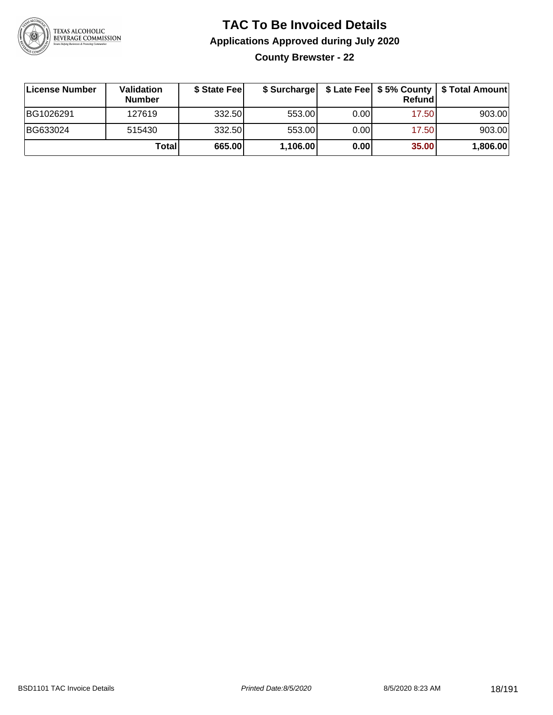

**County Brewster - 22**

| ∣License Number | <b>Validation</b><br><b>Number</b> | \$ State Fee |          |       | Refundl | \$ Surcharge   \$ Late Fee   \$5% County   \$ Total Amount |
|-----------------|------------------------------------|--------------|----------|-------|---------|------------------------------------------------------------|
| BG1026291       | 127619                             | 332.50       | 553.00   | 0.001 | 17.50   | 903.00                                                     |
| BG633024        | 515430                             | 332.50       | 553.00   | 0.001 | 17.50   | 903.00                                                     |
|                 | Total                              | 665.00       | 1,106.00 | 0.00  | 35.00   | 1,806.00                                                   |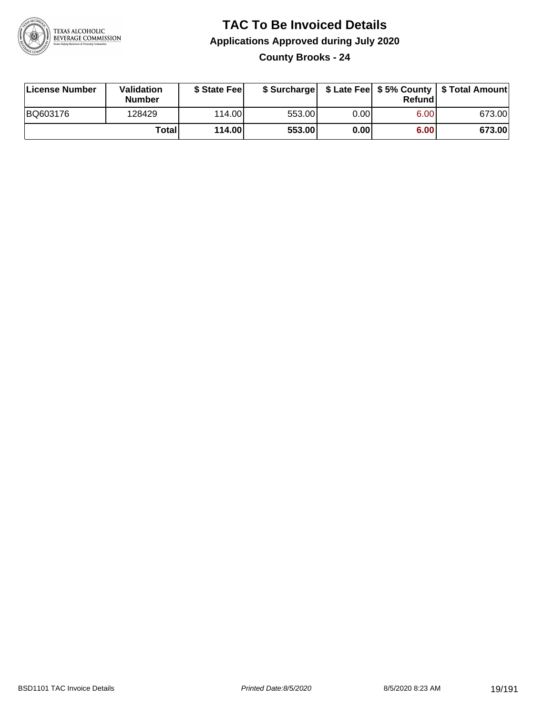

**County Brooks - 24**

| License Number | Validation<br><b>Number</b> | \$ State Fee |        |      | Refundl | \$ Surcharge   \$ Late Fee   \$5% County   \$ Total Amount |
|----------------|-----------------------------|--------------|--------|------|---------|------------------------------------------------------------|
| BQ603176       | 128429                      | 114.00       | 553.00 | 0.00 | 6.00    | 673.00                                                     |
|                | <b>Total</b>                | 114.00       | 553.00 | 0.00 | 6.00    | 673.00                                                     |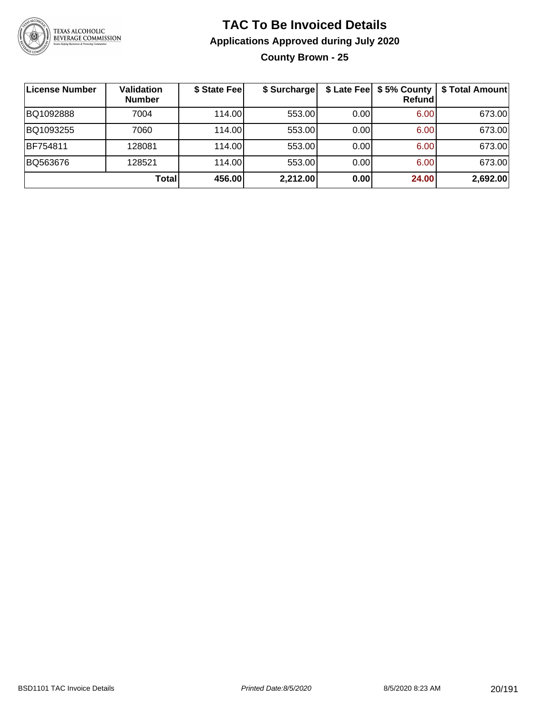

**County Brown - 25**

| ∣License Number | Validation<br><b>Number</b> | \$ State Fee | \$ Surcharge |      | \$ Late Fee   \$5% County  <br>Refundl | \$ Total Amount |
|-----------------|-----------------------------|--------------|--------------|------|----------------------------------------|-----------------|
| BQ1092888       | 7004                        | 114.00       | 553.00       | 0.00 | 6.00                                   | 673.00          |
| BQ1093255       | 7060                        | 114.00       | 553.00       | 0.00 | 6.00                                   | 673.00          |
| BF754811        | 128081                      | 114.00       | 553.00       | 0.00 | 6.00                                   | 673.00          |
| BQ563676        | 128521                      | 114.00       | 553.00       | 0.00 | 6.00                                   | 673.00          |
|                 | <b>Total</b>                | 456.00       | 2,212.00     | 0.00 | 24.00                                  | 2,692.00        |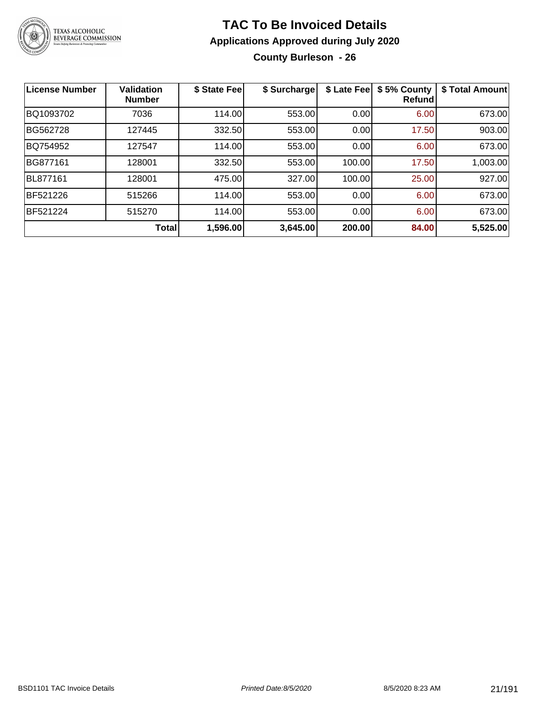

**County Burleson - 26**

| License Number  | <b>Validation</b><br><b>Number</b> | \$ State Fee | \$ Surcharge | \$ Late Fee | \$5% County<br>Refundl | \$ Total Amount |
|-----------------|------------------------------------|--------------|--------------|-------------|------------------------|-----------------|
| BQ1093702       | 7036                               | 114.00       | 553.00       | 0.00        | 6.00                   | 673.00          |
| BG562728        | 127445                             | 332.50       | 553.00       | 0.00        | 17.50                  | 903.00          |
| BQ754952        | 127547                             | 114.00       | 553.00       | 0.00        | 6.00                   | 673.00          |
| BG877161        | 128001                             | 332.50       | 553.00       | 100.00      | 17.50                  | 1,003.00        |
| BL877161        | 128001                             | 475.00       | 327.00       | 100.00      | 25.00                  | 927.00          |
| <b>BF521226</b> | 515266                             | 114.00       | 553.00       | 0.00        | 6.00                   | 673.00          |
| <b>BF521224</b> | 515270                             | 114.00       | 553.00       | 0.00        | 6.00                   | 673.00          |
|                 | Total                              | 1,596.00     | 3,645.00     | 200.00      | 84.00                  | 5,525.00        |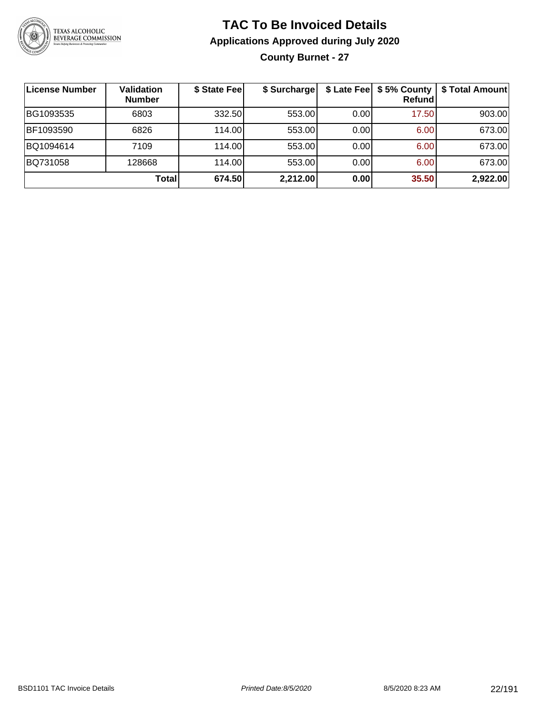

### **TAC To Be Invoiced Details Applications Approved during July 2020 County Burnet - 27**

| License Number | <b>Validation</b><br><b>Number</b> | \$ State Fee | \$ Surcharge |      | Refundl | \$ Late Fee   \$5% County   \$ Total Amount |
|----------------|------------------------------------|--------------|--------------|------|---------|---------------------------------------------|
| BG1093535      | 6803                               | 332.50       | 553.00       | 0.00 | 17.50   | 903.00                                      |
| BF1093590      | 6826                               | 114.00L      | 553.00       | 0.00 | 6.00    | 673.00                                      |
| BQ1094614      | 7109                               | 114.00       | 553.00       | 0.00 | 6.00    | 673.00                                      |
| BQ731058       | 128668                             | 114.00L      | 553.00       | 0.00 | 6.00    | 673.00                                      |
|                | Total                              | 674.50       | 2,212.00     | 0.00 | 35.50   | 2,922.00                                    |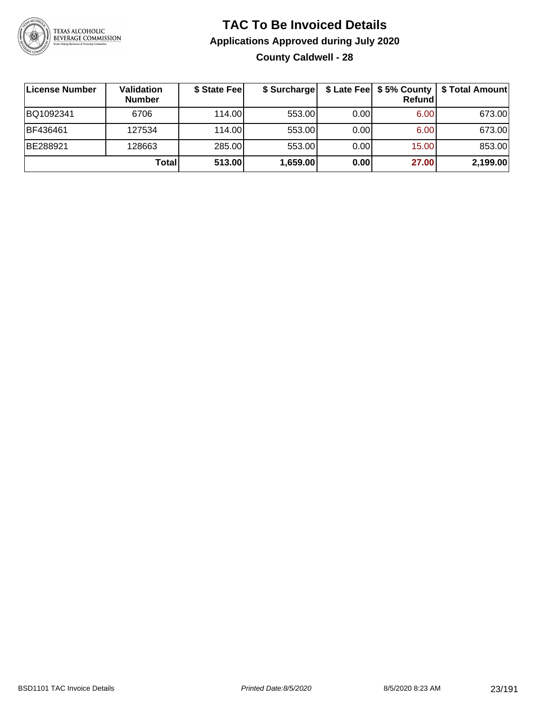

### **TAC To Be Invoiced Details Applications Approved during July 2020 County Caldwell - 28**

| ∣License Number | Validation<br><b>Number</b> | \$ State Fee | \$ Surcharge |      | Refundl | \$ Late Fee   \$5% County   \$ Total Amount |
|-----------------|-----------------------------|--------------|--------------|------|---------|---------------------------------------------|
| BQ1092341       | 6706                        | 114.00L      | 553.00       | 0.00 | 6.00    | 673.00                                      |
| BF436461        | 127534                      | 114.00       | 553.00       | 0.00 | 6.00    | 673.00                                      |
| BE288921        | 128663                      | 285.00       | 553.00       | 0.00 | 15.00   | 853.00                                      |
|                 | Total                       | 513.00       | 1,659.00     | 0.00 | 27.00   | 2,199.00                                    |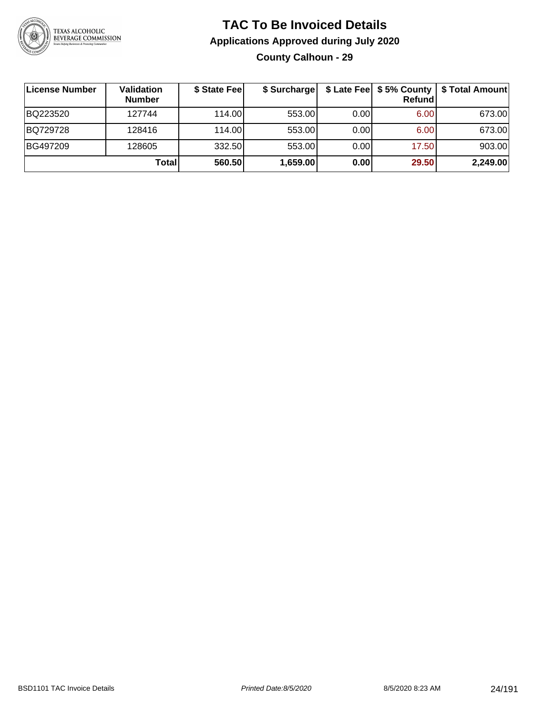

### **TAC To Be Invoiced Details Applications Approved during July 2020 County Calhoun - 29**

| ∣License Number | Validation<br><b>Number</b> | \$ State Fee | \$ Surcharge |      | \$ Late Fee   \$5% County  <br>Refundl | \$ Total Amount |
|-----------------|-----------------------------|--------------|--------------|------|----------------------------------------|-----------------|
| BQ223520        | 127744                      | 114.00       | 553.00       | 0.00 | 6.00                                   | 673.00          |
| BQ729728        | 128416                      | 114.00       | 553.00       | 0.00 | 6.00                                   | 673.00          |
| BG497209        | 128605                      | 332.50       | 553.00       | 0.00 | 17.50                                  | 903.00          |
|                 | <b>Total</b>                | 560.50       | 1,659.00     | 0.00 | 29.50                                  | 2,249.00        |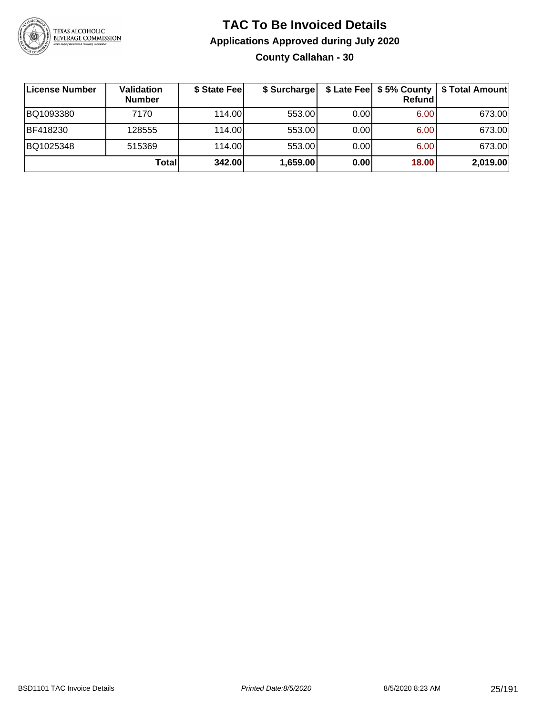

### **TAC To Be Invoiced Details Applications Approved during July 2020 County Callahan - 30**

| License Number | Validation<br><b>Number</b> | \$ State Fee | \$ Surcharge |      | <b>Refund</b> | \$ Late Fee   \$5% County   \$ Total Amount |
|----------------|-----------------------------|--------------|--------------|------|---------------|---------------------------------------------|
| BQ1093380      | 7170                        | 114.00L      | 553.00       | 0.00 | 6.00          | 673.00                                      |
| BF418230       | 128555                      | 114.00       | 553.00       | 0.00 | 6.00          | 673.00                                      |
| BQ1025348      | 515369                      | 114.00L      | 553.00       | 0.00 | 6.00          | 673.00                                      |
|                | Total                       | 342.00       | 1,659.00     | 0.00 | 18.00         | 2,019.00                                    |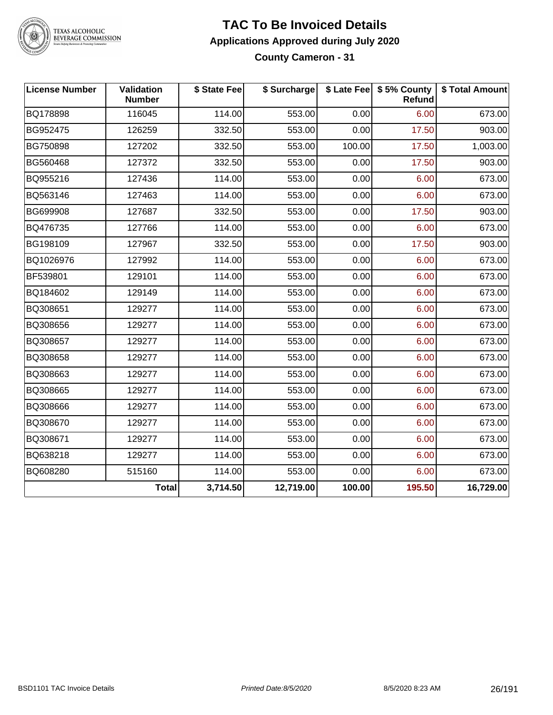

TEXAS ALCOHOLIC<br>BEVERAGE COMMISSION

#### **TAC To Be Invoiced Details Applications Approved during July 2020 County Cameron - 31**

| <b>License Number</b> | Validation<br><b>Number</b> | \$ State Fee | \$ Surcharge |        | \$ Late Fee   \$5% County<br><b>Refund</b> | \$ Total Amount |
|-----------------------|-----------------------------|--------------|--------------|--------|--------------------------------------------|-----------------|
| BQ178898              | 116045                      | 114.00       | 553.00       | 0.00   | 6.00                                       | 673.00          |
| BG952475              | 126259                      | 332.50       | 553.00       | 0.00   | 17.50                                      | 903.00          |
| BG750898              | 127202                      | 332.50       | 553.00       | 100.00 | 17.50                                      | 1,003.00        |
| BG560468              | 127372                      | 332.50       | 553.00       | 0.00   | 17.50                                      | 903.00          |
| BQ955216              | 127436                      | 114.00       | 553.00       | 0.00   | 6.00                                       | 673.00          |
| BQ563146              | 127463                      | 114.00       | 553.00       | 0.00   | 6.00                                       | 673.00          |
| BG699908              | 127687                      | 332.50       | 553.00       | 0.00   | 17.50                                      | 903.00          |
| BQ476735              | 127766                      | 114.00       | 553.00       | 0.00   | 6.00                                       | 673.00          |
| BG198109              | 127967                      | 332.50       | 553.00       | 0.00   | 17.50                                      | 903.00          |
| BQ1026976             | 127992                      | 114.00       | 553.00       | 0.00   | 6.00                                       | 673.00          |
| BF539801              | 129101                      | 114.00       | 553.00       | 0.00   | 6.00                                       | 673.00          |
| BQ184602              | 129149                      | 114.00       | 553.00       | 0.00   | 6.00                                       | 673.00          |
| BQ308651              | 129277                      | 114.00       | 553.00       | 0.00   | 6.00                                       | 673.00          |
| BQ308656              | 129277                      | 114.00       | 553.00       | 0.00   | 6.00                                       | 673.00          |
| BQ308657              | 129277                      | 114.00       | 553.00       | 0.00   | 6.00                                       | 673.00          |
| BQ308658              | 129277                      | 114.00       | 553.00       | 0.00   | 6.00                                       | 673.00          |
| BQ308663              | 129277                      | 114.00       | 553.00       | 0.00   | 6.00                                       | 673.00          |
| BQ308665              | 129277                      | 114.00       | 553.00       | 0.00   | 6.00                                       | 673.00          |
| BQ308666              | 129277                      | 114.00       | 553.00       | 0.00   | 6.00                                       | 673.00          |
| BQ308670              | 129277                      | 114.00       | 553.00       | 0.00   | 6.00                                       | 673.00          |
| BQ308671              | 129277                      | 114.00       | 553.00       | 0.00   | 6.00                                       | 673.00          |
| BQ638218              | 129277                      | 114.00       | 553.00       | 0.00   | 6.00                                       | 673.00          |
| BQ608280              | 515160                      | 114.00       | 553.00       | 0.00   | 6.00                                       | 673.00          |
|                       | <b>Total</b>                | 3,714.50     | 12,719.00    | 100.00 | 195.50                                     | 16,729.00       |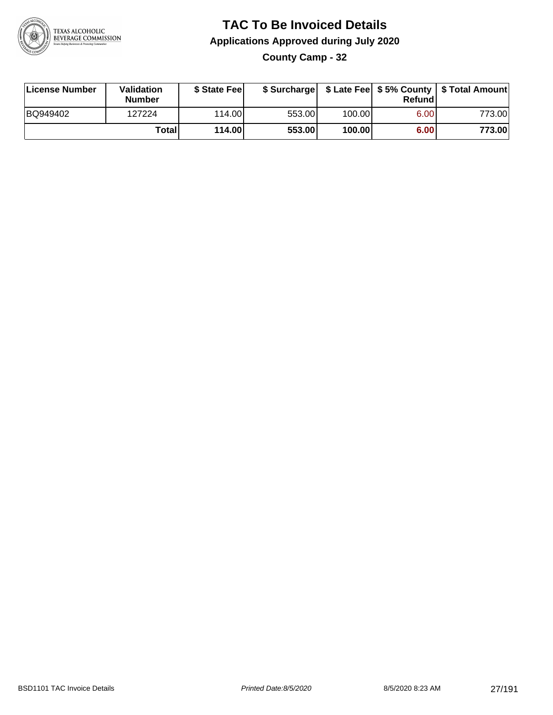

**County Camp - 32**

| License Number | Validation<br><b>Number</b> | \$ State Feel |        |        | Refundl | \$ Surcharge   \$ Late Fee   \$5% County   \$ Total Amount |
|----------------|-----------------------------|---------------|--------|--------|---------|------------------------------------------------------------|
| BQ949402       | 127224                      | 114.00        | 553.00 | 100.00 | 6.00    | 773.001                                                    |
|                | Totall                      | 114.00        | 553.00 | 100.00 | 6.00    | 773.00                                                     |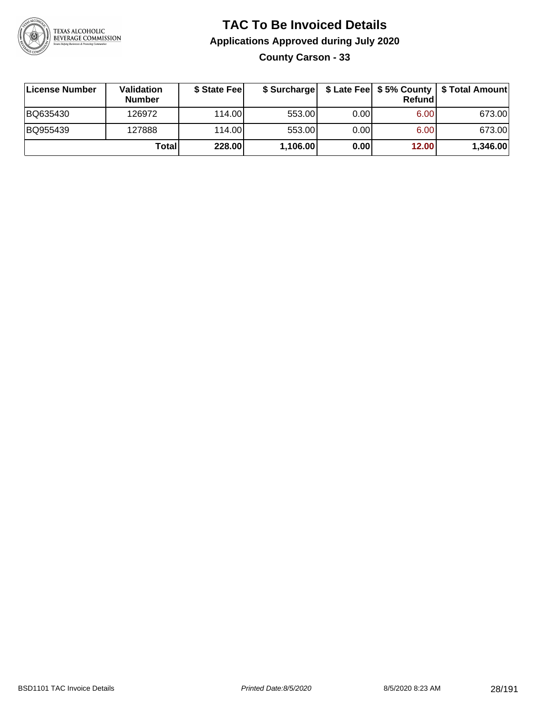

**County Carson - 33**

| License Number | Validation<br><b>Number</b> | \$ State Feel |          |      | Refundl | \$ Surcharge   \$ Late Fee   \$5% County   \$ Total Amount |
|----------------|-----------------------------|---------------|----------|------|---------|------------------------------------------------------------|
| BQ635430       | 126972                      | 114.00        | 553.00   | 0.00 | 6.00    | 673.00                                                     |
| BQ955439       | 127888                      | 114.00        | 553.00   | 0.00 | 6.00    | 673.00                                                     |
|                | Totall                      | 228.00        | 1,106.00 | 0.00 | 12.00   | 1,346.00                                                   |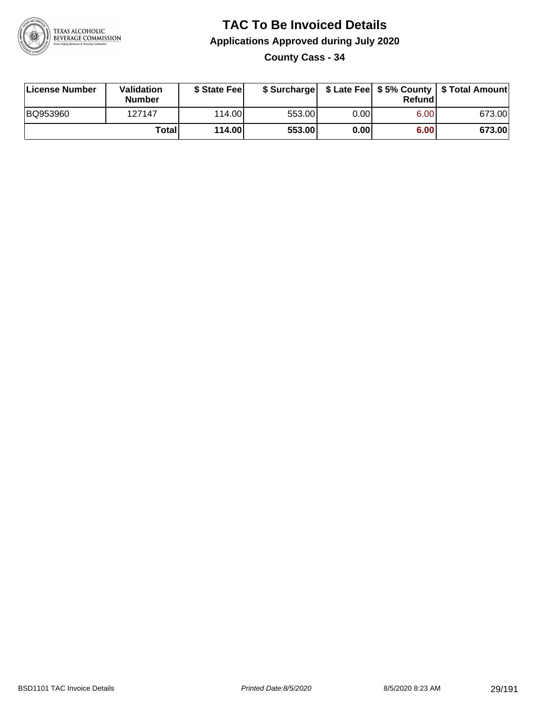

**County Cass - 34**

| License Number | <b>Validation</b><br>Number | \$ State Feel | \$ Surcharge |       | Refundl | \$ Late Fee   \$5% County   \$ Total Amount |
|----------------|-----------------------------|---------------|--------------|-------|---------|---------------------------------------------|
| BQ953960       | 127147                      | 114.00        | 553.00       | 0.001 | 6.00    | 673.00                                      |
|                | Totall                      | 114.00        | 553.00       | 0.001 | 6.00    | 673.00                                      |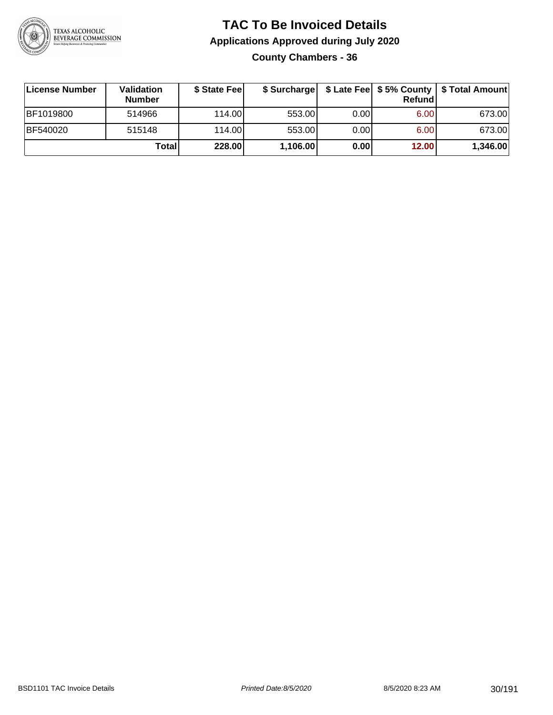

### **TAC To Be Invoiced Details Applications Approved during July 2020 County Chambers - 36**

| License Number | <b>Validation</b><br><b>Number</b> | \$ State Fee | \$ Surcharge |      | Refundl | \$ Late Fee   \$5% County   \$ Total Amount |
|----------------|------------------------------------|--------------|--------------|------|---------|---------------------------------------------|
| BF1019800      | 514966                             | 114.00L      | 553.00       | 0.00 | 6.00    | 673.00                                      |
| BF540020       | 515148                             | 114.00       | 553.00       | 0.00 | 6.00    | 673.00                                      |
|                | <b>Total</b>                       | 228.00       | 1,106.00     | 0.00 | 12.00   | 1,346.00                                    |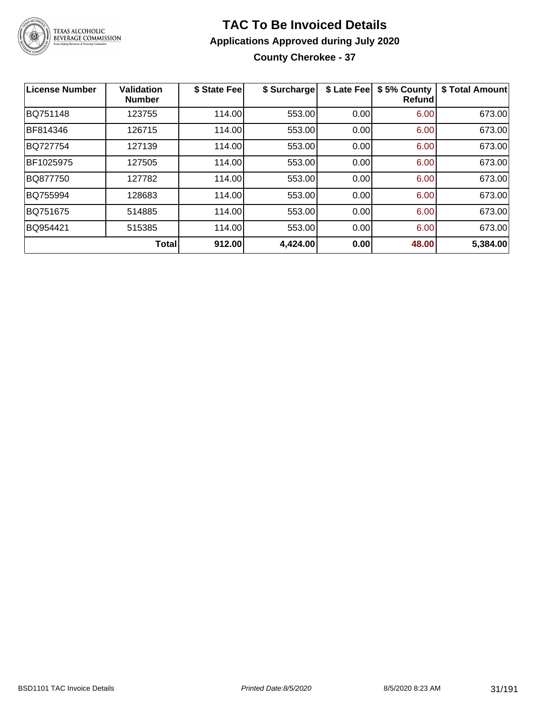

### **TAC To Be Invoiced Details Applications Approved during July 2020 County Cherokee - 37**

| <b>License Number</b> | <b>Validation</b><br><b>Number</b> | \$ State Fee | \$ Surcharge | \$ Late Fee | \$5% County<br>Refundl | \$ Total Amount |
|-----------------------|------------------------------------|--------------|--------------|-------------|------------------------|-----------------|
| BQ751148              | 123755                             | 114.00       | 553.00       | 0.00        | 6.00                   | 673.00          |
| BF814346              | 126715                             | 114.00       | 553.00       | 0.00        | 6.00                   | 673.00          |
| <b>BQ727754</b>       | 127139                             | 114.00       | 553.00       | 0.00        | 6.00                   | 673.00          |
| BF1025975             | 127505                             | 114.00       | 553.00       | 0.00        | 6.00                   | 673.00          |
| BQ877750              | 127782                             | 114.00       | 553.00       | 0.00        | 6.00                   | 673.00          |
| BQ755994              | 128683                             | 114.00       | 553.00       | 0.00        | 6.00                   | 673.00          |
| BQ751675              | 514885                             | 114.00       | 553.00       | 0.00        | 6.00                   | 673.00          |
| BQ954421              | 515385                             | 114.00       | 553.00       | 0.00        | 6.00                   | 673.00          |
|                       | <b>Total</b>                       | 912.00       | 4,424.00     | 0.00        | 48.00                  | 5,384.00        |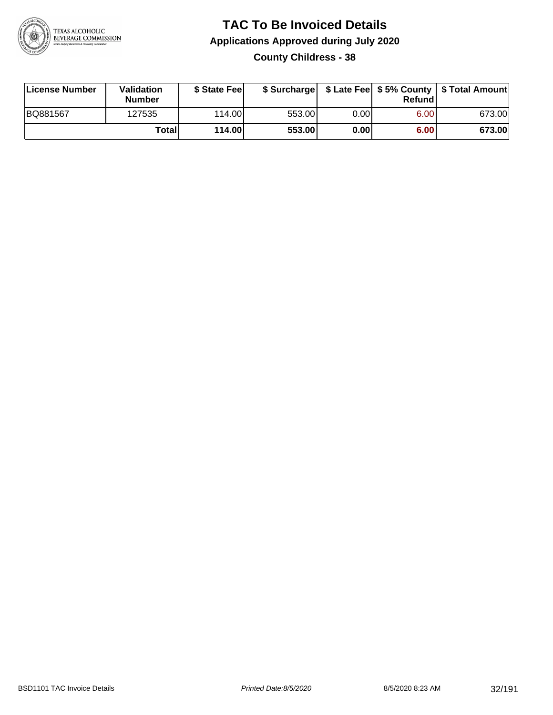

### **TAC To Be Invoiced Details Applications Approved during July 2020 County Childress - 38**

| License Number  | Validation<br><b>Number</b> | \$ State Fee |        |      | Refund | \$ Surcharge   \$ Late Fee   \$5% County   \$ Total Amount |
|-----------------|-----------------------------|--------------|--------|------|--------|------------------------------------------------------------|
| <b>BQ881567</b> | 127535                      | 114.00L      | 553.00 | 0.00 | 6.00   | 673.00                                                     |
|                 | Total                       | 114.00       | 553.00 | 0.00 | 6.00   | 673.00                                                     |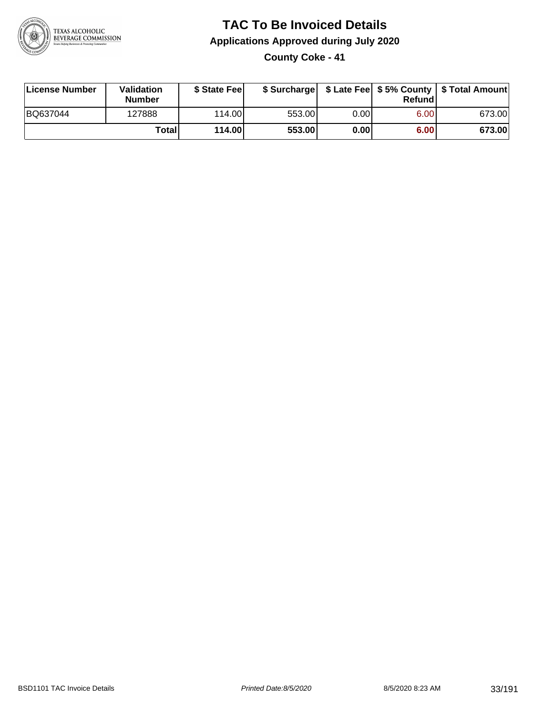

**County Coke - 41**

| License Number | Validation<br><b>Number</b> | \$ State Feel |        |      | Refundl | \$ Surcharge   \$ Late Fee   \$5% County   \$ Total Amount |
|----------------|-----------------------------|---------------|--------|------|---------|------------------------------------------------------------|
| BQ637044       | 127888                      | 114.00        | 553.00 | 0.00 | 6.00    | 673.00                                                     |
|                | Totall                      | <b>114.00</b> | 553.00 | 0.00 | 6.00    | 673.00                                                     |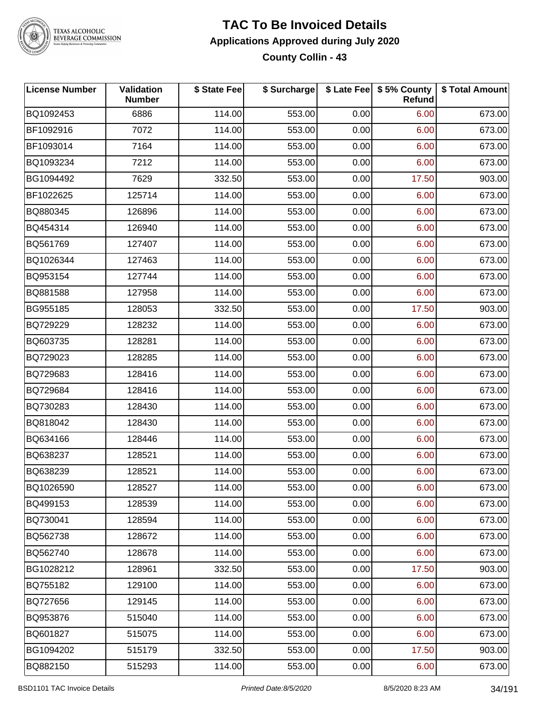

# TEXAS ALCOHOLIC<br>BEVERAGE COMMISSION

#### **TAC To Be Invoiced Details Applications Approved during July 2020 County Collin - 43**

| <b>License Number</b> | <b>Validation</b><br><b>Number</b> | \$ State Fee | \$ Surcharge |      | \$ Late Fee   \$5% County<br><b>Refund</b> | \$ Total Amount |
|-----------------------|------------------------------------|--------------|--------------|------|--------------------------------------------|-----------------|
| BQ1092453             | 6886                               | 114.00       | 553.00       | 0.00 | 6.00                                       | 673.00          |
| BF1092916             | 7072                               | 114.00       | 553.00       | 0.00 | 6.00                                       | 673.00          |
| BF1093014             | 7164                               | 114.00       | 553.00       | 0.00 | 6.00                                       | 673.00          |
| BQ1093234             | 7212                               | 114.00       | 553.00       | 0.00 | 6.00                                       | 673.00          |
| BG1094492             | 7629                               | 332.50       | 553.00       | 0.00 | 17.50                                      | 903.00          |
| BF1022625             | 125714                             | 114.00       | 553.00       | 0.00 | 6.00                                       | 673.00          |
| BQ880345              | 126896                             | 114.00       | 553.00       | 0.00 | 6.00                                       | 673.00          |
| BQ454314              | 126940                             | 114.00       | 553.00       | 0.00 | 6.00                                       | 673.00          |
| BQ561769              | 127407                             | 114.00       | 553.00       | 0.00 | 6.00                                       | 673.00          |
| BQ1026344             | 127463                             | 114.00       | 553.00       | 0.00 | 6.00                                       | 673.00          |
| BQ953154              | 127744                             | 114.00       | 553.00       | 0.00 | 6.00                                       | 673.00          |
| BQ881588              | 127958                             | 114.00       | 553.00       | 0.00 | 6.00                                       | 673.00          |
| BG955185              | 128053                             | 332.50       | 553.00       | 0.00 | 17.50                                      | 903.00          |
| BQ729229              | 128232                             | 114.00       | 553.00       | 0.00 | 6.00                                       | 673.00          |
| BQ603735              | 128281                             | 114.00       | 553.00       | 0.00 | 6.00                                       | 673.00          |
| BQ729023              | 128285                             | 114.00       | 553.00       | 0.00 | 6.00                                       | 673.00          |
| BQ729683              | 128416                             | 114.00       | 553.00       | 0.00 | 6.00                                       | 673.00          |
| BQ729684              | 128416                             | 114.00       | 553.00       | 0.00 | 6.00                                       | 673.00          |
| BQ730283              | 128430                             | 114.00       | 553.00       | 0.00 | 6.00                                       | 673.00          |
| BQ818042              | 128430                             | 114.00       | 553.00       | 0.00 | 6.00                                       | 673.00          |
| BQ634166              | 128446                             | 114.00       | 553.00       | 0.00 | 6.00                                       | 673.00          |
| BQ638237              | 128521                             | 114.00       | 553.00       | 0.00 | 6.00                                       | 673.00          |
| BQ638239              | 128521                             | 114.00       | 553.00       | 0.00 | 6.00                                       | 673.00          |
| BQ1026590             | 128527                             | 114.00       | 553.00       | 0.00 | 6.00                                       | 673.00          |
| BQ499153              | 128539                             | 114.00       | 553.00       | 0.00 | 6.00                                       | 673.00          |
| BQ730041              | 128594                             | 114.00       | 553.00       | 0.00 | 6.00                                       | 673.00          |
| BQ562738              | 128672                             | 114.00       | 553.00       | 0.00 | 6.00                                       | 673.00          |
| BQ562740              | 128678                             | 114.00       | 553.00       | 0.00 | 6.00                                       | 673.00          |
| BG1028212             | 128961                             | 332.50       | 553.00       | 0.00 | 17.50                                      | 903.00          |
| BQ755182              | 129100                             | 114.00       | 553.00       | 0.00 | 6.00                                       | 673.00          |
| BQ727656              | 129145                             | 114.00       | 553.00       | 0.00 | 6.00                                       | 673.00          |
| BQ953876              | 515040                             | 114.00       | 553.00       | 0.00 | 6.00                                       | 673.00          |
| BQ601827              | 515075                             | 114.00       | 553.00       | 0.00 | 6.00                                       | 673.00          |
| BG1094202             | 515179                             | 332.50       | 553.00       | 0.00 | 17.50                                      | 903.00          |
| BQ882150              | 515293                             | 114.00       | 553.00       | 0.00 | 6.00                                       | 673.00          |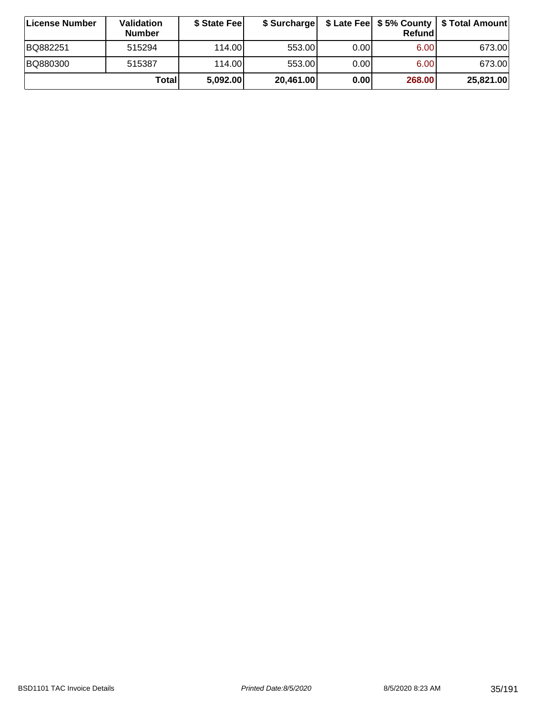| ∣License Number | <b>Validation</b><br><b>Number</b> | \$ State Feel | \$ Surcharge |       | Refundl | \$ Late Fee   \$5% County   \$ Total Amount |
|-----------------|------------------------------------|---------------|--------------|-------|---------|---------------------------------------------|
| BQ882251        | 515294                             | 114.00        | 553.00       | 0.00  | 6.00    | 673.00                                      |
| BQ880300        | 515387                             | 114.00        | 553.00       | 0.001 | 6.00    | 673.00                                      |
|                 | Totall                             | 5,092.00      | 20,461.00    | 0.00  | 268.00  | 25,821.00                                   |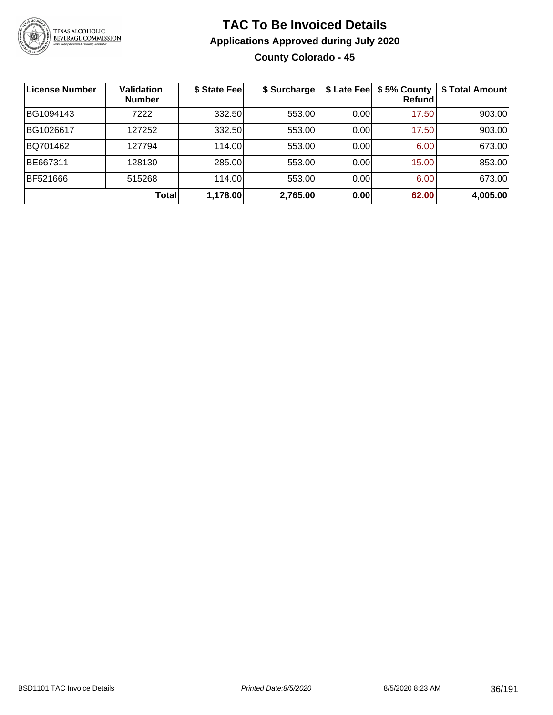

### **TAC To Be Invoiced Details Applications Approved during July 2020 County Colorado - 45**

| License Number  | <b>Validation</b><br><b>Number</b> | \$ State Fee | \$ Surcharge | \$ Late Fee | \$5% County<br>Refundl | \$ Total Amount |
|-----------------|------------------------------------|--------------|--------------|-------------|------------------------|-----------------|
| BG1094143       | 7222                               | 332.50       | 553.00       | 0.00        | 17.50                  | 903.00          |
| BG1026617       | 127252                             | 332.50       | 553.00       | 0.00        | 17.50                  | 903.00          |
| BQ701462        | 127794                             | 114.00       | 553.00       | 0.00        | 6.00                   | 673.00          |
| BE667311        | 128130                             | 285.00       | 553.00       | 0.00        | 15.00                  | 853.00          |
| <b>BF521666</b> | 515268                             | 114.00       | 553.00       | 0.00        | 6.00                   | 673.00          |
|                 | Total                              | 1,178.00     | 2,765.00     | 0.00        | 62.00                  | 4,005.00        |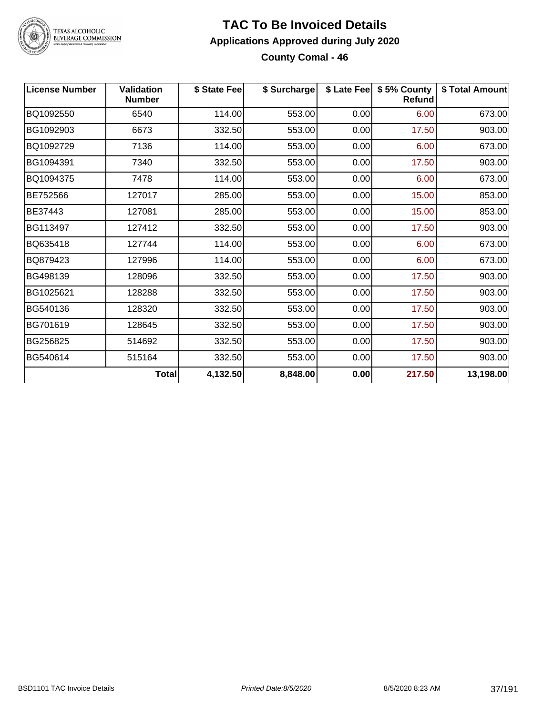

#### **TAC To Be Invoiced Details Applications Approved during July 2020 County Comal - 46**

| <b>License Number</b> | <b>Validation</b><br><b>Number</b> | \$ State Fee | \$ Surcharge |      | \$ Late Fee   \$5% County<br><b>Refund</b> | \$ Total Amount |
|-----------------------|------------------------------------|--------------|--------------|------|--------------------------------------------|-----------------|
| BQ1092550             | 6540                               | 114.00       | 553.00       | 0.00 | 6.00                                       | 673.00          |
| BG1092903             | 6673                               | 332.50       | 553.00       | 0.00 | 17.50                                      | 903.00          |
| BQ1092729             | 7136                               | 114.00       | 553.00       | 0.00 | 6.00                                       | 673.00          |
| BG1094391             | 7340                               | 332.50       | 553.00       | 0.00 | 17.50                                      | 903.00          |
| BQ1094375             | 7478                               | 114.00       | 553.00       | 0.00 | 6.00                                       | 673.00          |
| BE752566              | 127017                             | 285.00       | 553.00       | 0.00 | 15.00                                      | 853.00          |
| BE37443               | 127081                             | 285.00       | 553.00       | 0.00 | 15.00                                      | 853.00          |
| BG113497              | 127412                             | 332.50       | 553.00       | 0.00 | 17.50                                      | 903.00          |
| BQ635418              | 127744                             | 114.00       | 553.00       | 0.00 | 6.00                                       | 673.00          |
| BQ879423              | 127996                             | 114.00       | 553.00       | 0.00 | 6.00                                       | 673.00          |
| BG498139              | 128096                             | 332.50       | 553.00       | 0.00 | 17.50                                      | 903.00          |
| BG1025621             | 128288                             | 332.50       | 553.00       | 0.00 | 17.50                                      | 903.00          |
| BG540136              | 128320                             | 332.50       | 553.00       | 0.00 | 17.50                                      | 903.00          |
| BG701619              | 128645                             | 332.50       | 553.00       | 0.00 | 17.50                                      | 903.00          |
| BG256825              | 514692                             | 332.50       | 553.00       | 0.00 | 17.50                                      | 903.00          |
| BG540614              | 515164                             | 332.50       | 553.00       | 0.00 | 17.50                                      | 903.00          |
|                       | Total                              | 4,132.50     | 8,848.00     | 0.00 | 217.50                                     | 13,198.00       |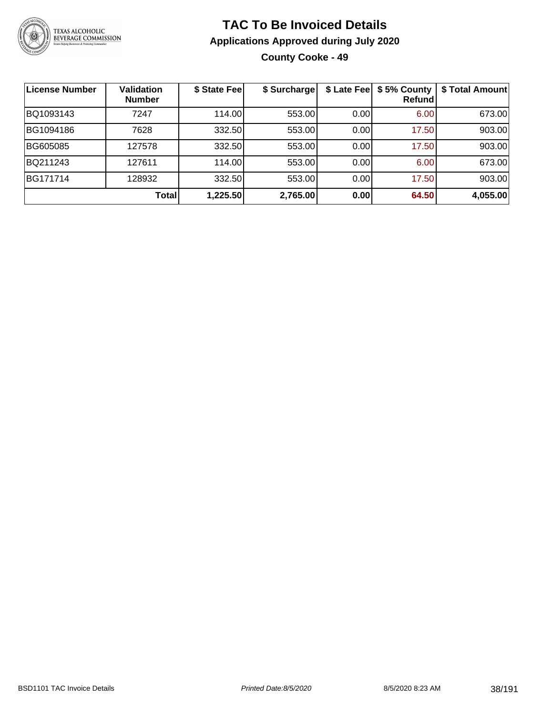

**County Cooke - 49**

| <b>License Number</b> | <b>Validation</b><br><b>Number</b> | \$ State Fee | \$ Surcharge |      | \$ Late Fee   \$5% County<br>Refundl | \$ Total Amount |
|-----------------------|------------------------------------|--------------|--------------|------|--------------------------------------|-----------------|
| BQ1093143             | 7247                               | 114.00       | 553.00       | 0.00 | 6.00                                 | 673.00          |
| BG1094186             | 7628                               | 332.50       | 553.00       | 0.00 | 17.50                                | 903.00          |
| BG605085              | 127578                             | 332.50       | 553.00       | 0.00 | 17.50                                | 903.00          |
| BQ211243              | 127611                             | 114.00       | 553.00       | 0.00 | 6.00                                 | 673.00          |
| BG171714              | 128932                             | 332.50       | 553.00       | 0.00 | 17.50                                | 903.00          |
|                       | Total                              | 1,225.50     | 2,765.00     | 0.00 | 64.50                                | 4,055.00        |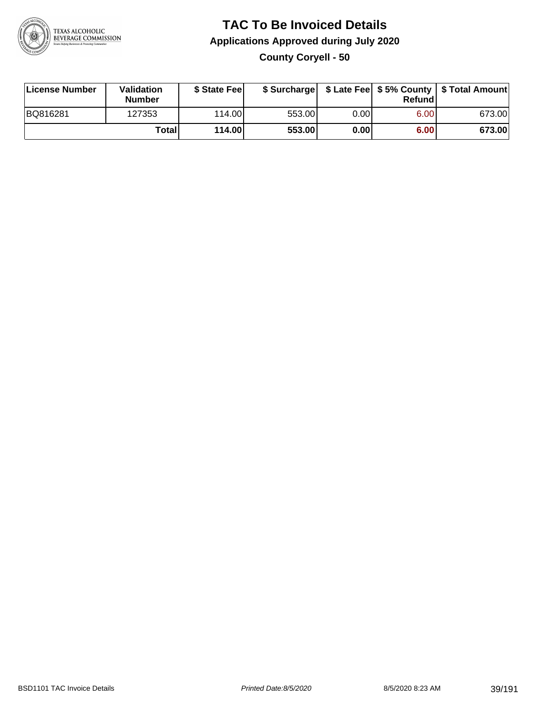

**County Coryell - 50**

| License Number | Validation<br><b>Number</b> | \$ State Feel |        |       | Refundl | \$ Surcharge   \$ Late Fee   \$5% County   \$ Total Amount |
|----------------|-----------------------------|---------------|--------|-------|---------|------------------------------------------------------------|
| BQ816281       | 127353                      | 114.00        | 553.00 | 0.00  | 6.00    | 673.00                                                     |
|                | Totall                      | 114.00        | 553.00 | 0.001 | 6.00    | 673.00                                                     |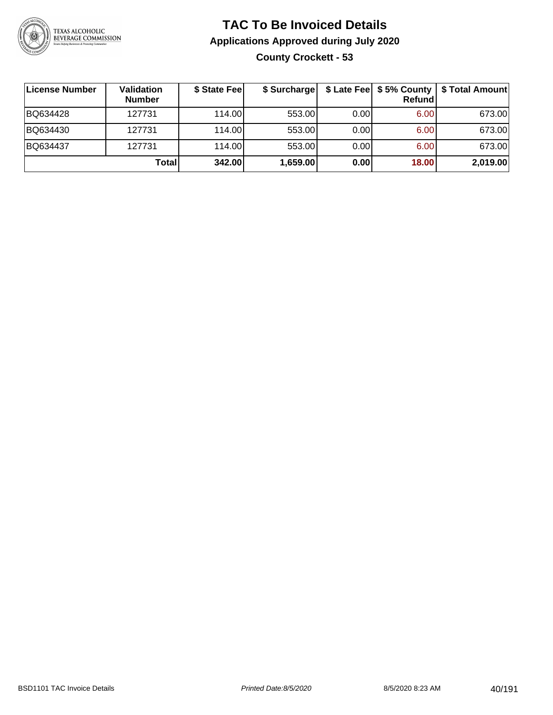

### **TAC To Be Invoiced Details Applications Approved during July 2020 County Crockett - 53**

| License Number | <b>Validation</b><br><b>Number</b> | \$ State Fee | \$ Surcharge |      | Refundl | \$ Late Fee   \$5% County   \$ Total Amount |
|----------------|------------------------------------|--------------|--------------|------|---------|---------------------------------------------|
| BQ634428       | 127731                             | 114.00L      | 553.00       | 0.00 | 6.00    | 673.00                                      |
| BQ634430       | 127731                             | 114.00       | 553.00       | 0.00 | 6.00    | 673.00                                      |
| BQ634437       | 127731                             | 114.00       | 553.00       | 0.00 | 6.00    | 673.00                                      |
|                | Total                              | 342.00       | 1,659.00     | 0.00 | 18.00   | 2,019.00                                    |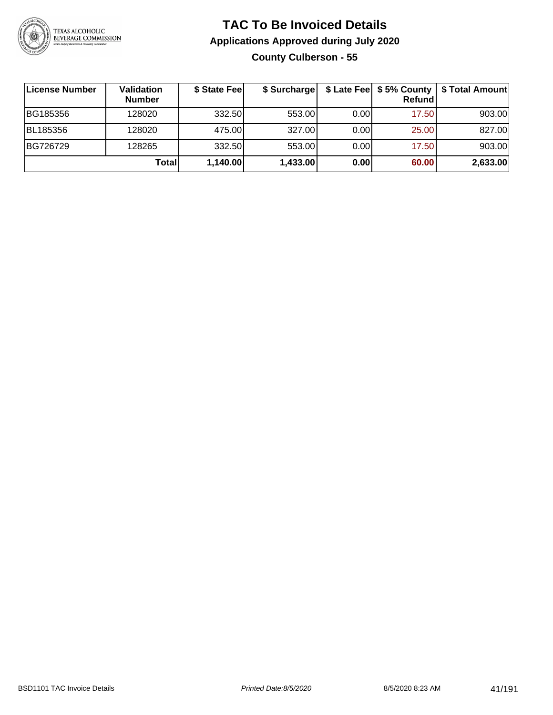

### **TAC To Be Invoiced Details Applications Approved during July 2020 County Culberson - 55**

| License Number | Validation<br><b>Number</b> | \$ State Fee | \$ Surcharge |       | \$ Late Fee   \$5% County<br>Refundl | \$ Total Amount |
|----------------|-----------------------------|--------------|--------------|-------|--------------------------------------|-----------------|
| BG185356       | 128020                      | 332.50       | 553.00       | 0.001 | 17.50                                | 903.00          |
| BL185356       | 128020                      | 475.00       | 327.00       | 0.00  | 25.00                                | 827.00          |
| BG726729       | 128265                      | 332.50       | 553.00       | 0.00  | 17.50                                | 903.00          |
|                | Total                       | 1,140.00     | 1,433.00     | 0.00  | 60.00                                | 2,633.00        |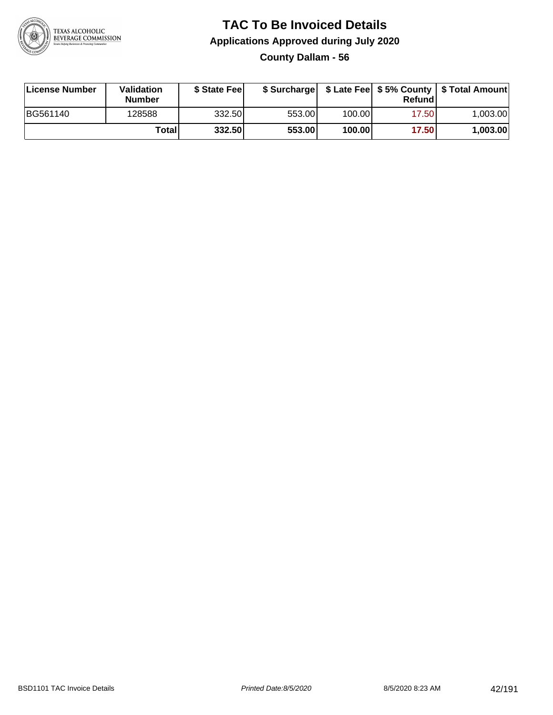

**County Dallam - 56**

| License Number | Validation<br><b>Number</b> | \$ State Fee |        |        | Refundl | \$ Surcharge   \$ Late Fee   \$5% County   \$ Total Amount |
|----------------|-----------------------------|--------------|--------|--------|---------|------------------------------------------------------------|
| BG561140       | 128588                      | 332.50       | 553.00 | 100.00 | 17.50   | 1.003.00                                                   |
|                | Totall                      | 332.50       | 553.00 | 100.00 | 17.50   | 1,003.00                                                   |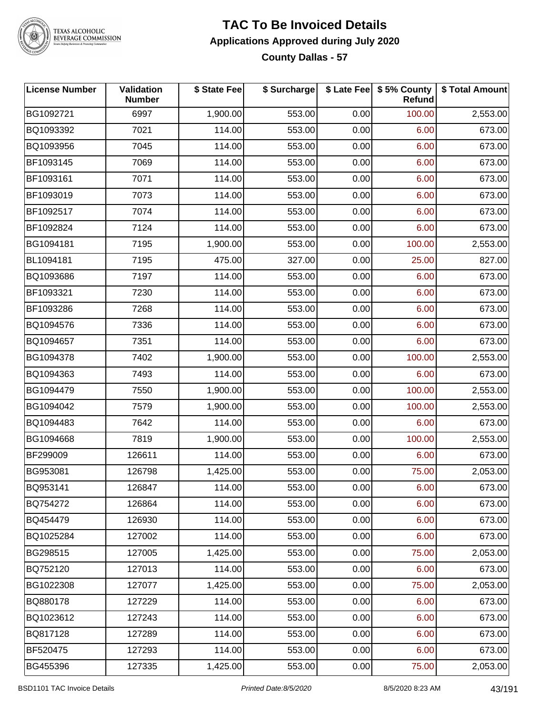

#### **TAC To Be Invoiced Details Applications Approved during July 2020 County Dallas - 57**

| <b>License Number</b> | Validation<br><b>Number</b> | \$ State Fee | \$ Surcharge |      | \$ Late Fee   \$5% County<br>Refund | \$ Total Amount |
|-----------------------|-----------------------------|--------------|--------------|------|-------------------------------------|-----------------|
| BG1092721             | 6997                        | 1,900.00     | 553.00       | 0.00 | 100.00                              | 2,553.00        |
| BQ1093392             | 7021                        | 114.00       | 553.00       | 0.00 | 6.00                                | 673.00          |
| BQ1093956             | 7045                        | 114.00       | 553.00       | 0.00 | 6.00                                | 673.00          |
| BF1093145             | 7069                        | 114.00       | 553.00       | 0.00 | 6.00                                | 673.00          |
| BF1093161             | 7071                        | 114.00       | 553.00       | 0.00 | 6.00                                | 673.00          |
| BF1093019             | 7073                        | 114.00       | 553.00       | 0.00 | 6.00                                | 673.00          |
| BF1092517             | 7074                        | 114.00       | 553.00       | 0.00 | 6.00                                | 673.00          |
| BF1092824             | 7124                        | 114.00       | 553.00       | 0.00 | 6.00                                | 673.00          |
| BG1094181             | 7195                        | 1,900.00     | 553.00       | 0.00 | 100.00                              | 2,553.00        |
| BL1094181             | 7195                        | 475.00       | 327.00       | 0.00 | 25.00                               | 827.00          |
| BQ1093686             | 7197                        | 114.00       | 553.00       | 0.00 | 6.00                                | 673.00          |
| BF1093321             | 7230                        | 114.00       | 553.00       | 0.00 | 6.00                                | 673.00          |
| BF1093286             | 7268                        | 114.00       | 553.00       | 0.00 | 6.00                                | 673.00          |
| BQ1094576             | 7336                        | 114.00       | 553.00       | 0.00 | 6.00                                | 673.00          |
| BQ1094657             | 7351                        | 114.00       | 553.00       | 0.00 | 6.00                                | 673.00          |
| BG1094378             | 7402                        | 1,900.00     | 553.00       | 0.00 | 100.00                              | 2,553.00        |
| BQ1094363             | 7493                        | 114.00       | 553.00       | 0.00 | 6.00                                | 673.00          |
| BG1094479             | 7550                        | 1,900.00     | 553.00       | 0.00 | 100.00                              | 2,553.00        |
| BG1094042             | 7579                        | 1,900.00     | 553.00       | 0.00 | 100.00                              | 2,553.00        |
| BQ1094483             | 7642                        | 114.00       | 553.00       | 0.00 | 6.00                                | 673.00          |
| BG1094668             | 7819                        | 1,900.00     | 553.00       | 0.00 | 100.00                              | 2,553.00        |
| BF299009              | 126611                      | 114.00       | 553.00       | 0.00 | 6.00                                | 673.00          |
| BG953081              | 126798                      | 1,425.00     | 553.00       | 0.00 | 75.00                               | 2,053.00        |
| BQ953141              | 126847                      | 114.00       | 553.00       | 0.00 | 6.00                                | 673.00          |
| BQ754272              | 126864                      | 114.00       | 553.00       | 0.00 | 6.00                                | 673.00          |
| BQ454479              | 126930                      | 114.00       | 553.00       | 0.00 | 6.00                                | 673.00          |
| BQ1025284             | 127002                      | 114.00       | 553.00       | 0.00 | 6.00                                | 673.00          |
| BG298515              | 127005                      | 1,425.00     | 553.00       | 0.00 | 75.00                               | 2,053.00        |
| BQ752120              | 127013                      | 114.00       | 553.00       | 0.00 | 6.00                                | 673.00          |
| BG1022308             | 127077                      | 1,425.00     | 553.00       | 0.00 | 75.00                               | 2,053.00        |
| BQ880178              | 127229                      | 114.00       | 553.00       | 0.00 | 6.00                                | 673.00          |
| BQ1023612             | 127243                      | 114.00       | 553.00       | 0.00 | 6.00                                | 673.00          |
| BQ817128              | 127289                      | 114.00       | 553.00       | 0.00 | 6.00                                | 673.00          |
| BF520475              | 127293                      | 114.00       | 553.00       | 0.00 | 6.00                                | 673.00          |
| BG455396              | 127335                      | 1,425.00     | 553.00       | 0.00 | 75.00                               | 2,053.00        |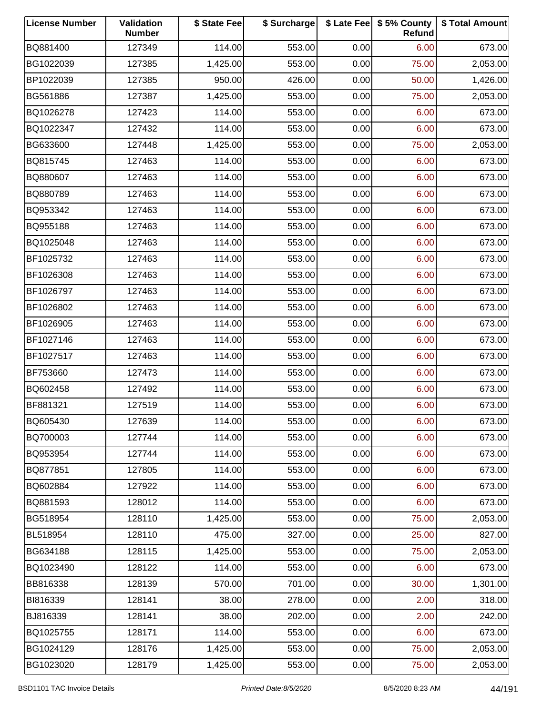| <b>License Number</b> | Validation<br><b>Number</b> | \$ State Fee | \$ Surcharge |      | \$ Late Fee   \$5% County<br>Refund | \$ Total Amount |
|-----------------------|-----------------------------|--------------|--------------|------|-------------------------------------|-----------------|
| BQ881400              | 127349                      | 114.00       | 553.00       | 0.00 | 6.00                                | 673.00          |
| BG1022039             | 127385                      | 1,425.00     | 553.00       | 0.00 | 75.00                               | 2,053.00        |
| BP1022039             | 127385                      | 950.00       | 426.00       | 0.00 | 50.00                               | 1,426.00        |
| BG561886              | 127387                      | 1,425.00     | 553.00       | 0.00 | 75.00                               | 2,053.00        |
| BQ1026278             | 127423                      | 114.00       | 553.00       | 0.00 | 6.00                                | 673.00          |
| BQ1022347             | 127432                      | 114.00       | 553.00       | 0.00 | 6.00                                | 673.00          |
| BG633600              | 127448                      | 1,425.00     | 553.00       | 0.00 | 75.00                               | 2,053.00        |
| BQ815745              | 127463                      | 114.00       | 553.00       | 0.00 | 6.00                                | 673.00          |
| BQ880607              | 127463                      | 114.00       | 553.00       | 0.00 | 6.00                                | 673.00          |
| BQ880789              | 127463                      | 114.00       | 553.00       | 0.00 | 6.00                                | 673.00          |
| BQ953342              | 127463                      | 114.00       | 553.00       | 0.00 | 6.00                                | 673.00          |
| BQ955188              | 127463                      | 114.00       | 553.00       | 0.00 | 6.00                                | 673.00          |
| BQ1025048             | 127463                      | 114.00       | 553.00       | 0.00 | 6.00                                | 673.00          |
| BF1025732             | 127463                      | 114.00       | 553.00       | 0.00 | 6.00                                | 673.00          |
| BF1026308             | 127463                      | 114.00       | 553.00       | 0.00 | 6.00                                | 673.00          |
| BF1026797             | 127463                      | 114.00       | 553.00       | 0.00 | 6.00                                | 673.00          |
| BF1026802             | 127463                      | 114.00       | 553.00       | 0.00 | 6.00                                | 673.00          |
| BF1026905             | 127463                      | 114.00       | 553.00       | 0.00 | 6.00                                | 673.00          |
| BF1027146             | 127463                      | 114.00       | 553.00       | 0.00 | 6.00                                | 673.00          |
| BF1027517             | 127463                      | 114.00       | 553.00       | 0.00 | 6.00                                | 673.00          |
| BF753660              | 127473                      | 114.00       | 553.00       | 0.00 | 6.00                                | 673.00          |
| BQ602458              | 127492                      | 114.00       | 553.00       | 0.00 | 6.00                                | 673.00          |
| BF881321              | 127519                      | 114.00       | 553.00       | 0.00 | 6.00                                | 673.00          |
| BQ605430              | 127639                      | 114.00       | 553.00       | 0.00 | 6.00                                | 673.00          |
| BQ700003              | 127744                      | 114.00       | 553.00       | 0.00 | 6.00                                | 673.00          |
| BQ953954              | 127744                      | 114.00       | 553.00       | 0.00 | 6.00                                | 673.00          |
| BQ877851              | 127805                      | 114.00       | 553.00       | 0.00 | 6.00                                | 673.00          |
| BQ602884              | 127922                      | 114.00       | 553.00       | 0.00 | 6.00                                | 673.00          |
| BQ881593              | 128012                      | 114.00       | 553.00       | 0.00 | 6.00                                | 673.00          |
| BG518954              | 128110                      | 1,425.00     | 553.00       | 0.00 | 75.00                               | 2,053.00        |
| BL518954              | 128110                      | 475.00       | 327.00       | 0.00 | 25.00                               | 827.00          |
| BG634188              | 128115                      | 1,425.00     | 553.00       | 0.00 | 75.00                               | 2,053.00        |
| BQ1023490             | 128122                      | 114.00       | 553.00       | 0.00 | 6.00                                | 673.00          |
| BB816338              | 128139                      | 570.00       | 701.00       | 0.00 | 30.00                               | 1,301.00        |
| BI816339              | 128141                      | 38.00        | 278.00       | 0.00 | 2.00                                | 318.00          |
| BJ816339              | 128141                      | 38.00        | 202.00       | 0.00 | 2.00                                | 242.00          |
| BQ1025755             | 128171                      | 114.00       | 553.00       | 0.00 | 6.00                                | 673.00          |
| BG1024129             | 128176                      | 1,425.00     | 553.00       | 0.00 | 75.00                               | 2,053.00        |
| BG1023020             | 128179                      | 1,425.00     | 553.00       | 0.00 | 75.00                               | 2,053.00        |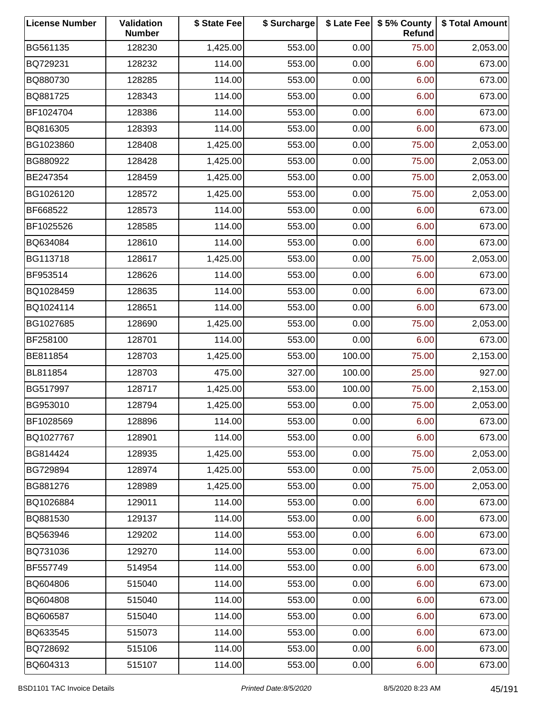| <b>License Number</b> | Validation<br><b>Number</b> | \$ State Fee | \$ Surcharge |        | \$ Late Fee   \$5% County<br>Refund | \$ Total Amount |
|-----------------------|-----------------------------|--------------|--------------|--------|-------------------------------------|-----------------|
| BG561135              | 128230                      | 1,425.00     | 553.00       | 0.00   | 75.00                               | 2,053.00        |
| BQ729231              | 128232                      | 114.00       | 553.00       | 0.00   | 6.00                                | 673.00          |
| BQ880730              | 128285                      | 114.00       | 553.00       | 0.00   | 6.00                                | 673.00          |
| BQ881725              | 128343                      | 114.00       | 553.00       | 0.00   | 6.00                                | 673.00          |
| BF1024704             | 128386                      | 114.00       | 553.00       | 0.00   | 6.00                                | 673.00          |
| BQ816305              | 128393                      | 114.00       | 553.00       | 0.00   | 6.00                                | 673.00          |
| BG1023860             | 128408                      | 1,425.00     | 553.00       | 0.00   | 75.00                               | 2,053.00        |
| BG880922              | 128428                      | 1,425.00     | 553.00       | 0.00   | 75.00                               | 2,053.00        |
| BE247354              | 128459                      | 1,425.00     | 553.00       | 0.00   | 75.00                               | 2,053.00        |
| BG1026120             | 128572                      | 1,425.00     | 553.00       | 0.00   | 75.00                               | 2,053.00        |
| BF668522              | 128573                      | 114.00       | 553.00       | 0.00   | 6.00                                | 673.00          |
| BF1025526             | 128585                      | 114.00       | 553.00       | 0.00   | 6.00                                | 673.00          |
| BQ634084              | 128610                      | 114.00       | 553.00       | 0.00   | 6.00                                | 673.00          |
| BG113718              | 128617                      | 1,425.00     | 553.00       | 0.00   | 75.00                               | 2,053.00        |
| BF953514              | 128626                      | 114.00       | 553.00       | 0.00   | 6.00                                | 673.00          |
| BQ1028459             | 128635                      | 114.00       | 553.00       | 0.00   | 6.00                                | 673.00          |
| BQ1024114             | 128651                      | 114.00       | 553.00       | 0.00   | 6.00                                | 673.00          |
| BG1027685             | 128690                      | 1,425.00     | 553.00       | 0.00   | 75.00                               | 2,053.00        |
| BF258100              | 128701                      | 114.00       | 553.00       | 0.00   | 6.00                                | 673.00          |
| BE811854              | 128703                      | 1,425.00     | 553.00       | 100.00 | 75.00                               | 2,153.00        |
| BL811854              | 128703                      | 475.00       | 327.00       | 100.00 | 25.00                               | 927.00          |
| BG517997              | 128717                      | 1,425.00     | 553.00       | 100.00 | 75.00                               | 2,153.00        |
| BG953010              | 128794                      | 1,425.00     | 553.00       | 0.00   | 75.00                               | 2,053.00        |
| BF1028569             | 128896                      | 114.00       | 553.00       | 0.00   | 6.00                                | 673.00          |
| BQ1027767             | 128901                      | 114.00       | 553.00       | 0.00   | 6.00                                | 673.00          |
| BG814424              | 128935                      | 1,425.00     | 553.00       | 0.00   | 75.00                               | 2,053.00        |
| BG729894              | 128974                      | 1,425.00     | 553.00       | 0.00   | 75.00                               | 2,053.00        |
| BG881276              | 128989                      | 1,425.00     | 553.00       | 0.00   | 75.00                               | 2,053.00        |
| BQ1026884             | 129011                      | 114.00       | 553.00       | 0.00   | 6.00                                | 673.00          |
| BQ881530              | 129137                      | 114.00       | 553.00       | 0.00   | 6.00                                | 673.00          |
| BQ563946              | 129202                      | 114.00       | 553.00       | 0.00   | 6.00                                | 673.00          |
| BQ731036              | 129270                      | 114.00       | 553.00       | 0.00   | 6.00                                | 673.00          |
| BF557749              | 514954                      | 114.00       | 553.00       | 0.00   | 6.00                                | 673.00          |
| BQ604806              | 515040                      | 114.00       | 553.00       | 0.00   | 6.00                                | 673.00          |
| BQ604808              | 515040                      | 114.00       | 553.00       | 0.00   | 6.00                                | 673.00          |
| BQ606587              | 515040                      | 114.00       | 553.00       | 0.00   | 6.00                                | 673.00          |
| BQ633545              | 515073                      | 114.00       | 553.00       | 0.00   | 6.00                                | 673.00          |
| BQ728692              | 515106                      | 114.00       | 553.00       | 0.00   | 6.00                                | 673.00          |
| BQ604313              | 515107                      | 114.00       | 553.00       | 0.00   | 6.00                                | 673.00          |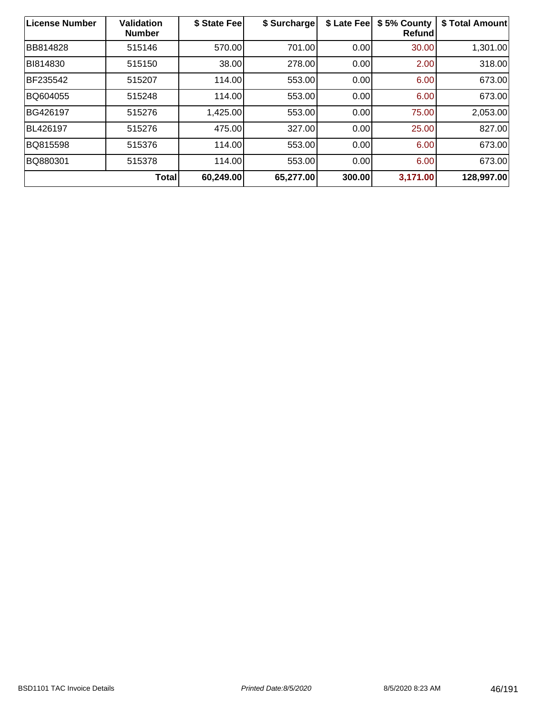| License Number  | <b>Validation</b><br><b>Number</b> | \$ State Fee | \$ Surcharge | \$ Late Fee | \$5% County<br>Refund | \$ Total Amount |
|-----------------|------------------------------------|--------------|--------------|-------------|-----------------------|-----------------|
| <b>BB814828</b> | 515146                             | 570.00       | 701.00       | 0.00        | 30.00                 | 1,301.00        |
| BI814830        | 515150                             | 38.00        | 278.00       | 0.00        | 2.00                  | 318.00          |
| BF235542        | 515207                             | 114.00       | 553.00       | 0.00        | 6.00                  | 673.00          |
| BQ604055        | 515248                             | 114.00       | 553.00       | 0.00        | 6.00                  | 673.00          |
| BG426197        | 515276                             | 1,425.00     | 553.00       | 0.00        | 75.00                 | 2,053.00        |
| BL426197        | 515276                             | 475.00       | 327.00       | 0.00        | 25.00                 | 827.00          |
| BQ815598        | 515376                             | 114.00       | 553.00       | 0.00        | 6.00                  | 673.00          |
| BQ880301        | 515378                             | 114.00       | 553.00       | 0.00        | 6.00                  | 673.00          |
|                 | <b>Total</b>                       | 60,249.00    | 65,277.00    | 300.00      | 3,171.00              | 128,997.00      |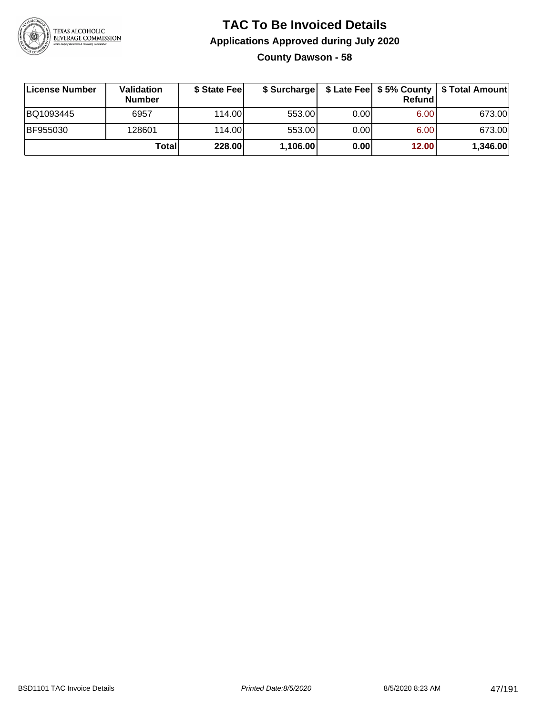

### **TAC To Be Invoiced Details Applications Approved during July 2020 County Dawson - 58**

| License Number | <b>Validation</b><br><b>Number</b> | \$ State Feel | \$ Surcharge |      | Refund | \$ Late Fee   \$5% County   \$ Total Amount |
|----------------|------------------------------------|---------------|--------------|------|--------|---------------------------------------------|
| BQ1093445      | 6957                               | 114.00L       | 553.00       | 0.00 | 6.00   | 673.00                                      |
| BF955030       | 128601                             | 114.00L       | 553.00       | 0.00 | 6.00   | 673.00                                      |
|                | Total                              | 228.00        | 1,106.00     | 0.00 | 12.00  | 1,346.00                                    |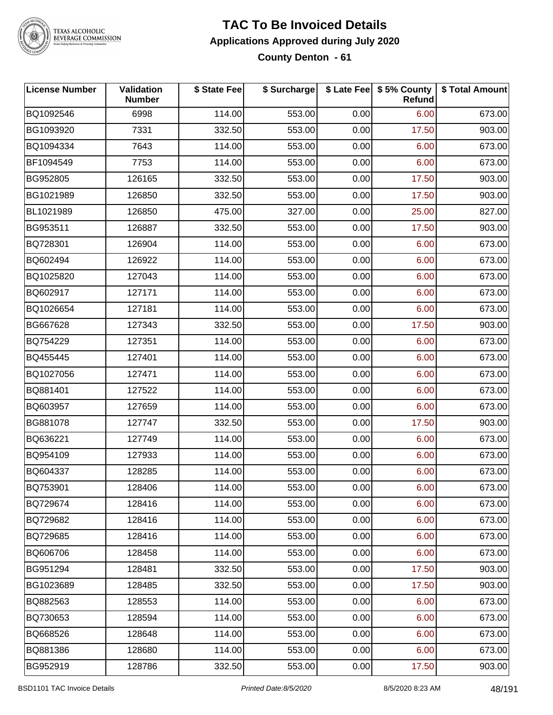

#### **TAC To Be Invoiced Details Applications Approved during July 2020 County Denton - 61**

| <b>License Number</b> | <b>Validation</b><br><b>Number</b> | \$ State Fee | \$ Surcharge |      | \$ Late Fee   \$5% County<br>Refund | \$ Total Amount |
|-----------------------|------------------------------------|--------------|--------------|------|-------------------------------------|-----------------|
| BQ1092546             | 6998                               | 114.00       | 553.00       | 0.00 | 6.00                                | 673.00          |
| BG1093920             | 7331                               | 332.50       | 553.00       | 0.00 | 17.50                               | 903.00          |
| BQ1094334             | 7643                               | 114.00       | 553.00       | 0.00 | 6.00                                | 673.00          |
| BF1094549             | 7753                               | 114.00       | 553.00       | 0.00 | 6.00                                | 673.00          |
| BG952805              | 126165                             | 332.50       | 553.00       | 0.00 | 17.50                               | 903.00          |
| BG1021989             | 126850                             | 332.50       | 553.00       | 0.00 | 17.50                               | 903.00          |
| BL1021989             | 126850                             | 475.00       | 327.00       | 0.00 | 25.00                               | 827.00          |
| BG953511              | 126887                             | 332.50       | 553.00       | 0.00 | 17.50                               | 903.00          |
| BQ728301              | 126904                             | 114.00       | 553.00       | 0.00 | 6.00                                | 673.00          |
| BQ602494              | 126922                             | 114.00       | 553.00       | 0.00 | 6.00                                | 673.00          |
| BQ1025820             | 127043                             | 114.00       | 553.00       | 0.00 | 6.00                                | 673.00          |
| BQ602917              | 127171                             | 114.00       | 553.00       | 0.00 | 6.00                                | 673.00          |
| BQ1026654             | 127181                             | 114.00       | 553.00       | 0.00 | 6.00                                | 673.00          |
| BG667628              | 127343                             | 332.50       | 553.00       | 0.00 | 17.50                               | 903.00          |
| BQ754229              | 127351                             | 114.00       | 553.00       | 0.00 | 6.00                                | 673.00          |
| BQ455445              | 127401                             | 114.00       | 553.00       | 0.00 | 6.00                                | 673.00          |
| BQ1027056             | 127471                             | 114.00       | 553.00       | 0.00 | 6.00                                | 673.00          |
| BQ881401              | 127522                             | 114.00       | 553.00       | 0.00 | 6.00                                | 673.00          |
| BQ603957              | 127659                             | 114.00       | 553.00       | 0.00 | 6.00                                | 673.00          |
| BG881078              | 127747                             | 332.50       | 553.00       | 0.00 | 17.50                               | 903.00          |
| BQ636221              | 127749                             | 114.00       | 553.00       | 0.00 | 6.00                                | 673.00          |
| BQ954109              | 127933                             | 114.00       | 553.00       | 0.00 | 6.00                                | 673.00          |
| BQ604337              | 128285                             | 114.00       | 553.00       | 0.00 | 6.00                                | 673.00          |
| BQ753901              | 128406                             | 114.00       | 553.00       | 0.00 | 6.00                                | 673.00          |
| BQ729674              | 128416                             | 114.00       | 553.00       | 0.00 | 6.00                                | 673.00          |
| BQ729682              | 128416                             | 114.00       | 553.00       | 0.00 | 6.00                                | 673.00          |
| BQ729685              | 128416                             | 114.00       | 553.00       | 0.00 | 6.00                                | 673.00          |
| BQ606706              | 128458                             | 114.00       | 553.00       | 0.00 | 6.00                                | 673.00          |
| BG951294              | 128481                             | 332.50       | 553.00       | 0.00 | 17.50                               | 903.00          |
| BG1023689             | 128485                             | 332.50       | 553.00       | 0.00 | 17.50                               | 903.00          |
| BQ882563              | 128553                             | 114.00       | 553.00       | 0.00 | 6.00                                | 673.00          |
| BQ730653              | 128594                             | 114.00       | 553.00       | 0.00 | 6.00                                | 673.00          |
| BQ668526              | 128648                             | 114.00       | 553.00       | 0.00 | 6.00                                | 673.00          |
| BQ881386              | 128680                             | 114.00       | 553.00       | 0.00 | 6.00                                | 673.00          |
| BG952919              | 128786                             | 332.50       | 553.00       | 0.00 | 17.50                               | 903.00          |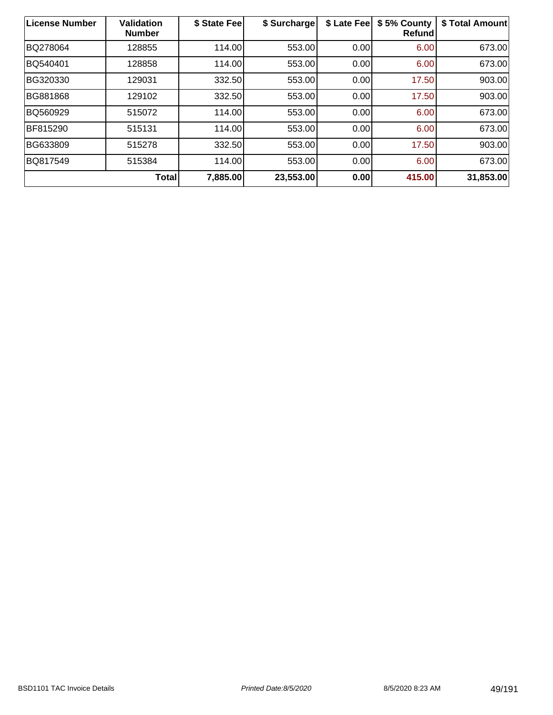| License Number | <b>Validation</b><br><b>Number</b> | \$ State Fee | \$ Surcharge | \$ Late Fee | \$5% County<br>Refund | \$ Total Amount |
|----------------|------------------------------------|--------------|--------------|-------------|-----------------------|-----------------|
| BQ278064       | 128855                             | 114.00       | 553.00       | 0.00        | 6.00                  | 673.00          |
| BQ540401       | 128858                             | 114.00       | 553.00       | 0.00        | 6.00                  | 673.00          |
| BG320330       | 129031                             | 332.50       | 553.00       | 0.00        | 17.50                 | 903.00          |
| BG881868       | 129102                             | 332.50       | 553.00       | 0.00        | 17.50                 | 903.00          |
| BQ560929       | 515072                             | 114.00       | 553.00       | 0.00        | 6.00                  | 673.00          |
| BF815290       | 515131                             | 114.00       | 553.00       | 0.00        | 6.00                  | 673.00          |
| BG633809       | 515278                             | 332.50       | 553.00       | 0.00        | 17.50                 | 903.00          |
| BQ817549       | 515384                             | 114.00       | 553.00       | 0.00        | 6.00                  | 673.00          |
|                | <b>Total</b>                       | 7,885.00     | 23,553.00    | 0.00        | 415.00                | 31,853.00       |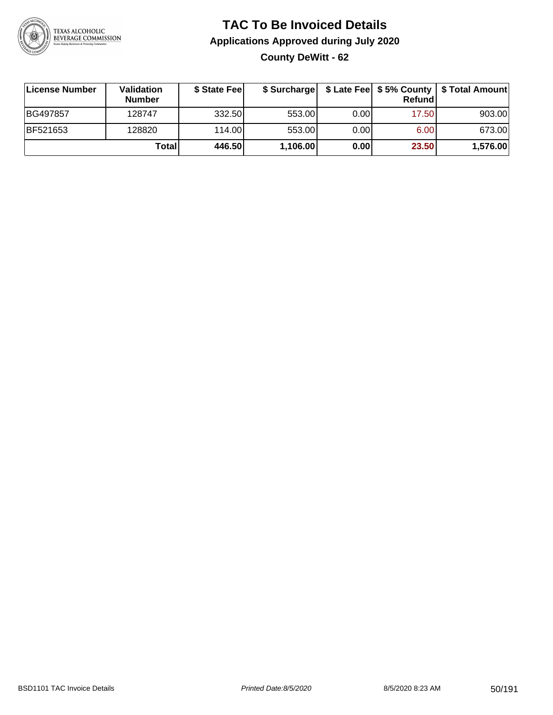

### **TAC To Be Invoiced Details Applications Approved during July 2020 County DeWitt - 62**

| License Number | <b>Validation</b><br><b>Number</b> | \$ State Fee | \$ Surcharge |      | <b>Refund</b> | \$ Late Fee   \$5% County   \$ Total Amount |
|----------------|------------------------------------|--------------|--------------|------|---------------|---------------------------------------------|
| BG497857       | 128747                             | 332.50       | 553.00       | 0.00 | 17.50         | 903.00                                      |
| BF521653       | 128820                             | 114.00L      | 553.00       | 0.00 | 6.00          | 673.00                                      |
|                | Total                              | 446.50       | 1,106.00     | 0.00 | 23.50         | 1,576.00                                    |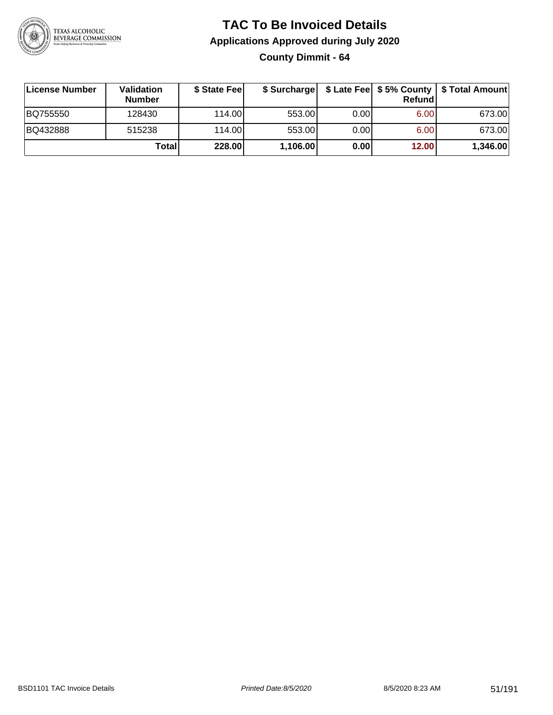

**County Dimmit - 64**

| License Number | <b>Validation</b><br><b>Number</b> | \$ State Fee | \$ Surcharge |       | Refundl | \$ Late Fee   \$5% County   \$ Total Amount |
|----------------|------------------------------------|--------------|--------------|-------|---------|---------------------------------------------|
| BQ755550       | 128430                             | 114.00       | 553.00       | 0.001 | 6.00    | 673.00                                      |
| BQ432888       | 515238                             | 114.00       | 553.00       | 0.001 | 6.00    | 673.00                                      |
|                | Totall                             | 228.00       | 1,106.00     | 0.00  | 12.00   | 1,346.00                                    |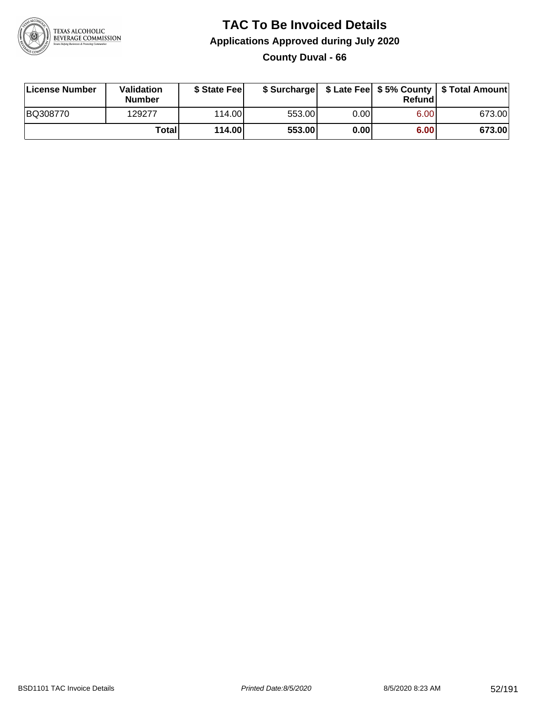

### **TAC To Be Invoiced Details Applications Approved during July 2020 County Duval - 66**

| License Number | Validation<br>Number | \$ State Feel |        |      | Refundl | \$ Surcharge   \$ Late Fee   \$5% County   \$ Total Amount |
|----------------|----------------------|---------------|--------|------|---------|------------------------------------------------------------|
| BQ308770       | 129277               | 114.00L       | 553.00 | 0.00 | 6.00    | 673.00                                                     |
|                | Totall               | 114.00        | 553.00 | 0.00 | 6.00    | 673.00                                                     |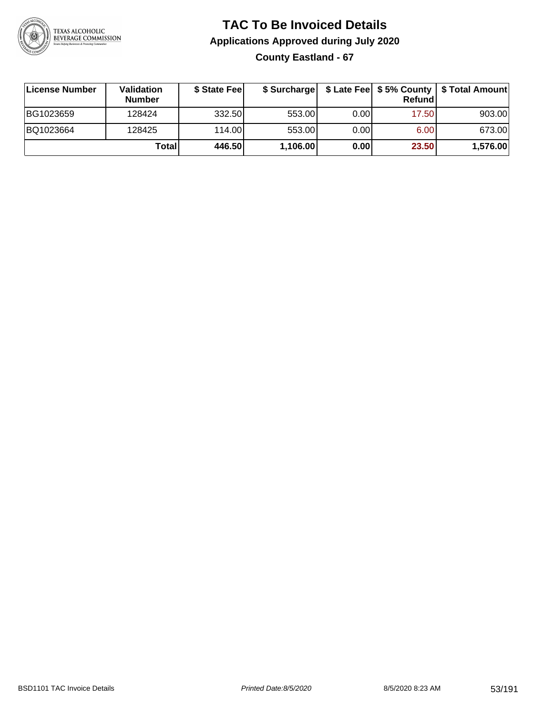

### **TAC To Be Invoiced Details Applications Approved during July 2020 County Eastland - 67**

| License Number | Validation<br><b>Number</b> | \$ State Fee | \$ Surcharge |      | Refund | \$ Late Fee   \$5% County   \$ Total Amount |
|----------------|-----------------------------|--------------|--------------|------|--------|---------------------------------------------|
| BG1023659      | 128424                      | 332.50       | 553.00       | 0.00 | 17.50  | 903.00                                      |
| BQ1023664      | 128425                      | 114.00L      | 553.00       | 0.00 | 6.00   | 673.00                                      |
|                | Total                       | 446.50       | 1,106.00     | 0.00 | 23.50  | 1,576.00                                    |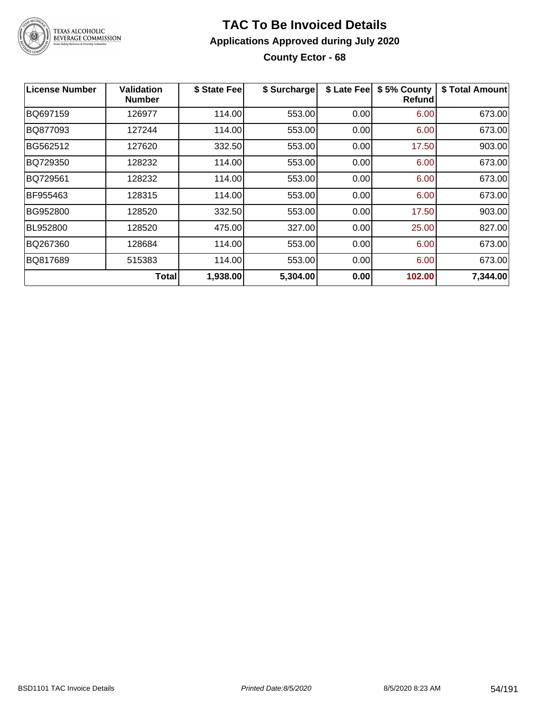

**County Ector - 68**

| <b>License Number</b> | <b>Validation</b><br><b>Number</b> | \$ State Fee | \$ Surcharge |      | \$ Late Fee   \$5% County<br>Refundl | \$ Total Amount |
|-----------------------|------------------------------------|--------------|--------------|------|--------------------------------------|-----------------|
| BQ697159              | 126977                             | 114.00       | 553.00       | 0.00 | 6.00                                 | 673.00          |
| BQ877093              | 127244                             | 114.00       | 553.00       | 0.00 | 6.00                                 | 673.00          |
| BG562512              | 127620                             | 332.50       | 553.00       | 0.00 | 17.50                                | 903.00          |
| BQ729350              | 128232                             | 114.00       | 553.00       | 0.00 | 6.00                                 | 673.00          |
| BQ729561              | 128232                             | 114.00       | 553.00       | 0.00 | 6.00                                 | 673.00          |
| BF955463              | 128315                             | 114.00       | 553.00       | 0.00 | 6.00                                 | 673.00          |
| BG952800              | 128520                             | 332.50       | 553.00       | 0.00 | 17.50                                | 903.00          |
| BL952800              | 128520                             | 475.00       | 327.00       | 0.00 | 25.00                                | 827.00          |
| BQ267360              | 128684                             | 114.00       | 553.00       | 0.00 | 6.00                                 | 673.00          |
| BQ817689              | 515383                             | 114.00       | 553.00       | 0.00 | 6.00                                 | 673.00          |
|                       | Total                              | 1,938.00     | 5,304.00     | 0.00 | 102.00                               | 7,344.00        |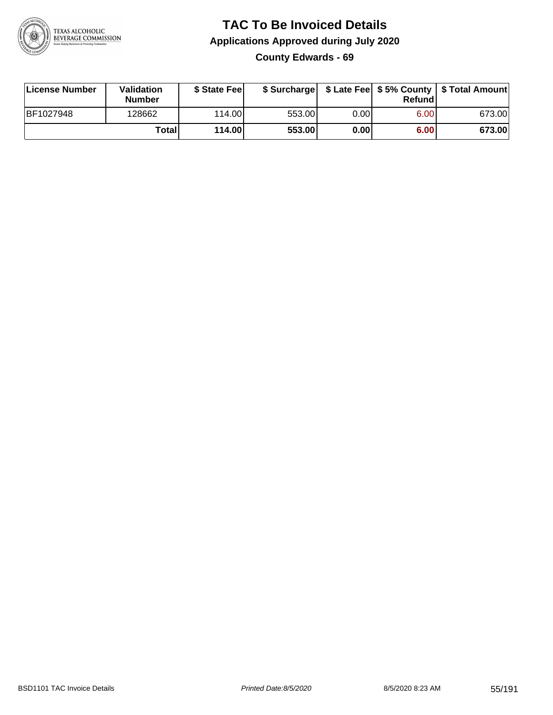

### **TAC To Be Invoiced Details Applications Approved during July 2020 County Edwards - 69**

| License Number | Validation<br><b>Number</b> | \$ State Fee |        |      | Refund | \$ Surcharge   \$ Late Fee   \$5% County   \$ Total Amount |
|----------------|-----------------------------|--------------|--------|------|--------|------------------------------------------------------------|
| BF1027948      | 128662                      | 114.00L      | 553.00 | 0.00 | 6.00   | 673.00                                                     |
|                | Total                       | 114.00       | 553.00 | 0.00 | 6.00   | 673.00                                                     |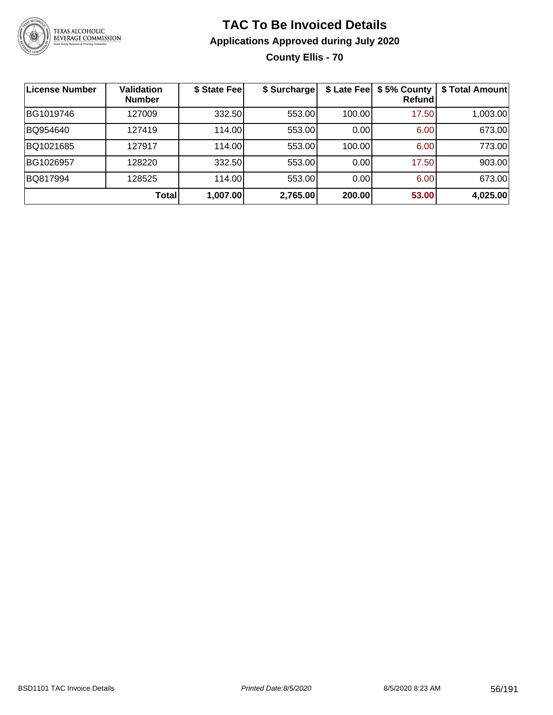

**County Ellis - 70**

| <b>License Number</b> | <b>Validation</b><br><b>Number</b> | \$ State Fee | \$ Surcharge | \$ Late Fee | \$5% County<br>Refundl | \$ Total Amount |
|-----------------------|------------------------------------|--------------|--------------|-------------|------------------------|-----------------|
| BG1019746             | 127009                             | 332.50       | 553.00       | 100.00      | 17.50                  | 1,003.00        |
| BQ954640              | 127419                             | 114.00       | 553.00       | 0.00        | 6.00                   | 673.00          |
| BQ1021685             | 127917                             | 114.00       | 553.00       | 100.00      | 6.00                   | 773.00          |
| BG1026957             | 128220                             | 332.50       | 553.00       | 0.00        | 17.50                  | 903.00          |
| BQ817994              | 128525                             | 114.00       | 553.00       | 0.00        | 6.00                   | 673.00          |
|                       | <b>Total</b>                       | 1,007.00     | 2,765.00     | 200.00      | 53.00                  | 4,025.00        |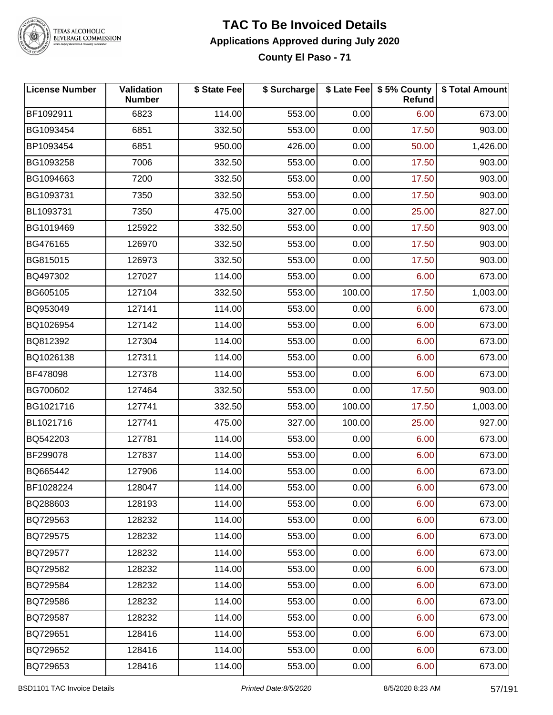

### **TAC To Be Invoiced Details Applications Approved during July 2020**

**County El Paso - 71**

| <b>License Number</b> | Validation<br><b>Number</b> | \$ State Fee | \$ Surcharge |        | \$ Late Fee   \$5% County<br>Refund | \$ Total Amount |
|-----------------------|-----------------------------|--------------|--------------|--------|-------------------------------------|-----------------|
| BF1092911             | 6823                        | 114.00       | 553.00       | 0.00   | 6.00                                | 673.00          |
| BG1093454             | 6851                        | 332.50       | 553.00       | 0.00   | 17.50                               | 903.00          |
| BP1093454             | 6851                        | 950.00       | 426.00       | 0.00   | 50.00                               | 1,426.00        |
| BG1093258             | 7006                        | 332.50       | 553.00       | 0.00   | 17.50                               | 903.00          |
| BG1094663             | 7200                        | 332.50       | 553.00       | 0.00   | 17.50                               | 903.00          |
| BG1093731             | 7350                        | 332.50       | 553.00       | 0.00   | 17.50                               | 903.00          |
| BL1093731             | 7350                        | 475.00       | 327.00       | 0.00   | 25.00                               | 827.00          |
| BG1019469             | 125922                      | 332.50       | 553.00       | 0.00   | 17.50                               | 903.00          |
| BG476165              | 126970                      | 332.50       | 553.00       | 0.00   | 17.50                               | 903.00          |
| BG815015              | 126973                      | 332.50       | 553.00       | 0.00   | 17.50                               | 903.00          |
| BQ497302              | 127027                      | 114.00       | 553.00       | 0.00   | 6.00                                | 673.00          |
| BG605105              | 127104                      | 332.50       | 553.00       | 100.00 | 17.50                               | 1,003.00        |
| BQ953049              | 127141                      | 114.00       | 553.00       | 0.00   | 6.00                                | 673.00          |
| BQ1026954             | 127142                      | 114.00       | 553.00       | 0.00   | 6.00                                | 673.00          |
| BQ812392              | 127304                      | 114.00       | 553.00       | 0.00   | 6.00                                | 673.00          |
| BQ1026138             | 127311                      | 114.00       | 553.00       | 0.00   | 6.00                                | 673.00          |
| BF478098              | 127378                      | 114.00       | 553.00       | 0.00   | 6.00                                | 673.00          |
| BG700602              | 127464                      | 332.50       | 553.00       | 0.00   | 17.50                               | 903.00          |
| BG1021716             | 127741                      | 332.50       | 553.00       | 100.00 | 17.50                               | 1,003.00        |
| BL1021716             | 127741                      | 475.00       | 327.00       | 100.00 | 25.00                               | 927.00          |
| BQ542203              | 127781                      | 114.00       | 553.00       | 0.00   | 6.00                                | 673.00          |
| BF299078              | 127837                      | 114.00       | 553.00       | 0.00   | 6.00                                | 673.00          |
| BQ665442              | 127906                      | 114.00       | 553.00       | 0.00   | 6.00                                | 673.00          |
| BF1028224             | 128047                      | 114.00       | 553.00       | 0.00   | 6.00                                | 673.00          |
| BQ288603              | 128193                      | 114.00       | 553.00       | 0.00   | 6.00                                | 673.00          |
| BQ729563              | 128232                      | 114.00       | 553.00       | 0.00   | 6.00                                | 673.00          |
| BQ729575              | 128232                      | 114.00       | 553.00       | 0.00   | 6.00                                | 673.00          |
| BQ729577              | 128232                      | 114.00       | 553.00       | 0.00   | 6.00                                | 673.00          |
| BQ729582              | 128232                      | 114.00       | 553.00       | 0.00   | 6.00                                | 673.00          |
| BQ729584              | 128232                      | 114.00       | 553.00       | 0.00   | 6.00                                | 673.00          |
| BQ729586              | 128232                      | 114.00       | 553.00       | 0.00   | 6.00                                | 673.00          |
| BQ729587              | 128232                      | 114.00       | 553.00       | 0.00   | 6.00                                | 673.00          |
| BQ729651              | 128416                      | 114.00       | 553.00       | 0.00   | 6.00                                | 673.00          |
| BQ729652              | 128416                      | 114.00       | 553.00       | 0.00   | 6.00                                | 673.00          |
| BQ729653              | 128416                      | 114.00       | 553.00       | 0.00   | 6.00                                | 673.00          |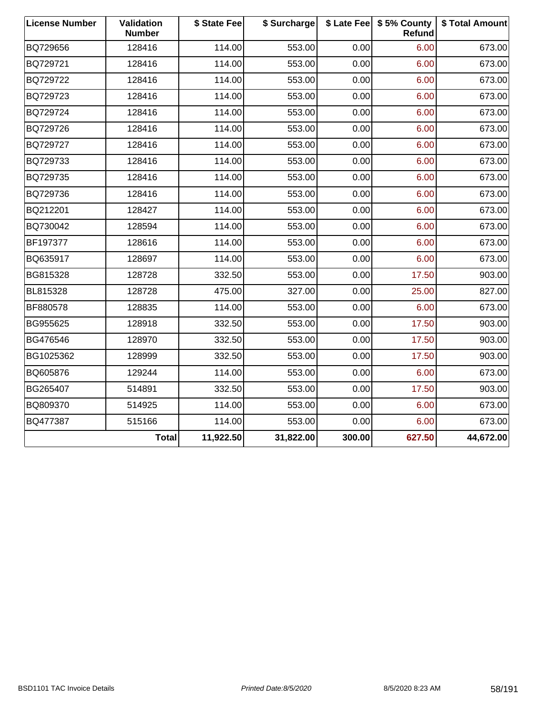| <b>License Number</b> | Validation<br><b>Number</b> | \$ State Fee | \$ Surcharge |        | \$ Late Fee   \$5% County<br>Refund | \$ Total Amount |
|-----------------------|-----------------------------|--------------|--------------|--------|-------------------------------------|-----------------|
| BQ729656              | 128416                      | 114.00       | 553.00       | 0.00   | 6.00                                | 673.00          |
| BQ729721              | 128416                      | 114.00       | 553.00       | 0.00   | 6.00                                | 673.00          |
| BQ729722              | 128416                      | 114.00       | 553.00       | 0.00   | 6.00                                | 673.00          |
| BQ729723              | 128416                      | 114.00       | 553.00       | 0.00   | 6.00                                | 673.00          |
| BQ729724              | 128416                      | 114.00       | 553.00       | 0.00   | 6.00                                | 673.00          |
| BQ729726              | 128416                      | 114.00       | 553.00       | 0.00   | 6.00                                | 673.00          |
| BQ729727              | 128416                      | 114.00       | 553.00       | 0.00   | 6.00                                | 673.00          |
| BQ729733              | 128416                      | 114.00       | 553.00       | 0.00   | 6.00                                | 673.00          |
| BQ729735              | 128416                      | 114.00       | 553.00       | 0.00   | 6.00                                | 673.00          |
| BQ729736              | 128416                      | 114.00       | 553.00       | 0.00   | 6.00                                | 673.00          |
| BQ212201              | 128427                      | 114.00       | 553.00       | 0.00   | 6.00                                | 673.00          |
| BQ730042              | 128594                      | 114.00       | 553.00       | 0.00   | 6.00                                | 673.00          |
| BF197377              | 128616                      | 114.00       | 553.00       | 0.00   | 6.00                                | 673.00          |
| BQ635917              | 128697                      | 114.00       | 553.00       | 0.00   | 6.00                                | 673.00          |
| BG815328              | 128728                      | 332.50       | 553.00       | 0.00   | 17.50                               | 903.00          |
| BL815328              | 128728                      | 475.00       | 327.00       | 0.00   | 25.00                               | 827.00          |
| BF880578              | 128835                      | 114.00       | 553.00       | 0.00   | 6.00                                | 673.00          |
| BG955625              | 128918                      | 332.50       | 553.00       | 0.00   | 17.50                               | 903.00          |
| BG476546              | 128970                      | 332.50       | 553.00       | 0.00   | 17.50                               | 903.00          |
| BG1025362             | 128999                      | 332.50       | 553.00       | 0.00   | 17.50                               | 903.00          |
| BQ605876              | 129244                      | 114.00       | 553.00       | 0.00   | 6.00                                | 673.00          |
| BG265407              | 514891                      | 332.50       | 553.00       | 0.00   | 17.50                               | 903.00          |
| BQ809370              | 514925                      | 114.00       | 553.00       | 0.00   | 6.00                                | 673.00          |
| BQ477387              | 515166                      | 114.00       | 553.00       | 0.00   | 6.00                                | 673.00          |
|                       | <b>Total</b>                | 11,922.50    | 31,822.00    | 300.00 | 627.50                              | 44,672.00       |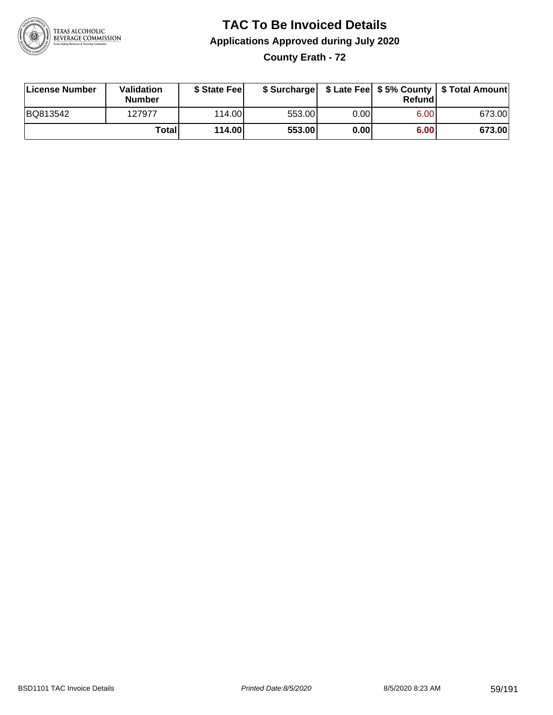

**County Erath - 72**

| License Number | <b>Validation</b><br><b>Number</b> | \$ State Fee | \$ Surcharge |        | Refundl |        |
|----------------|------------------------------------|--------------|--------------|--------|---------|--------|
| BQ813542       | 127977                             | 114.00L      | 553.00       | 0.00 l | 6.00    | 673.00 |
|                | Totall                             | 114.00       | 553.00       | 0.00   | 6.00    | 673.00 |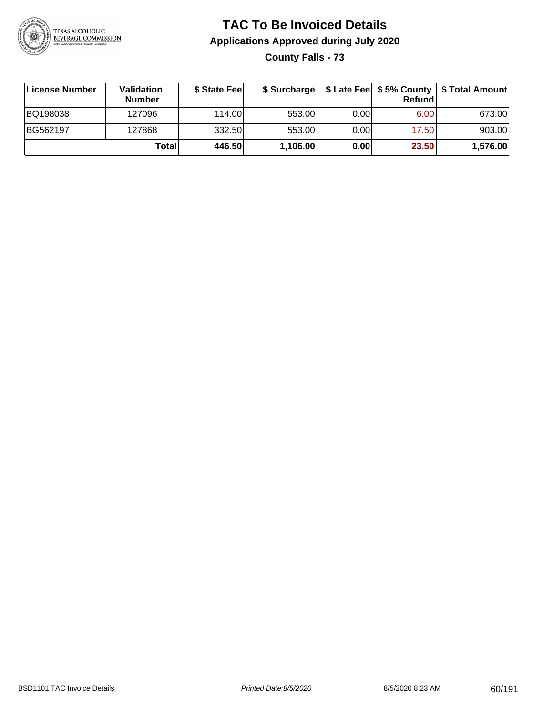

**County Falls - 73**

| ∣License Number | <b>Validation</b><br><b>Number</b> | \$ State Feel |          |       | Refundl | \$ Surcharge   \$ Late Fee   \$5% County   \$ Total Amount |
|-----------------|------------------------------------|---------------|----------|-------|---------|------------------------------------------------------------|
| BQ198038        | 127096                             | 114.00        | 553.00   | 0.001 | 6.00    | 673.00                                                     |
| BG562197        | 127868                             | 332.50        | 553.00   | 0.00  | 17.50   | 903.00                                                     |
|                 | Totall                             | 446.50        | 1,106.00 | 0.00  | 23.50   | 1,576.00                                                   |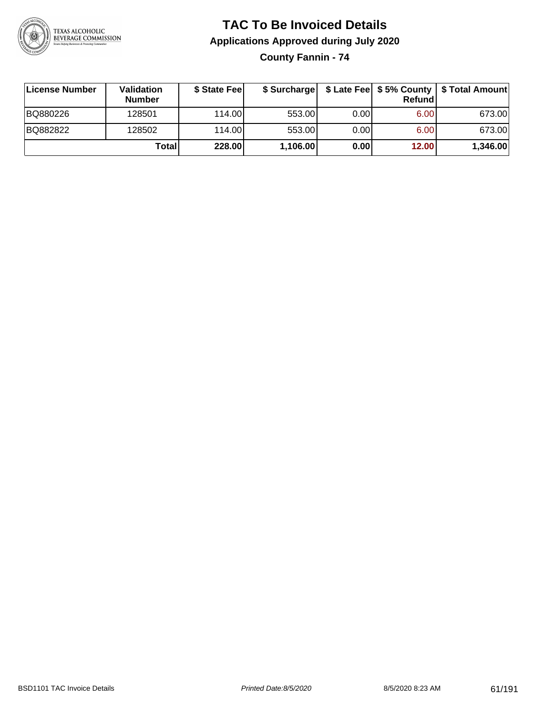

**County Fannin - 74**

| License Number | Validation<br><b>Number</b> | \$ State Feel |          |      | Refundl | \$ Surcharge   \$ Late Fee   \$5% County   \$ Total Amount |
|----------------|-----------------------------|---------------|----------|------|---------|------------------------------------------------------------|
| BQ880226       | 128501                      | 114.00        | 553.00   | 0.00 | 6.00    | 673.00                                                     |
| BQ882822       | 128502                      | 114.00        | 553.00   | 0.00 | 6.00    | 673.00                                                     |
|                | Total                       | 228.00        | 1,106.00 | 0.00 | 12.00   | 1,346.00                                                   |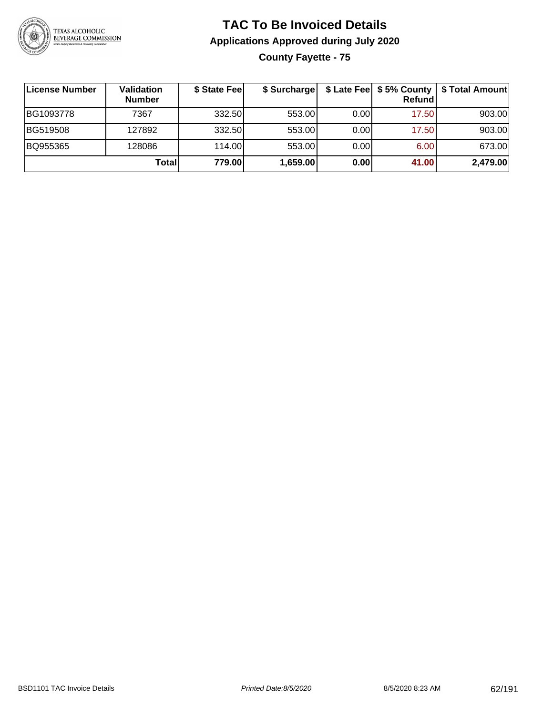

**County Fayette - 75**

| <b>License Number</b> | <b>Validation</b><br><b>Number</b> | \$ State Feel | \$ Surcharge |       | Refundl | \$ Late Fee   \$5% County   \$ Total Amount |
|-----------------------|------------------------------------|---------------|--------------|-------|---------|---------------------------------------------|
| BG1093778             | 7367                               | 332.50        | 553.00       | 0.001 | 17.50   | 903.00                                      |
| BG519508              | 127892                             | 332.50        | 553.00       | 0.00  | 17.50   | 903.00                                      |
| BQ955365              | 128086                             | 114.00L       | 553.00       | 0.00  | 6.00    | 673.00                                      |
|                       | Total                              | 779.00        | 1,659.00     | 0.00  | 41.00   | 2,479.00                                    |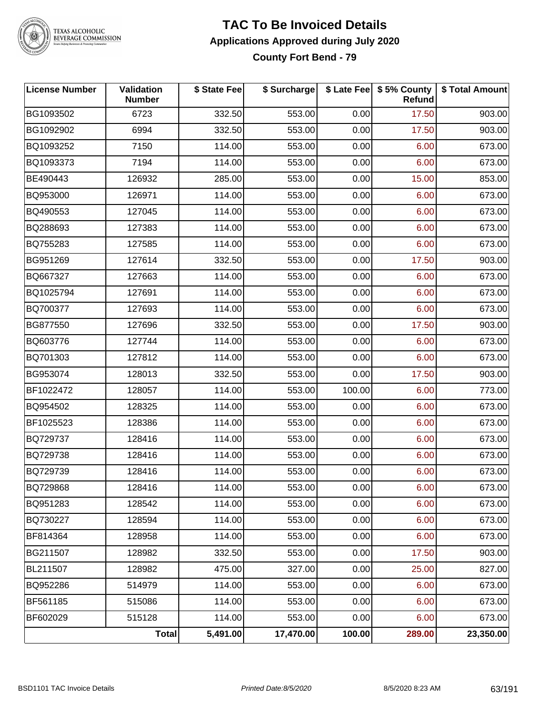

#### **TAC To Be Invoiced Details Applications Approved during July 2020 County Fort Bend - 79**

| <b>License Number</b> | Validation<br><b>Number</b> | \$ State Fee | \$ Surcharge |        | \$ Late Fee   \$5% County  <br>Refund | \$ Total Amount |
|-----------------------|-----------------------------|--------------|--------------|--------|---------------------------------------|-----------------|
| BG1093502             | 6723                        | 332.50       | 553.00       | 0.00   | 17.50                                 | 903.00          |
| BG1092902             | 6994                        | 332.50       | 553.00       | 0.00   | 17.50                                 | 903.00          |
| BQ1093252             | 7150                        | 114.00       | 553.00       | 0.00   | 6.00                                  | 673.00          |
| BQ1093373             | 7194                        | 114.00       | 553.00       | 0.00   | 6.00                                  | 673.00          |
| BE490443              | 126932                      | 285.00       | 553.00       | 0.00   | 15.00                                 | 853.00          |
| BQ953000              | 126971                      | 114.00       | 553.00       | 0.00   | 6.00                                  | 673.00          |
| BQ490553              | 127045                      | 114.00       | 553.00       | 0.00   | 6.00                                  | 673.00          |
| BQ288693              | 127383                      | 114.00       | 553.00       | 0.00   | 6.00                                  | 673.00          |
| BQ755283              | 127585                      | 114.00       | 553.00       | 0.00   | 6.00                                  | 673.00          |
| BG951269              | 127614                      | 332.50       | 553.00       | 0.00   | 17.50                                 | 903.00          |
| BQ667327              | 127663                      | 114.00       | 553.00       | 0.00   | 6.00                                  | 673.00          |
| BQ1025794             | 127691                      | 114.00       | 553.00       | 0.00   | 6.00                                  | 673.00          |
| BQ700377              | 127693                      | 114.00       | 553.00       | 0.00   | 6.00                                  | 673.00          |
| BG877550              | 127696                      | 332.50       | 553.00       | 0.00   | 17.50                                 | 903.00          |
| BQ603776              | 127744                      | 114.00       | 553.00       | 0.00   | 6.00                                  | 673.00          |
| BQ701303              | 127812                      | 114.00       | 553.00       | 0.00   | 6.00                                  | 673.00          |
| BG953074              | 128013                      | 332.50       | 553.00       | 0.00   | 17.50                                 | 903.00          |
| BF1022472             | 128057                      | 114.00       | 553.00       | 100.00 | 6.00                                  | 773.00          |
| BQ954502              | 128325                      | 114.00       | 553.00       | 0.00   | 6.00                                  | 673.00          |
| BF1025523             | 128386                      | 114.00       | 553.00       | 0.00   | 6.00                                  | 673.00          |
| BQ729737              | 128416                      | 114.00       | 553.00       | 0.00   | 6.00                                  | 673.00          |
| BQ729738              | 128416                      | 114.00       | 553.00       | 0.00   | 6.00                                  | 673.00          |
| BQ729739              | 128416                      | 114.00       | 553.00       | 0.00   | 6.00                                  | 673.00          |
| BQ729868              | 128416                      | 114.00       | 553.00       | 0.00   | 6.00                                  | 673.00          |
| BQ951283              | 128542                      | 114.00       | 553.00       | 0.00   | 6.00                                  | 673.00          |
| BQ730227              | 128594                      | 114.00       | 553.00       | 0.00   | 6.00                                  | 673.00          |
| BF814364              | 128958                      | 114.00       | 553.00       | 0.00   | 6.00                                  | 673.00          |
| BG211507              | 128982                      | 332.50       | 553.00       | 0.00   | 17.50                                 | 903.00          |
| BL211507              | 128982                      | 475.00       | 327.00       | 0.00   | 25.00                                 | 827.00          |
| BQ952286              | 514979                      | 114.00       | 553.00       | 0.00   | 6.00                                  | 673.00          |
| BF561185              | 515086                      | 114.00       | 553.00       | 0.00   | 6.00                                  | 673.00          |
| BF602029              | 515128                      | 114.00       | 553.00       | 0.00   | 6.00                                  | 673.00          |
|                       | <b>Total</b>                | 5,491.00     | 17,470.00    | 100.00 | 289.00                                | 23,350.00       |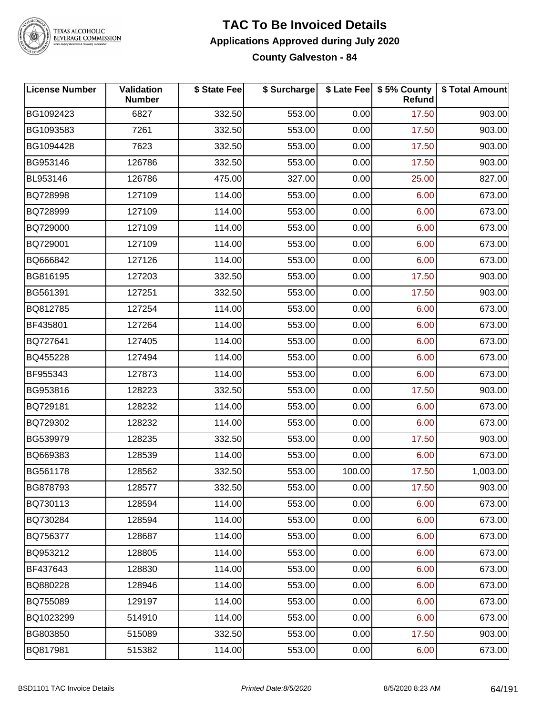

### **TAC To Be Invoiced Details Applications Approved during July 2020**

**County Galveston - 84**

| <b>License Number</b> | Validation<br><b>Number</b> | \$ State Fee | \$ Surcharge |        | \$ Late Fee   \$5% County<br>Refund | \$ Total Amount |
|-----------------------|-----------------------------|--------------|--------------|--------|-------------------------------------|-----------------|
| BG1092423             | 6827                        | 332.50       | 553.00       | 0.00   | 17.50                               | 903.00          |
| BG1093583             | 7261                        | 332.50       | 553.00       | 0.00   | 17.50                               | 903.00          |
| BG1094428             | 7623                        | 332.50       | 553.00       | 0.00   | 17.50                               | 903.00          |
| BG953146              | 126786                      | 332.50       | 553.00       | 0.00   | 17.50                               | 903.00          |
| BL953146              | 126786                      | 475.00       | 327.00       | 0.00   | 25.00                               | 827.00          |
| BQ728998              | 127109                      | 114.00       | 553.00       | 0.00   | 6.00                                | 673.00          |
| BQ728999              | 127109                      | 114.00       | 553.00       | 0.00   | 6.00                                | 673.00          |
| BQ729000              | 127109                      | 114.00       | 553.00       | 0.00   | 6.00                                | 673.00          |
| BQ729001              | 127109                      | 114.00       | 553.00       | 0.00   | 6.00                                | 673.00          |
| BQ666842              | 127126                      | 114.00       | 553.00       | 0.00   | 6.00                                | 673.00          |
| BG816195              | 127203                      | 332.50       | 553.00       | 0.00   | 17.50                               | 903.00          |
| BG561391              | 127251                      | 332.50       | 553.00       | 0.00   | 17.50                               | 903.00          |
| BQ812785              | 127254                      | 114.00       | 553.00       | 0.00   | 6.00                                | 673.00          |
| BF435801              | 127264                      | 114.00       | 553.00       | 0.00   | 6.00                                | 673.00          |
| BQ727641              | 127405                      | 114.00       | 553.00       | 0.00   | 6.00                                | 673.00          |
| BQ455228              | 127494                      | 114.00       | 553.00       | 0.00   | 6.00                                | 673.00          |
| BF955343              | 127873                      | 114.00       | 553.00       | 0.00   | 6.00                                | 673.00          |
| BG953816              | 128223                      | 332.50       | 553.00       | 0.00   | 17.50                               | 903.00          |
| BQ729181              | 128232                      | 114.00       | 553.00       | 0.00   | 6.00                                | 673.00          |
| BQ729302              | 128232                      | 114.00       | 553.00       | 0.00   | 6.00                                | 673.00          |
| BG539979              | 128235                      | 332.50       | 553.00       | 0.00   | 17.50                               | 903.00          |
| BQ669383              | 128539                      | 114.00       | 553.00       | 0.00   | 6.00                                | 673.00          |
| BG561178              | 128562                      | 332.50       | 553.00       | 100.00 | 17.50                               | 1,003.00        |
| BG878793              | 128577                      | 332.50       | 553.00       | 0.00   | 17.50                               | 903.00          |
| BQ730113              | 128594                      | 114.00       | 553.00       | 0.00   | 6.00                                | 673.00          |
| BQ730284              | 128594                      | 114.00       | 553.00       | 0.00   | 6.00                                | 673.00          |
| BQ756377              | 128687                      | 114.00       | 553.00       | 0.00   | 6.00                                | 673.00          |
| BQ953212              | 128805                      | 114.00       | 553.00       | 0.00   | 6.00                                | 673.00          |
| BF437643              | 128830                      | 114.00       | 553.00       | 0.00   | 6.00                                | 673.00          |
| BQ880228              | 128946                      | 114.00       | 553.00       | 0.00   | 6.00                                | 673.00          |
| BQ755089              | 129197                      | 114.00       | 553.00       | 0.00   | 6.00                                | 673.00          |
| BQ1023299             | 514910                      | 114.00       | 553.00       | 0.00   | 6.00                                | 673.00          |
| BG803850              | 515089                      | 332.50       | 553.00       | 0.00   | 17.50                               | 903.00          |
| BQ817981              | 515382                      | 114.00       | 553.00       | 0.00   | 6.00                                | 673.00          |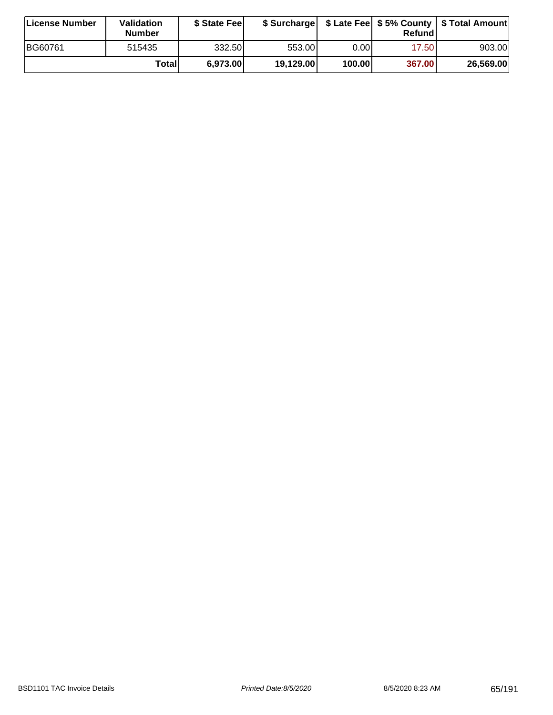| <b>License Number</b> | <b>Validation</b><br><b>Number</b> | \$ State Fee |           |        | Refundl | \$ Surcharge   \$ Late Fee   \$5% County   \$ Total Amount |
|-----------------------|------------------------------------|--------------|-----------|--------|---------|------------------------------------------------------------|
| BG60761               | 515435                             | 332.50       | 553.00    | 0.00I  | 17.50   | 903.00                                                     |
|                       | Totall                             | 6,973.00     | 19,129.00 | 100.00 | 367.00  | 26,569.00                                                  |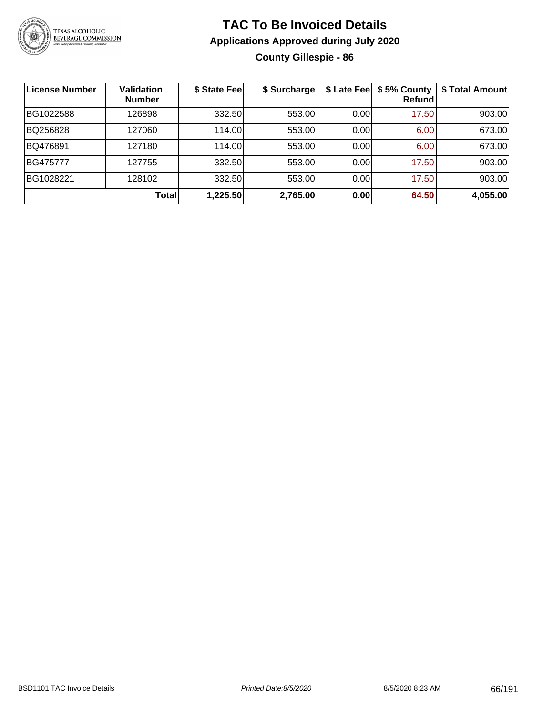

### **TAC To Be Invoiced Details Applications Approved during July 2020 County Gillespie - 86**

| ∣License Number | <b>Validation</b><br><b>Number</b> | \$ State Fee | \$ Surcharge | \$ Late Fee | \$5% County<br>Refundl | \$ Total Amount |
|-----------------|------------------------------------|--------------|--------------|-------------|------------------------|-----------------|
| BG1022588       | 126898                             | 332.50       | 553.00       | 0.00        | 17.50                  | 903.00          |
| BQ256828        | 127060                             | 114.00       | 553.00       | 0.00        | 6.00                   | 673.00          |
| BQ476891        | 127180                             | 114.00       | 553.00       | 0.00        | 6.00                   | 673.00          |
| BG475777        | 127755                             | 332.50       | 553.00       | 0.00        | 17.50                  | 903.00          |
| BG1028221       | 128102                             | 332.50       | 553.00       | 0.00        | 17.50                  | 903.00          |
|                 | Total                              | 1,225.50     | 2,765.00     | 0.00        | 64.50                  | 4,055.00        |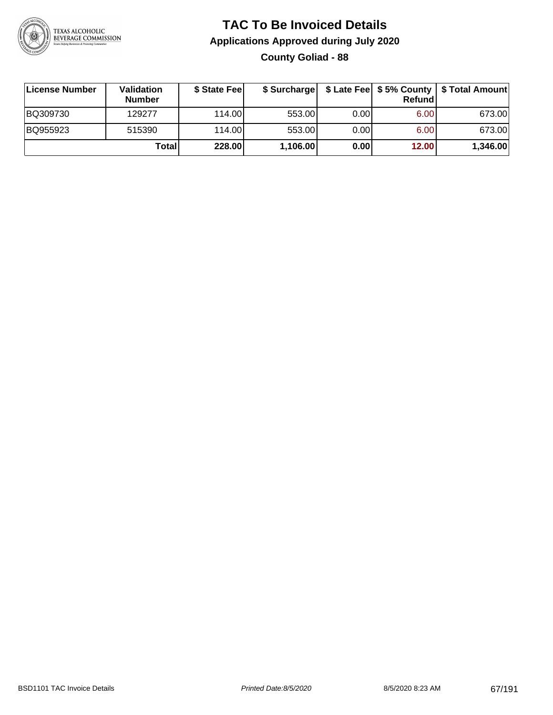

### **TAC To Be Invoiced Details Applications Approved during July 2020 County Goliad - 88**

| License Number | Validation<br><b>Number</b> | \$ State Fee |          |      | Refundl | \$ Surcharge   \$ Late Fee   \$5% County   \$ Total Amount |
|----------------|-----------------------------|--------------|----------|------|---------|------------------------------------------------------------|
| BQ309730       | 129277                      | 114.00L      | 553.00   | 0.00 | 6.00    | 673.00                                                     |
| BQ955923       | 515390                      | 114.00       | 553.00   | 0.00 | 6.00    | 673.00                                                     |
|                | Totall                      | 228.00       | 1,106.00 | 0.00 | 12.00   | 1,346.00                                                   |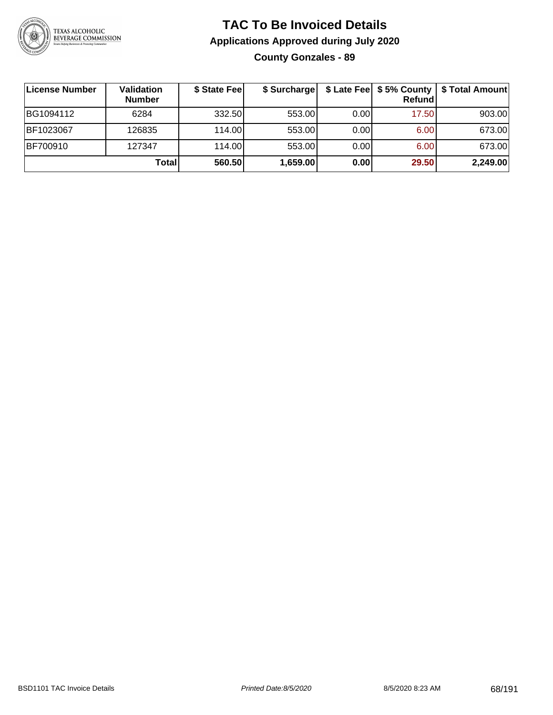

### **TAC To Be Invoiced Details Applications Approved during July 2020 County Gonzales - 89**

| ∣License Number | <b>Validation</b><br><b>Number</b> | \$ State Feel | \$ Surcharge |      | Refund | \$ Late Fee   \$5% County   \$ Total Amount |
|-----------------|------------------------------------|---------------|--------------|------|--------|---------------------------------------------|
| BG1094112       | 6284                               | 332.50        | 553.00       | 0.00 | 17.50  | 903.00                                      |
| BF1023067       | 126835                             | 114.00        | 553.00       | 0.00 | 6.00   | 673.00                                      |
| BF700910        | 127347                             | 114.00        | 553.00       | 0.00 | 6.00   | 673.00                                      |
|                 | Total                              | 560.50        | 1,659.00     | 0.00 | 29.50  | 2,249.00                                    |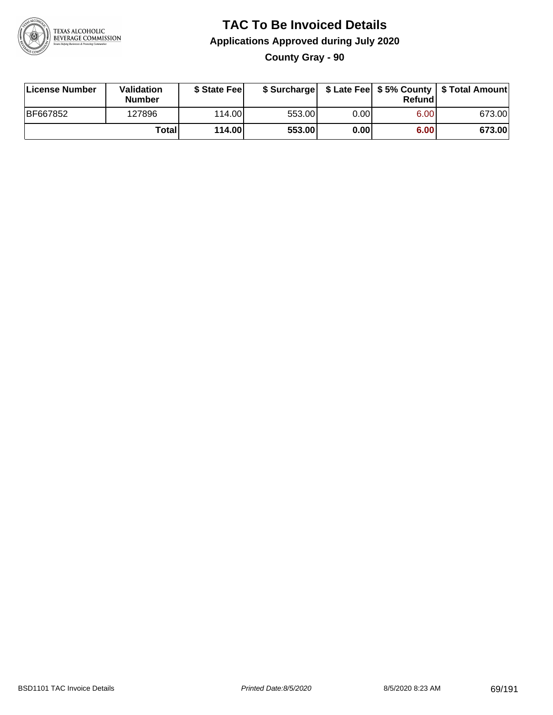

**County Gray - 90**

| License Number | Validation<br><b>Number</b> | \$ State Feel |        |      | Refundl | \$ Surcharge   \$ Late Fee   \$5% County   \$ Total Amount |
|----------------|-----------------------------|---------------|--------|------|---------|------------------------------------------------------------|
| BF667852       | 127896                      | 114.00        | 553.00 | 0.00 | 6.00    | 673.00                                                     |
|                | Totall                      | 114.00        | 553.00 | 0.00 | 6.00    | 673.00                                                     |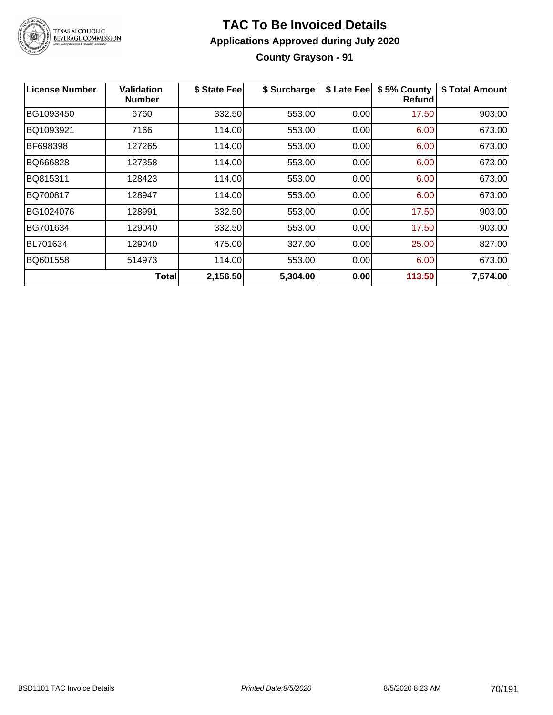

### **TAC To Be Invoiced Details Applications Approved during July 2020 County Grayson - 91**

| <b>License Number</b> | <b>Validation</b><br><b>Number</b> | \$ State Fee | \$ Surcharge | \$ Late Fee | \$5% County<br><b>Refund</b> | \$ Total Amount |
|-----------------------|------------------------------------|--------------|--------------|-------------|------------------------------|-----------------|
| BG1093450             | 6760                               | 332.50       | 553.00       | 0.00        | 17.50                        | 903.00          |
| BQ1093921             | 7166                               | 114.00       | 553.00       | 0.00        | 6.00                         | 673.00          |
| BF698398              | 127265                             | 114.00       | 553.00       | 0.00        | 6.00                         | 673.00          |
| BQ666828              | 127358                             | 114.00       | 553.00       | 0.00        | 6.00                         | 673.00          |
| BQ815311              | 128423                             | 114.00       | 553.00       | 0.00        | 6.00                         | 673.00          |
| BQ700817              | 128947                             | 114.00       | 553.00       | 0.00        | 6.00                         | 673.00          |
| BG1024076             | 128991                             | 332.50       | 553.00       | 0.00        | 17.50                        | 903.00          |
| BG701634              | 129040                             | 332.50       | 553.00       | 0.00        | 17.50                        | 903.00          |
| <b>BL701634</b>       | 129040                             | 475.00       | 327.00       | 0.00        | 25.00                        | 827.00          |
| BQ601558              | 514973                             | 114.00       | 553.00       | 0.00        | 6.00                         | 673.00          |
|                       | Totall                             | 2,156.50     | 5,304.00     | 0.00        | 113.50                       | 7,574.00        |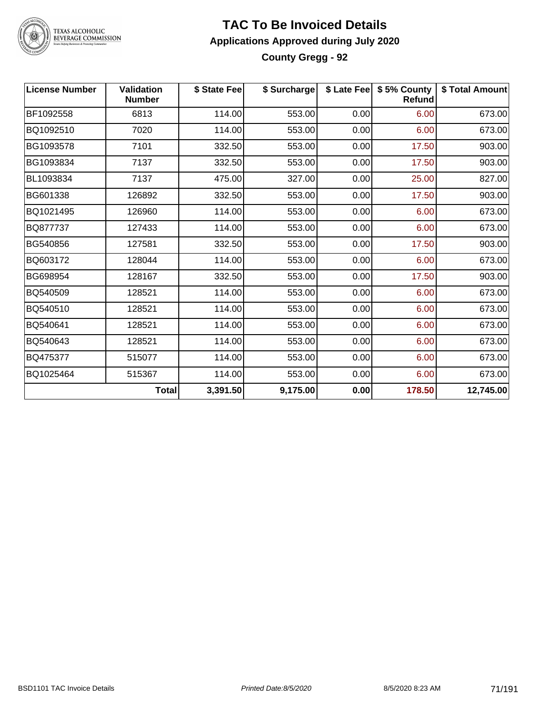

### **TAC To Be Invoiced Details Applications Approved during July 2020 County Gregg - 92**

| <b>License Number</b> | <b>Validation</b><br><b>Number</b> | \$ State Fee | \$ Surcharge |      | \$ Late Fee   \$5% County<br><b>Refund</b> | \$ Total Amount |
|-----------------------|------------------------------------|--------------|--------------|------|--------------------------------------------|-----------------|
| BF1092558             | 6813                               | 114.00       | 553.00       | 0.00 | 6.00                                       | 673.00          |
| BQ1092510             | 7020                               | 114.00       | 553.00       | 0.00 | 6.00                                       | 673.00          |
| BG1093578             | 7101                               | 332.50       | 553.00       | 0.00 | 17.50                                      | 903.00          |
| BG1093834             | 7137                               | 332.50       | 553.00       | 0.00 | 17.50                                      | 903.00          |
| BL1093834             | 7137                               | 475.00       | 327.00       | 0.00 | 25.00                                      | 827.00          |
| BG601338              | 126892                             | 332.50       | 553.00       | 0.00 | 17.50                                      | 903.00          |
| BQ1021495             | 126960                             | 114.00       | 553.00       | 0.00 | 6.00                                       | 673.00          |
| BQ877737              | 127433                             | 114.00       | 553.00       | 0.00 | 6.00                                       | 673.00          |
| BG540856              | 127581                             | 332.50       | 553.00       | 0.00 | 17.50                                      | 903.00          |
| BQ603172              | 128044                             | 114.00       | 553.00       | 0.00 | 6.00                                       | 673.00          |
| BG698954              | 128167                             | 332.50       | 553.00       | 0.00 | 17.50                                      | 903.00          |
| BQ540509              | 128521                             | 114.00       | 553.00       | 0.00 | 6.00                                       | 673.00          |
| BQ540510              | 128521                             | 114.00       | 553.00       | 0.00 | 6.00                                       | 673.00          |
| BQ540641              | 128521                             | 114.00       | 553.00       | 0.00 | 6.00                                       | 673.00          |
| BQ540643              | 128521                             | 114.00       | 553.00       | 0.00 | 6.00                                       | 673.00          |
| BQ475377              | 515077                             | 114.00       | 553.00       | 0.00 | 6.00                                       | 673.00          |
| BQ1025464             | 515367                             | 114.00       | 553.00       | 0.00 | 6.00                                       | 673.00          |
|                       | <b>Total</b>                       | 3,391.50     | 9,175.00     | 0.00 | 178.50                                     | 12,745.00       |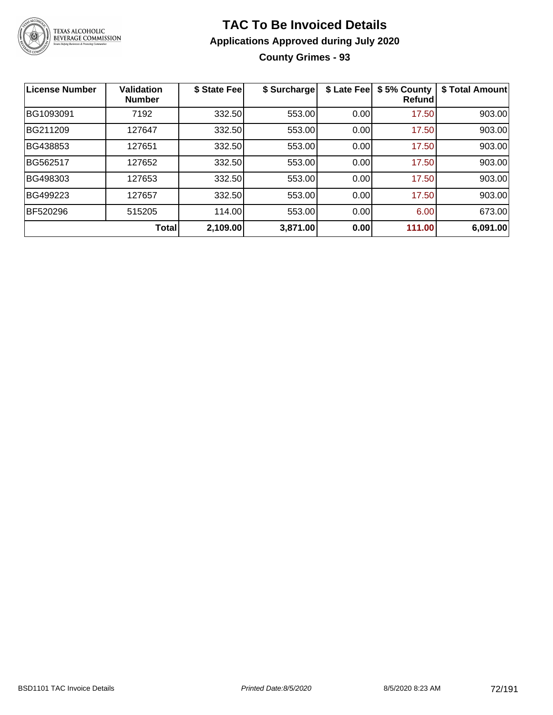

**County Grimes - 93**

| <b>License Number</b> | <b>Validation</b><br><b>Number</b> | \$ State Fee | \$ Surcharge | \$ Late Fee | \$5% County<br>Refundl | \$ Total Amount |
|-----------------------|------------------------------------|--------------|--------------|-------------|------------------------|-----------------|
| BG1093091             | 7192                               | 332.50       | 553.00       | 0.00        | 17.50                  | 903.00          |
| BG211209              | 127647                             | 332.50       | 553.00       | 0.00        | 17.50                  | 903.00          |
| BG438853              | 127651                             | 332.50       | 553.00       | 0.00        | 17.50                  | 903.00          |
| BG562517              | 127652                             | 332.50       | 553.00       | 0.00        | 17.50                  | 903.00          |
| BG498303              | 127653                             | 332.50       | 553.00       | 0.00        | 17.50                  | 903.00          |
| BG499223              | 127657                             | 332.50       | 553.00       | 0.00        | 17.50                  | 903.00          |
| BF520296              | 515205                             | 114.00       | 553.00       | 0.00        | 6.00                   | 673.00          |
|                       | Total                              | 2,109.00     | 3,871.00     | 0.00        | 111.00                 | 6,091.00        |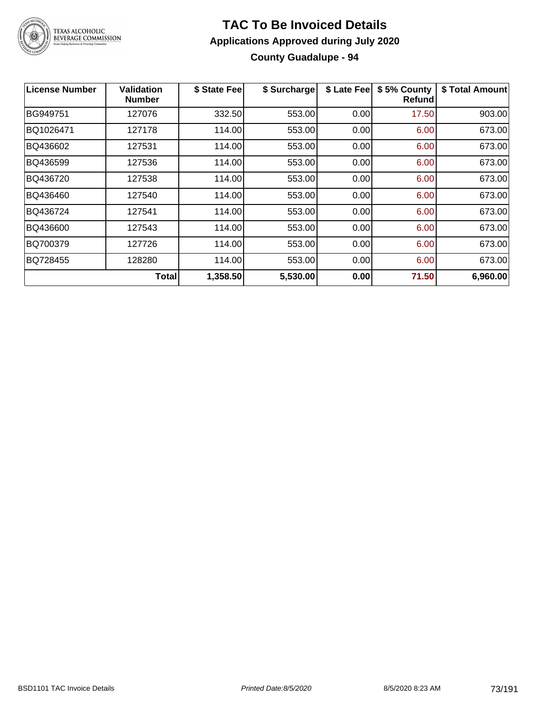

#### **TAC To Be Invoiced Details Applications Approved during July 2020 County Guadalupe - 94**

| <b>License Number</b> | <b>Validation</b><br><b>Number</b> | \$ State Fee | \$ Surcharge | \$ Late Fee | \$5% County<br>Refund | \$ Total Amount |
|-----------------------|------------------------------------|--------------|--------------|-------------|-----------------------|-----------------|
| <b>BG949751</b>       | 127076                             | 332.50       | 553.00       | 0.00        | 17.50                 | 903.00          |
| BQ1026471             | 127178                             | 114.00       | 553.00       | 0.00        | 6.00                  | 673.00          |
| BQ436602              | 127531                             | 114.00       | 553.00       | 0.00        | 6.00                  | 673.00          |
| BQ436599              | 127536                             | 114.00       | 553.00       | 0.00        | 6.00                  | 673.00          |
| BQ436720              | 127538                             | 114.00       | 553.00       | 0.00        | 6.00                  | 673.00          |
| BQ436460              | 127540                             | 114.00       | 553.00       | 0.00        | 6.00                  | 673.00          |
| BQ436724              | 127541                             | 114.00       | 553.00       | 0.00        | 6.00                  | 673.00          |
| BQ436600              | 127543                             | 114.00       | 553.00       | 0.00        | 6.00                  | 673.00          |
| BQ700379              | 127726                             | 114.00       | 553.00       | 0.00        | 6.00                  | 673.00          |
| BQ728455              | 128280                             | 114.00       | 553.00       | 0.00        | 6.00                  | 673.00          |
|                       | <b>Total</b>                       | 1,358.50     | 5,530.00     | 0.00        | 71.50                 | 6,960.00        |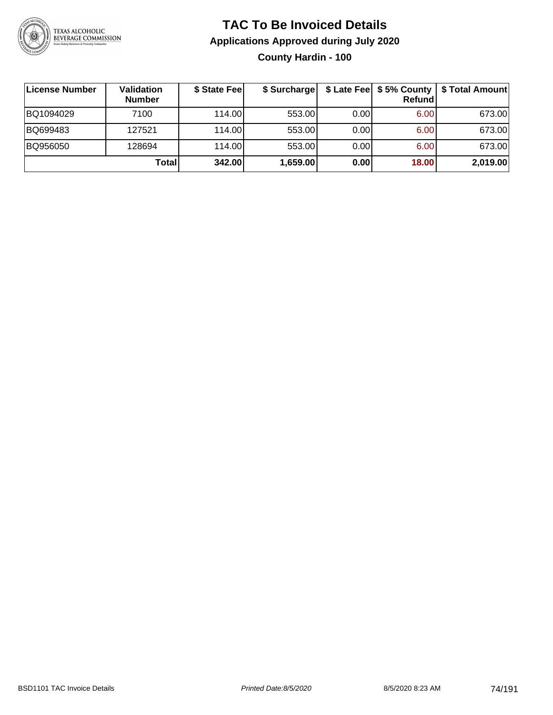

#### **TAC To Be Invoiced Details Applications Approved during July 2020 County Hardin - 100**

| License Number | Validation<br><b>Number</b> | \$ State Fee | \$ Surcharge |      | <b>Refund</b> | \$ Late Fee   \$5% County   \$ Total Amount |
|----------------|-----------------------------|--------------|--------------|------|---------------|---------------------------------------------|
| BQ1094029      | 7100                        | 114.00       | 553.00       | 0.00 | 6.00          | 673.00                                      |
| BQ699483       | 127521                      | 114.00       | 553.00       | 0.00 | 6.00          | 673.00                                      |
| BQ956050       | 128694                      | 114.00L      | 553.00       | 0.00 | 6.00          | 673.00                                      |
|                | Total                       | 342.00       | 1,659.00     | 0.00 | 18.00         | 2,019.00                                    |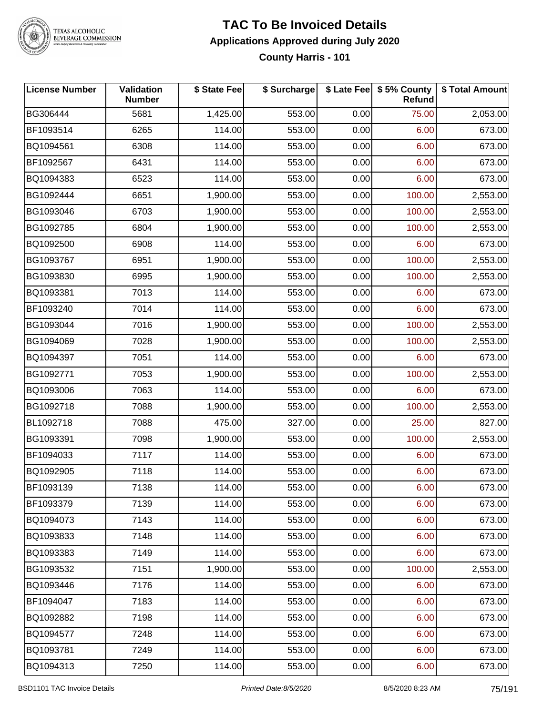

#### **TEXAS ALCOHOLIC BEVERAGE COMMISSION**

#### **TAC To Be Invoiced Details Applications Approved during July 2020 County Harris - 101**

**License Number Validation Number \$ State Fee \$ Surcharge \$ Late Fee \$ 5% County Refund \$ Total Amount** BG306444 5681 1,425.00 553.00 0.00 75.00 2,053.00 BF1093514 | 6265 | 114.00| 553.00| 0.00| 6.00| 673.00 BQ1094561 | 6308 | 114.00| 553.00| 0.00| 6.00| 673.00 BF1092567 | 6431 | 114.00| 553.00| 0.00| 6.00| 673.00 BQ1094383 | 6523 | 114.00| 553.00| 0.00| 6.00| 673.00 BG1092444 6651 1,900.00 553.00 0.00 100.00 2,553.00 BG1093046 6703 1,900.00 553.00 0.00 100.00 2,553.00 BG1092785 6804 1,900.00 553.00 0.00 100.00 2,553.00 BQ1092500 | 6908 | 114.00| 553.00| 0.00| 6.00| 673.00 BG1093767 6951 1,900.00 553.00 0.00 100.00 2,553.00 BG1093830 6995 1,900.00 553.00 0.00 100.00 2,553.00 BQ1093381 7013 114.00 553.00 0.00 6.00 673.00 BF1093240 7014 114.00 553.00 0.00 6.00 673.00 BG1093044 7016 1,900.00 553.00 0.00 100.00 2,553.00 BG1094069 7028 1,900.00 553.00 0.00 100.00 2,553.00 BQ1094397 7051 114.00 553.00 0.00 6.00 673.00 BG1092771 7053 1,900.00 553.00 0.00 100.00 2,553.00 BQ1093006 7063 114.00 553.00 0.00 6.00 673.00 BG1092718 | 7088 | 1,900.00| 553.00| 0.00| 100.00| 2,553.00 BL1092718 7088 475.00 327.00 0.00 25.00 827.00 BG1093391 7098 1,900.00 553.00 0.00 100.00 2,553.00 BF1094033 7117 114.00 553.00 0.00 6.00 673.00 BQ1092905 7118 114.00 553.00 0.00 6.00 673.00 BF1093139 | 7138 | 114.00| 553.00| 0.00| 6.00| 673.00 BF1093379 7139 114.00 553.00 0.00 6.00 673.00 BQ1094073 7143 114.00 553.00 0.00 6.00 673.00 BQ1093833 7148 114.00 553.00 0.00 6.00 673.00 BQ1093383 7149 114.00 553.00 0.00 6.00 673.00 BG1093532 7151 1,900.00 553.00 0.00 100.00 2,553.00 BQ1093446 7176 114.00 553.00 0.00 6.00 673.00 BF1094047 | 7183 | 114.00| 553.00| 0.00| 6.00| 673.00 BQ1092882 7198 114.00 553.00 0.00 6.00 673.00 BQ1094577 7248 114.00 553.00 0.00 6.00 673.00 BQ1093781 7249 114.00 553.00 0.00 6.00 673.00 BQ1094313 7250 114.00 553.00 0.00 6.00 673.00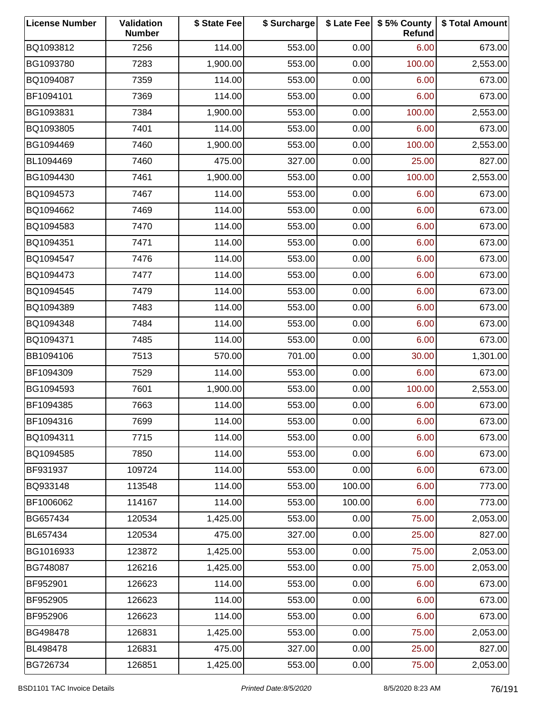| <b>License Number</b> | Validation<br><b>Number</b> | \$ State Fee | \$ Surcharge |        | \$ Late Fee   \$5% County<br>Refund | \$ Total Amount |
|-----------------------|-----------------------------|--------------|--------------|--------|-------------------------------------|-----------------|
| BQ1093812             | 7256                        | 114.00       | 553.00       | 0.00   | 6.00                                | 673.00          |
| BG1093780             | 7283                        | 1,900.00     | 553.00       | 0.00   | 100.00                              | 2,553.00        |
| BQ1094087             | 7359                        | 114.00       | 553.00       | 0.00   | 6.00                                | 673.00          |
| BF1094101             | 7369                        | 114.00       | 553.00       | 0.00   | 6.00                                | 673.00          |
| BG1093831             | 7384                        | 1,900.00     | 553.00       | 0.00   | 100.00                              | 2,553.00        |
| BQ1093805             | 7401                        | 114.00       | 553.00       | 0.00   | 6.00                                | 673.00          |
| BG1094469             | 7460                        | 1,900.00     | 553.00       | 0.00   | 100.00                              | 2,553.00        |
| BL1094469             | 7460                        | 475.00       | 327.00       | 0.00   | 25.00                               | 827.00          |
| BG1094430             | 7461                        | 1,900.00     | 553.00       | 0.00   | 100.00                              | 2,553.00        |
| BQ1094573             | 7467                        | 114.00       | 553.00       | 0.00   | 6.00                                | 673.00          |
| BQ1094662             | 7469                        | 114.00       | 553.00       | 0.00   | 6.00                                | 673.00          |
| BQ1094583             | 7470                        | 114.00       | 553.00       | 0.00   | 6.00                                | 673.00          |
| BQ1094351             | 7471                        | 114.00       | 553.00       | 0.00   | 6.00                                | 673.00          |
| BQ1094547             | 7476                        | 114.00       | 553.00       | 0.00   | 6.00                                | 673.00          |
| BQ1094473             | 7477                        | 114.00       | 553.00       | 0.00   | 6.00                                | 673.00          |
| BQ1094545             | 7479                        | 114.00       | 553.00       | 0.00   | 6.00                                | 673.00          |
| BQ1094389             | 7483                        | 114.00       | 553.00       | 0.00   | 6.00                                | 673.00          |
| BQ1094348             | 7484                        | 114.00       | 553.00       | 0.00   | 6.00                                | 673.00          |
| BQ1094371             | 7485                        | 114.00       | 553.00       | 0.00   | 6.00                                | 673.00          |
| BB1094106             | 7513                        | 570.00       | 701.00       | 0.00   | 30.00                               | 1,301.00        |
| BF1094309             | 7529                        | 114.00       | 553.00       | 0.00   | 6.00                                | 673.00          |
| BG1094593             | 7601                        | 1,900.00     | 553.00       | 0.00   | 100.00                              | 2,553.00        |
| BF1094385             | 7663                        | 114.00       | 553.00       | 0.00   | 6.00                                | 673.00          |
| BF1094316             | 7699                        | 114.00       | 553.00       | 0.00   | 6.00                                | 673.00          |
| BQ1094311             | 7715                        | 114.00       | 553.00       | 0.00   | 6.00                                | 673.00          |
| BQ1094585             | 7850                        | 114.00       | 553.00       | 0.00   | 6.00                                | 673.00          |
| BF931937              | 109724                      | 114.00       | 553.00       | 0.00   | 6.00                                | 673.00          |
| BQ933148              | 113548                      | 114.00       | 553.00       | 100.00 | 6.00                                | 773.00          |
| BF1006062             | 114167                      | 114.00       | 553.00       | 100.00 | 6.00                                | 773.00          |
| BG657434              | 120534                      | 1,425.00     | 553.00       | 0.00   | 75.00                               | 2,053.00        |
| BL657434              | 120534                      | 475.00       | 327.00       | 0.00   | 25.00                               | 827.00          |
| BG1016933             | 123872                      | 1,425.00     | 553.00       | 0.00   | 75.00                               | 2,053.00        |
| BG748087              | 126216                      | 1,425.00     | 553.00       | 0.00   | 75.00                               | 2,053.00        |
| BF952901              | 126623                      | 114.00       | 553.00       | 0.00   | 6.00                                | 673.00          |
| BF952905              | 126623                      | 114.00       | 553.00       | 0.00   | 6.00                                | 673.00          |
| BF952906              | 126623                      | 114.00       | 553.00       | 0.00   | 6.00                                | 673.00          |
| BG498478              | 126831                      | 1,425.00     | 553.00       | 0.00   | 75.00                               | 2,053.00        |
| BL498478              | 126831                      | 475.00       | 327.00       | 0.00   | 25.00                               | 827.00          |
| BG726734              | 126851                      | 1,425.00     | 553.00       | 0.00   | 75.00                               | 2,053.00        |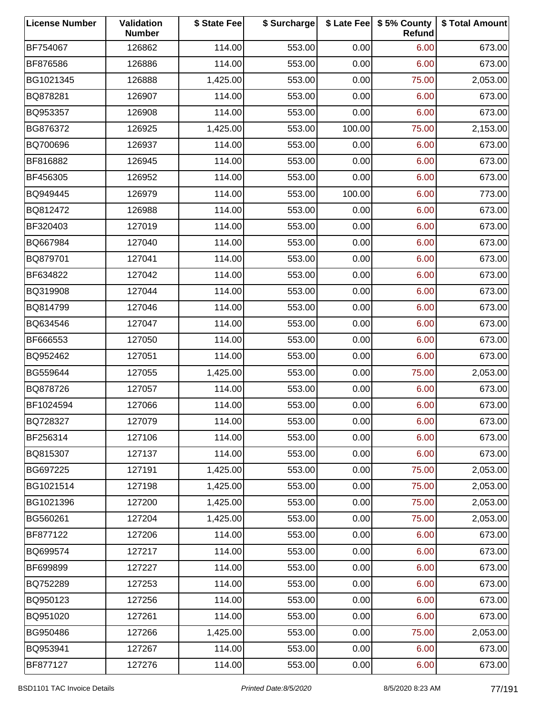| <b>License Number</b> | Validation<br><b>Number</b> | \$ State Fee | \$ Surcharge |        | \$ Late Fee   \$5% County<br>Refund | \$ Total Amount |
|-----------------------|-----------------------------|--------------|--------------|--------|-------------------------------------|-----------------|
| BF754067              | 126862                      | 114.00       | 553.00       | 0.00   | 6.00                                | 673.00          |
| BF876586              | 126886                      | 114.00       | 553.00       | 0.00   | 6.00                                | 673.00          |
| BG1021345             | 126888                      | 1,425.00     | 553.00       | 0.00   | 75.00                               | 2,053.00        |
| BQ878281              | 126907                      | 114.00       | 553.00       | 0.00   | 6.00                                | 673.00          |
| BQ953357              | 126908                      | 114.00       | 553.00       | 0.00   | 6.00                                | 673.00          |
| BG876372              | 126925                      | 1,425.00     | 553.00       | 100.00 | 75.00                               | 2,153.00        |
| BQ700696              | 126937                      | 114.00       | 553.00       | 0.00   | 6.00                                | 673.00          |
| BF816882              | 126945                      | 114.00       | 553.00       | 0.00   | 6.00                                | 673.00          |
| BF456305              | 126952                      | 114.00       | 553.00       | 0.00   | 6.00                                | 673.00          |
| BQ949445              | 126979                      | 114.00       | 553.00       | 100.00 | 6.00                                | 773.00          |
| BQ812472              | 126988                      | 114.00       | 553.00       | 0.00   | 6.00                                | 673.00          |
| BF320403              | 127019                      | 114.00       | 553.00       | 0.00   | 6.00                                | 673.00          |
| BQ667984              | 127040                      | 114.00       | 553.00       | 0.00   | 6.00                                | 673.00          |
| BQ879701              | 127041                      | 114.00       | 553.00       | 0.00   | 6.00                                | 673.00          |
| BF634822              | 127042                      | 114.00       | 553.00       | 0.00   | 6.00                                | 673.00          |
| BQ319908              | 127044                      | 114.00       | 553.00       | 0.00   | 6.00                                | 673.00          |
| BQ814799              | 127046                      | 114.00       | 553.00       | 0.00   | 6.00                                | 673.00          |
| BQ634546              | 127047                      | 114.00       | 553.00       | 0.00   | 6.00                                | 673.00          |
| BF666553              | 127050                      | 114.00       | 553.00       | 0.00   | 6.00                                | 673.00          |
| BQ952462              | 127051                      | 114.00       | 553.00       | 0.00   | 6.00                                | 673.00          |
| BG559644              | 127055                      | 1,425.00     | 553.00       | 0.00   | 75.00                               | 2,053.00        |
| BQ878726              | 127057                      | 114.00       | 553.00       | 0.00   | 6.00                                | 673.00          |
| BF1024594             | 127066                      | 114.00       | 553.00       | 0.00   | 6.00                                | 673.00          |
| BQ728327              | 127079                      | 114.00       | 553.00       | 0.00   | 6.00                                | 673.00          |
| BF256314              | 127106                      | 114.00       | 553.00       | 0.00   | 6.00                                | 673.00          |
| BQ815307              | 127137                      | 114.00       | 553.00       | 0.00   | 6.00                                | 673.00          |
| BG697225              | 127191                      | 1,425.00     | 553.00       | 0.00   | 75.00                               | 2,053.00        |
| BG1021514             | 127198                      | 1,425.00     | 553.00       | 0.00   | 75.00                               | 2,053.00        |
| BG1021396             | 127200                      | 1,425.00     | 553.00       | 0.00   | 75.00                               | 2,053.00        |
| BG560261              | 127204                      | 1,425.00     | 553.00       | 0.00   | 75.00                               | 2,053.00        |
| BF877122              | 127206                      | 114.00       | 553.00       | 0.00   | 6.00                                | 673.00          |
| BQ699574              | 127217                      | 114.00       | 553.00       | 0.00   | 6.00                                | 673.00          |
| BF699899              | 127227                      | 114.00       | 553.00       | 0.00   | 6.00                                | 673.00          |
| BQ752289              | 127253                      | 114.00       | 553.00       | 0.00   | 6.00                                | 673.00          |
| BQ950123              | 127256                      | 114.00       | 553.00       | 0.00   | 6.00                                | 673.00          |
| BQ951020              | 127261                      | 114.00       | 553.00       | 0.00   | 6.00                                | 673.00          |
| BG950486              | 127266                      | 1,425.00     | 553.00       | 0.00   | 75.00                               | 2,053.00        |
| BQ953941              | 127267                      | 114.00       | 553.00       | 0.00   | 6.00                                | 673.00          |
| BF877127              | 127276                      | 114.00       | 553.00       | 0.00   | 6.00                                | 673.00          |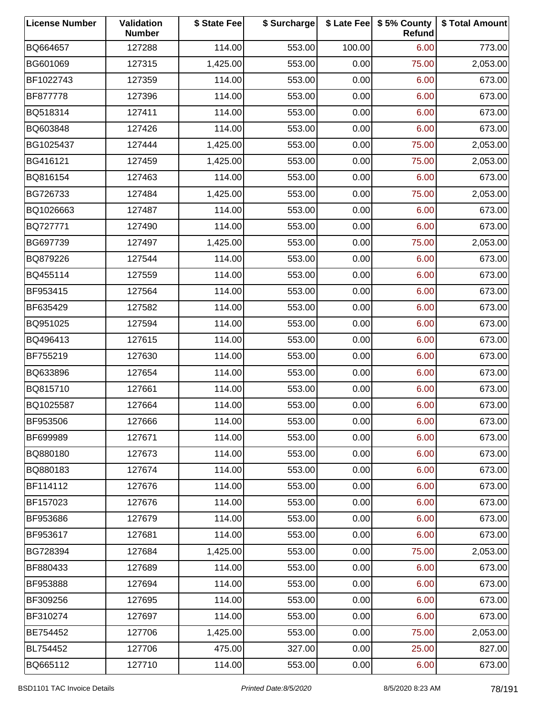| <b>License Number</b> | Validation<br><b>Number</b> | \$ State Fee | \$ Surcharge |        | \$ Late Fee   \$5% County<br>Refund | \$ Total Amount |
|-----------------------|-----------------------------|--------------|--------------|--------|-------------------------------------|-----------------|
| BQ664657              | 127288                      | 114.00       | 553.00       | 100.00 | 6.00                                | 773.00          |
| BG601069              | 127315                      | 1,425.00     | 553.00       | 0.00   | 75.00                               | 2,053.00        |
| BF1022743             | 127359                      | 114.00       | 553.00       | 0.00   | 6.00                                | 673.00          |
| BF877778              | 127396                      | 114.00       | 553.00       | 0.00   | 6.00                                | 673.00          |
| BQ518314              | 127411                      | 114.00       | 553.00       | 0.00   | 6.00                                | 673.00          |
| BQ603848              | 127426                      | 114.00       | 553.00       | 0.00   | 6.00                                | 673.00          |
| BG1025437             | 127444                      | 1,425.00     | 553.00       | 0.00   | 75.00                               | 2,053.00        |
| BG416121              | 127459                      | 1,425.00     | 553.00       | 0.00   | 75.00                               | 2,053.00        |
| BQ816154              | 127463                      | 114.00       | 553.00       | 0.00   | 6.00                                | 673.00          |
| BG726733              | 127484                      | 1,425.00     | 553.00       | 0.00   | 75.00                               | 2,053.00        |
| BQ1026663             | 127487                      | 114.00       | 553.00       | 0.00   | 6.00                                | 673.00          |
| BQ727771              | 127490                      | 114.00       | 553.00       | 0.00   | 6.00                                | 673.00          |
| BG697739              | 127497                      | 1,425.00     | 553.00       | 0.00   | 75.00                               | 2,053.00        |
| BQ879226              | 127544                      | 114.00       | 553.00       | 0.00   | 6.00                                | 673.00          |
| BQ455114              | 127559                      | 114.00       | 553.00       | 0.00   | 6.00                                | 673.00          |
| BF953415              | 127564                      | 114.00       | 553.00       | 0.00   | 6.00                                | 673.00          |
| BF635429              | 127582                      | 114.00       | 553.00       | 0.00   | 6.00                                | 673.00          |
| BQ951025              | 127594                      | 114.00       | 553.00       | 0.00   | 6.00                                | 673.00          |
| BQ496413              | 127615                      | 114.00       | 553.00       | 0.00   | 6.00                                | 673.00          |
| BF755219              | 127630                      | 114.00       | 553.00       | 0.00   | 6.00                                | 673.00          |
| BQ633896              | 127654                      | 114.00       | 553.00       | 0.00   | 6.00                                | 673.00          |
| BQ815710              | 127661                      | 114.00       | 553.00       | 0.00   | 6.00                                | 673.00          |
| BQ1025587             | 127664                      | 114.00       | 553.00       | 0.00   | 6.00                                | 673.00          |
| BF953506              | 127666                      | 114.00       | 553.00       | 0.00   | 6.00                                | 673.00          |
| BF699989              | 127671                      | 114.00       | 553.00       | 0.00   | 6.00                                | 673.00          |
| BQ880180              | 127673                      | 114.00       | 553.00       | 0.00   | 6.00                                | 673.00          |
| BQ880183              | 127674                      | 114.00       | 553.00       | 0.00   | 6.00                                | 673.00          |
| BF114112              | 127676                      | 114.00       | 553.00       | 0.00   | 6.00                                | 673.00          |
| BF157023              | 127676                      | 114.00       | 553.00       | 0.00   | 6.00                                | 673.00          |
| BF953686              | 127679                      | 114.00       | 553.00       | 0.00   | 6.00                                | 673.00          |
| BF953617              | 127681                      | 114.00       | 553.00       | 0.00   | 6.00                                | 673.00          |
| BG728394              | 127684                      | 1,425.00     | 553.00       | 0.00   | 75.00                               | 2,053.00        |
| BF880433              | 127689                      | 114.00       | 553.00       | 0.00   | 6.00                                | 673.00          |
| BF953888              | 127694                      | 114.00       | 553.00       | 0.00   | 6.00                                | 673.00          |
| BF309256              | 127695                      | 114.00       | 553.00       | 0.00   | 6.00                                | 673.00          |
| BF310274              | 127697                      | 114.00       | 553.00       | 0.00   | 6.00                                | 673.00          |
| BE754452              | 127706                      | 1,425.00     | 553.00       | 0.00   | 75.00                               | 2,053.00        |
| BL754452              | 127706                      | 475.00       | 327.00       | 0.00   | 25.00                               | 827.00          |
| BQ665112              | 127710                      | 114.00       | 553.00       | 0.00   | 6.00                                | 673.00          |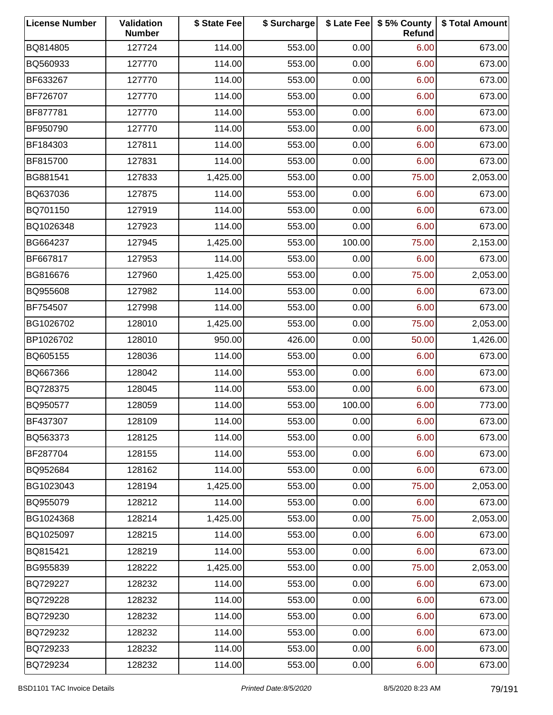| <b>License Number</b> | Validation<br><b>Number</b> | \$ State Fee | \$ Surcharge |        | \$ Late Fee   \$5% County<br>Refund | \$ Total Amount |
|-----------------------|-----------------------------|--------------|--------------|--------|-------------------------------------|-----------------|
| BQ814805              | 127724                      | 114.00       | 553.00       | 0.00   | 6.00                                | 673.00          |
| BQ560933              | 127770                      | 114.00       | 553.00       | 0.00   | 6.00                                | 673.00          |
| BF633267              | 127770                      | 114.00       | 553.00       | 0.00   | 6.00                                | 673.00          |
| BF726707              | 127770                      | 114.00       | 553.00       | 0.00   | 6.00                                | 673.00          |
| BF877781              | 127770                      | 114.00       | 553.00       | 0.00   | 6.00                                | 673.00          |
| BF950790              | 127770                      | 114.00       | 553.00       | 0.00   | 6.00                                | 673.00          |
| BF184303              | 127811                      | 114.00       | 553.00       | 0.00   | 6.00                                | 673.00          |
| BF815700              | 127831                      | 114.00       | 553.00       | 0.00   | 6.00                                | 673.00          |
| BG881541              | 127833                      | 1,425.00     | 553.00       | 0.00   | 75.00                               | 2,053.00        |
| BQ637036              | 127875                      | 114.00       | 553.00       | 0.00   | 6.00                                | 673.00          |
| BQ701150              | 127919                      | 114.00       | 553.00       | 0.00   | 6.00                                | 673.00          |
| BQ1026348             | 127923                      | 114.00       | 553.00       | 0.00   | 6.00                                | 673.00          |
| BG664237              | 127945                      | 1,425.00     | 553.00       | 100.00 | 75.00                               | 2,153.00        |
| BF667817              | 127953                      | 114.00       | 553.00       | 0.00   | 6.00                                | 673.00          |
| BG816676              | 127960                      | 1,425.00     | 553.00       | 0.00   | 75.00                               | 2,053.00        |
| BQ955608              | 127982                      | 114.00       | 553.00       | 0.00   | 6.00                                | 673.00          |
| BF754507              | 127998                      | 114.00       | 553.00       | 0.00   | 6.00                                | 673.00          |
| BG1026702             | 128010                      | 1,425.00     | 553.00       | 0.00   | 75.00                               | 2,053.00        |
| BP1026702             | 128010                      | 950.00       | 426.00       | 0.00   | 50.00                               | 1,426.00        |
| BQ605155              | 128036                      | 114.00       | 553.00       | 0.00   | 6.00                                | 673.00          |
| BQ667366              | 128042                      | 114.00       | 553.00       | 0.00   | 6.00                                | 673.00          |
| BQ728375              | 128045                      | 114.00       | 553.00       | 0.00   | 6.00                                | 673.00          |
| BQ950577              | 128059                      | 114.00       | 553.00       | 100.00 | 6.00                                | 773.00          |
| BF437307              | 128109                      | 114.00       | 553.00       | 0.00   | 6.00                                | 673.00          |
| BQ563373              | 128125                      | 114.00       | 553.00       | 0.00   | 6.00                                | 673.00          |
| BF287704              | 128155                      | 114.00       | 553.00       | 0.00   | 6.00                                | 673.00          |
| BQ952684              | 128162                      | 114.00       | 553.00       | 0.00   | 6.00                                | 673.00          |
| BG1023043             | 128194                      | 1,425.00     | 553.00       | 0.00   | 75.00                               | 2,053.00        |
| BQ955079              | 128212                      | 114.00       | 553.00       | 0.00   | 6.00                                | 673.00          |
| BG1024368             | 128214                      | 1,425.00     | 553.00       | 0.00   | 75.00                               | 2,053.00        |
| BQ1025097             | 128215                      | 114.00       | 553.00       | 0.00   | 6.00                                | 673.00          |
| BQ815421              | 128219                      | 114.00       | 553.00       | 0.00   | 6.00                                | 673.00          |
| BG955839              | 128222                      | 1,425.00     | 553.00       | 0.00   | 75.00                               | 2,053.00        |
| BQ729227              | 128232                      | 114.00       | 553.00       | 0.00   | 6.00                                | 673.00          |
| BQ729228              | 128232                      | 114.00       | 553.00       | 0.00   | 6.00                                | 673.00          |
| BQ729230              | 128232                      | 114.00       | 553.00       | 0.00   | 6.00                                | 673.00          |
| BQ729232              | 128232                      | 114.00       | 553.00       | 0.00   | 6.00                                | 673.00          |
| BQ729233              | 128232                      | 114.00       | 553.00       | 0.00   | 6.00                                | 673.00          |
| BQ729234              | 128232                      | 114.00       | 553.00       | 0.00   | 6.00                                | 673.00          |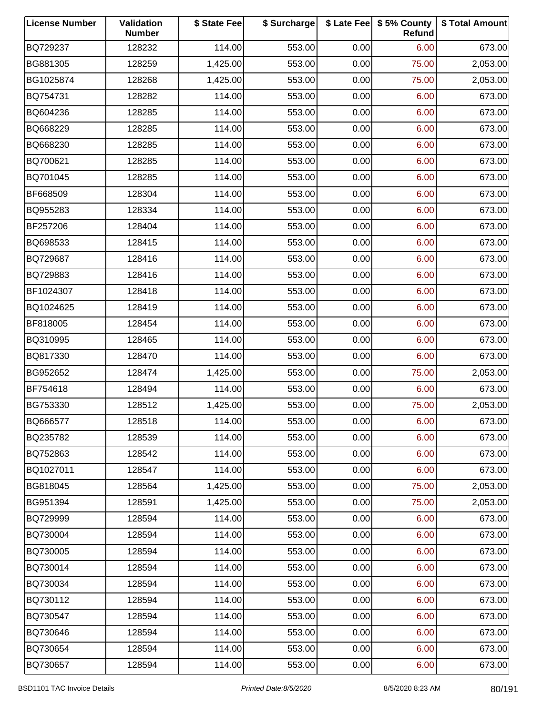| <b>License Number</b> | Validation<br><b>Number</b> | \$ State Fee | \$ Surcharge |      | \$ Late Fee   \$5% County<br>Refund | \$ Total Amount |
|-----------------------|-----------------------------|--------------|--------------|------|-------------------------------------|-----------------|
| BQ729237              | 128232                      | 114.00       | 553.00       | 0.00 | 6.00                                | 673.00          |
| BG881305              | 128259                      | 1,425.00     | 553.00       | 0.00 | 75.00                               | 2,053.00        |
| BG1025874             | 128268                      | 1,425.00     | 553.00       | 0.00 | 75.00                               | 2,053.00        |
| BQ754731              | 128282                      | 114.00       | 553.00       | 0.00 | 6.00                                | 673.00          |
| BQ604236              | 128285                      | 114.00       | 553.00       | 0.00 | 6.00                                | 673.00          |
| BQ668229              | 128285                      | 114.00       | 553.00       | 0.00 | 6.00                                | 673.00          |
| BQ668230              | 128285                      | 114.00       | 553.00       | 0.00 | 6.00                                | 673.00          |
| BQ700621              | 128285                      | 114.00       | 553.00       | 0.00 | 6.00                                | 673.00          |
| BQ701045              | 128285                      | 114.00       | 553.00       | 0.00 | 6.00                                | 673.00          |
| BF668509              | 128304                      | 114.00       | 553.00       | 0.00 | 6.00                                | 673.00          |
| BQ955283              | 128334                      | 114.00       | 553.00       | 0.00 | 6.00                                | 673.00          |
| BF257206              | 128404                      | 114.00       | 553.00       | 0.00 | 6.00                                | 673.00          |
| BQ698533              | 128415                      | 114.00       | 553.00       | 0.00 | 6.00                                | 673.00          |
| BQ729687              | 128416                      | 114.00       | 553.00       | 0.00 | 6.00                                | 673.00          |
| BQ729883              | 128416                      | 114.00       | 553.00       | 0.00 | 6.00                                | 673.00          |
| BF1024307             | 128418                      | 114.00       | 553.00       | 0.00 | 6.00                                | 673.00          |
| BQ1024625             | 128419                      | 114.00       | 553.00       | 0.00 | 6.00                                | 673.00          |
| BF818005              | 128454                      | 114.00       | 553.00       | 0.00 | 6.00                                | 673.00          |
| BQ310995              | 128465                      | 114.00       | 553.00       | 0.00 | 6.00                                | 673.00          |
| BQ817330              | 128470                      | 114.00       | 553.00       | 0.00 | 6.00                                | 673.00          |
| BG952652              | 128474                      | 1,425.00     | 553.00       | 0.00 | 75.00                               | 2,053.00        |
| BF754618              | 128494                      | 114.00       | 553.00       | 0.00 | 6.00                                | 673.00          |
| BG753330              | 128512                      | 1,425.00     | 553.00       | 0.00 | 75.00                               | 2,053.00        |
| BQ666577              | 128518                      | 114.00       | 553.00       | 0.00 | 6.00                                | 673.00          |
| BQ235782              | 128539                      | 114.00       | 553.00       | 0.00 | 6.00                                | 673.00          |
| BQ752863              | 128542                      | 114.00       | 553.00       | 0.00 | 6.00                                | 673.00          |
| BQ1027011             | 128547                      | 114.00       | 553.00       | 0.00 | 6.00                                | 673.00          |
| BG818045              | 128564                      | 1,425.00     | 553.00       | 0.00 | 75.00                               | 2,053.00        |
| BG951394              | 128591                      | 1,425.00     | 553.00       | 0.00 | 75.00                               | 2,053.00        |
| BQ729999              | 128594                      | 114.00       | 553.00       | 0.00 | 6.00                                | 673.00          |
| BQ730004              | 128594                      | 114.00       | 553.00       | 0.00 | 6.00                                | 673.00          |
| BQ730005              | 128594                      | 114.00       | 553.00       | 0.00 | 6.00                                | 673.00          |
| BQ730014              | 128594                      | 114.00       | 553.00       | 0.00 | 6.00                                | 673.00          |
| BQ730034              | 128594                      | 114.00       | 553.00       | 0.00 | 6.00                                | 673.00          |
| BQ730112              | 128594                      | 114.00       | 553.00       | 0.00 | 6.00                                | 673.00          |
| BQ730547              | 128594                      | 114.00       | 553.00       | 0.00 | 6.00                                | 673.00          |
| BQ730646              | 128594                      | 114.00       | 553.00       | 0.00 | 6.00                                | 673.00          |
| BQ730654              | 128594                      | 114.00       | 553.00       | 0.00 | 6.00                                | 673.00          |
| BQ730657              | 128594                      | 114.00       | 553.00       | 0.00 | 6.00                                | 673.00          |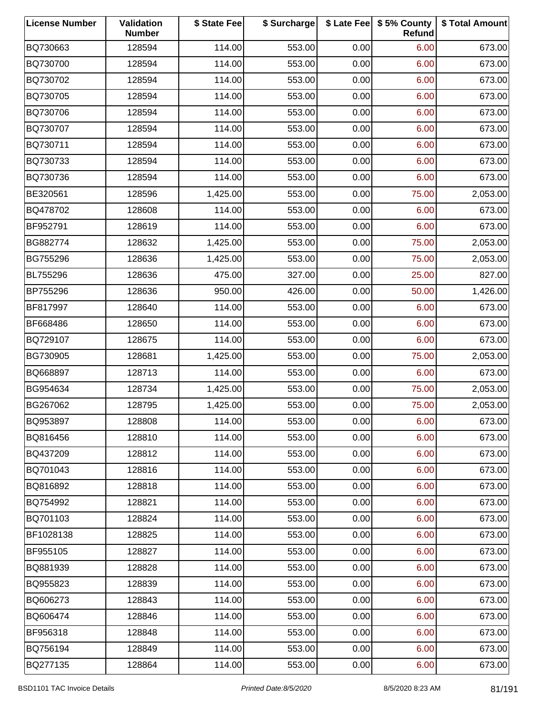| <b>License Number</b> | Validation<br><b>Number</b> | \$ State Fee | \$ Surcharge |      | \$ Late Fee   \$5% County<br>Refund | \$ Total Amount |
|-----------------------|-----------------------------|--------------|--------------|------|-------------------------------------|-----------------|
| BQ730663              | 128594                      | 114.00       | 553.00       | 0.00 | 6.00                                | 673.00          |
| BQ730700              | 128594                      | 114.00       | 553.00       | 0.00 | 6.00                                | 673.00          |
| BQ730702              | 128594                      | 114.00       | 553.00       | 0.00 | 6.00                                | 673.00          |
| BQ730705              | 128594                      | 114.00       | 553.00       | 0.00 | 6.00                                | 673.00          |
| BQ730706              | 128594                      | 114.00       | 553.00       | 0.00 | 6.00                                | 673.00          |
| BQ730707              | 128594                      | 114.00       | 553.00       | 0.00 | 6.00                                | 673.00          |
| BQ730711              | 128594                      | 114.00       | 553.00       | 0.00 | 6.00                                | 673.00          |
| BQ730733              | 128594                      | 114.00       | 553.00       | 0.00 | 6.00                                | 673.00          |
| BQ730736              | 128594                      | 114.00       | 553.00       | 0.00 | 6.00                                | 673.00          |
| BE320561              | 128596                      | 1,425.00     | 553.00       | 0.00 | 75.00                               | 2,053.00        |
| BQ478702              | 128608                      | 114.00       | 553.00       | 0.00 | 6.00                                | 673.00          |
| BF952791              | 128619                      | 114.00       | 553.00       | 0.00 | 6.00                                | 673.00          |
| BG882774              | 128632                      | 1,425.00     | 553.00       | 0.00 | 75.00                               | 2,053.00        |
| BG755296              | 128636                      | 1,425.00     | 553.00       | 0.00 | 75.00                               | 2,053.00        |
| BL755296              | 128636                      | 475.00       | 327.00       | 0.00 | 25.00                               | 827.00          |
| BP755296              | 128636                      | 950.00       | 426.00       | 0.00 | 50.00                               | 1,426.00        |
| BF817997              | 128640                      | 114.00       | 553.00       | 0.00 | 6.00                                | 673.00          |
| BF668486              | 128650                      | 114.00       | 553.00       | 0.00 | 6.00                                | 673.00          |
| BQ729107              | 128675                      | 114.00       | 553.00       | 0.00 | 6.00                                | 673.00          |
| BG730905              | 128681                      | 1,425.00     | 553.00       | 0.00 | 75.00                               | 2,053.00        |
| BQ668897              | 128713                      | 114.00       | 553.00       | 0.00 | 6.00                                | 673.00          |
| BG954634              | 128734                      | 1,425.00     | 553.00       | 0.00 | 75.00                               | 2,053.00        |
| BG267062              | 128795                      | 1,425.00     | 553.00       | 0.00 | 75.00                               | 2,053.00        |
| BQ953897              | 128808                      | 114.00       | 553.00       | 0.00 | 6.00                                | 673.00          |
| BQ816456              | 128810                      | 114.00       | 553.00       | 0.00 | 6.00                                | 673.00          |
| BQ437209              | 128812                      | 114.00       | 553.00       | 0.00 | 6.00                                | 673.00          |
| BQ701043              | 128816                      | 114.00       | 553.00       | 0.00 | 6.00                                | 673.00          |
| BQ816892              | 128818                      | 114.00       | 553.00       | 0.00 | 6.00                                | 673.00          |
| BQ754992              | 128821                      | 114.00       | 553.00       | 0.00 | 6.00                                | 673.00          |
| BQ701103              | 128824                      | 114.00       | 553.00       | 0.00 | 6.00                                | 673.00          |
| BF1028138             | 128825                      | 114.00       | 553.00       | 0.00 | 6.00                                | 673.00          |
| BF955105              | 128827                      | 114.00       | 553.00       | 0.00 | 6.00                                | 673.00          |
| BQ881939              | 128828                      | 114.00       | 553.00       | 0.00 | 6.00                                | 673.00          |
| BQ955823              | 128839                      | 114.00       | 553.00       | 0.00 | 6.00                                | 673.00          |
| BQ606273              | 128843                      | 114.00       | 553.00       | 0.00 | 6.00                                | 673.00          |
| BQ606474              | 128846                      | 114.00       | 553.00       | 0.00 | 6.00                                | 673.00          |
| BF956318              | 128848                      | 114.00       | 553.00       | 0.00 | 6.00                                | 673.00          |
| BQ756194              | 128849                      | 114.00       | 553.00       | 0.00 | 6.00                                | 673.00          |
| BQ277135              | 128864                      | 114.00       | 553.00       | 0.00 | 6.00                                | 673.00          |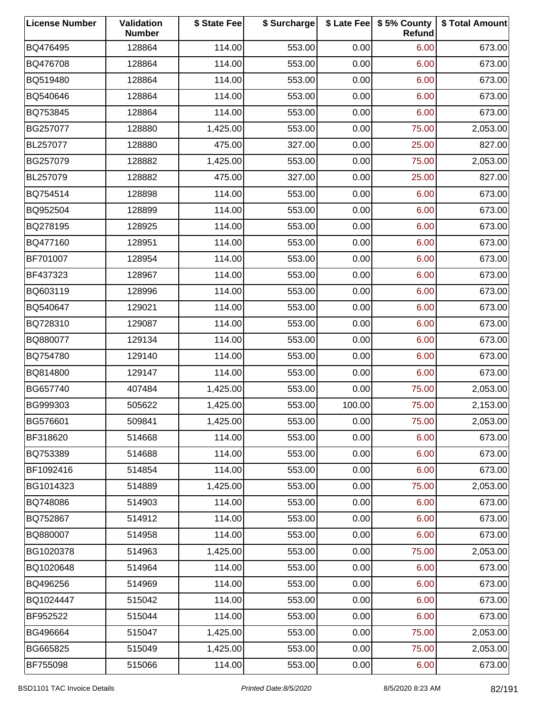| <b>License Number</b> | Validation<br><b>Number</b> | \$ State Fee | \$ Surcharge |        | \$ Late Fee   \$5% County<br>Refund | \$ Total Amount |
|-----------------------|-----------------------------|--------------|--------------|--------|-------------------------------------|-----------------|
| BQ476495              | 128864                      | 114.00       | 553.00       | 0.00   | 6.00                                | 673.00          |
| BQ476708              | 128864                      | 114.00       | 553.00       | 0.00   | 6.00                                | 673.00          |
| BQ519480              | 128864                      | 114.00       | 553.00       | 0.00   | 6.00                                | 673.00          |
| BQ540646              | 128864                      | 114.00       | 553.00       | 0.00   | 6.00                                | 673.00          |
| BQ753845              | 128864                      | 114.00       | 553.00       | 0.00   | 6.00                                | 673.00          |
| BG257077              | 128880                      | 1,425.00     | 553.00       | 0.00   | 75.00                               | 2,053.00        |
| BL257077              | 128880                      | 475.00       | 327.00       | 0.00   | 25.00                               | 827.00          |
| BG257079              | 128882                      | 1,425.00     | 553.00       | 0.00   | 75.00                               | 2,053.00        |
| BL257079              | 128882                      | 475.00       | 327.00       | 0.00   | 25.00                               | 827.00          |
| BQ754514              | 128898                      | 114.00       | 553.00       | 0.00   | 6.00                                | 673.00          |
| BQ952504              | 128899                      | 114.00       | 553.00       | 0.00   | 6.00                                | 673.00          |
| BQ278195              | 128925                      | 114.00       | 553.00       | 0.00   | 6.00                                | 673.00          |
| BQ477160              | 128951                      | 114.00       | 553.00       | 0.00   | 6.00                                | 673.00          |
| BF701007              | 128954                      | 114.00       | 553.00       | 0.00   | 6.00                                | 673.00          |
| BF437323              | 128967                      | 114.00       | 553.00       | 0.00   | 6.00                                | 673.00          |
| BQ603119              | 128996                      | 114.00       | 553.00       | 0.00   | 6.00                                | 673.00          |
| BQ540647              | 129021                      | 114.00       | 553.00       | 0.00   | 6.00                                | 673.00          |
| BQ728310              | 129087                      | 114.00       | 553.00       | 0.00   | 6.00                                | 673.00          |
| BQ880077              | 129134                      | 114.00       | 553.00       | 0.00   | 6.00                                | 673.00          |
| BQ754780              | 129140                      | 114.00       | 553.00       | 0.00   | 6.00                                | 673.00          |
| BQ814800              | 129147                      | 114.00       | 553.00       | 0.00   | 6.00                                | 673.00          |
| BG657740              | 407484                      | 1,425.00     | 553.00       | 0.00   | 75.00                               | 2,053.00        |
| BG999303              | 505622                      | 1,425.00     | 553.00       | 100.00 | 75.00                               | 2,153.00        |
| BG576601              | 509841                      | 1,425.00     | 553.00       | 0.00   | 75.00                               | 2,053.00        |
| BF318620              | 514668                      | 114.00       | 553.00       | 0.00   | 6.00                                | 673.00          |
| BQ753389              | 514688                      | 114.00       | 553.00       | 0.00   | 6.00                                | 673.00          |
| BF1092416             | 514854                      | 114.00       | 553.00       | 0.00   | 6.00                                | 673.00          |
| BG1014323             | 514889                      | 1,425.00     | 553.00       | 0.00   | 75.00                               | 2,053.00        |
| BQ748086              | 514903                      | 114.00       | 553.00       | 0.00   | 6.00                                | 673.00          |
| BQ752867              | 514912                      | 114.00       | 553.00       | 0.00   | 6.00                                | 673.00          |
| BQ880007              | 514958                      | 114.00       | 553.00       | 0.00   | 6.00                                | 673.00          |
| BG1020378             | 514963                      | 1,425.00     | 553.00       | 0.00   | 75.00                               | 2,053.00        |
| BQ1020648             | 514964                      | 114.00       | 553.00       | 0.00   | 6.00                                | 673.00          |
| BQ496256              | 514969                      | 114.00       | 553.00       | 0.00   | 6.00                                | 673.00          |
| BQ1024447             | 515042                      | 114.00       | 553.00       | 0.00   | 6.00                                | 673.00          |
| BF952522              | 515044                      | 114.00       | 553.00       | 0.00   | 6.00                                | 673.00          |
| BG496664              | 515047                      | 1,425.00     | 553.00       | 0.00   | 75.00                               | 2,053.00        |
| BG665825              | 515049                      | 1,425.00     | 553.00       | 0.00   | 75.00                               | 2,053.00        |
| BF755098              | 515066                      | 114.00       | 553.00       | 0.00   | 6.00                                | 673.00          |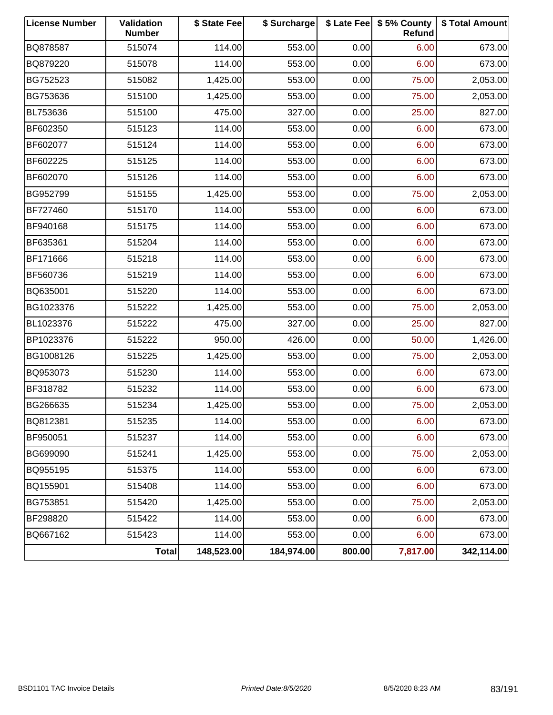| <b>License Number</b> | Validation<br><b>Number</b> | \$ State Fee | \$ Surcharge |        | \$ Late Fee   \$5% County<br><b>Refund</b> | \$ Total Amount |
|-----------------------|-----------------------------|--------------|--------------|--------|--------------------------------------------|-----------------|
| BQ878587              | 515074                      | 114.00       | 553.00       | 0.00   | 6.00                                       | 673.00          |
| BQ879220              | 515078                      | 114.00       | 553.00       | 0.00   | 6.00                                       | 673.00          |
| BG752523              | 515082                      | 1,425.00     | 553.00       | 0.00   | 75.00                                      | 2,053.00        |
| BG753636              | 515100                      | 1,425.00     | 553.00       | 0.00   | 75.00                                      | 2,053.00        |
| BL753636              | 515100                      | 475.00       | 327.00       | 0.00   | 25.00                                      | 827.00          |
| BF602350              | 515123                      | 114.00       | 553.00       | 0.00   | 6.00                                       | 673.00          |
| BF602077              | 515124                      | 114.00       | 553.00       | 0.00   | 6.00                                       | 673.00          |
| BF602225              | 515125                      | 114.00       | 553.00       | 0.00   | 6.00                                       | 673.00          |
| BF602070              | 515126                      | 114.00       | 553.00       | 0.00   | 6.00                                       | 673.00          |
| BG952799              | 515155                      | 1,425.00     | 553.00       | 0.00   | 75.00                                      | 2,053.00        |
| BF727460              | 515170                      | 114.00       | 553.00       | 0.00   | 6.00                                       | 673.00          |
| BF940168              | 515175                      | 114.00       | 553.00       | 0.00   | 6.00                                       | 673.00          |
| BF635361              | 515204                      | 114.00       | 553.00       | 0.00   | 6.00                                       | 673.00          |
| BF171666              | 515218                      | 114.00       | 553.00       | 0.00   | 6.00                                       | 673.00          |
| BF560736              | 515219                      | 114.00       | 553.00       | 0.00   | 6.00                                       | 673.00          |
| BQ635001              | 515220                      | 114.00       | 553.00       | 0.00   | 6.00                                       | 673.00          |
| BG1023376             | 515222                      | 1,425.00     | 553.00       | 0.00   | 75.00                                      | 2,053.00        |
| BL1023376             | 515222                      | 475.00       | 327.00       | 0.00   | 25.00                                      | 827.00          |
| BP1023376             | 515222                      | 950.00       | 426.00       | 0.00   | 50.00                                      | 1,426.00        |
| BG1008126             | 515225                      | 1,425.00     | 553.00       | 0.00   | 75.00                                      | 2,053.00        |
| BQ953073              | 515230                      | 114.00       | 553.00       | 0.00   | 6.00                                       | 673.00          |
| BF318782              | 515232                      | 114.00       | 553.00       | 0.00   | 6.00                                       | 673.00          |
| BG266635              | 515234                      | 1,425.00     | 553.00       | 0.00   | 75.00                                      | 2,053.00        |
| BQ812381              | 515235                      | 114.00       | 553.00       | 0.00   | 6.00                                       | 673.00          |
| BF950051              | 515237                      | 114.00       | 553.00       | 0.00   | 6.00                                       | 673.00          |
| BG699090              | 515241                      | 1,425.00     | 553.00       | 0.00   | 75.00                                      | 2,053.00        |
| BQ955195              | 515375                      | 114.00       | 553.00       | 0.00   | 6.00                                       | 673.00          |
| BQ155901              | 515408                      | 114.00       | 553.00       | 0.00   | 6.00                                       | 673.00          |
| BG753851              | 515420                      | 1,425.00     | 553.00       | 0.00   | 75.00                                      | 2,053.00        |
| BF298820              | 515422                      | 114.00       | 553.00       | 0.00   | 6.00                                       | 673.00          |
| BQ667162              | 515423                      | 114.00       | 553.00       | 0.00   | 6.00                                       | 673.00          |
|                       | <b>Total</b>                | 148,523.00   | 184,974.00   | 800.00 | 7,817.00                                   | 342,114.00      |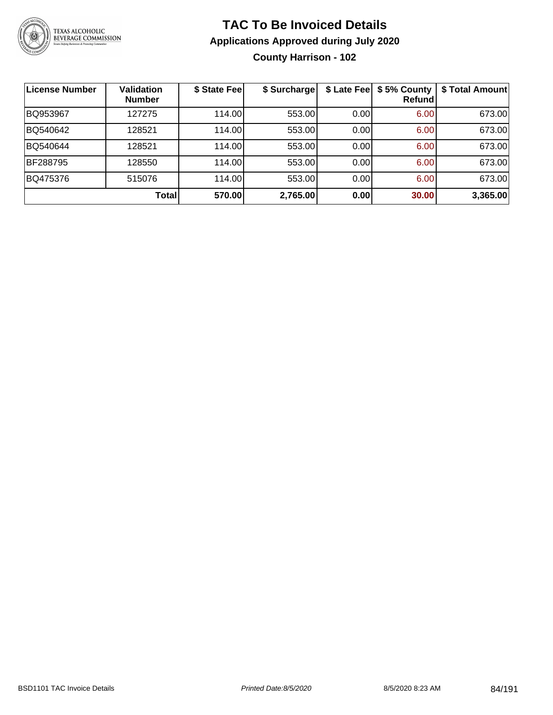

**County Harrison - 102**

| License Number | <b>Validation</b><br><b>Number</b> | \$ State Fee | \$ Surcharge | \$ Late Fee | \$5% County<br>Refundl | \$ Total Amount |
|----------------|------------------------------------|--------------|--------------|-------------|------------------------|-----------------|
| BQ953967       | 127275                             | 114.00       | 553.00       | 0.00        | 6.00                   | 673.00          |
| BQ540642       | 128521                             | 114.00       | 553.00       | 0.00        | 6.00                   | 673.00          |
| BQ540644       | 128521                             | 114.00       | 553.00       | 0.00        | 6.00                   | 673.00          |
| BF288795       | 128550                             | 114.00       | 553.00       | 0.00        | 6.00                   | 673.00          |
| BQ475376       | 515076                             | 114.00       | 553.00       | 0.00        | 6.00                   | 673.00          |
|                | <b>Total</b>                       | 570.00       | 2,765.00     | 0.00        | 30.00                  | 3,365.00        |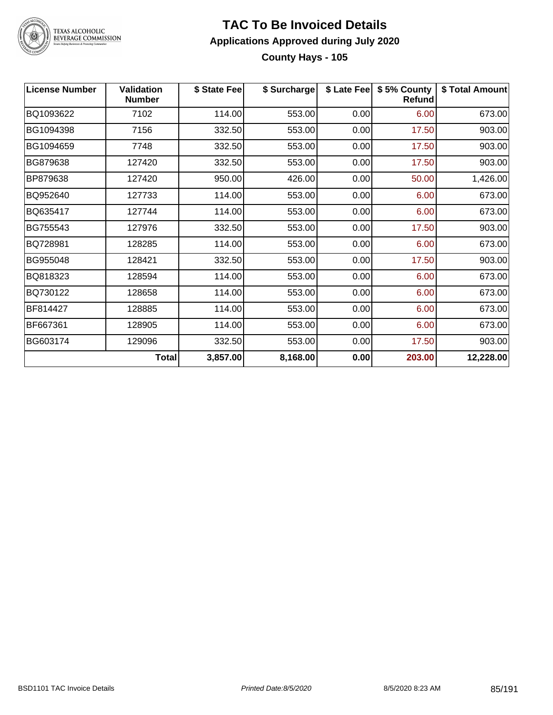

# TEXAS ALCOHOLIC<br>BEVERAGE COMMISSION

#### **TAC To Be Invoiced Details Applications Approved during July 2020 County Hays - 105**

| <b>License Number</b> | <b>Validation</b><br><b>Number</b> | \$ State Fee | \$ Surcharge | \$ Late Fee | \$5% County<br>Refund | \$ Total Amount |
|-----------------------|------------------------------------|--------------|--------------|-------------|-----------------------|-----------------|
| BQ1093622             | 7102                               | 114.00       | 553.00       | 0.00        | 6.00                  | 673.00          |
| BG1094398             | 7156                               | 332.50       | 553.00       | 0.00        | 17.50                 | 903.00          |
| BG1094659             | 7748                               | 332.50       | 553.00       | 0.00        | 17.50                 | 903.00          |
| BG879638              | 127420                             | 332.50       | 553.00       | 0.00        | 17.50                 | 903.00          |
| BP879638              | 127420                             | 950.00       | 426.00       | 0.00        | 50.00                 | 1,426.00        |
| BQ952640              | 127733                             | 114.00       | 553.00       | 0.00        | 6.00                  | 673.00          |
| BQ635417              | 127744                             | 114.00       | 553.00       | 0.00        | 6.00                  | 673.00          |
| BG755543              | 127976                             | 332.50       | 553.00       | 0.00        | 17.50                 | 903.00          |
| BQ728981              | 128285                             | 114.00       | 553.00       | 0.00        | 6.00                  | 673.00          |
| BG955048              | 128421                             | 332.50       | 553.00       | 0.00        | 17.50                 | 903.00          |
| BQ818323              | 128594                             | 114.00       | 553.00       | 0.00        | 6.00                  | 673.00          |
| BQ730122              | 128658                             | 114.00       | 553.00       | 0.00        | 6.00                  | 673.00          |
| BF814427              | 128885                             | 114.00       | 553.00       | 0.00        | 6.00                  | 673.00          |
| BF667361              | 128905                             | 114.00       | 553.00       | 0.00        | 6.00                  | 673.00          |
| BG603174              | 129096                             | 332.50       | 553.00       | 0.00        | 17.50                 | 903.00          |
|                       | Total                              | 3,857.00     | 8,168.00     | 0.00        | 203.00                | 12,228.00       |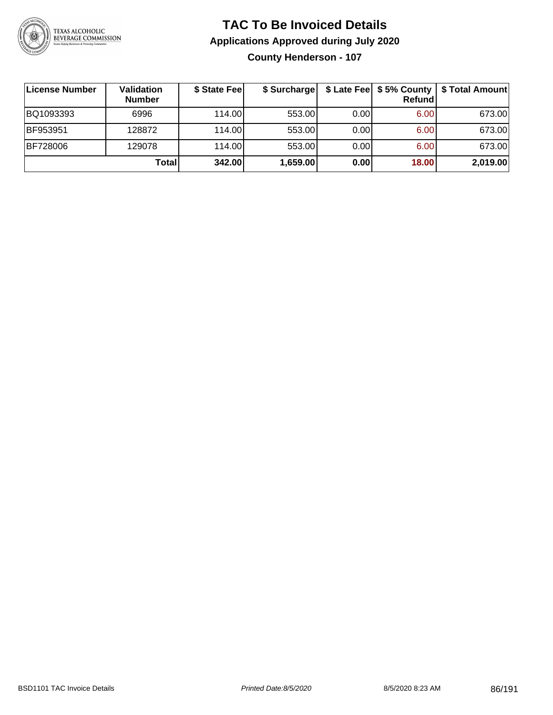

**County Henderson - 107**

| License Number  | <b>Validation</b><br><b>Number</b> | \$ State Fee | \$ Surcharge |       | <b>Refund</b> | \$ Late Fee   \$5% County   \$ Total Amount |
|-----------------|------------------------------------|--------------|--------------|-------|---------------|---------------------------------------------|
| BQ1093393       | 6996                               | 114.00       | 553.00       | 0.001 | 6.00          | 673.00                                      |
| <b>BF953951</b> | 128872                             | 114.00       | 553.00       | 0.00  | 6.00          | 673.00                                      |
| <b>BF728006</b> | 129078                             | 114.00L      | 553.00       | 0.00  | 6.00          | 673.00                                      |
|                 | Totall                             | 342.00       | 1,659.00     | 0.00  | 18.00         | 2,019.00                                    |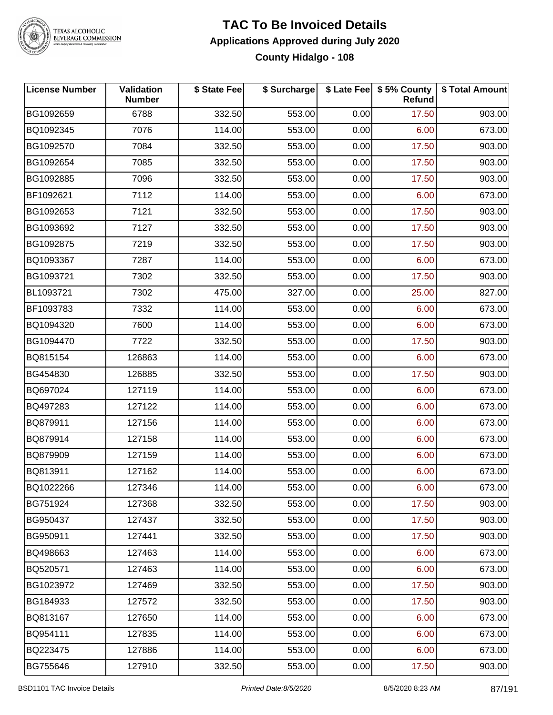

TEXAS ALCOHOLIC<br>BEVERAGE COMMISSION

#### **TAC To Be Invoiced Details Applications Approved during July 2020 County Hidalgo - 108**

| <b>License Number</b> | Validation<br><b>Number</b> | \$ State Fee | \$ Surcharge |      | \$ Late Fee   \$5% County<br>Refund | \$ Total Amount |
|-----------------------|-----------------------------|--------------|--------------|------|-------------------------------------|-----------------|
| BG1092659             | 6788                        | 332.50       | 553.00       | 0.00 | 17.50                               | 903.00          |
| BQ1092345             | 7076                        | 114.00       | 553.00       | 0.00 | 6.00                                | 673.00          |
| BG1092570             | 7084                        | 332.50       | 553.00       | 0.00 | 17.50                               | 903.00          |
| BG1092654             | 7085                        | 332.50       | 553.00       | 0.00 | 17.50                               | 903.00          |
| BG1092885             | 7096                        | 332.50       | 553.00       | 0.00 | 17.50                               | 903.00          |
| BF1092621             | 7112                        | 114.00       | 553.00       | 0.00 | 6.00                                | 673.00          |
| BG1092653             | 7121                        | 332.50       | 553.00       | 0.00 | 17.50                               | 903.00          |
| BG1093692             | 7127                        | 332.50       | 553.00       | 0.00 | 17.50                               | 903.00          |
| BG1092875             | 7219                        | 332.50       | 553.00       | 0.00 | 17.50                               | 903.00          |
| BQ1093367             | 7287                        | 114.00       | 553.00       | 0.00 | 6.00                                | 673.00          |
| BG1093721             | 7302                        | 332.50       | 553.00       | 0.00 | 17.50                               | 903.00          |
| BL1093721             | 7302                        | 475.00       | 327.00       | 0.00 | 25.00                               | 827.00          |
| BF1093783             | 7332                        | 114.00       | 553.00       | 0.00 | 6.00                                | 673.00          |
| BQ1094320             | 7600                        | 114.00       | 553.00       | 0.00 | 6.00                                | 673.00          |
| BG1094470             | 7722                        | 332.50       | 553.00       | 0.00 | 17.50                               | 903.00          |
| BQ815154              | 126863                      | 114.00       | 553.00       | 0.00 | 6.00                                | 673.00          |
| BG454830              | 126885                      | 332.50       | 553.00       | 0.00 | 17.50                               | 903.00          |
| BQ697024              | 127119                      | 114.00       | 553.00       | 0.00 | 6.00                                | 673.00          |
| BQ497283              | 127122                      | 114.00       | 553.00       | 0.00 | 6.00                                | 673.00          |
| BQ879911              | 127156                      | 114.00       | 553.00       | 0.00 | 6.00                                | 673.00          |
| BQ879914              | 127158                      | 114.00       | 553.00       | 0.00 | 6.00                                | 673.00          |
| BQ879909              | 127159                      | 114.00       | 553.00       | 0.00 | 6.00                                | 673.00          |
| BQ813911              | 127162                      | 114.00       | 553.00       | 0.00 | 6.00                                | 673.00          |
| BQ1022266             | 127346                      | 114.00       | 553.00       | 0.00 | 6.00                                | 673.00          |
| BG751924              | 127368                      | 332.50       | 553.00       | 0.00 | 17.50                               | 903.00          |
| BG950437              | 127437                      | 332.50       | 553.00       | 0.00 | 17.50                               | 903.00          |
| BG950911              | 127441                      | 332.50       | 553.00       | 0.00 | 17.50                               | 903.00          |
| BQ498663              | 127463                      | 114.00       | 553.00       | 0.00 | 6.00                                | 673.00          |
| BQ520571              | 127463                      | 114.00       | 553.00       | 0.00 | 6.00                                | 673.00          |
| BG1023972             | 127469                      | 332.50       | 553.00       | 0.00 | 17.50                               | 903.00          |
| BG184933              | 127572                      | 332.50       | 553.00       | 0.00 | 17.50                               | 903.00          |
| BQ813167              | 127650                      | 114.00       | 553.00       | 0.00 | 6.00                                | 673.00          |
| BQ954111              | 127835                      | 114.00       | 553.00       | 0.00 | 6.00                                | 673.00          |
| BQ223475              | 127886                      | 114.00       | 553.00       | 0.00 | 6.00                                | 673.00          |
| BG755646              | 127910                      | 332.50       | 553.00       | 0.00 | 17.50                               | 903.00          |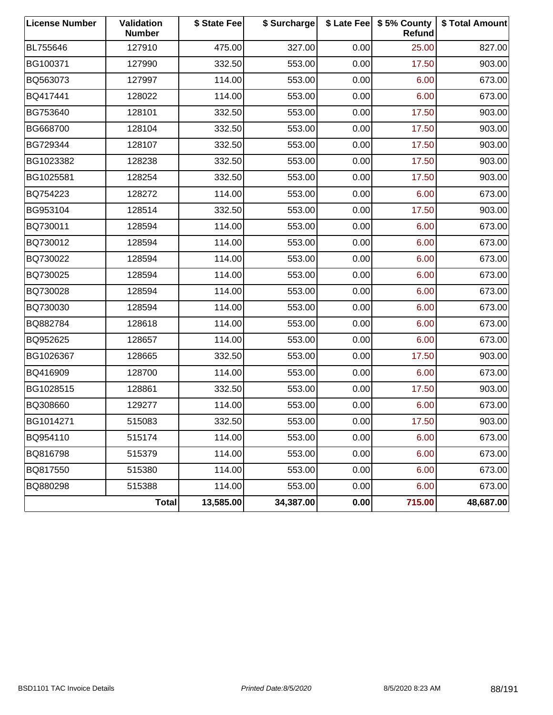| <b>License Number</b> | Validation<br><b>Number</b> | \$ State Fee | \$ Surcharge |      | \$ Late Fee   \$5% County<br><b>Refund</b> | \$ Total Amount |
|-----------------------|-----------------------------|--------------|--------------|------|--------------------------------------------|-----------------|
| BL755646              | 127910                      | 475.00       | 327.00       | 0.00 | 25.00                                      | 827.00          |
| BG100371              | 127990                      | 332.50       | 553.00       | 0.00 | 17.50                                      | 903.00          |
| BQ563073              | 127997                      | 114.00       | 553.00       | 0.00 | 6.00                                       | 673.00          |
| BQ417441              | 128022                      | 114.00       | 553.00       | 0.00 | 6.00                                       | 673.00          |
| BG753640              | 128101                      | 332.50       | 553.00       | 0.00 | 17.50                                      | 903.00          |
| BG668700              | 128104                      | 332.50       | 553.00       | 0.00 | 17.50                                      | 903.00          |
| BG729344              | 128107                      | 332.50       | 553.00       | 0.00 | 17.50                                      | 903.00          |
| BG1023382             | 128238                      | 332.50       | 553.00       | 0.00 | 17.50                                      | 903.00          |
| BG1025581             | 128254                      | 332.50       | 553.00       | 0.00 | 17.50                                      | 903.00          |
| BQ754223              | 128272                      | 114.00       | 553.00       | 0.00 | 6.00                                       | 673.00          |
| BG953104              | 128514                      | 332.50       | 553.00       | 0.00 | 17.50                                      | 903.00          |
| BQ730011              | 128594                      | 114.00       | 553.00       | 0.00 | 6.00                                       | 673.00          |
| BQ730012              | 128594                      | 114.00       | 553.00       | 0.00 | 6.00                                       | 673.00          |
| BQ730022              | 128594                      | 114.00       | 553.00       | 0.00 | 6.00                                       | 673.00          |
| BQ730025              | 128594                      | 114.00       | 553.00       | 0.00 | 6.00                                       | 673.00          |
| BQ730028              | 128594                      | 114.00       | 553.00       | 0.00 | 6.00                                       | 673.00          |
| BQ730030              | 128594                      | 114.00       | 553.00       | 0.00 | 6.00                                       | 673.00          |
| BQ882784              | 128618                      | 114.00       | 553.00       | 0.00 | 6.00                                       | 673.00          |
| BQ952625              | 128657                      | 114.00       | 553.00       | 0.00 | 6.00                                       | 673.00          |
| BG1026367             | 128665                      | 332.50       | 553.00       | 0.00 | 17.50                                      | 903.00          |
| BQ416909              | 128700                      | 114.00       | 553.00       | 0.00 | 6.00                                       | 673.00          |
| BG1028515             | 128861                      | 332.50       | 553.00       | 0.00 | 17.50                                      | 903.00          |
| BQ308660              | 129277                      | 114.00       | 553.00       | 0.00 | 6.00                                       | 673.00          |
| BG1014271             | 515083                      | 332.50       | 553.00       | 0.00 | 17.50                                      | 903.00          |
| BQ954110              | 515174                      | 114.00       | 553.00       | 0.00 | 6.00                                       | 673.00          |
| BQ816798              | 515379                      | 114.00       | 553.00       | 0.00 | 6.00                                       | 673.00          |
| BQ817550              | 515380                      | 114.00       | 553.00       | 0.00 | 6.00                                       | 673.00          |
| BQ880298              | 515388                      | 114.00       | 553.00       | 0.00 | 6.00                                       | 673.00          |
|                       | <b>Total</b>                | 13,585.00    | 34,387.00    | 0.00 | 715.00                                     | 48,687.00       |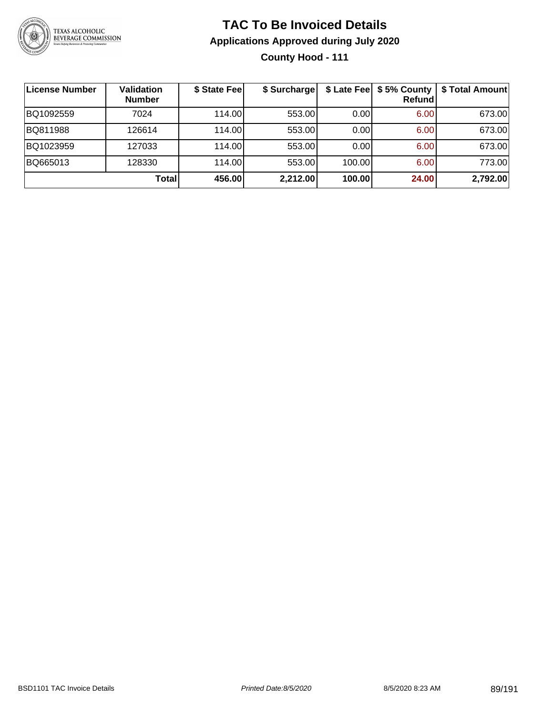

**County Hood - 111**

| License Number | <b>Validation</b><br><b>Number</b> | \$ State Fee | \$ Surcharge |        | \$ Late Fee   \$5% County  <br><b>Refund</b> | \$ Total Amount |
|----------------|------------------------------------|--------------|--------------|--------|----------------------------------------------|-----------------|
| BQ1092559      | 7024                               | 114.00L      | 553.00       | 0.00   | 6.00                                         | 673.00          |
| BQ811988       | 126614                             | 114.00       | 553.00       | 0.00   | 6.00                                         | 673.00          |
| BQ1023959      | 127033                             | 114.00L      | 553.00       | 0.00   | 6.00                                         | 673.00          |
| BQ665013       | 128330                             | 114.00       | 553.00       | 100.00 | 6.00                                         | 773.00          |
|                | Total                              | 456.00       | 2,212.00     | 100.00 | 24.00                                        | 2,792.00        |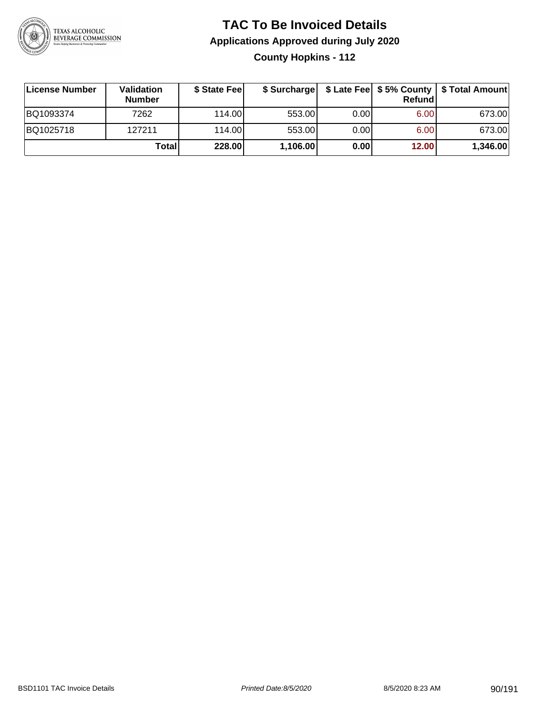

**County Hopkins - 112**

| License Number | Validation<br><b>Number</b> | \$ State Feel |          |      | <b>Refund</b> | \$ Surcharge   \$ Late Fee   \$5% County   \$ Total Amount |
|----------------|-----------------------------|---------------|----------|------|---------------|------------------------------------------------------------|
| BQ1093374      | 7262                        | 114.00        | 553.00   | 0.00 | 6.00          | 673.00                                                     |
| BQ1025718      | 127211                      | 114.00        | 553.00   | 0.00 | 6.00          | 673.00                                                     |
|                | <b>Total</b>                | 228.00        | 1,106.00 | 0.00 | 12.00         | 1,346.00                                                   |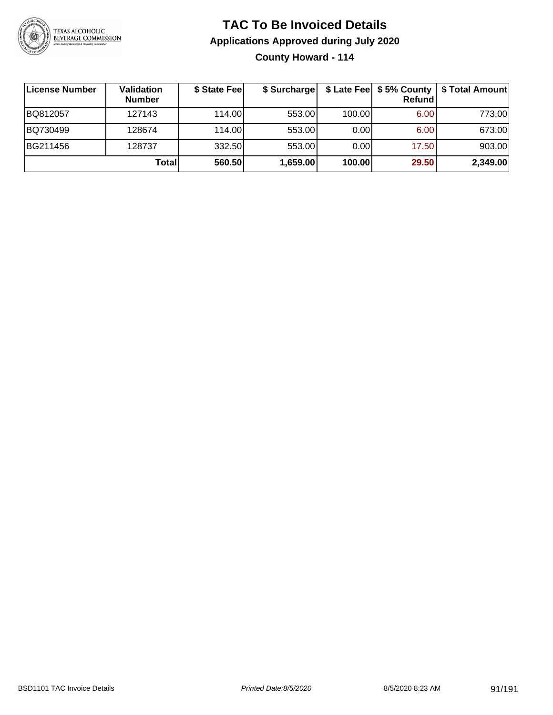

**County Howard - 114**

| License Number | <b>Validation</b><br><b>Number</b> | \$ State Feel | \$ Surcharge |        | Refundl | \$ Late Fee   \$5% County   \$ Total Amount |
|----------------|------------------------------------|---------------|--------------|--------|---------|---------------------------------------------|
| BQ812057       | 127143                             | 114.00        | 553.00       | 100.00 | 6.00    | 773.00                                      |
| BQ730499       | 128674                             | 114.00        | 553.00       | 0.001  | 6.00    | 673.00                                      |
| BG211456       | 128737                             | 332.50        | 553.00       | 0.001  | 17.50   | 903.00                                      |
|                | Total                              | 560.50        | 1,659.00     | 100.00 | 29.50   | 2,349.00                                    |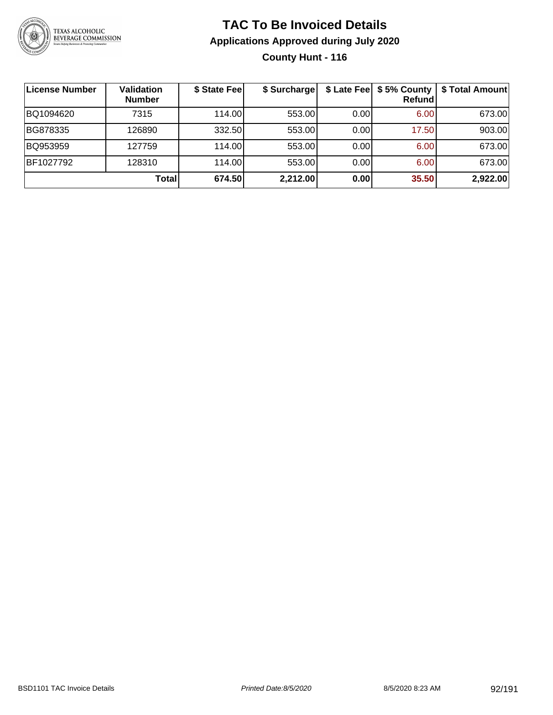

#### **TAC To Be Invoiced Details Applications Approved during July 2020 County Hunt - 116**

| ∣License Number | <b>Validation</b><br><b>Number</b> | \$ State Fee | \$ Surcharge | \$ Late Fee | \$5% County<br>Refund | \$ Total Amount |
|-----------------|------------------------------------|--------------|--------------|-------------|-----------------------|-----------------|
| BQ1094620       | 7315                               | 114.00       | 553.00       | 0.00        | 6.00                  | 673.00          |
| BG878335        | 126890                             | 332.50       | 553.00       | 0.00        | 17.50                 | 903.00          |
| BQ953959        | 127759                             | 114.00       | 553.00       | 0.00        | 6.00                  | 673.00          |
| BF1027792       | 128310                             | 114.00       | 553.00       | 0.00        | 6.00                  | 673.00          |
|                 | Total                              | 674.50       | 2,212.00     | 0.00        | 35.50                 | 2,922.00        |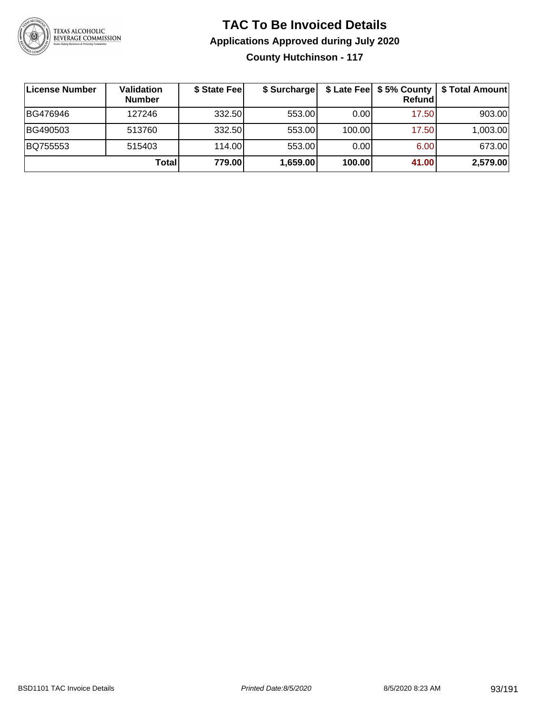

**County Hutchinson - 117**

| License Number | <b>Validation</b><br><b>Number</b> | \$ State Fee | \$ Surcharge |        | <b>Refund</b> | \$ Late Fee   \$5% County   \$ Total Amount |
|----------------|------------------------------------|--------------|--------------|--------|---------------|---------------------------------------------|
| BG476946       | 127246                             | 332.50       | 553.00       | 0.00   | 17.50         | 903.00                                      |
| BG490503       | 513760                             | 332.50       | 553.00       | 100.00 | 17.50         | 1,003.00                                    |
| BQ755553       | 515403                             | 114.00L      | 553.00       | 0.00   | 6.00          | 673.00                                      |
|                | Total                              | 779.00       | 1,659.00     | 100.00 | 41.00         | 2,579.00                                    |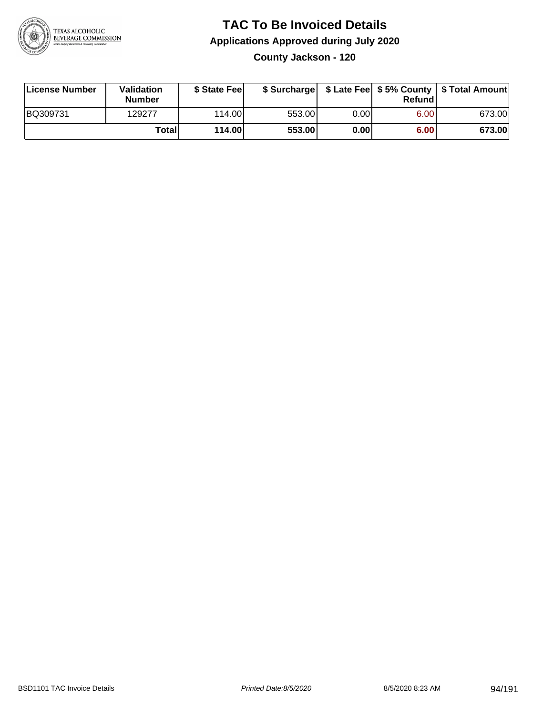

**County Jackson - 120**

| License Number | Validation<br><b>Number</b> | \$ State Feel |        |       | Refundl | \$ Surcharge   \$ Late Fee   \$5% County   \$ Total Amount |
|----------------|-----------------------------|---------------|--------|-------|---------|------------------------------------------------------------|
| BQ309731       | 129277                      | 114.00        | 553.00 | 0.00  | 6.00    | 673.00                                                     |
|                | Totall                      | 114.00        | 553.00 | 0.001 | 6.00    | 673.00                                                     |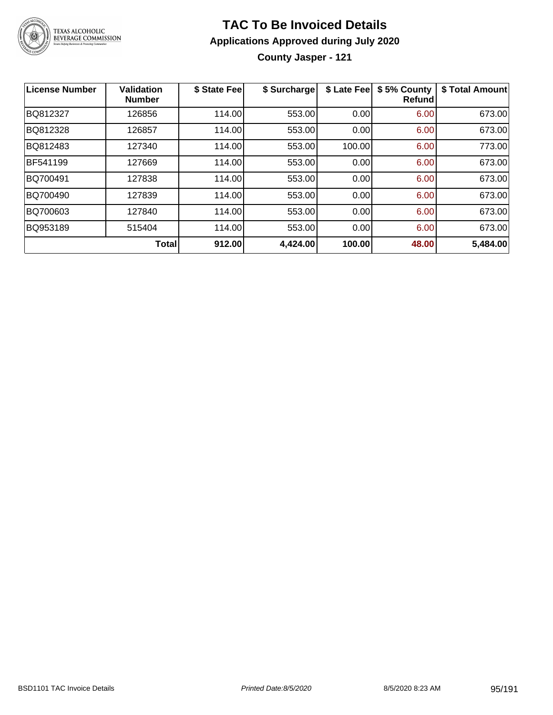

**County Jasper - 121**

| License Number | <b>Validation</b><br><b>Number</b> | \$ State Feel | \$ Surcharge | \$ Late Fee | \$5% County<br>Refundl | \$ Total Amount |
|----------------|------------------------------------|---------------|--------------|-------------|------------------------|-----------------|
| BQ812327       | 126856                             | 114.00        | 553.00       | 0.00        | 6.00                   | 673.00          |
| BQ812328       | 126857                             | 114.00        | 553.00       | 0.00        | 6.00                   | 673.00          |
| BQ812483       | 127340                             | 114.00        | 553.00       | 100.00      | 6.00                   | 773.00          |
| BF541199       | 127669                             | 114.00        | 553.00       | 0.00        | 6.00                   | 673.00          |
| BQ700491       | 127838                             | 114.00        | 553.00       | 0.00        | 6.00                   | 673.00          |
| BQ700490       | 127839                             | 114.00        | 553.00       | 0.00        | 6.00                   | 673.00          |
| BQ700603       | 127840                             | 114.00        | 553.00       | 0.00        | 6.00                   | 673.00          |
| BQ953189       | 515404                             | 114.00        | 553.00       | 0.00        | 6.00                   | 673.00          |
|                | <b>Total</b>                       | 912.00        | 4,424.00     | 100.00      | 48.00                  | 5,484.00        |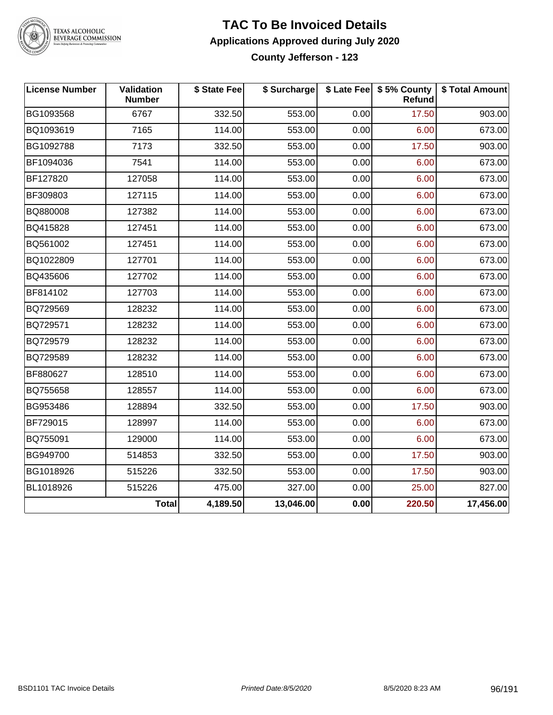

# TEXAS ALCOHOLIC<br>BEVERAGE COMMISSION

#### **TAC To Be Invoiced Details Applications Approved during July 2020 County Jefferson - 123**

| <b>License Number</b> | Validation<br><b>Number</b> | \$ State Fee | \$ Surcharge |      | \$ Late Fee   \$5% County<br><b>Refund</b> | \$ Total Amount |
|-----------------------|-----------------------------|--------------|--------------|------|--------------------------------------------|-----------------|
| BG1093568             | 6767                        | 332.50       | 553.00       | 0.00 | 17.50                                      | 903.00          |
| BQ1093619             | 7165                        | 114.00       | 553.00       | 0.00 | 6.00                                       | 673.00          |
| BG1092788             | 7173                        | 332.50       | 553.00       | 0.00 | 17.50                                      | 903.00          |
| BF1094036             | 7541                        | 114.00       | 553.00       | 0.00 | 6.00                                       | 673.00          |
| BF127820              | 127058                      | 114.00       | 553.00       | 0.00 | 6.00                                       | 673.00          |
| BF309803              | 127115                      | 114.00       | 553.00       | 0.00 | 6.00                                       | 673.00          |
| BQ880008              | 127382                      | 114.00       | 553.00       | 0.00 | 6.00                                       | 673.00          |
| BQ415828              | 127451                      | 114.00       | 553.00       | 0.00 | 6.00                                       | 673.00          |
| BQ561002              | 127451                      | 114.00       | 553.00       | 0.00 | 6.00                                       | 673.00          |
| BQ1022809             | 127701                      | 114.00       | 553.00       | 0.00 | 6.00                                       | 673.00          |
| BQ435606              | 127702                      | 114.00       | 553.00       | 0.00 | 6.00                                       | 673.00          |
| BF814102              | 127703                      | 114.00       | 553.00       | 0.00 | 6.00                                       | 673.00          |
| BQ729569              | 128232                      | 114.00       | 553.00       | 0.00 | 6.00                                       | 673.00          |
| BQ729571              | 128232                      | 114.00       | 553.00       | 0.00 | 6.00                                       | 673.00          |
| BQ729579              | 128232                      | 114.00       | 553.00       | 0.00 | 6.00                                       | 673.00          |
| BQ729589              | 128232                      | 114.00       | 553.00       | 0.00 | 6.00                                       | 673.00          |
| BF880627              | 128510                      | 114.00       | 553.00       | 0.00 | 6.00                                       | 673.00          |
| BQ755658              | 128557                      | 114.00       | 553.00       | 0.00 | 6.00                                       | 673.00          |
| BG953486              | 128894                      | 332.50       | 553.00       | 0.00 | 17.50                                      | 903.00          |
| BF729015              | 128997                      | 114.00       | 553.00       | 0.00 | 6.00                                       | 673.00          |
| BQ755091              | 129000                      | 114.00       | 553.00       | 0.00 | 6.00                                       | 673.00          |
| BG949700              | 514853                      | 332.50       | 553.00       | 0.00 | 17.50                                      | 903.00          |
| BG1018926             | 515226                      | 332.50       | 553.00       | 0.00 | 17.50                                      | 903.00          |
| BL1018926             | 515226                      | 475.00       | 327.00       | 0.00 | 25.00                                      | 827.00          |
|                       | <b>Total</b>                | 4,189.50     | 13,046.00    | 0.00 | 220.50                                     | 17,456.00       |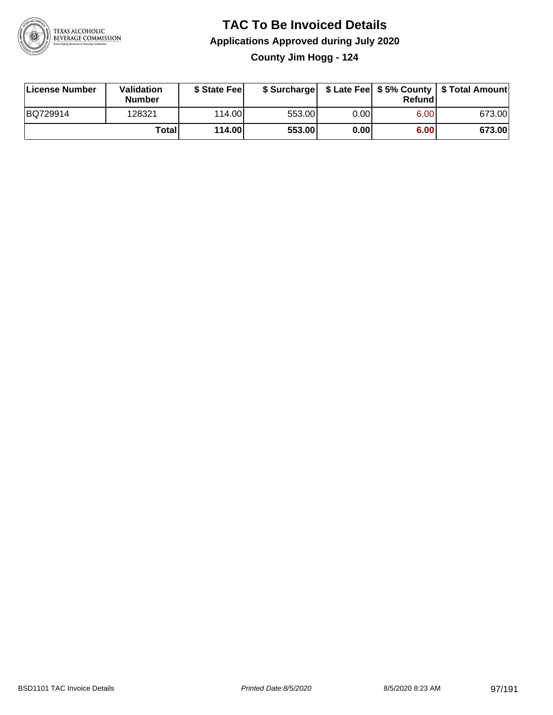

**County Jim Hogg - 124**

| License Number | Validation<br><b>Number</b> | \$ State Feel |        |       | Refundl | \$ Surcharge   \$ Late Fee   \$5% County   \$ Total Amount |
|----------------|-----------------------------|---------------|--------|-------|---------|------------------------------------------------------------|
| BQ729914       | 128321                      | 114.00        | 553.00 | 0.00  | 6.00    | 673.00                                                     |
|                | Totall                      | 114.00        | 553.00 | 0.001 | 6.00    | 673.00                                                     |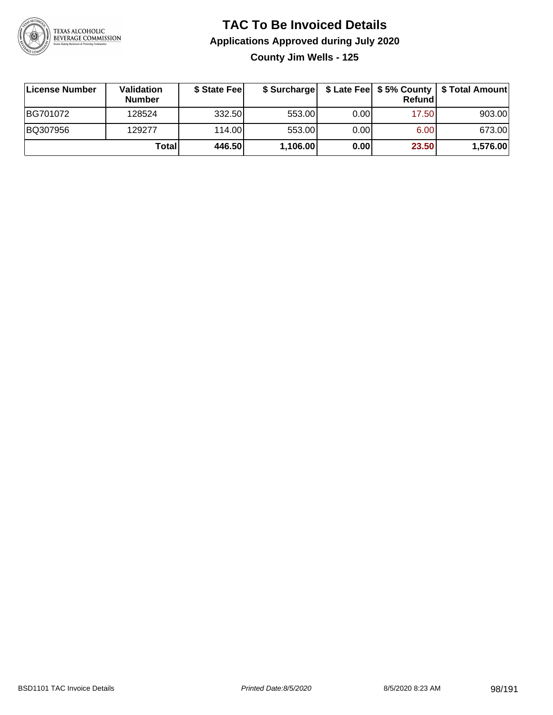

**County Jim Wells - 125**

| ∣License Number | <b>Validation</b><br><b>Number</b> | \$ State Fee |          |      | <b>Refund</b> | \$ Surcharge   \$ Late Fee   \$5% County   \$ Total Amount |
|-----------------|------------------------------------|--------------|----------|------|---------------|------------------------------------------------------------|
| BG701072        | 128524                             | 332.50       | 553.00   | 0.00 | 17.50         | 903.00                                                     |
| BQ307956        | 129277                             | 114.00       | 553.00   | 0.00 | 6.00          | 673.00                                                     |
|                 | Totall                             | 446.50       | 1,106.00 | 0.00 | 23.50         | 1,576.00                                                   |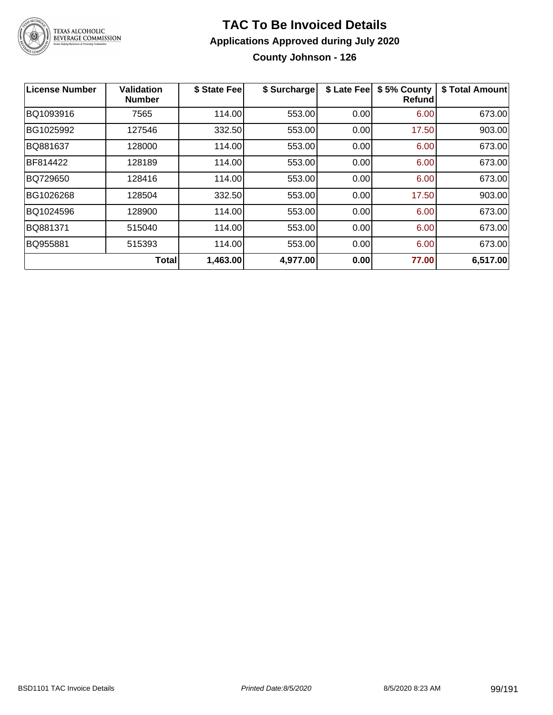

**County Johnson - 126**

| <b>License Number</b> | <b>Validation</b><br><b>Number</b> | \$ State Fee | \$ Surcharge | \$ Late Fee | \$5% County<br>Refundl | \$ Total Amount |
|-----------------------|------------------------------------|--------------|--------------|-------------|------------------------|-----------------|
| BQ1093916             | 7565                               | 114.00       | 553.00       | 0.00        | 6.00                   | 673.00          |
| BG1025992             | 127546                             | 332.50       | 553.00       | 0.00        | 17.50                  | 903.00          |
| BQ881637              | 128000                             | 114.00       | 553.00       | 0.00        | 6.00                   | 673.00          |
| BF814422              | 128189                             | 114.00       | 553.00       | 0.00        | 6.00                   | 673.00          |
| BQ729650              | 128416                             | 114.00       | 553.00       | 0.00        | 6.00                   | 673.00          |
| BG1026268             | 128504                             | 332.50       | 553.00       | 0.00        | 17.50                  | 903.00          |
| BQ1024596             | 128900                             | 114.00       | 553.00       | 0.00        | 6.00                   | 673.00          |
| BQ881371              | 515040                             | 114.00       | 553.00       | 0.00        | 6.00                   | 673.00          |
| BQ955881              | 515393                             | 114.00       | 553.00       | 0.00        | 6.00                   | 673.00          |
|                       | <b>Total</b>                       | 1,463.00     | 4,977.00     | 0.00        | 77.00                  | 6,517.00        |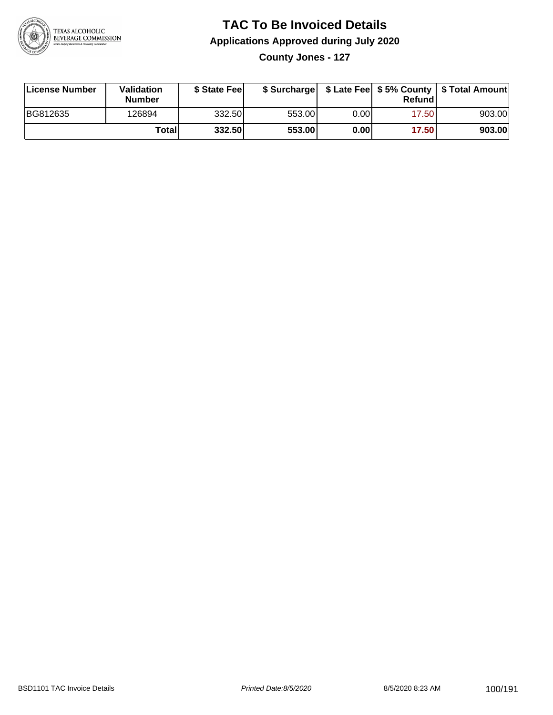

**County Jones - 127**

| License Number | Validation<br><b>Number</b> | \$ State Feel |        |       | Refundl | \$ Surcharge   \$ Late Fee   \$5% County   \$ Total Amount |
|----------------|-----------------------------|---------------|--------|-------|---------|------------------------------------------------------------|
| BG812635       | 126894                      | 332.50        | 553.00 | 0.00  | 17.50   | 903.00                                                     |
|                | Totall                      | 332.50        | 553.00 | 0.001 | 17.50   | 903.00                                                     |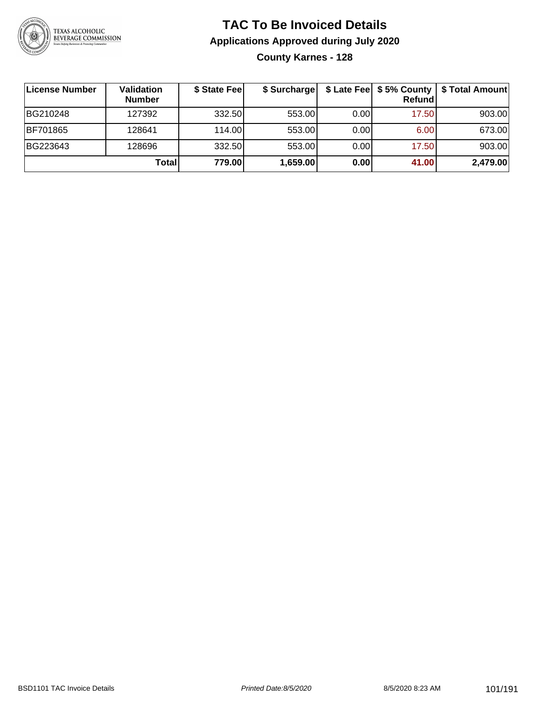

#### **TAC To Be Invoiced Details Applications Approved during July 2020 County Karnes - 128**

| ∣License Number | Validation<br><b>Number</b> | \$ State Fee | \$ Surcharge |      | \$ Late Fee   \$5% County<br>Refundl | \$ Total Amount |
|-----------------|-----------------------------|--------------|--------------|------|--------------------------------------|-----------------|
| BG210248        | 127392                      | 332.50       | 553.00       | 0.00 | 17.50                                | 903.00          |
| <b>BF701865</b> | 128641                      | 114.00       | 553.00       | 0.00 | 6.00                                 | 673.00          |
| BG223643        | 128696                      | 332.50       | 553.00       | 0.00 | 17.50                                | 903.00          |
|                 | Total                       | 779.00       | 1,659.00     | 0.00 | 41.00                                | 2,479.00        |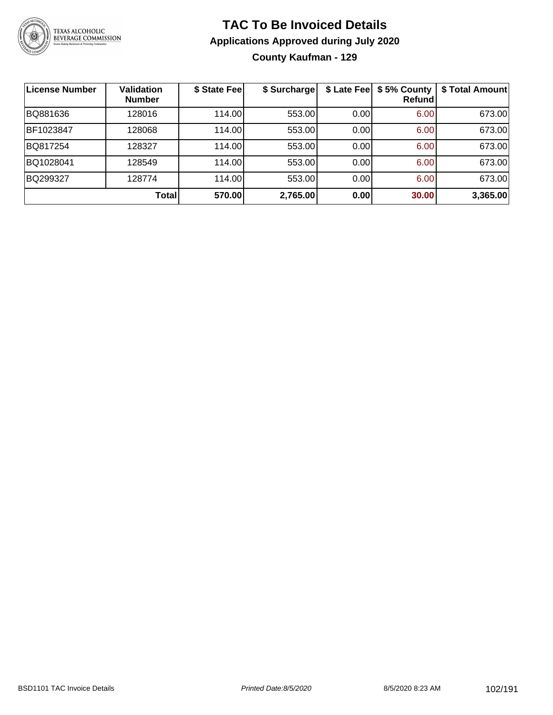

#### **TAC To Be Invoiced Details Applications Approved during July 2020 County Kaufman - 129**

| License Number | <b>Validation</b><br><b>Number</b> | \$ State Feel | \$ Surcharge | \$ Late Fee | \$5% County<br>Refund | \$ Total Amount |
|----------------|------------------------------------|---------------|--------------|-------------|-----------------------|-----------------|
| BQ881636       | 128016                             | 114.00        | 553.00       | 0.00        | 6.00                  | 673.00          |
| BF1023847      | 128068                             | 114.00        | 553.00       | 0.00        | 6.00                  | 673.00          |
| BQ817254       | 128327                             | 114.00        | 553.00       | 0.00        | 6.00                  | 673.00          |
| BQ1028041      | 128549                             | 114.00        | 553.00       | 0.00        | 6.00                  | 673.00          |
| BQ299327       | 128774                             | 114.00        | 553.00       | 0.00        | 6.00                  | 673.00          |
|                | <b>Total</b>                       | 570.00        | 2,765.00     | 0.00        | 30.00                 | 3,365.00        |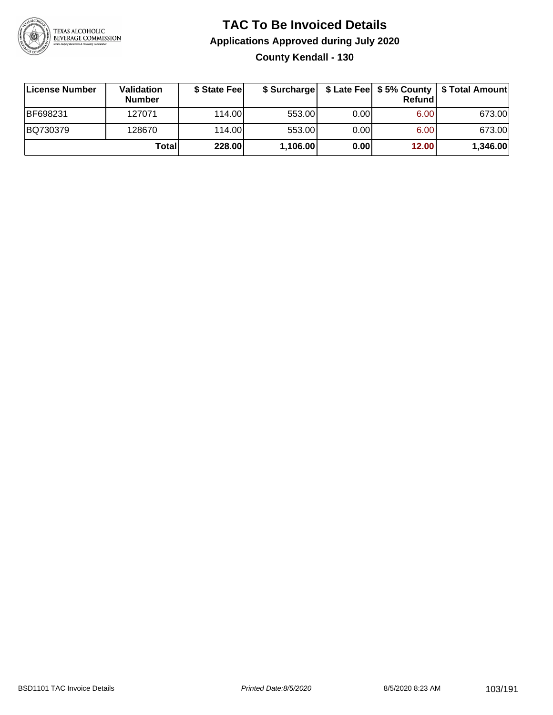

#### **TAC To Be Invoiced Details Applications Approved during July 2020 County Kendall - 130**

| License Number | Validation<br><b>Number</b> | \$ State Fee | \$ Surcharge |       | Refund | \$ Late Fee   \$5% County   \$ Total Amount |
|----------------|-----------------------------|--------------|--------------|-------|--------|---------------------------------------------|
| BF698231       | 127071                      | 114.00L      | 553.00       | 0.001 | 6.00   | 673.00                                      |
| BQ730379       | 128670                      | 114.00L      | 553.00       | 0.00  | 6.00   | 673.00                                      |
|                | Total                       | 228.00       | 1,106.00     | 0.00  | 12.00  | 1,346.00                                    |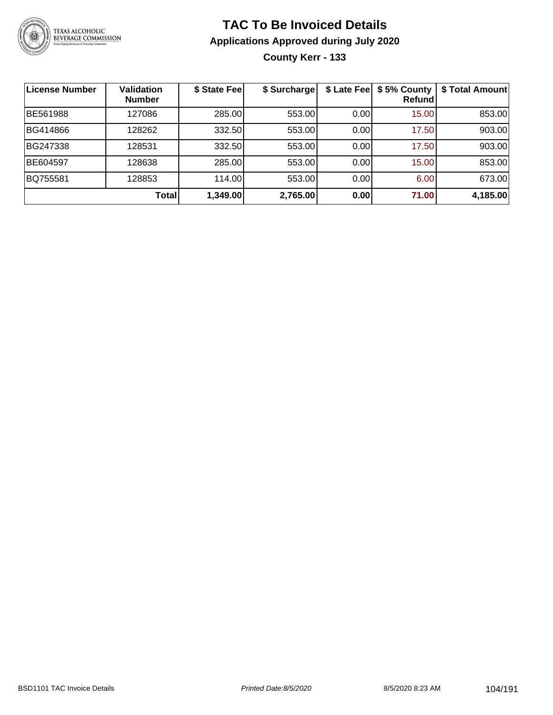

**County Kerr - 133**

| License Number | <b>Validation</b><br><b>Number</b> | \$ State Fee | \$ Surcharge | \$ Late Fee | \$5% County<br>Refundl | \$ Total Amount |
|----------------|------------------------------------|--------------|--------------|-------------|------------------------|-----------------|
| BE561988       | 127086                             | 285.00       | 553.00       | 0.00        | 15.00                  | 853.00          |
| BG414866       | 128262                             | 332.50       | 553.00       | 0.00        | 17.50                  | 903.00          |
| BG247338       | 128531                             | 332.50       | 553.00       | 0.001       | 17.50                  | 903.00          |
| BE604597       | 128638                             | 285.00       | 553.00       | 0.00        | 15.00                  | 853.00          |
| BQ755581       | 128853                             | 114.00       | 553.00       | 0.001       | 6.00                   | 673.00          |
|                | <b>Total</b>                       | 1,349.00     | 2,765.00     | 0.00        | 71.00                  | 4,185.00        |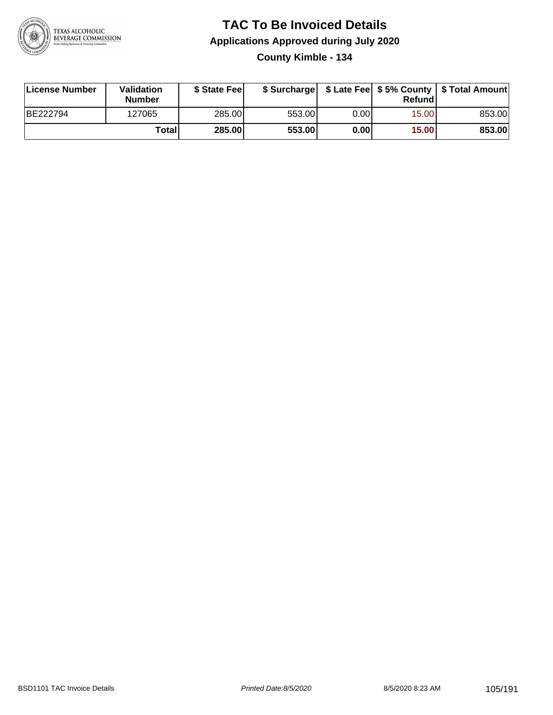

#### **TAC To Be Invoiced Details Applications Approved during July 2020 County Kimble - 134**

| License Number | Validation<br>Number | \$ State Fee |        |      | Refundl | \$ Surcharge   \$ Late Fee   \$5% County   \$ Total Amount |
|----------------|----------------------|--------------|--------|------|---------|------------------------------------------------------------|
| BE222794       | 127065               | 285.00       | 553.00 | 0.00 | 15.00   | 853.00                                                     |
|                | Totall               | 285.00       | 553.00 | 0.00 | 15.00   | 853.00                                                     |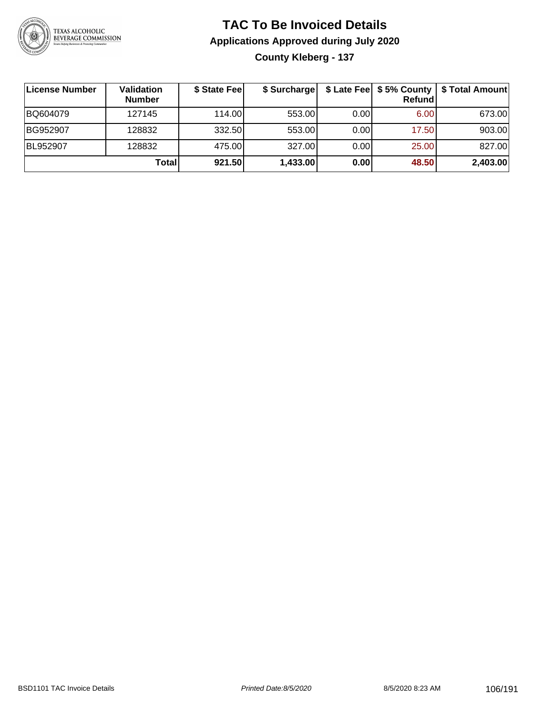

### **TAC To Be Invoiced Details Applications Approved during July 2020 County Kleberg - 137**

| ∣License Number | <b>Validation</b><br><b>Number</b> | \$ State Feel | \$ Surcharge |      | Refund | \$ Late Fee   \$5% County   \$ Total Amount |
|-----------------|------------------------------------|---------------|--------------|------|--------|---------------------------------------------|
| BQ604079        | 127145                             | 114.00        | 553.00       | 0.00 | 6.00   | 673.00                                      |
| BG952907        | 128832                             | 332.50        | 553.00       | 0.00 | 17.50  | 903.00                                      |
| BL952907        | 128832                             | 475.00        | 327.00       | 0.00 | 25.00  | 827.00                                      |
|                 | Total                              | 921.50        | 1,433.00     | 0.00 | 48.50  | 2,403.00                                    |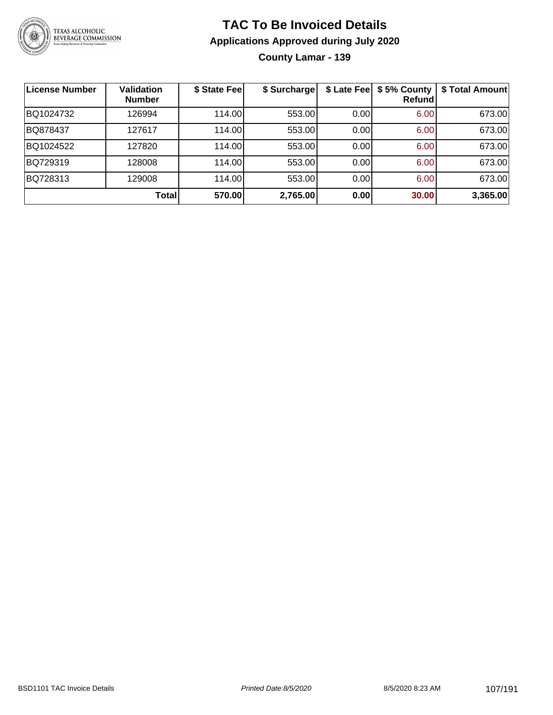

**County Lamar - 139**

| <b>License Number</b> | <b>Validation</b><br><b>Number</b> | \$ State Fee | \$ Surcharge |      | \$ Late Fee   \$5% County<br>Refundl | \$ Total Amount |
|-----------------------|------------------------------------|--------------|--------------|------|--------------------------------------|-----------------|
| BQ1024732             | 126994                             | 114.00       | 553.00       | 0.00 | 6.00                                 | 673.00          |
| BQ878437              | 127617                             | 114.00       | 553.00       | 0.00 | 6.00                                 | 673.00          |
| BQ1024522             | 127820                             | 114.00       | 553.00       | 0.00 | 6.00                                 | 673.00          |
| BQ729319              | 128008                             | 114.00       | 553.00       | 0.00 | 6.00                                 | 673.00          |
| BQ728313              | 129008                             | 114.00       | 553.00       | 0.00 | 6.00                                 | 673.00          |
|                       | <b>Total</b>                       | 570.00       | 2,765.00     | 0.00 | 30.00                                | 3,365.00        |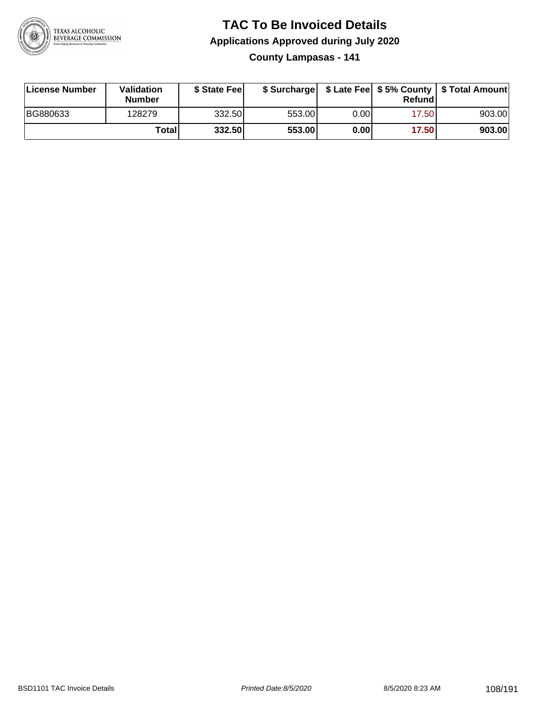

**County Lampasas - 141**

| License Number | Validation<br><b>Number</b> | \$ State Feel |        |      | Refundl | \$ Surcharge   \$ Late Fee   \$5% County   \$ Total Amount |
|----------------|-----------------------------|---------------|--------|------|---------|------------------------------------------------------------|
| BG880633       | 128279                      | 332.50        | 553.00 | 0.00 | 17.50   | 903.00                                                     |
|                | Totall                      | 332.50        | 553.00 | 0.00 | 17.50   | 903.00                                                     |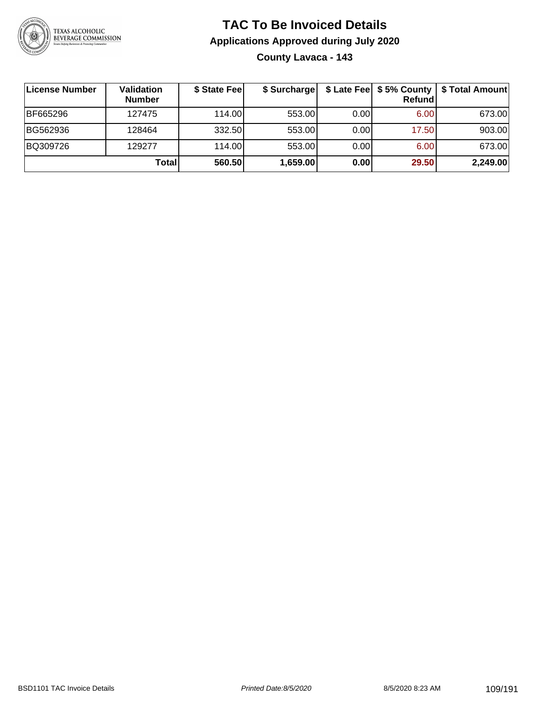

### **TAC To Be Invoiced Details Applications Approved during July 2020 County Lavaca - 143**

| License Number | Validation<br><b>Number</b> | \$ State Fee | \$ Surcharge |      | \$ Late Fee   \$5% County<br>Refund | \$ Total Amount |
|----------------|-----------------------------|--------------|--------------|------|-------------------------------------|-----------------|
| BF665296       | 127475                      | 114.00L      | 553.00       | 0.00 | 6.00                                | 673.00          |
| BG562936       | 128464                      | 332.50       | 553.00       | 0.00 | 17.50                               | 903.00          |
| BQ309726       | 129277                      | 114.00       | 553.00       | 0.00 | 6.00                                | 673.00          |
|                | Total                       | 560.50       | 1,659.00     | 0.00 | 29.50                               | 2,249.00        |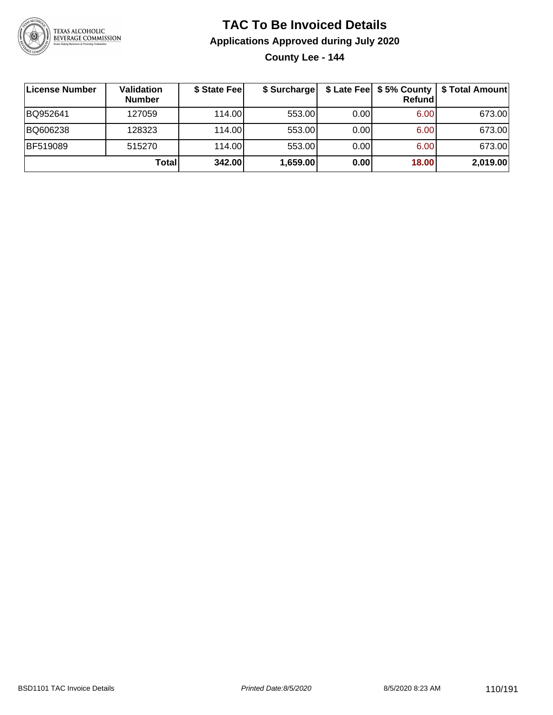

**County Lee - 144**

| License Number  | Validation<br><b>Number</b> | \$ State Fee | \$ Surcharge |       | <b>Refund</b> | \$ Late Fee   \$5% County   \$ Total Amount |
|-----------------|-----------------------------|--------------|--------------|-------|---------------|---------------------------------------------|
| BQ952641        | 127059                      | 114.00       | 553.00       | 0.001 | 6.00          | 673.00                                      |
| BQ606238        | 128323                      | 114.00       | 553.00       | 0.00  | 6.00          | 673.00                                      |
| <b>BF519089</b> | 515270                      | 114.00L      | 553.00       | 0.00  | 6.00          | 673.00                                      |
|                 | Total                       | 342.00       | 1,659.00     | 0.00  | 18.00         | 2,019.00                                    |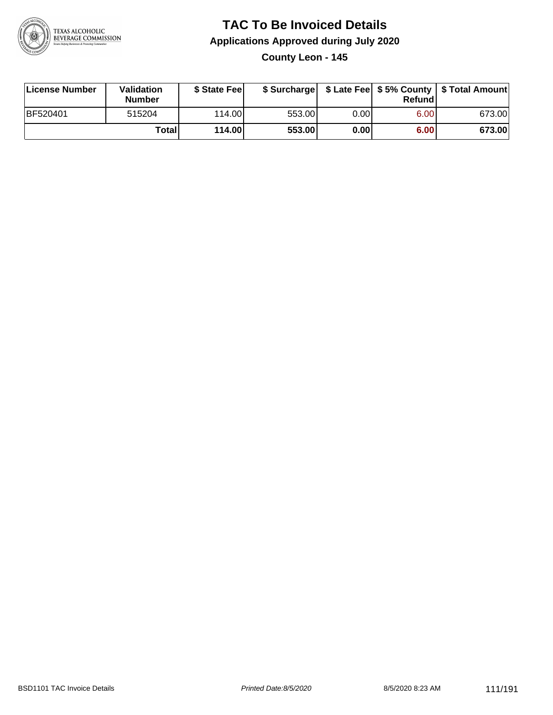

**County Leon - 145**

| License Number | <b>Validation</b><br><b>Number</b> | \$ State Feel |        |      | Refundl | \$ Surcharge   \$ Late Fee   \$5% County   \$ Total Amount |
|----------------|------------------------------------|---------------|--------|------|---------|------------------------------------------------------------|
| BF520401       | 515204                             | 114.00L       | 553.00 | 0.00 | 6.00    | 673.00                                                     |
|                | Totall                             | 114.00        | 553.00 | 0.00 | 6.00    | 673.00                                                     |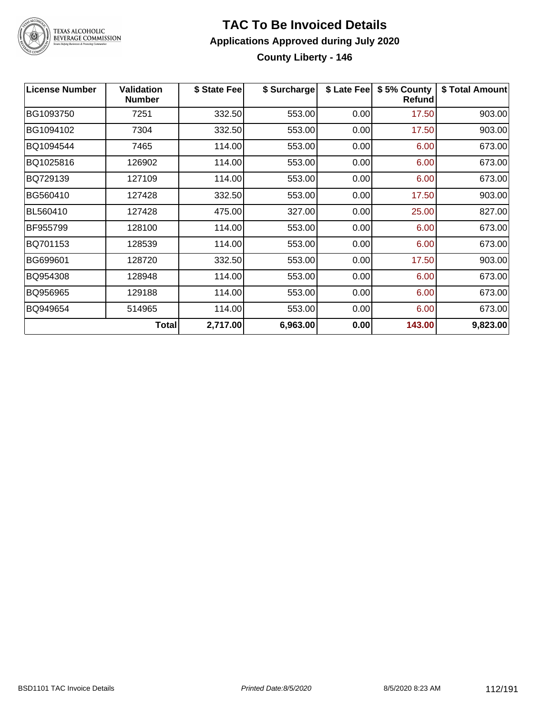

# TEXAS ALCOHOLIC<br>BEVERAGE COMMISSION

### **TAC To Be Invoiced Details Applications Approved during July 2020 County Liberty - 146**

| <b>License Number</b> | <b>Validation</b><br><b>Number</b> | \$ State Fee | \$ Surcharge | \$ Late Fee | \$5% County<br>Refund | \$ Total Amount |
|-----------------------|------------------------------------|--------------|--------------|-------------|-----------------------|-----------------|
| BG1093750             | 7251                               | 332.50       | 553.00       | 0.00        | 17.50                 | 903.00          |
| BG1094102             | 7304                               | 332.50       | 553.00       | 0.00        | 17.50                 | 903.00          |
| BQ1094544             | 7465                               | 114.00       | 553.00       | 0.00        | 6.00                  | 673.00          |
| BQ1025816             | 126902                             | 114.00       | 553.00       | 0.00        | 6.00                  | 673.00          |
| BQ729139              | 127109                             | 114.00       | 553.00       | 0.00        | 6.00                  | 673.00          |
| BG560410              | 127428                             | 332.50       | 553.00       | 0.00        | 17.50                 | 903.00          |
| BL560410              | 127428                             | 475.00       | 327.00       | 0.00        | 25.00                 | 827.00          |
| BF955799              | 128100                             | 114.00       | 553.00       | 0.00        | 6.00                  | 673.00          |
| BQ701153              | 128539                             | 114.00       | 553.00       | 0.00        | 6.00                  | 673.00          |
| BG699601              | 128720                             | 332.50       | 553.00       | 0.00        | 17.50                 | 903.00          |
| BQ954308              | 128948                             | 114.00       | 553.00       | 0.00        | 6.00                  | 673.00          |
| BQ956965              | 129188                             | 114.00       | 553.00       | 0.00        | 6.00                  | 673.00          |
| BQ949654              | 514965                             | 114.00       | 553.00       | 0.00        | 6.00                  | 673.00          |
|                       | <b>Total</b>                       | 2,717.00     | 6,963.00     | 0.00        | 143.00                | 9,823.00        |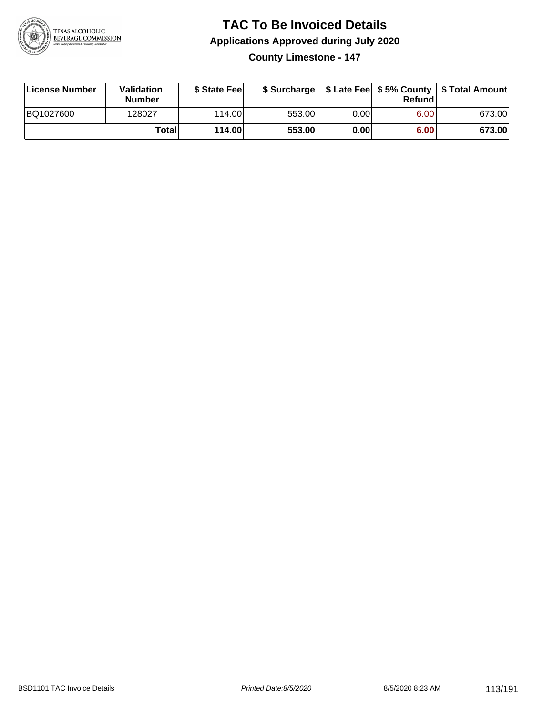

**County Limestone - 147**

| License Number | Validation<br><b>Number</b> | \$ State Feel |        |      | Refundl | \$ Surcharge   \$ Late Fee   \$5% County   \$ Total Amount |
|----------------|-----------------------------|---------------|--------|------|---------|------------------------------------------------------------|
| BQ1027600      | 128027                      | 114.00        | 553.00 | 0.00 | 6.00    | 673.00                                                     |
|                | Totall                      | 114.00        | 553.00 | 0.00 | 6.00    | 673.00                                                     |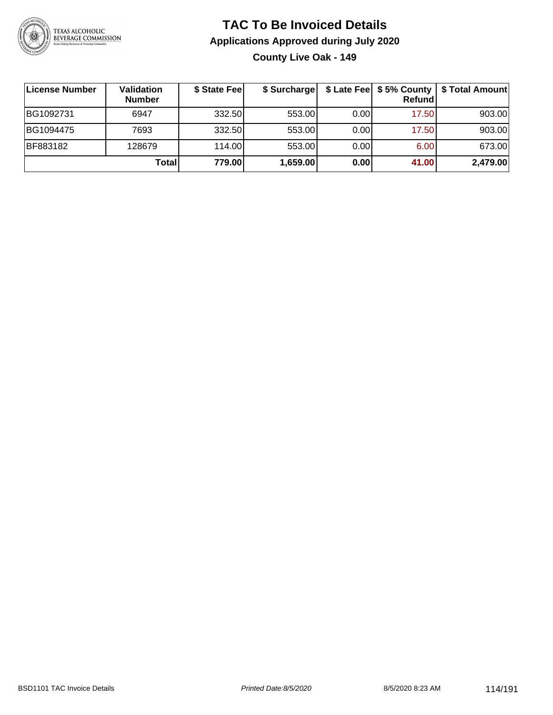

**County Live Oak - 149**

| <b>License Number</b> | Validation<br><b>Number</b> | \$ State Fee | \$ Surcharge |      | Refundl | \$ Late Fee   \$5% County   \$ Total Amount |
|-----------------------|-----------------------------|--------------|--------------|------|---------|---------------------------------------------|
| BG1092731             | 6947                        | 332.50       | 553.00       | 0.00 | 17.50   | 903.00                                      |
| BG1094475             | 7693                        | 332.50       | 553.00       | 0.00 | 17.50   | 903.00                                      |
| BF883182              | 128679                      | 114.00       | 553.00       | 0.00 | 6.00    | 673.00                                      |
|                       | <b>Total</b>                | 779.00       | 1,659.00     | 0.00 | 41.00   | 2,479.00                                    |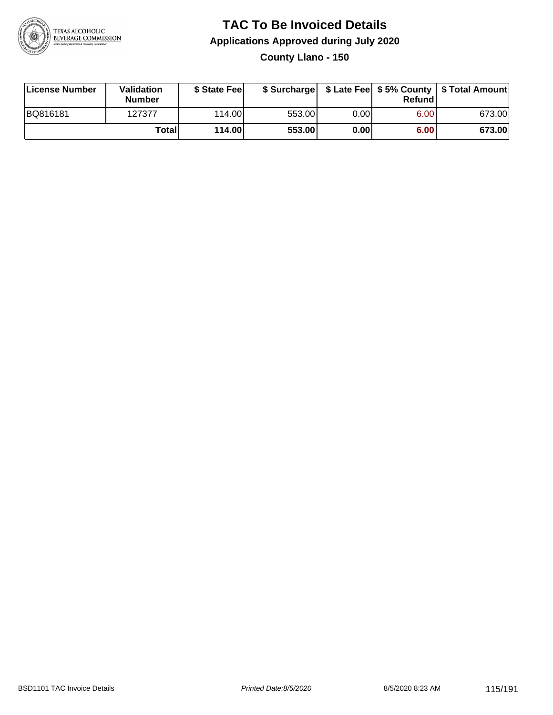

**County Llano - 150**

| License Number | Validation<br><b>Number</b> | \$ State Feel |        |      | Refundl | \$ Surcharge   \$ Late Fee   \$5% County   \$ Total Amount |
|----------------|-----------------------------|---------------|--------|------|---------|------------------------------------------------------------|
| BQ816181       | 127377                      | 114.00        | 553.00 | 0.00 | 6.00    | 673.00                                                     |
|                | Totall                      | 114.00        | 553.00 | 0.00 | 6.00    | 673.00                                                     |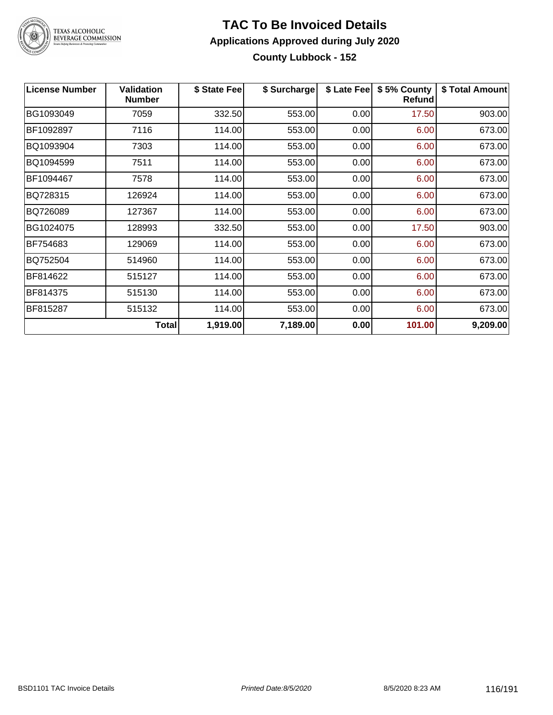

### **TAC To Be Invoiced Details Applications Approved during July 2020 County Lubbock - 152**

| <b>License Number</b> | <b>Validation</b><br><b>Number</b> | \$ State Fee | \$ Surcharge | \$ Late Fee | \$5% County<br><b>Refund</b> | \$ Total Amount |
|-----------------------|------------------------------------|--------------|--------------|-------------|------------------------------|-----------------|
| BG1093049             | 7059                               | 332.50       | 553.00       | 0.00        | 17.50                        | 903.00          |
| BF1092897             | 7116                               | 114.00       | 553.00       | 0.00        | 6.00                         | 673.00          |
| BQ1093904             | 7303                               | 114.00       | 553.00       | 0.00        | 6.00                         | 673.00          |
| BQ1094599             | 7511                               | 114.00       | 553.00       | 0.00        | 6.00                         | 673.00          |
| BF1094467             | 7578                               | 114.00       | 553.00       | 0.00        | 6.00                         | 673.00          |
| BQ728315              | 126924                             | 114.00       | 553.00       | 0.00        | 6.00                         | 673.00          |
| BQ726089              | 127367                             | 114.00       | 553.00       | 0.00        | 6.00                         | 673.00          |
| BG1024075             | 128993                             | 332.50       | 553.00       | 0.00        | 17.50                        | 903.00          |
| BF754683              | 129069                             | 114.00       | 553.00       | 0.00        | 6.00                         | 673.00          |
| BQ752504              | 514960                             | 114.00       | 553.00       | 0.00        | 6.00                         | 673.00          |
| BF814622              | 515127                             | 114.00       | 553.00       | 0.00        | 6.00                         | 673.00          |
| BF814375              | 515130                             | 114.00       | 553.00       | 0.00        | 6.00                         | 673.00          |
| BF815287              | 515132                             | 114.00       | 553.00       | 0.00        | 6.00                         | 673.00          |
|                       | <b>Total</b>                       | 1,919.00     | 7,189.00     | 0.00        | 101.00                       | 9,209.00        |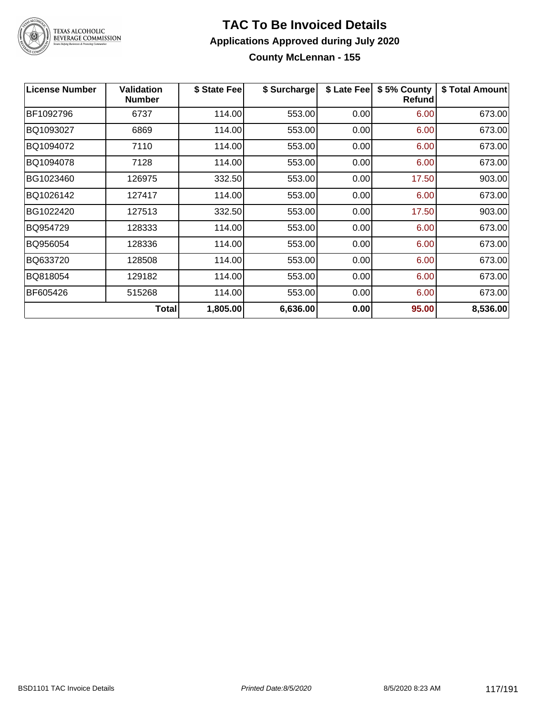

### **TAC To Be Invoiced Details Applications Approved during July 2020 County McLennan - 155**

| <b>License Number</b> | <b>Validation</b><br><b>Number</b> | \$ State Fee | \$ Surcharge | \$ Late Fee | \$5% County<br>Refund | \$ Total Amount |
|-----------------------|------------------------------------|--------------|--------------|-------------|-----------------------|-----------------|
| BF1092796             | 6737                               | 114.00       | 553.00       | 0.00        | 6.00                  | 673.00          |
| BQ1093027             | 6869                               | 114.00       | 553.00       | 0.00        | 6.00                  | 673.00          |
| BQ1094072             | 7110                               | 114.00       | 553.00       | 0.00        | 6.00                  | 673.00          |
| BQ1094078             | 7128                               | 114.00       | 553.00       | 0.00        | 6.00                  | 673.00          |
| BG1023460             | 126975                             | 332.50       | 553.00       | 0.00        | 17.50                 | 903.00          |
| BQ1026142             | 127417                             | 114.00       | 553.00       | 0.00        | 6.00                  | 673.00          |
| BG1022420             | 127513                             | 332.50       | 553.00       | 0.00        | 17.50                 | 903.00          |
| BQ954729              | 128333                             | 114.00       | 553.00       | 0.00        | 6.00                  | 673.00          |
| BQ956054              | 128336                             | 114.00       | 553.00       | 0.00        | 6.00                  | 673.00          |
| BQ633720              | 128508                             | 114.00       | 553.00       | 0.00        | 6.00                  | 673.00          |
| BQ818054              | 129182                             | 114.00       | 553.00       | 0.00        | 6.00                  | 673.00          |
| BF605426              | 515268                             | 114.00       | 553.00       | 0.00        | 6.00                  | 673.00          |
|                       | <b>Total</b>                       | 1,805.00     | 6,636.00     | 0.00        | 95.00                 | 8,536.00        |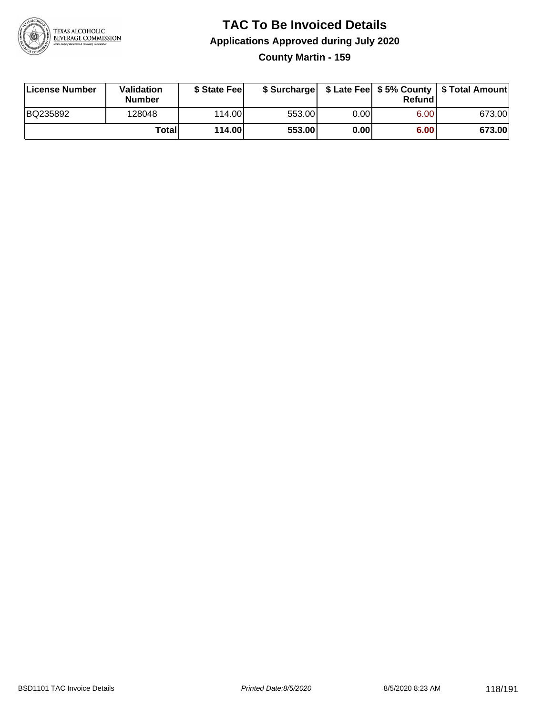

**County Martin - 159**

| License Number | Validation<br><b>Number</b> | \$ State Feel |        |      | Refundl | \$ Surcharge   \$ Late Fee   \$5% County   \$ Total Amount |
|----------------|-----------------------------|---------------|--------|------|---------|------------------------------------------------------------|
| BQ235892       | 128048                      | 114.00        | 553.00 | 0.00 | 6.00    | 673.00                                                     |
|                | Totall                      | 114.00        | 553.00 | 0.00 | 6.00    | 673.00                                                     |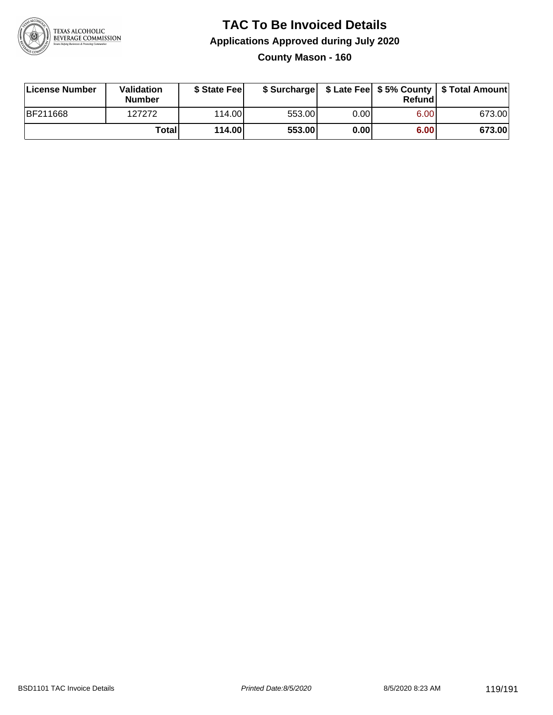

### **TAC To Be Invoiced Details Applications Approved during July 2020 County Mason - 160**

| License Number  | Validation<br><b>Number</b> | \$ State Fee | \$ Surcharge |      | Refund | \$ Late Fee   \$5% County   \$ Total Amount |
|-----------------|-----------------------------|--------------|--------------|------|--------|---------------------------------------------|
| <b>BF211668</b> | 127272                      | 114.00L      | 553.00       | 0.00 | 6.00   | 673.00                                      |
|                 | <b>Total</b>                | 114.00       | 553.00       | 0.00 | 6.00   | 673.00                                      |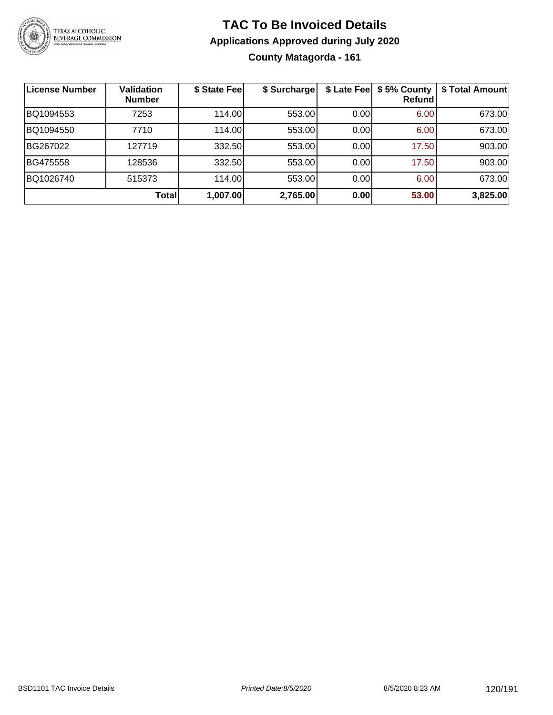

### **TAC To Be Invoiced Details Applications Approved during July 2020 County Matagorda - 161**

| ∣License Number | <b>Validation</b><br><b>Number</b> | \$ State Fee | \$ Surcharge | \$ Late Fee | \$5% County<br>Refundl | \$ Total Amount |
|-----------------|------------------------------------|--------------|--------------|-------------|------------------------|-----------------|
| BQ1094553       | 7253                               | 114.00       | 553.00       | 0.00        | 6.00                   | 673.00          |
| BQ1094550       | 7710                               | 114.00       | 553.00       | 0.00        | 6.00                   | 673.00          |
| BG267022        | 127719                             | 332.50       | 553.00       | 0.00        | 17.50                  | 903.00          |
| BG475558        | 128536                             | 332.50       | 553.00       | 0.00        | 17.50                  | 903.00          |
| BQ1026740       | 515373                             | 114.00       | 553.00       | 0.00        | 6.00                   | 673.00          |
|                 | Total                              | 1,007.00     | 2,765.00     | 0.00        | 53.00                  | 3,825.00        |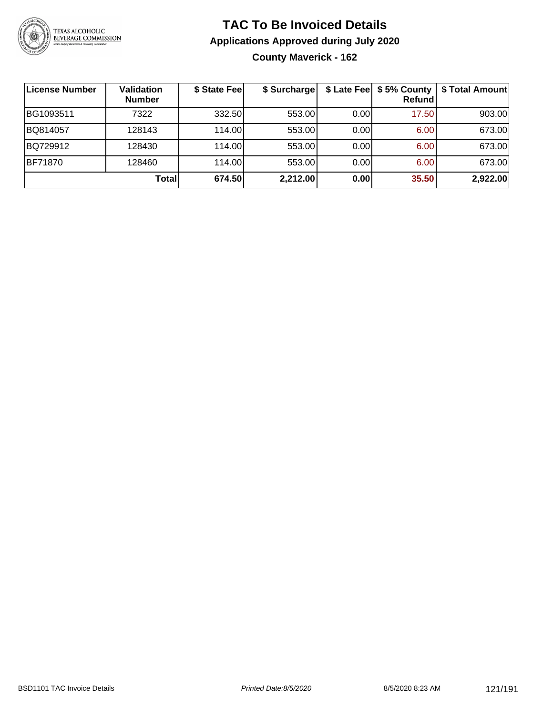

### **TAC To Be Invoiced Details Applications Approved during July 2020 County Maverick - 162**

| License Number | <b>Validation</b><br><b>Number</b> | \$ State Fee | \$ Surcharge |      | \$ Late Fee   \$5% County<br>Refund | \$ Total Amount |
|----------------|------------------------------------|--------------|--------------|------|-------------------------------------|-----------------|
| BG1093511      | 7322                               | 332.50       | 553.00       | 0.00 | 17.50                               | 903.00          |
| BQ814057       | 128143                             | 114.00L      | 553.00       | 0.00 | 6.00                                | 673.00          |
| BQ729912       | 128430                             | 114.00       | 553.00       | 0.00 | 6.00                                | 673.00          |
| BF71870        | 128460                             | 114.00       | 553.00       | 0.00 | 6.00                                | 673.00          |
|                | <b>Total</b>                       | 674.50       | 2,212.00     | 0.00 | 35.50                               | 2,922.00        |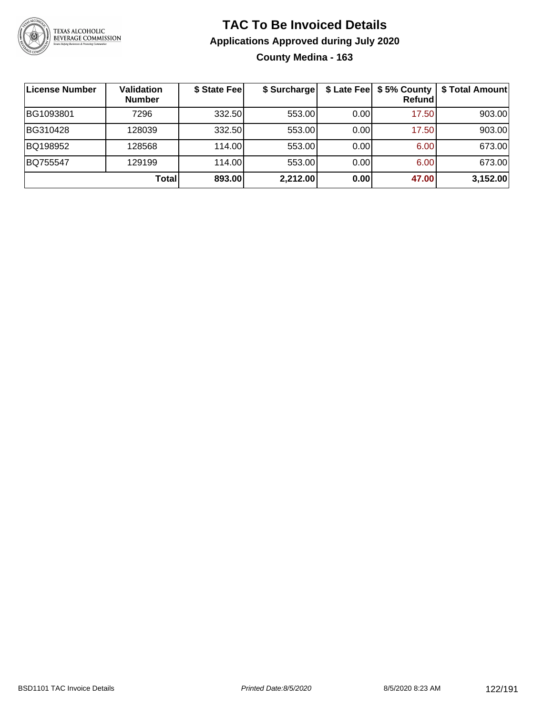

### **TAC To Be Invoiced Details Applications Approved during July 2020 County Medina - 163**

| License Number | Validation<br><b>Number</b> | \$ State Fee | \$ Surcharge |       | \$ Late Fee   \$5% County<br>Refundl | \$ Total Amount |
|----------------|-----------------------------|--------------|--------------|-------|--------------------------------------|-----------------|
| BG1093801      | 7296                        | 332.50       | 553.00       | 0.001 | 17.50                                | 903.00          |
| BG310428       | 128039                      | 332.50       | 553.00       | 0.00  | 17.50                                | 903.00          |
| BQ198952       | 128568                      | 114.00       | 553.00       | 0.00  | 6.00                                 | 673.00          |
| BQ755547       | 129199                      | 114.00L      | 553.00       | 0.00  | 6.00                                 | 673.00          |
|                | Total                       | 893.00       | 2,212.00     | 0.00  | 47.00                                | 3,152.00        |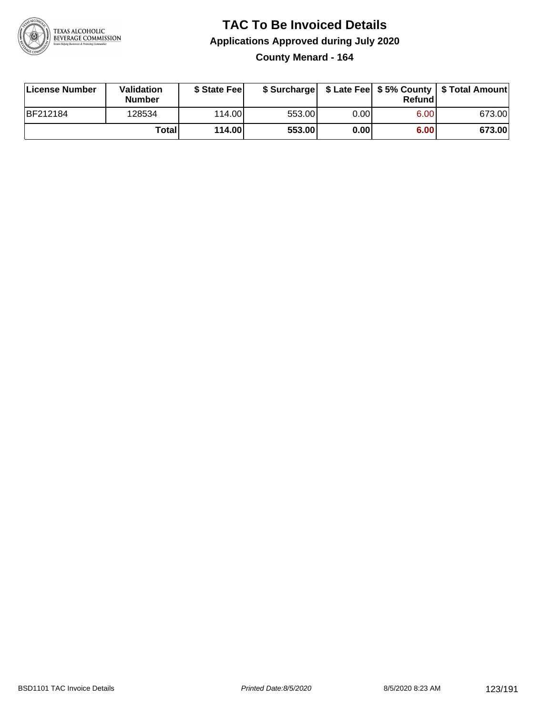

### **TAC To Be Invoiced Details Applications Approved during July 2020 County Menard - 164**

| License Number | Validation<br>Number | \$ State Fee    |        |      | Refundl | \$ Surcharge   \$ Late Fee   \$5% County   \$ Total Amount |
|----------------|----------------------|-----------------|--------|------|---------|------------------------------------------------------------|
| BF212184       | 128534               | 114.00 <b>1</b> | 553.00 | 0.00 | 6.00    | 673.00                                                     |
|                | Totall               | 114.00          | 553.00 | 0.00 | 6.00    | 673.00                                                     |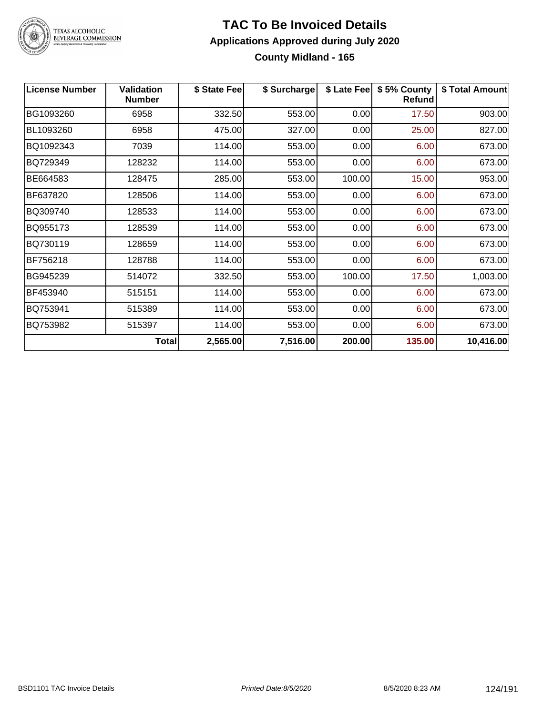

### **TAC To Be Invoiced Details Applications Approved during July 2020 County Midland - 165**

| <b>License Number</b> | <b>Validation</b><br><b>Number</b> | \$ State Fee | \$ Surcharge |        | \$ Late Fee   \$5% County<br><b>Refund</b> | \$ Total Amount |
|-----------------------|------------------------------------|--------------|--------------|--------|--------------------------------------------|-----------------|
| BG1093260             | 6958                               | 332.50       | 553.00       | 0.00   | 17.50                                      | 903.00          |
| BL1093260             | 6958                               | 475.00       | 327.00       | 0.00   | 25.00                                      | 827.00          |
| BQ1092343             | 7039                               | 114.00       | 553.00       | 0.00   | 6.00                                       | 673.00          |
| BQ729349              | 128232                             | 114.00       | 553.00       | 0.00   | 6.00                                       | 673.00          |
| BE664583              | 128475                             | 285.00       | 553.00       | 100.00 | 15.00                                      | 953.00          |
| BF637820              | 128506                             | 114.00       | 553.00       | 0.00   | 6.00                                       | 673.00          |
| BQ309740              | 128533                             | 114.00       | 553.00       | 0.00   | 6.00                                       | 673.00          |
| BQ955173              | 128539                             | 114.00       | 553.00       | 0.00   | 6.00                                       | 673.00          |
| BQ730119              | 128659                             | 114.00       | 553.00       | 0.00   | 6.00                                       | 673.00          |
| BF756218              | 128788                             | 114.00       | 553.00       | 0.00   | 6.00                                       | 673.00          |
| BG945239              | 514072                             | 332.50       | 553.00       | 100.00 | 17.50                                      | 1,003.00        |
| BF453940              | 515151                             | 114.00       | 553.00       | 0.00   | 6.00                                       | 673.00          |
| BQ753941              | 515389                             | 114.00       | 553.00       | 0.00   | 6.00                                       | 673.00          |
| BQ753982              | 515397                             | 114.00       | 553.00       | 0.00   | 6.00                                       | 673.00          |
|                       | <b>Total</b>                       | 2,565.00     | 7,516.00     | 200.00 | 135.00                                     | 10,416.00       |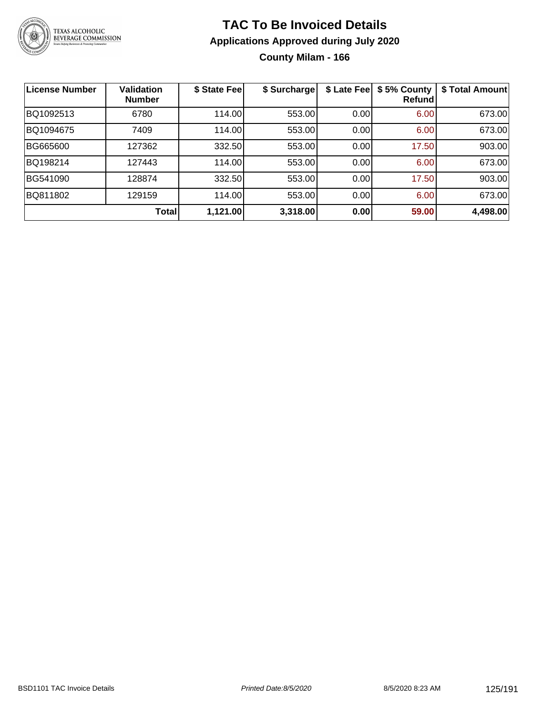

**County Milam - 166**

| License Number | <b>Validation</b><br><b>Number</b> | \$ State Fee | \$ Surcharge | \$ Late Fee | \$5% County<br>Refundl | \$ Total Amount |
|----------------|------------------------------------|--------------|--------------|-------------|------------------------|-----------------|
| BQ1092513      | 6780                               | 114.00       | 553.00       | 0.00        | 6.00                   | 673.00          |
| BQ1094675      | 7409                               | 114.00       | 553.00       | 0.00        | 6.00                   | 673.00          |
| BG665600       | 127362                             | 332.50       | 553.00       | 0.00        | 17.50                  | 903.00          |
| BQ198214       | 127443                             | 114.00       | 553.00       | 0.00        | 6.00                   | 673.00          |
| BG541090       | 128874                             | 332.50       | 553.00       | 0.00        | 17.50                  | 903.00          |
| BQ811802       | 129159                             | 114.00       | 553.00       | 0.00        | 6.00                   | 673.00          |
|                | Total                              | 1,121.00     | 3,318.00     | 0.00        | 59.00                  | 4,498.00        |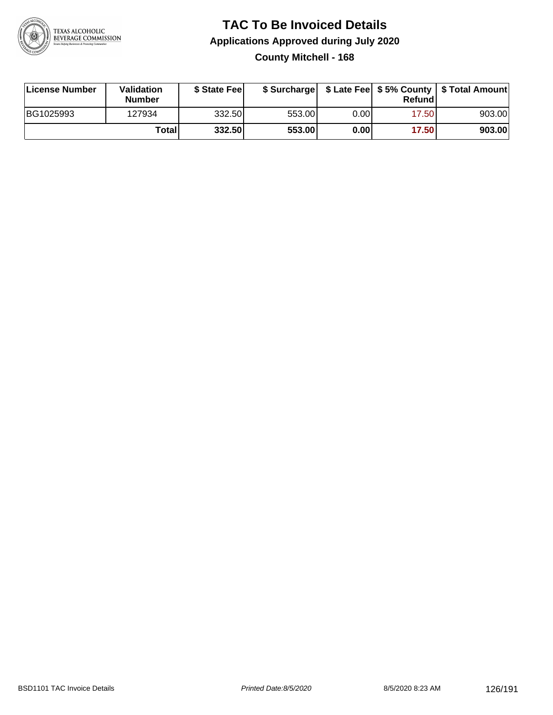

### **TAC To Be Invoiced Details Applications Approved during July 2020 County Mitchell - 168**

| License Number | Validation<br>Number | \$ State Fee |        |      | Refundl | \$ Surcharge   \$ Late Fee   \$5% County   \$ Total Amount |
|----------------|----------------------|--------------|--------|------|---------|------------------------------------------------------------|
| BG1025993      | 127934               | 332.50       | 553.00 | 0.00 | 17.50   | 903.00                                                     |
|                | Totall               | 332.50       | 553.00 | 0.00 | 17.50   | 903.00                                                     |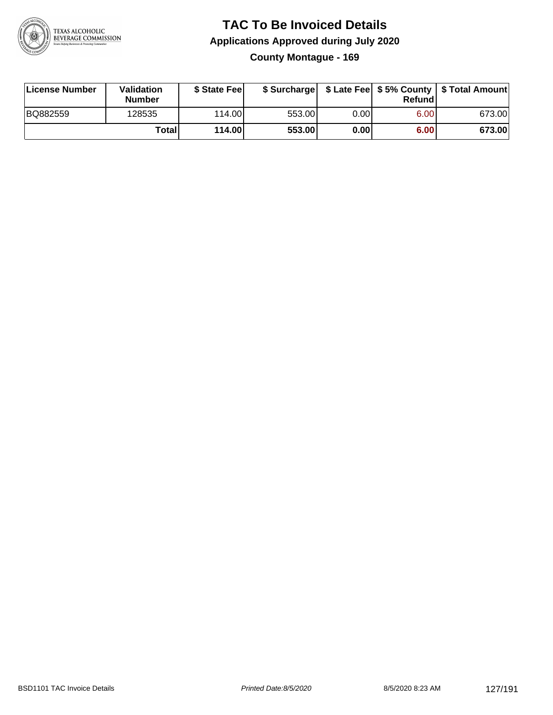

### **TAC To Be Invoiced Details Applications Approved during July 2020 County Montague - 169**

| License Number | Validation<br>Number | \$ State Fee    |        |      | Refundl | \$ Surcharge   \$ Late Fee   \$5% County   \$ Total Amount |
|----------------|----------------------|-----------------|--------|------|---------|------------------------------------------------------------|
| BQ882559       | 128535               | 114.00 <b>1</b> | 553.00 | 0.00 | 6.00    | 673.00                                                     |
|                | Totall               | 114.00          | 553.00 | 0.00 | 6.00    | 673.00                                                     |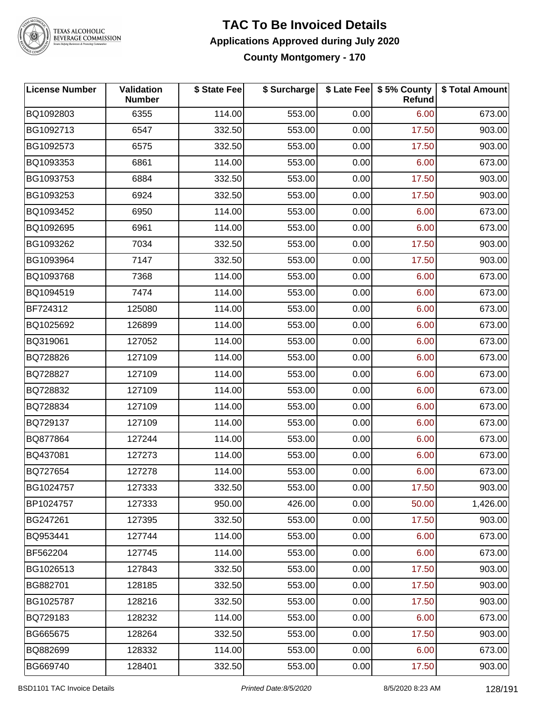

# TEXAS ALCOHOLIC<br>BEVERAGE COMMISSION

### **TAC To Be Invoiced Details Applications Approved during July 2020 County Montgomery - 170**

| <b>License Number</b> | <b>Validation</b><br><b>Number</b> | \$ State Fee | \$ Surcharge |      | \$ Late Fee   \$5% County<br>Refund | \$ Total Amount |
|-----------------------|------------------------------------|--------------|--------------|------|-------------------------------------|-----------------|
| BQ1092803             | 6355                               | 114.00       | 553.00       | 0.00 | 6.00                                | 673.00          |
| BG1092713             | 6547                               | 332.50       | 553.00       | 0.00 | 17.50                               | 903.00          |
| BG1092573             | 6575                               | 332.50       | 553.00       | 0.00 | 17.50                               | 903.00          |
| BQ1093353             | 6861                               | 114.00       | 553.00       | 0.00 | 6.00                                | 673.00          |
| BG1093753             | 6884                               | 332.50       | 553.00       | 0.00 | 17.50                               | 903.00          |
| BG1093253             | 6924                               | 332.50       | 553.00       | 0.00 | 17.50                               | 903.00          |
| BQ1093452             | 6950                               | 114.00       | 553.00       | 0.00 | 6.00                                | 673.00          |
| BQ1092695             | 6961                               | 114.00       | 553.00       | 0.00 | 6.00                                | 673.00          |
| BG1093262             | 7034                               | 332.50       | 553.00       | 0.00 | 17.50                               | 903.00          |
| BG1093964             | 7147                               | 332.50       | 553.00       | 0.00 | 17.50                               | 903.00          |
| BQ1093768             | 7368                               | 114.00       | 553.00       | 0.00 | 6.00                                | 673.00          |
| BQ1094519             | 7474                               | 114.00       | 553.00       | 0.00 | 6.00                                | 673.00          |
| BF724312              | 125080                             | 114.00       | 553.00       | 0.00 | 6.00                                | 673.00          |
| BQ1025692             | 126899                             | 114.00       | 553.00       | 0.00 | 6.00                                | 673.00          |
| BQ319061              | 127052                             | 114.00       | 553.00       | 0.00 | 6.00                                | 673.00          |
| BQ728826              | 127109                             | 114.00       | 553.00       | 0.00 | 6.00                                | 673.00          |
| BQ728827              | 127109                             | 114.00       | 553.00       | 0.00 | 6.00                                | 673.00          |
| BQ728832              | 127109                             | 114.00       | 553.00       | 0.00 | 6.00                                | 673.00          |
| BQ728834              | 127109                             | 114.00       | 553.00       | 0.00 | 6.00                                | 673.00          |
| BQ729137              | 127109                             | 114.00       | 553.00       | 0.00 | 6.00                                | 673.00          |
| BQ877864              | 127244                             | 114.00       | 553.00       | 0.00 | 6.00                                | 673.00          |
| BQ437081              | 127273                             | 114.00       | 553.00       | 0.00 | 6.00                                | 673.00          |
| BQ727654              | 127278                             | 114.00       | 553.00       | 0.00 | 6.00                                | 673.00          |
| BG1024757             | 127333                             | 332.50       | 553.00       | 0.00 | 17.50                               | 903.00          |
| BP1024757             | 127333                             | 950.00       | 426.00       | 0.00 | 50.00                               | 1,426.00        |
| BG247261              | 127395                             | 332.50       | 553.00       | 0.00 | 17.50                               | 903.00          |
| BQ953441              | 127744                             | 114.00       | 553.00       | 0.00 | 6.00                                | 673.00          |
| BF562204              | 127745                             | 114.00       | 553.00       | 0.00 | 6.00                                | 673.00          |
| BG1026513             | 127843                             | 332.50       | 553.00       | 0.00 | 17.50                               | 903.00          |
| BG882701              | 128185                             | 332.50       | 553.00       | 0.00 | 17.50                               | 903.00          |
| BG1025787             | 128216                             | 332.50       | 553.00       | 0.00 | 17.50                               | 903.00          |
| BQ729183              | 128232                             | 114.00       | 553.00       | 0.00 | 6.00                                | 673.00          |
| BG665675              | 128264                             | 332.50       | 553.00       | 0.00 | 17.50                               | 903.00          |
| BQ882699              | 128332                             | 114.00       | 553.00       | 0.00 | 6.00                                | 673.00          |
| BG669740              | 128401                             | 332.50       | 553.00       | 0.00 | 17.50                               | 903.00          |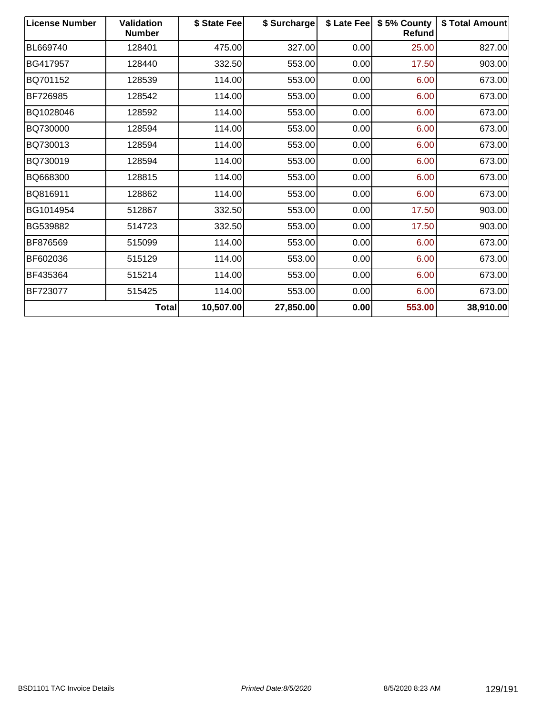| <b>License Number</b> | <b>Validation</b><br><b>Number</b> | \$ State Fee | \$ Surcharge | \$ Late Fee | \$5% County<br><b>Refund</b> | \$ Total Amount |
|-----------------------|------------------------------------|--------------|--------------|-------------|------------------------------|-----------------|
| BL669740              | 128401                             | 475.00       | 327.00       | 0.00        | 25.00                        | 827.00          |
| BG417957              | 128440                             | 332.50       | 553.00       | 0.00        | 17.50                        | 903.00          |
| BQ701152              | 128539                             | 114.00       | 553.00       | 0.00        | 6.00                         | 673.00          |
| BF726985              | 128542                             | 114.00       | 553.00       | 0.00        | 6.00                         | 673.00          |
| BQ1028046             | 128592                             | 114.00       | 553.00       | 0.00        | 6.00                         | 673.00          |
| BQ730000              | 128594                             | 114.00       | 553.00       | 0.00        | 6.00                         | 673.00          |
| BQ730013              | 128594                             | 114.00       | 553.00       | 0.00        | 6.00                         | 673.00          |
| BQ730019              | 128594                             | 114.00       | 553.00       | 0.00        | 6.00                         | 673.00          |
| BQ668300              | 128815                             | 114.00       | 553.00       | 0.00        | 6.00                         | 673.00          |
| BQ816911              | 128862                             | 114.00       | 553.00       | 0.00        | 6.00                         | 673.00          |
| BG1014954             | 512867                             | 332.50       | 553.00       | 0.00        | 17.50                        | 903.00          |
| BG539882              | 514723                             | 332.50       | 553.00       | 0.00        | 17.50                        | 903.00          |
| BF876569              | 515099                             | 114.00       | 553.00       | 0.00        | 6.00                         | 673.00          |
| BF602036              | 515129                             | 114.00       | 553.00       | 0.00        | 6.00                         | 673.00          |
| BF435364              | 515214                             | 114.00       | 553.00       | 0.00        | 6.00                         | 673.00          |
| BF723077              | 515425                             | 114.00       | 553.00       | 0.00        | 6.00                         | 673.00          |
|                       | <b>Total</b>                       | 10,507.00    | 27,850.00    | 0.00        | 553.00                       | 38,910.00       |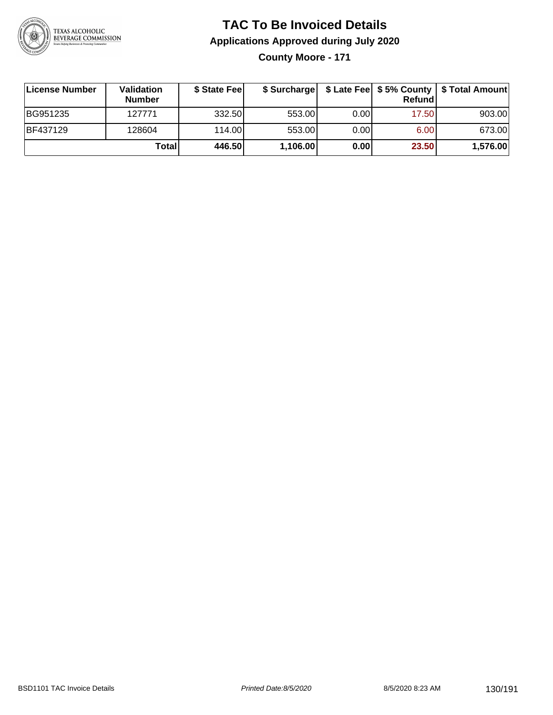

**County Moore - 171**

| License Number  | <b>Validation</b><br><b>Number</b> | \$ State Fee |          |       | Refund | \$ Surcharge   \$ Late Fee   \$5% County   \$ Total Amount |
|-----------------|------------------------------------|--------------|----------|-------|--------|------------------------------------------------------------|
| BG951235        | 127771                             | 332.50       | 553.00   | 0.001 | 17.50  | 903.00                                                     |
| <b>BF437129</b> | 128604                             | 114.00       | 553.00   | 0.001 | 6.00   | 673.00                                                     |
|                 | Totall                             | 446.50       | 1,106.00 | 0.00  | 23.50  | 1,576.00                                                   |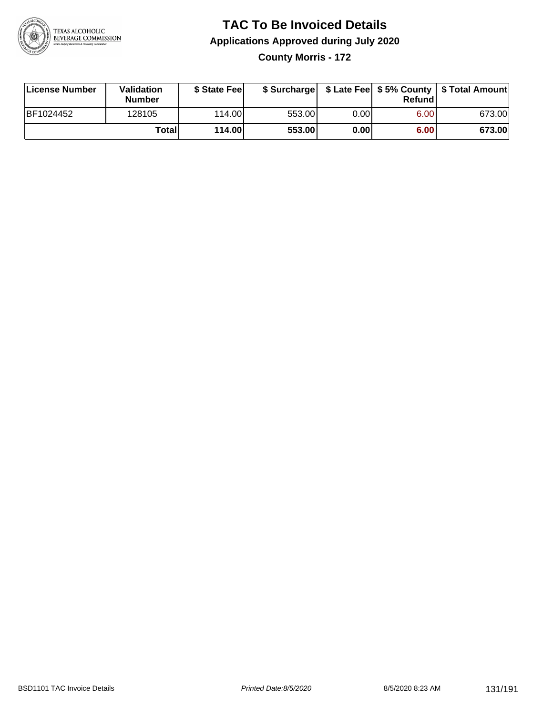

### **TAC To Be Invoiced Details Applications Approved during July 2020 County Morris - 172**

**License Number Validation Number \$ State Fee \$ Surcharge \$ Late Fee \$ 5% County Refund \$ Total Amount** BF1024452 128105 114.00 553.00 0.00 6.00 673.00 **Total 114.00 553.00 0.00 6.00 673.00**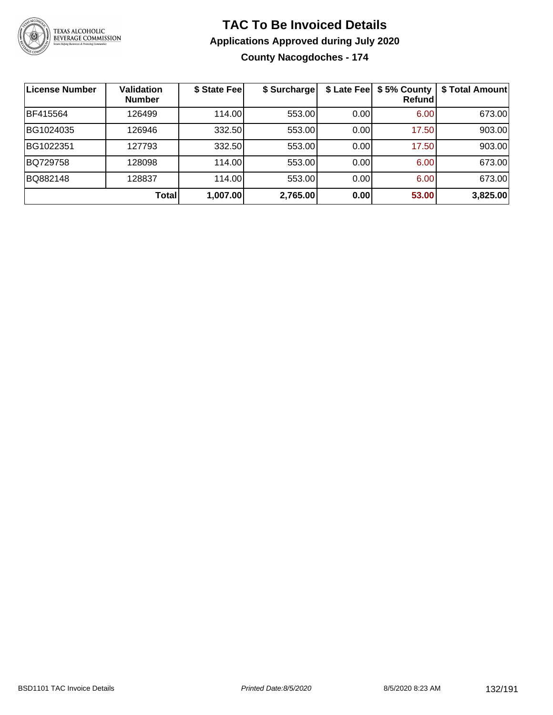

**County Nacogdoches - 174**

| <b>License Number</b> | <b>Validation</b><br><b>Number</b> | \$ State Fee | \$ Surcharge |      | \$ Late Fee   \$5% County<br>Refundl | \$ Total Amount |
|-----------------------|------------------------------------|--------------|--------------|------|--------------------------------------|-----------------|
| BF415564              | 126499                             | 114.00       | 553.00       | 0.00 | 6.00                                 | 673.00          |
| BG1024035             | 126946                             | 332.50       | 553.00       | 0.00 | 17.50                                | 903.00          |
| BG1022351             | 127793                             | 332.50       | 553.00       | 0.00 | 17.50                                | 903.00          |
| BQ729758              | 128098                             | 114.00       | 553.00       | 0.00 | 6.00                                 | 673.00          |
| BQ882148              | 128837                             | 114.00       | 553.00       | 0.00 | 6.00                                 | 673.00          |
|                       | <b>Total</b>                       | 1,007.00     | 2,765.00     | 0.00 | 53.00                                | 3,825.00        |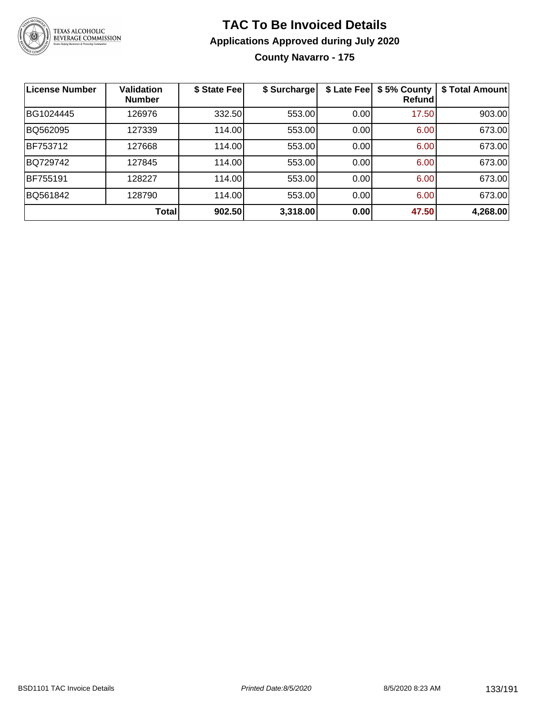

**County Navarro - 175**

| License Number | <b>Validation</b><br><b>Number</b> | \$ State Fee | \$ Surcharge | \$ Late Fee | \$5% County<br>Refundl | \$ Total Amount |
|----------------|------------------------------------|--------------|--------------|-------------|------------------------|-----------------|
| BG1024445      | 126976                             | 332.50       | 553.00       | 0.00        | 17.50                  | 903.00          |
| BQ562095       | 127339                             | 114.00       | 553.00       | 0.00        | 6.00                   | 673.00          |
| BF753712       | 127668                             | 114.00       | 553.00       | 0.00        | 6.00                   | 673.00          |
| BQ729742       | 127845                             | 114.00       | 553.00       | 0.00        | 6.00                   | 673.00          |
| BF755191       | 128227                             | 114.00       | 553.00       | 0.00        | 6.00                   | 673.00          |
| BQ561842       | 128790                             | 114.00       | 553.00       | 0.00        | 6.00                   | 673.00          |
|                | Total                              | 902.50       | 3,318.00     | 0.00        | 47.50                  | 4,268.00        |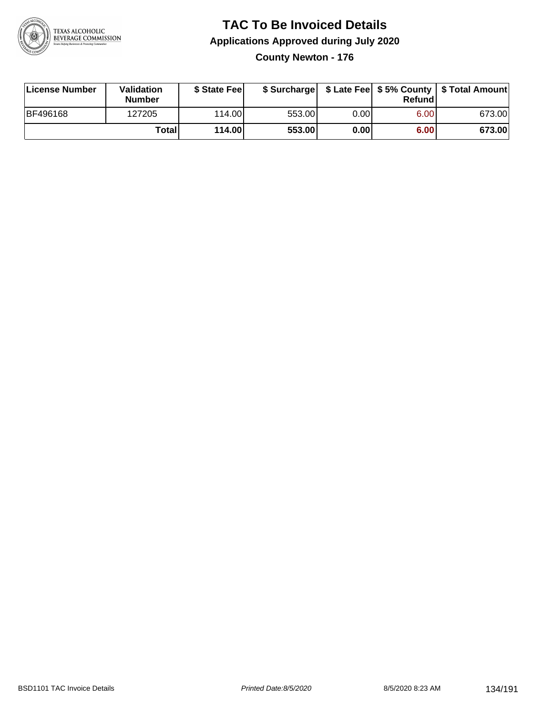

**County Newton - 176**

| License Number  | <b>Validation</b><br><b>Number</b> | \$ State Feel |        |      | Refundl | \$ Surcharge   \$ Late Fee   \$5% County   \$ Total Amount |
|-----------------|------------------------------------|---------------|--------|------|---------|------------------------------------------------------------|
| <b>BF496168</b> | 127205                             | 114.00        | 553.00 | 0.00 | 6.00    | 673.00                                                     |
|                 | Totall                             | 114.00        | 553.00 | 0.00 | 6.00    | 673.00                                                     |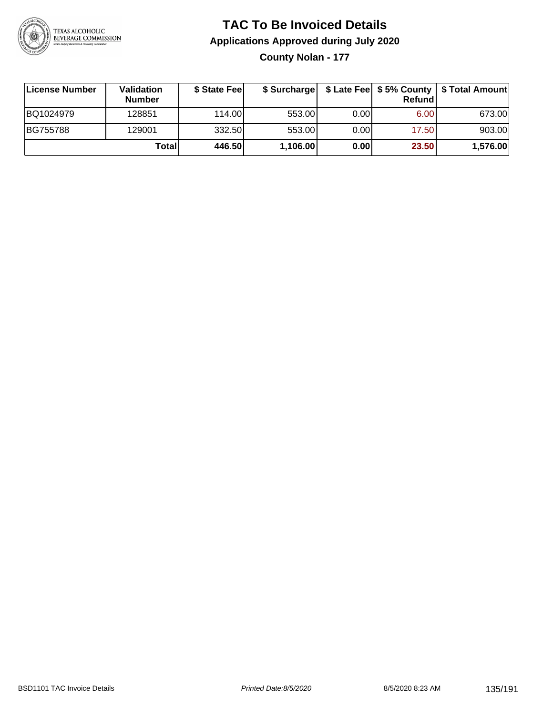

**County Nolan - 177**

| ∣License Number | <b>Validation</b><br><b>Number</b> | \$ State Fee | \$ Surcharge |      | Refundl           | \$ Late Fee   \$5% County   \$ Total Amount |
|-----------------|------------------------------------|--------------|--------------|------|-------------------|---------------------------------------------|
| BQ1024979       | 128851                             | 114.00L      | 553.00       | 0.00 | 6.00 <sub>1</sub> | 673.00                                      |
| BG755788        | 129001                             | 332.50       | 553.00       | 0.00 | 17.50             | 903.00                                      |
|                 | Totall                             | 446.50       | 1,106.00     | 0.00 | 23.50             | 1,576.00                                    |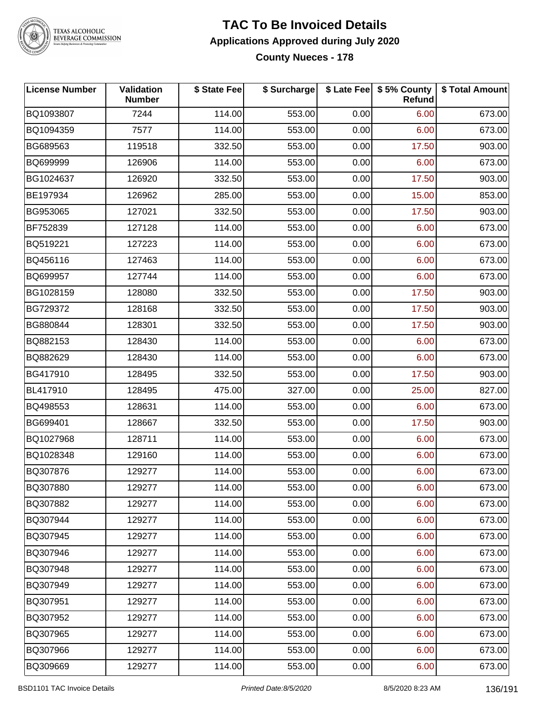

# TEXAS ALCOHOLIC<br>BEVERAGE COMMISSION

### **TAC To Be Invoiced Details Applications Approved during July 2020 County Nueces - 178**

| <b>License Number</b> | <b>Validation</b><br><b>Number</b> | \$ State Fee | \$ Surcharge |      | \$ Late Fee   \$5% County<br>Refund | \$ Total Amount |
|-----------------------|------------------------------------|--------------|--------------|------|-------------------------------------|-----------------|
| BQ1093807             | 7244                               | 114.00       | 553.00       | 0.00 | 6.00                                | 673.00          |
| BQ1094359             | 7577                               | 114.00       | 553.00       | 0.00 | 6.00                                | 673.00          |
| BG689563              | 119518                             | 332.50       | 553.00       | 0.00 | 17.50                               | 903.00          |
| BQ699999              | 126906                             | 114.00       | 553.00       | 0.00 | 6.00                                | 673.00          |
| BG1024637             | 126920                             | 332.50       | 553.00       | 0.00 | 17.50                               | 903.00          |
| BE197934              | 126962                             | 285.00       | 553.00       | 0.00 | 15.00                               | 853.00          |
| BG953065              | 127021                             | 332.50       | 553.00       | 0.00 | 17.50                               | 903.00          |
| BF752839              | 127128                             | 114.00       | 553.00       | 0.00 | 6.00                                | 673.00          |
| BQ519221              | 127223                             | 114.00       | 553.00       | 0.00 | 6.00                                | 673.00          |
| BQ456116              | 127463                             | 114.00       | 553.00       | 0.00 | 6.00                                | 673.00          |
| BQ699957              | 127744                             | 114.00       | 553.00       | 0.00 | 6.00                                | 673.00          |
| BG1028159             | 128080                             | 332.50       | 553.00       | 0.00 | 17.50                               | 903.00          |
| BG729372              | 128168                             | 332.50       | 553.00       | 0.00 | 17.50                               | 903.00          |
| BG880844              | 128301                             | 332.50       | 553.00       | 0.00 | 17.50                               | 903.00          |
| BQ882153              | 128430                             | 114.00       | 553.00       | 0.00 | 6.00                                | 673.00          |
| BQ882629              | 128430                             | 114.00       | 553.00       | 0.00 | 6.00                                | 673.00          |
| BG417910              | 128495                             | 332.50       | 553.00       | 0.00 | 17.50                               | 903.00          |
| BL417910              | 128495                             | 475.00       | 327.00       | 0.00 | 25.00                               | 827.00          |
| BQ498553              | 128631                             | 114.00       | 553.00       | 0.00 | 6.00                                | 673.00          |
| BG699401              | 128667                             | 332.50       | 553.00       | 0.00 | 17.50                               | 903.00          |
| BQ1027968             | 128711                             | 114.00       | 553.00       | 0.00 | 6.00                                | 673.00          |
| BQ1028348             | 129160                             | 114.00       | 553.00       | 0.00 | 6.00                                | 673.00          |
| BQ307876              | 129277                             | 114.00       | 553.00       | 0.00 | 6.00                                | 673.00          |
| BQ307880              | 129277                             | 114.00       | 553.00       | 0.00 | 6.00                                | 673.00          |
| BQ307882              | 129277                             | 114.00       | 553.00       | 0.00 | 6.00                                | 673.00          |
| BQ307944              | 129277                             | 114.00       | 553.00       | 0.00 | 6.00                                | 673.00          |
| BQ307945              | 129277                             | 114.00       | 553.00       | 0.00 | 6.00                                | 673.00          |
| BQ307946              | 129277                             | 114.00       | 553.00       | 0.00 | 6.00                                | 673.00          |
| BQ307948              | 129277                             | 114.00       | 553.00       | 0.00 | 6.00                                | 673.00          |
| BQ307949              | 129277                             | 114.00       | 553.00       | 0.00 | 6.00                                | 673.00          |
| BQ307951              | 129277                             | 114.00       | 553.00       | 0.00 | 6.00                                | 673.00          |
| BQ307952              | 129277                             | 114.00       | 553.00       | 0.00 | 6.00                                | 673.00          |
| BQ307965              | 129277                             | 114.00       | 553.00       | 0.00 | 6.00                                | 673.00          |
| BQ307966              | 129277                             | 114.00       | 553.00       | 0.00 | 6.00                                | 673.00          |
| BQ309669              | 129277                             | 114.00       | 553.00       | 0.00 | 6.00                                | 673.00          |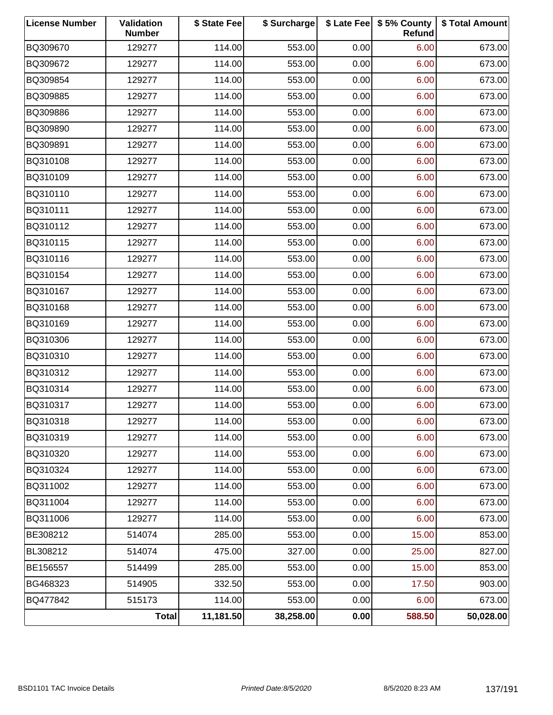| <b>License Number</b> | Validation<br><b>Number</b> | \$ State Fee | \$ Surcharge |      | \$ Late Fee   \$5% County<br>Refund | \$ Total Amount |
|-----------------------|-----------------------------|--------------|--------------|------|-------------------------------------|-----------------|
| BQ309670              | 129277                      | 114.00       | 553.00       | 0.00 | 6.00                                | 673.00          |
| BQ309672              | 129277                      | 114.00       | 553.00       | 0.00 | 6.00                                | 673.00          |
| BQ309854              | 129277                      | 114.00       | 553.00       | 0.00 | 6.00                                | 673.00          |
| BQ309885              | 129277                      | 114.00       | 553.00       | 0.00 | 6.00                                | 673.00          |
| BQ309886              | 129277                      | 114.00       | 553.00       | 0.00 | 6.00                                | 673.00          |
| BQ309890              | 129277                      | 114.00       | 553.00       | 0.00 | 6.00                                | 673.00          |
| BQ309891              | 129277                      | 114.00       | 553.00       | 0.00 | 6.00                                | 673.00          |
| BQ310108              | 129277                      | 114.00       | 553.00       | 0.00 | 6.00                                | 673.00          |
| BQ310109              | 129277                      | 114.00       | 553.00       | 0.00 | 6.00                                | 673.00          |
| BQ310110              | 129277                      | 114.00       | 553.00       | 0.00 | 6.00                                | 673.00          |
| BQ310111              | 129277                      | 114.00       | 553.00       | 0.00 | 6.00                                | 673.00          |
| BQ310112              | 129277                      | 114.00       | 553.00       | 0.00 | 6.00                                | 673.00          |
| BQ310115              | 129277                      | 114.00       | 553.00       | 0.00 | 6.00                                | 673.00          |
| BQ310116              | 129277                      | 114.00       | 553.00       | 0.00 | 6.00                                | 673.00          |
| BQ310154              | 129277                      | 114.00       | 553.00       | 0.00 | 6.00                                | 673.00          |
| BQ310167              | 129277                      | 114.00       | 553.00       | 0.00 | 6.00                                | 673.00          |
| BQ310168              | 129277                      | 114.00       | 553.00       | 0.00 | 6.00                                | 673.00          |
| BQ310169              | 129277                      | 114.00       | 553.00       | 0.00 | 6.00                                | 673.00          |
| BQ310306              | 129277                      | 114.00       | 553.00       | 0.00 | 6.00                                | 673.00          |
| BQ310310              | 129277                      | 114.00       | 553.00       | 0.00 | 6.00                                | 673.00          |
| BQ310312              | 129277                      | 114.00       | 553.00       | 0.00 | 6.00                                | 673.00          |
| BQ310314              | 129277                      | 114.00       | 553.00       | 0.00 | 6.00                                | 673.00          |
| BQ310317              | 129277                      | 114.00       | 553.00       | 0.00 | 6.00                                | 673.00          |
| BQ310318              | 129277                      | 114.00       | 553.00       | 0.00 | 6.00                                | 673.00          |
| BQ310319              | 129277                      | 114.00       | 553.00       | 0.00 | 6.00                                | 673.00          |
| BQ310320              | 129277                      | 114.00       | 553.00       | 0.00 | 6.00                                | 673.00          |
| BQ310324              | 129277                      | 114.00       | 553.00       | 0.00 | 6.00                                | 673.00          |
| BQ311002              | 129277                      | 114.00       | 553.00       | 0.00 | 6.00                                | 673.00          |
| BQ311004              | 129277                      | 114.00       | 553.00       | 0.00 | 6.00                                | 673.00          |
| BQ311006              | 129277                      | 114.00       | 553.00       | 0.00 | 6.00                                | 673.00          |
| BE308212              | 514074                      | 285.00       | 553.00       | 0.00 | 15.00                               | 853.00          |
| BL308212              | 514074                      | 475.00       | 327.00       | 0.00 | 25.00                               | 827.00          |
| BE156557              | 514499                      | 285.00       | 553.00       | 0.00 | 15.00                               | 853.00          |
| BG468323              | 514905                      | 332.50       | 553.00       | 0.00 | 17.50                               | 903.00          |
| BQ477842              | 515173                      | 114.00       | 553.00       | 0.00 | 6.00                                | 673.00          |
|                       | <b>Total</b>                | 11,181.50    | 38,258.00    | 0.00 | 588.50                              | 50,028.00       |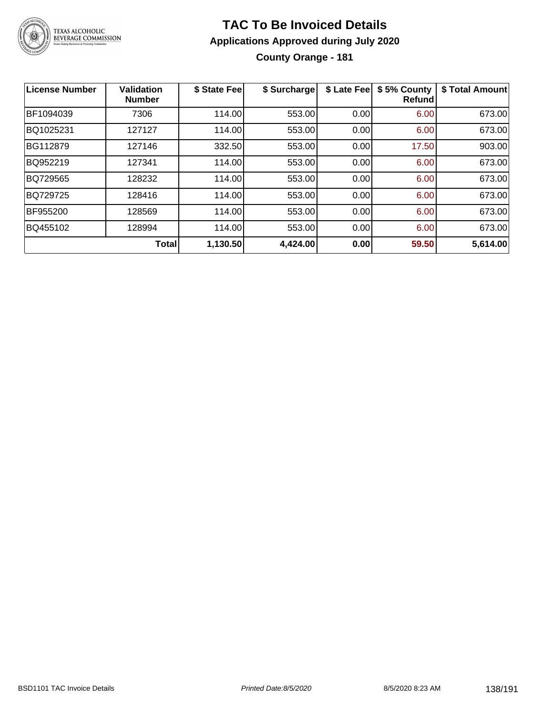

### **TAC To Be Invoiced Details Applications Approved during July 2020 County Orange - 181**

| <b>License Number</b> | <b>Validation</b><br><b>Number</b> | \$ State Fee | \$ Surcharge | \$ Late Fee | \$5% County<br><b>Refund</b> | \$ Total Amount |
|-----------------------|------------------------------------|--------------|--------------|-------------|------------------------------|-----------------|
| BF1094039             | 7306                               | 114.00       | 553.00       | 0.00        | 6.00                         | 673.00          |
| BQ1025231             | 127127                             | 114.00       | 553.00       | 0.00        | 6.00                         | 673.00          |
| BG112879              | 127146                             | 332.50       | 553.00       | 0.00        | 17.50                        | 903.00          |
| BQ952219              | 127341                             | 114.00       | 553.00       | 0.00        | 6.00                         | 673.00          |
| BQ729565              | 128232                             | 114.00       | 553.00       | 0.00        | 6.00                         | 673.00          |
| BQ729725              | 128416                             | 114.00       | 553.00       | 0.00        | 6.00                         | 673.00          |
| BF955200              | 128569                             | 114.00       | 553.00       | 0.00        | 6.00                         | 673.00          |
| BQ455102              | 128994                             | 114.00       | 553.00       | 0.00        | 6.00                         | 673.00          |
|                       | <b>Total</b>                       | 1,130.50     | 4,424.00     | 0.00        | 59.50                        | 5,614.00        |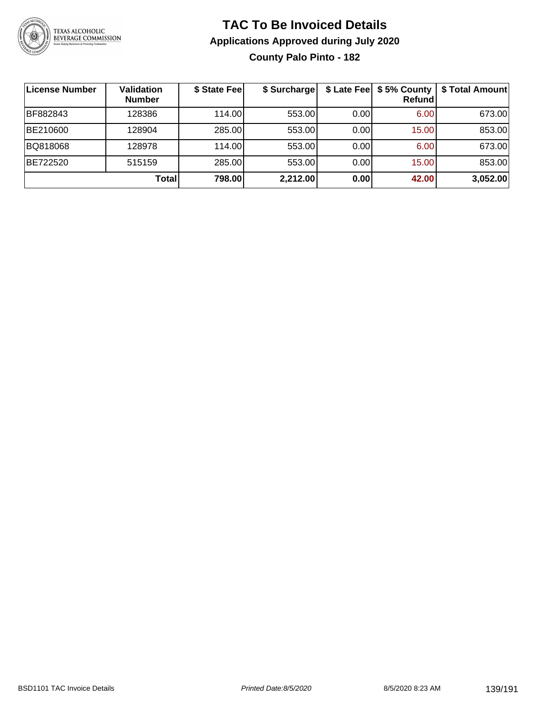

### **TAC To Be Invoiced Details Applications Approved during July 2020 County Palo Pinto - 182**

| License Number | Validation<br><b>Number</b> | \$ State Fee | \$ Surcharge | \$ Late Fee | \$5% County<br><b>Refund</b> | \$ Total Amount |
|----------------|-----------------------------|--------------|--------------|-------------|------------------------------|-----------------|
| BF882843       | 128386                      | 114.00L      | 553.00       | 0.00        | 6.00                         | 673.00          |
| BE210600       | 128904                      | 285.00       | 553.00       | 0.00        | 15.00                        | 853.00          |
| BQ818068       | 128978                      | 114.00       | 553.00       | 0.00        | 6.00                         | 673.00          |
| BE722520       | 515159                      | 285.00       | 553.00       | 0.00        | 15.00                        | 853.00          |
|                | Total                       | 798.00       | 2,212.00     | 0.00        | 42.00                        | 3,052.00        |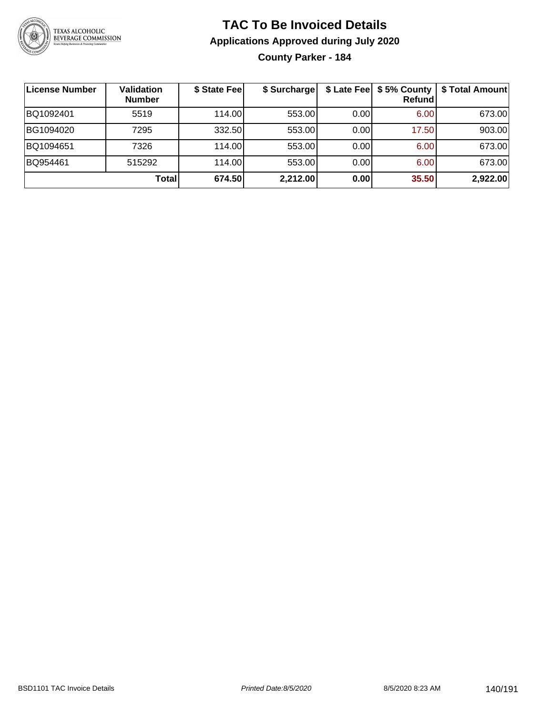

**County Parker - 184**

| License Number | <b>Validation</b><br><b>Number</b> | \$ State Fee | \$ Surcharge |      | $$$ Late Fee $$5%$ County<br>Refundl | \$ Total Amount |
|----------------|------------------------------------|--------------|--------------|------|--------------------------------------|-----------------|
| BQ1092401      | 5519                               | 114.00       | 553.00       | 0.00 | 6.00                                 | 673.00          |
| BG1094020      | 7295                               | 332.50       | 553.00       | 0.00 | 17.50                                | 903.00          |
| BQ1094651      | 7326                               | 114.00       | 553.00       | 0.00 | 6.00                                 | 673.00          |
| BQ954461       | 515292                             | 114.00       | 553.00       | 0.00 | 6.00                                 | 673.00          |
|                | Totall                             | 674.50       | 2,212.00     | 0.00 | 35.50                                | 2,922.00        |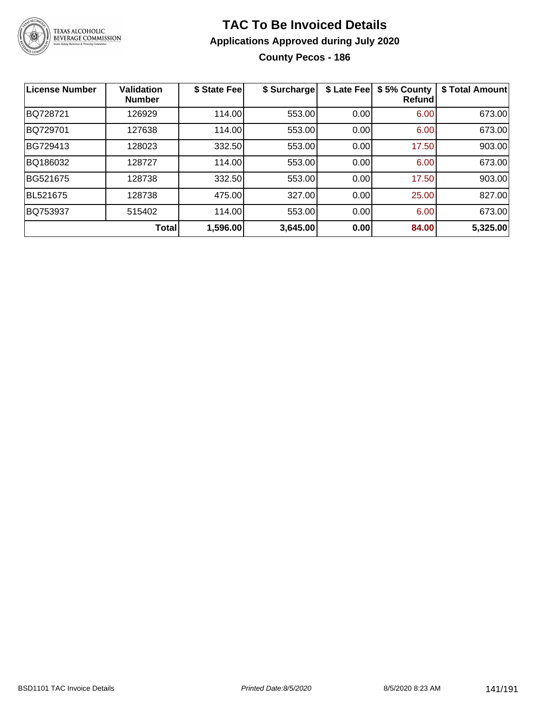

**County Pecos - 186**

| License Number | Validation<br><b>Number</b> | \$ State Fee | \$ Surcharge | \$ Late Fee | \$5% County<br>Refundl | \$ Total Amount |
|----------------|-----------------------------|--------------|--------------|-------------|------------------------|-----------------|
| BQ728721       | 126929                      | 114.00       | 553.00       | 0.00        | 6.00                   | 673.00          |
| BQ729701       | 127638                      | 114.00       | 553.00       | 0.00        | 6.00                   | 673.00          |
| BG729413       | 128023                      | 332.50       | 553.00       | 0.00        | 17.50                  | 903.00          |
| BQ186032       | 128727                      | 114.00       | 553.00       | 0.00        | 6.00                   | 673.00          |
| BG521675       | 128738                      | 332.50       | 553.00       | 0.00        | 17.50                  | 903.00          |
| BL521675       | 128738                      | 475.00       | 327.00       | 0.00        | 25.00                  | 827.00          |
| BQ753937       | 515402                      | 114.00       | 553.00       | 0.00        | 6.00                   | 673.00          |
|                | Total                       | 1,596.00     | 3,645.00     | 0.00        | 84.00                  | 5,325.00        |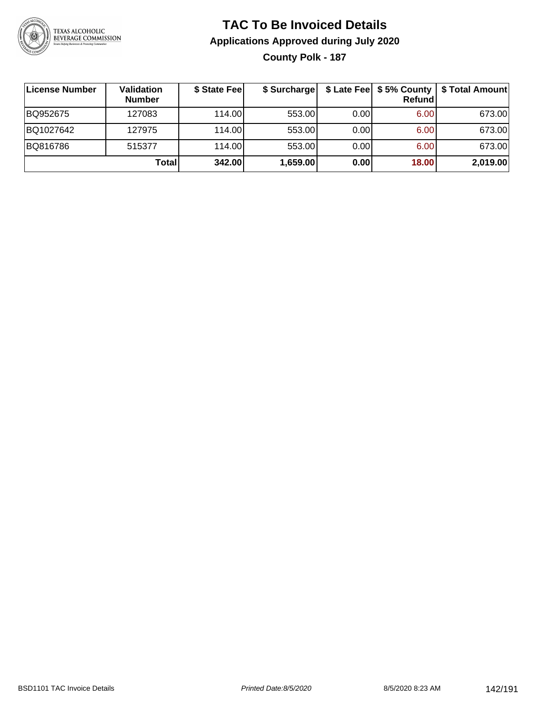

### **TAC To Be Invoiced Details Applications Approved during July 2020 County Polk - 187**

**License Number Validation Number \$ State Fee \$ Surcharge \$ Late Fee \$ 5% County Refund \$ Total Amount** BQ952675 127083 114.00 553.00 0.00 6.00 673.00 BQ1027642 | 127975 | 114.00| 553.00| 0.00| 6.00| 673.00 BQ816786 | 515377 | 114.00| 553.00| 0.00| 6.00| 673.00 **Total 342.00 1,659.00 0.00 18.00 2,019.00**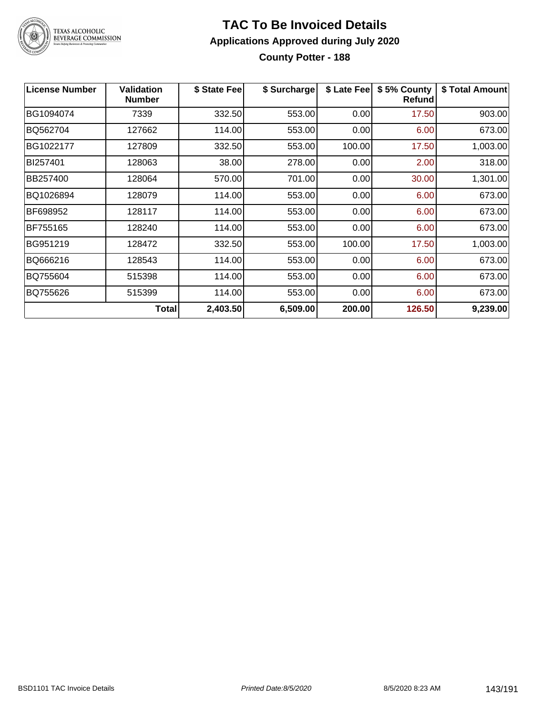

# TEXAS ALCOHOLIC<br>BEVERAGE COMMISSION

### **TAC To Be Invoiced Details Applications Approved during July 2020 County Potter - 188**

| License Number | <b>Validation</b><br><b>Number</b> | \$ State Fee | \$ Surcharge | \$ Late Fee | \$5% County<br><b>Refund</b> | \$ Total Amount |
|----------------|------------------------------------|--------------|--------------|-------------|------------------------------|-----------------|
| BG1094074      | 7339                               | 332.50       | 553.00       | 0.00        | 17.50                        | 903.00          |
| BQ562704       | 127662                             | 114.00       | 553.00       | 0.00        | 6.00                         | 673.00          |
| BG1022177      | 127809                             | 332.50       | 553.00       | 100.00      | 17.50                        | 1,003.00        |
| BI257401       | 128063                             | 38.00        | 278.00       | 0.00        | 2.00                         | 318.00          |
| BB257400       | 128064                             | 570.00       | 701.00       | 0.00        | 30.00                        | 1,301.00        |
| BQ1026894      | 128079                             | 114.00       | 553.00       | 0.00        | 6.00                         | 673.00          |
| BF698952       | 128117                             | 114.00       | 553.00       | 0.00        | 6.00                         | 673.00          |
| BF755165       | 128240                             | 114.00       | 553.00       | 0.00        | 6.00                         | 673.00          |
| BG951219       | 128472                             | 332.50       | 553.00       | 100.00      | 17.50                        | 1,003.00        |
| BQ666216       | 128543                             | 114.00       | 553.00       | 0.00        | 6.00                         | 673.00          |
| BQ755604       | 515398                             | 114.00       | 553.00       | 0.00        | 6.00                         | 673.00          |
| BQ755626       | 515399                             | 114.00       | 553.00       | 0.00        | 6.00                         | 673.00          |
|                | <b>Total</b>                       | 2,403.50     | 6,509.00     | 200.00      | 126.50                       | 9,239.00        |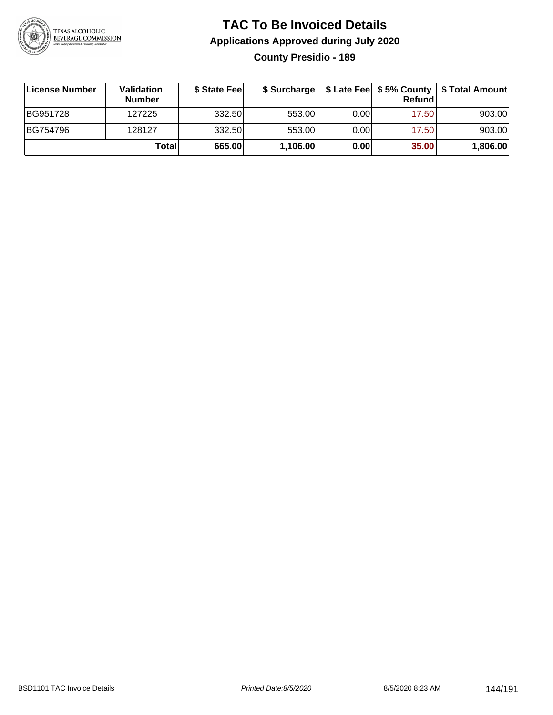

### **TAC To Be Invoiced Details Applications Approved during July 2020 County Presidio - 189**

| License Number | <b>Validation</b><br><b>Number</b> | \$ State Feel | \$ Surcharge |      | Refund | \$ Late Fee   \$5% County   \$ Total Amount |
|----------------|------------------------------------|---------------|--------------|------|--------|---------------------------------------------|
| BG951728       | 127225                             | 332.50        | 553.00       | 0.00 | 17.50  | 903.00                                      |
| BG754796       | 128127                             | 332.50        | 553.00       | 0.00 | 17.50  | 903.00                                      |
|                | Totall                             | 665.00        | 1,106.00     | 0.00 | 35.00  | 1,806.00                                    |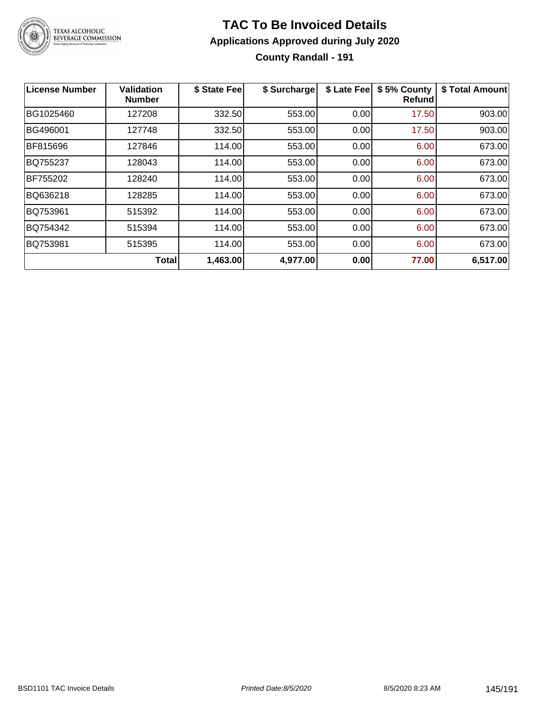

### **TAC To Be Invoiced Details Applications Approved during July 2020 County Randall - 191**

| License Number | Validation<br><b>Number</b> | \$ State Fee | \$ Surcharge | \$ Late Fee | \$5% County<br>Refund | \$ Total Amount |
|----------------|-----------------------------|--------------|--------------|-------------|-----------------------|-----------------|
| BG1025460      | 127208                      | 332.50       | 553.00       | 0.00        | 17.50                 | 903.00          |
| BG496001       | 127748                      | 332.50       | 553.00       | 0.00        | 17.50                 | 903.00          |
| BF815696       | 127846                      | 114.00       | 553.00       | 0.00        | 6.00                  | 673.00          |
| BQ755237       | 128043                      | 114.00       | 553.00       | 0.00        | 6.00                  | 673.00          |
| BF755202       | 128240                      | 114.00       | 553.00       | 0.00        | 6.00                  | 673.00          |
| BQ636218       | 128285                      | 114.00       | 553.00       | 0.00        | 6.00                  | 673.00          |
| BQ753961       | 515392                      | 114.00       | 553.00       | 0.00        | 6.00                  | 673.00          |
| BQ754342       | 515394                      | 114.00       | 553.00       | 0.00        | 6.00                  | 673.00          |
| BQ753981       | 515395                      | 114.00       | 553.00       | 0.00        | 6.00                  | 673.00          |
|                | <b>Total</b>                | 1,463.00     | 4,977.00     | 0.00        | 77.00                 | 6,517.00        |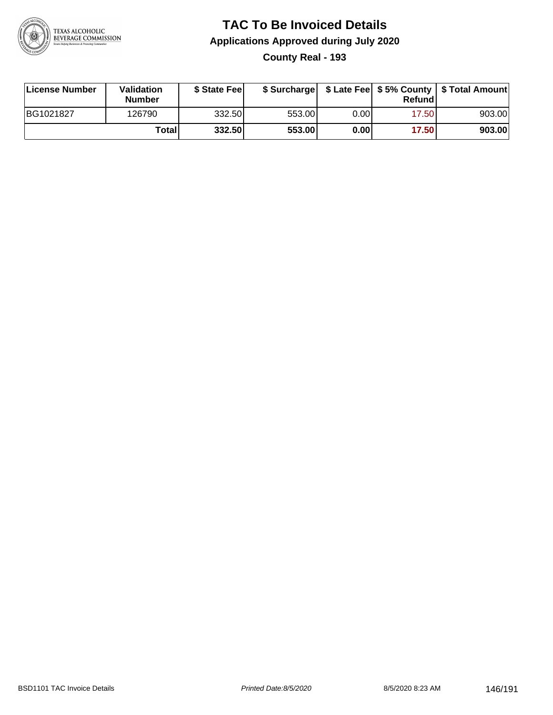

**County Real - 193**

| License Number | Validation<br><b>Number</b> | \$ State Fee | \$ Surcharge |      | Refundl |        |
|----------------|-----------------------------|--------------|--------------|------|---------|--------|
| BG1021827      | 126790                      | 332.50       | 553.00       | 0.00 | 17.501  | 903.00 |
|                | Totall                      | 332.50       | 553.00       | 0.00 | 17.50   | 903.00 |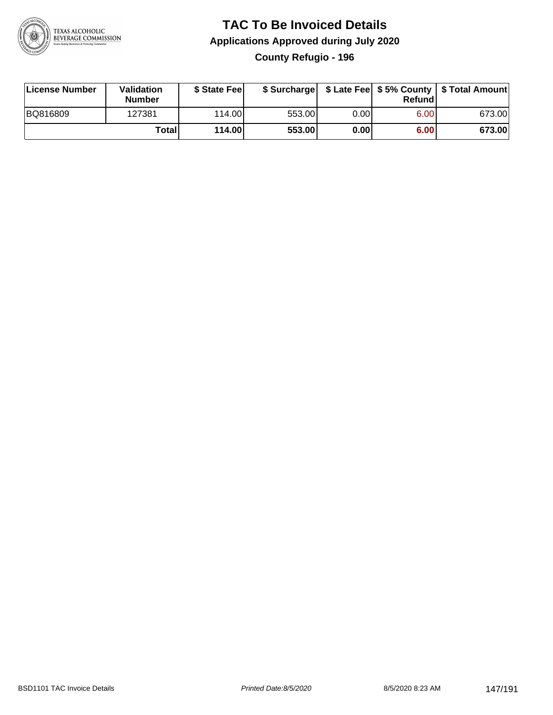

### **TAC To Be Invoiced Details Applications Approved during July 2020 County Refugio - 196**

| License Number | Validation<br><b>Number</b> | \$ State Feel |        |      | Refund | \$ Surcharge   \$ Late Fee   \$5% County   \$ Total Amount |
|----------------|-----------------------------|---------------|--------|------|--------|------------------------------------------------------------|
| BQ816809       | 127381                      | 114.00L       | 553.00 | 0.00 | 6.00   | 673.00                                                     |
|                | <b>Total</b>                | 114.00        | 553.00 | 0.00 | 6.00   | 673.00                                                     |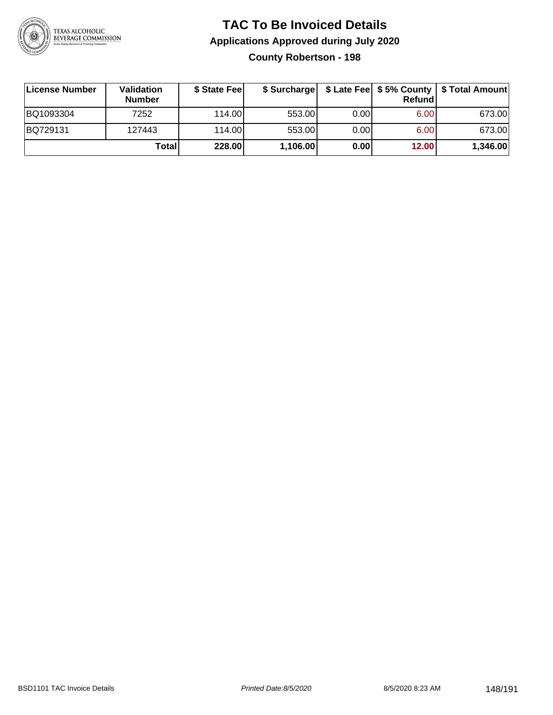

### **TAC To Be Invoiced Details Applications Approved during July 2020 County Robertson - 198**

| License Number | Validation<br><b>Number</b> | \$ State Feel | \$ Surcharge |      | Refund | \$ Late Fee   \$5% County   \$ Total Amount |
|----------------|-----------------------------|---------------|--------------|------|--------|---------------------------------------------|
| BQ1093304      | 7252                        | 114.00L       | 553.00       | 0.00 | 6.00   | 673.00                                      |
| BQ729131       | 127443                      | 114.00L       | 553.00       | 0.00 | 6.00   | 673.00                                      |
|                | Total                       | 228.00        | 1,106.00     | 0.00 | 12.00  | 1,346.00                                    |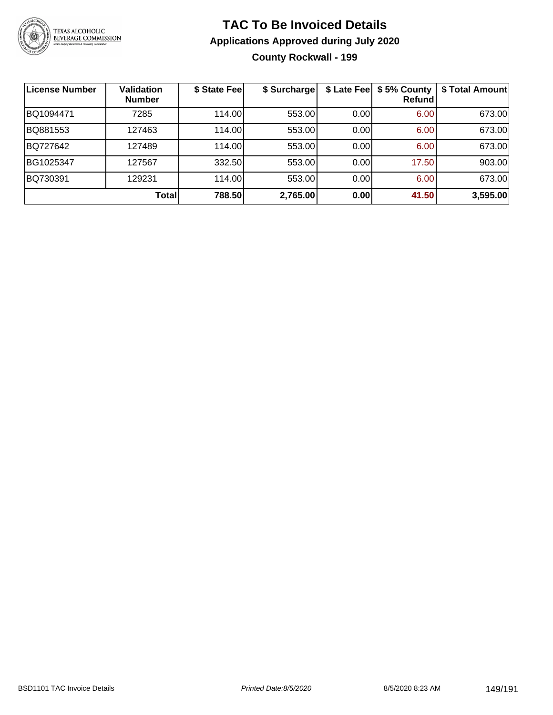

### **TAC To Be Invoiced Details Applications Approved during July 2020 County Rockwall - 199**

| License Number | <b>Validation</b><br><b>Number</b> | \$ State Fee | \$ Surcharge |      | \$ Late Fee   \$5% County<br>Refundl | \$ Total Amount |
|----------------|------------------------------------|--------------|--------------|------|--------------------------------------|-----------------|
| BQ1094471      | 7285                               | 114.00       | 553.00       | 0.00 | 6.00                                 | 673.00          |
| BQ881553       | 127463                             | 114.00       | 553.00       | 0.00 | 6.00                                 | 673.00          |
| BQ727642       | 127489                             | 114.00       | 553.00       | 0.00 | 6.00                                 | 673.00          |
| BG1025347      | 127567                             | 332.50       | 553.00       | 0.00 | 17.50                                | 903.00          |
| BQ730391       | 129231                             | 114.00       | 553.00       | 0.00 | 6.00                                 | 673.00          |
|                | <b>Total</b>                       | 788.50       | 2,765.00     | 0.00 | 41.50                                | 3,595.00        |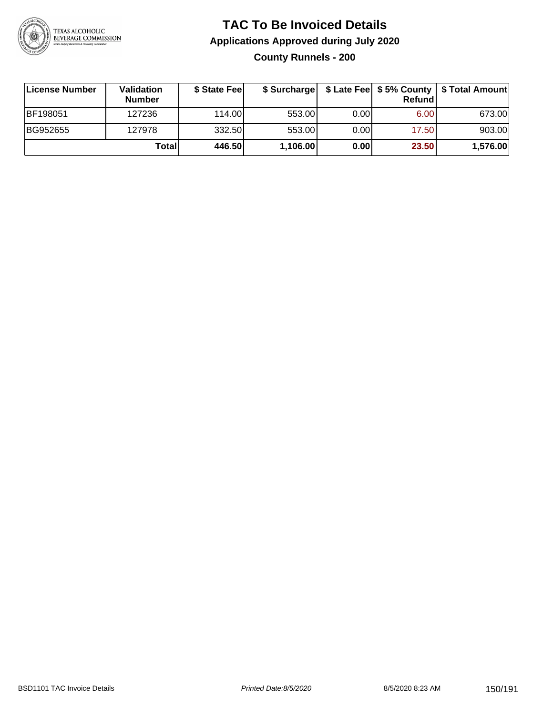

### **TAC To Be Invoiced Details Applications Approved during July 2020 County Runnels - 200**

| License Number | Validation<br><b>Number</b> | \$ State Fee | \$ Surcharge |      | Refund | \$ Late Fee   \$5% County   \$ Total Amount |
|----------------|-----------------------------|--------------|--------------|------|--------|---------------------------------------------|
| BF198051       | 127236                      | 114.00L      | 553.00       | 0.00 | 6.00   | 673.00                                      |
| BG952655       | 127978                      | 332.50       | 553.00       | 0.00 | 17.50  | 903.00                                      |
|                | Total                       | 446.50       | 1,106.00     | 0.00 | 23.50  | 1,576.00                                    |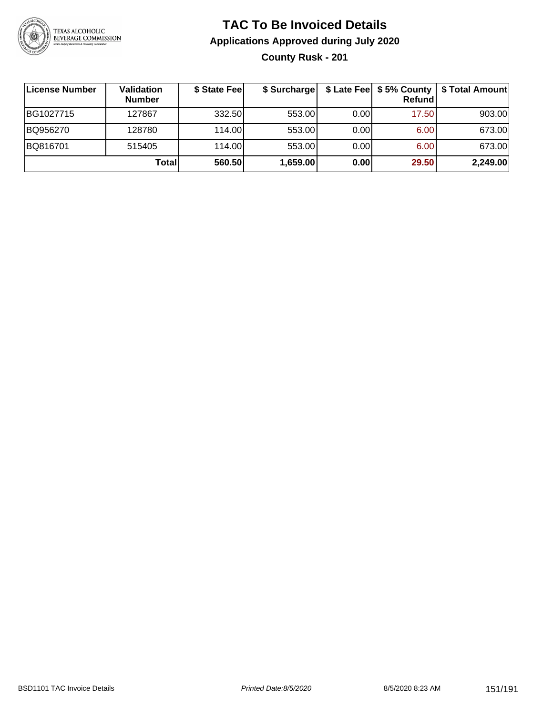

### **TAC To Be Invoiced Details Applications Approved during July 2020 County Rusk - 201**

| License Number | Validation<br><b>Number</b> | \$ State Fee | \$ Surcharge |      | <b>Refund</b>     | \$ Late Fee   \$5% County   \$ Total Amount |
|----------------|-----------------------------|--------------|--------------|------|-------------------|---------------------------------------------|
| BG1027715      | 127867                      | 332.50       | 553.00       | 0.00 | 17.50             | 903.00                                      |
| BQ956270       | 128780                      | 114.00       | 553.00       | 0.00 | 6.00              | 673.00                                      |
| BQ816701       | 515405                      | 114.00       | 553.00       | 0.00 | 6.00 <sub>1</sub> | 673.00                                      |
|                | <b>Total</b>                | 560.50       | 1,659.00     | 0.00 | 29.50             | 2,249.00                                    |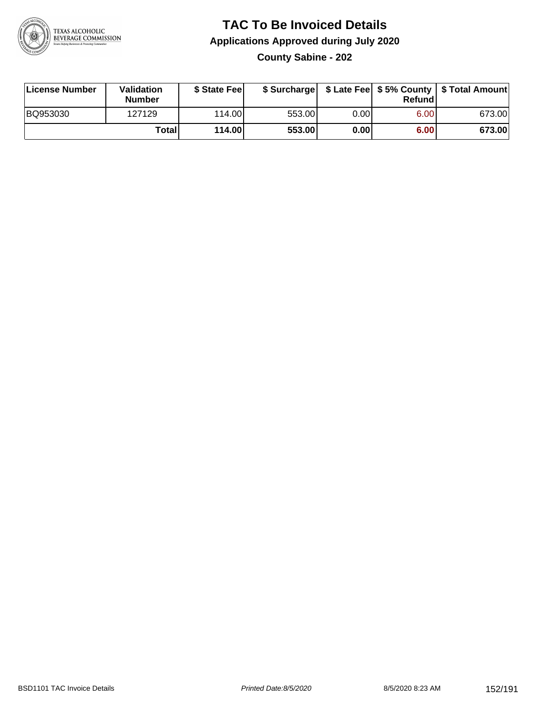

### **TAC To Be Invoiced Details Applications Approved during July 2020 County Sabine - 202**

| License Number | Validation<br><b>Number</b> | \$ State Fee |        |       | Refundl | \$ Surcharge   \$ Late Fee   \$5% County   \$ Total Amount |
|----------------|-----------------------------|--------------|--------|-------|---------|------------------------------------------------------------|
| BQ953030       | 127129                      | 114.00       | 553.00 | 0.001 | 6.00    | 673.00                                                     |
|                | Totall                      | 114.00       | 553.00 | 0.001 | 6.00    | 673.00                                                     |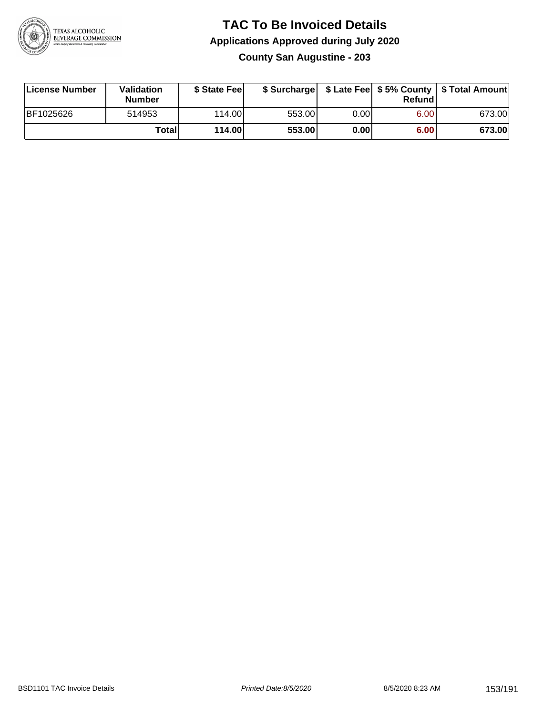

#### **TAC To Be Invoiced Details Applications Approved during July 2020 County San Augustine - 203**

| License Number | Validation<br><b>Number</b> | \$ State Feel |        |      | Refund | \$ Surcharge   \$ Late Fee   \$5% County   \$ Total Amount |
|----------------|-----------------------------|---------------|--------|------|--------|------------------------------------------------------------|
| BF1025626      | 514953                      | 114.00L       | 553.00 | 0.00 | 6.00   | 673.00                                                     |
|                | <b>Total</b>                | 114.00        | 553.00 | 0.00 | 6.00   | 673.00                                                     |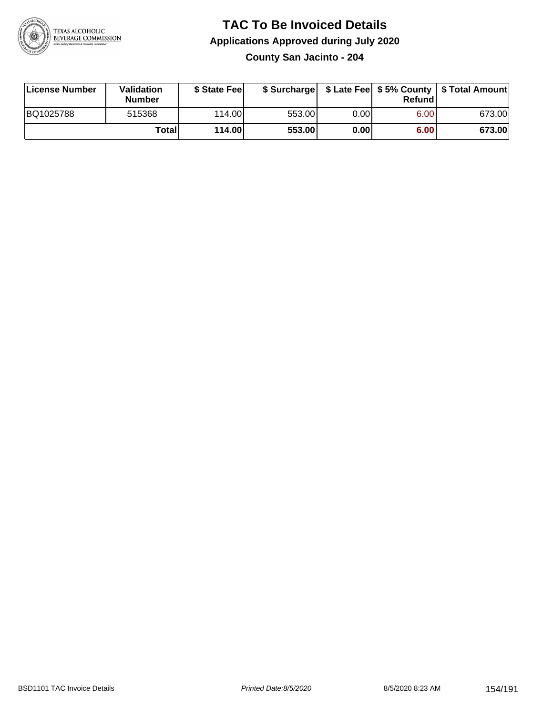

**County San Jacinto - 204**

| License Number | Validation<br><b>Number</b> | \$ State Feel |        |       | Refundl | \$ Surcharge   \$ Late Fee   \$5% County   \$ Total Amount |
|----------------|-----------------------------|---------------|--------|-------|---------|------------------------------------------------------------|
| BQ1025788      | 515368                      | 114.00        | 553.00 | 0.00I | 6.00    | 673.00                                                     |
|                | Totall                      | 114.00        | 553.00 | 0.00  | 6.00    | 673.00                                                     |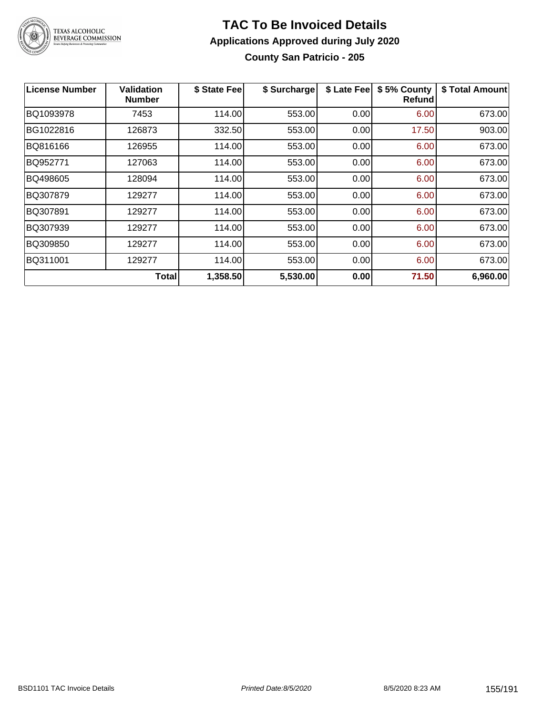

### **TAC To Be Invoiced Details Applications Approved during July 2020 County San Patricio - 205**

| License Number | <b>Validation</b><br><b>Number</b> | \$ State Fee | \$ Surcharge | \$ Late Fee | \$5% County<br><b>Refund</b> | \$ Total Amount |
|----------------|------------------------------------|--------------|--------------|-------------|------------------------------|-----------------|
| BQ1093978      | 7453                               | 114.00       | 553.00       | 0.00        | 6.00                         | 673.00          |
| BG1022816      | 126873                             | 332.50       | 553.00       | 0.00        | 17.50                        | 903.00          |
| BQ816166       | 126955                             | 114.00       | 553.00       | 0.00        | 6.00                         | 673.00          |
| BQ952771       | 127063                             | 114.00       | 553.00       | 0.00        | 6.00                         | 673.00          |
| BQ498605       | 128094                             | 114.00       | 553.00       | 0.00        | 6.00                         | 673.00          |
| BQ307879       | 129277                             | 114.00       | 553.00       | 0.00        | 6.00                         | 673.00          |
| BQ307891       | 129277                             | 114.00       | 553.00       | 0.00        | 6.00                         | 673.00          |
| BQ307939       | 129277                             | 114.00       | 553.00       | 0.00        | 6.00                         | 673.00          |
| BQ309850       | 129277                             | 114.00       | 553.00       | 0.00        | 6.00                         | 673.00          |
| BQ311001       | 129277                             | 114.00       | 553.00       | 0.00        | 6.00                         | 673.00          |
|                | Total                              | 1,358.50     | 5,530.00     | 0.00        | 71.50                        | 6,960.00        |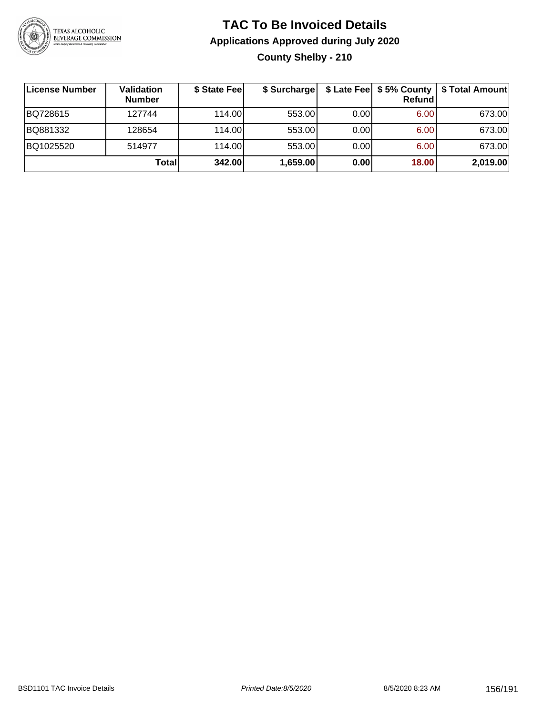

### **TAC To Be Invoiced Details Applications Approved during July 2020 County Shelby - 210**

| License Number | <b>Validation</b><br><b>Number</b> | \$ State Fee | \$ Surcharge |      | \$ Late Fee   \$5% County<br><b>Refund</b> | \$ Total Amount |
|----------------|------------------------------------|--------------|--------------|------|--------------------------------------------|-----------------|
| BQ728615       | 127744                             | 114.00       | 553.00       | 0.00 | 6.00                                       | 673.00          |
| BQ881332       | 128654                             | 114.00L      | 553.00       | 0.00 | 6.00                                       | 673.00          |
| BQ1025520      | 514977                             | 114.00       | 553.00       | 0.00 | 6.00                                       | 673.00          |
|                | Total                              | 342.00       | 1,659.00     | 0.00 | 18.00                                      | 2,019.00        |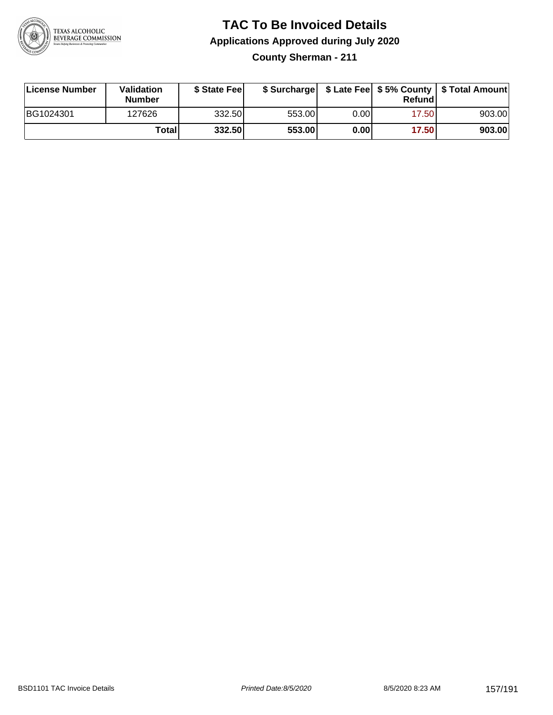

**County Sherman - 211**

| License Number | Validation<br><b>Number</b> | \$ State Feel |        |       | Refundl | \$ Surcharge   \$ Late Fee   \$5% County   \$ Total Amount |
|----------------|-----------------------------|---------------|--------|-------|---------|------------------------------------------------------------|
| BG1024301      | 127626                      | 332.50        | 553.00 | 0.00  | 17.50   | 903.00                                                     |
|                | Totall                      | 332.50        | 553.00 | 0.001 | 17.50   | 903.00                                                     |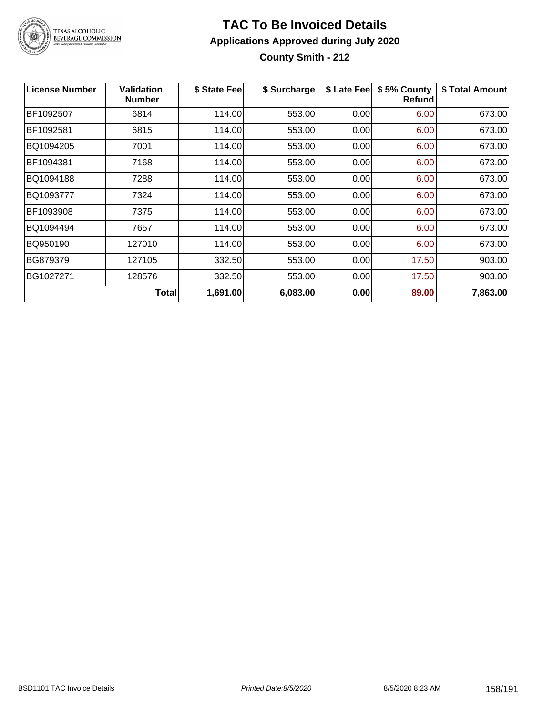

**County Smith - 212**

| <b>License Number</b> | <b>Validation</b><br><b>Number</b> | \$ State Fee | \$ Surcharge | \$ Late Fee | \$5% County<br><b>Refund</b> | \$ Total Amount |
|-----------------------|------------------------------------|--------------|--------------|-------------|------------------------------|-----------------|
| BF1092507             | 6814                               | 114.00       | 553.00       | 0.00        | 6.00                         | 673.00          |
| BF1092581             | 6815                               | 114.00       | 553.00       | 0.00        | 6.00                         | 673.00          |
| BQ1094205             | 7001                               | 114.00       | 553.00       | 0.00        | 6.00                         | 673.00          |
| BF1094381             | 7168                               | 114.00       | 553.00       | 0.00        | 6.00                         | 673.00          |
| BQ1094188             | 7288                               | 114.00       | 553.00       | 0.00        | 6.00                         | 673.00          |
| BQ1093777             | 7324                               | 114.00       | 553.00       | 0.00        | 6.00                         | 673.00          |
| BF1093908             | 7375                               | 114.00       | 553.00       | 0.00        | 6.00                         | 673.00          |
| BQ1094494             | 7657                               | 114.00       | 553.00       | 0.00        | 6.00                         | 673.00          |
| BQ950190              | 127010                             | 114.00       | 553.00       | 0.00        | 6.00                         | 673.00          |
| BG879379              | 127105                             | 332.50       | 553.00       | 0.00        | 17.50                        | 903.00          |
| BG1027271             | 128576                             | 332.50       | 553.00       | 0.00        | 17.50                        | 903.00          |
|                       | <b>Total</b>                       | 1,691.00     | 6,083.00     | 0.00        | 89.00                        | 7,863.00        |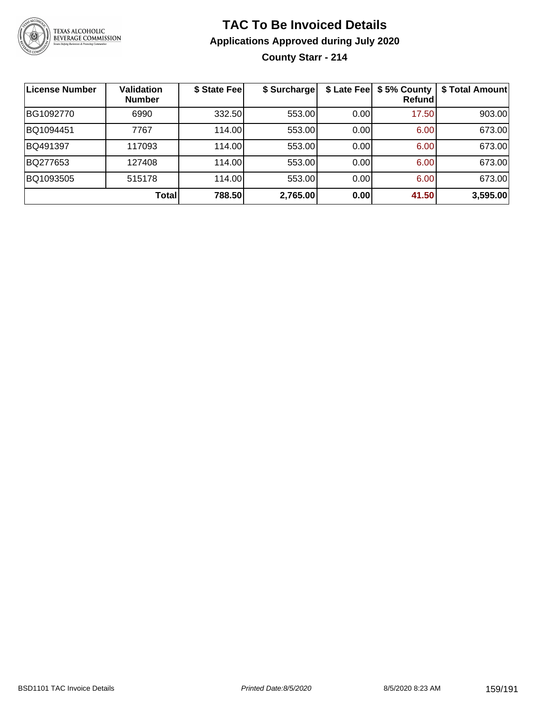

**County Starr - 214**

| <b>License Number</b> | <b>Validation</b><br><b>Number</b> | \$ State Fee | \$ Surcharge |      | \$ Late Fee   \$5% County<br>Refundl | \$ Total Amount |
|-----------------------|------------------------------------|--------------|--------------|------|--------------------------------------|-----------------|
| BG1092770             | 6990                               | 332.50       | 553.00       | 0.00 | 17.50                                | 903.00          |
| BQ1094451             | 7767                               | 114.00       | 553.00       | 0.00 | 6.00                                 | 673.00          |
| BQ491397              | 117093                             | 114.00       | 553.00       | 0.00 | 6.00                                 | 673.00          |
| BQ277653              | 127408                             | 114.00       | 553.00       | 0.00 | 6.00                                 | 673.00          |
| BQ1093505             | 515178                             | 114.00       | 553.00       | 0.00 | 6.00                                 | 673.00          |
|                       | <b>Total</b>                       | 788.50       | 2,765.00     | 0.00 | 41.50                                | 3,595.00        |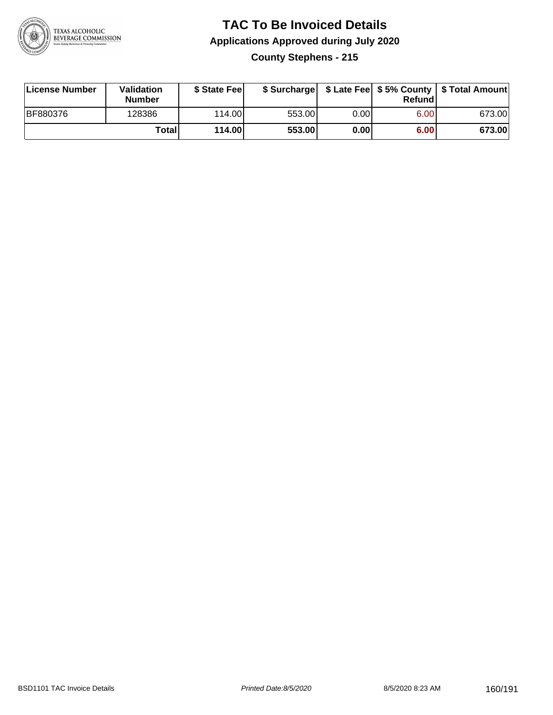

### **TAC To Be Invoiced Details Applications Approved during July 2020 County Stephens - 215**

| License Number  | Validation<br><b>Number</b> | \$ State Fee |        |      | Refund | \$ Surcharge   \$ Late Fee   \$5% County   \$ Total Amount |
|-----------------|-----------------------------|--------------|--------|------|--------|------------------------------------------------------------|
| <b>BF880376</b> | 128386                      | 114.00L      | 553.00 | 0.00 | 6.00   | 673.00                                                     |
|                 | Total                       | 114.00       | 553.00 | 0.00 | 6.00   | 673.00                                                     |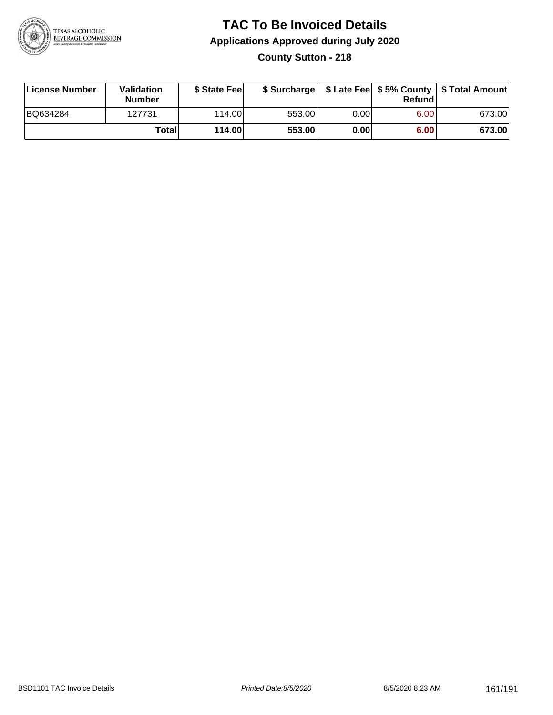

### **TAC To Be Invoiced Details Applications Approved during July 2020 County Sutton - 218**

| License Number | <b>Validation</b><br><b>Number</b> | \$ State Feel |        |      | Refundl | \$ Surcharge   \$ Late Fee   \$5% County   \$ Total Amount |
|----------------|------------------------------------|---------------|--------|------|---------|------------------------------------------------------------|
| BQ634284       | 127731                             | 114.00        | 553.00 | 0.00 | 6.00    | 673.00                                                     |
|                | Totall                             | 114.00        | 553.00 | 0.00 | 6.00    | 673.00                                                     |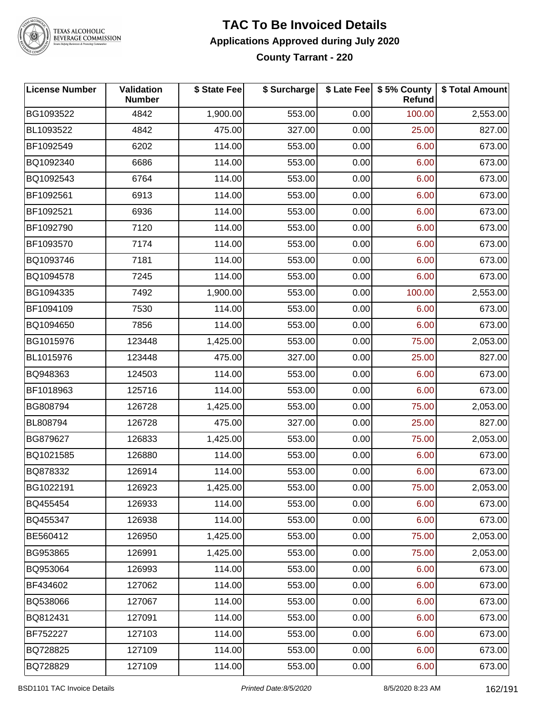

#### **TAC To Be Invoiced Details Applications Approved during July 2020 County Tarrant - 220**

| License Number  | Validation<br><b>Number</b> | \$ State Fee | \$ Surcharge |      | \$ Late Fee   \$5% County<br><b>Refund</b> | \$ Total Amount |
|-----------------|-----------------------------|--------------|--------------|------|--------------------------------------------|-----------------|
| BG1093522       | 4842                        | 1,900.00     | 553.00       | 0.00 | 100.00                                     | 2,553.00        |
| BL1093522       | 4842                        | 475.00       | 327.00       | 0.00 | 25.00                                      | 827.00          |
| BF1092549       | 6202                        | 114.00       | 553.00       | 0.00 | 6.00                                       | 673.00          |
| BQ1092340       | 6686                        | 114.00       | 553.00       | 0.00 | 6.00                                       | 673.00          |
| BQ1092543       | 6764                        | 114.00       | 553.00       | 0.00 | 6.00                                       | 673.00          |
| BF1092561       | 6913                        | 114.00       | 553.00       | 0.00 | 6.00                                       | 673.00          |
| BF1092521       | 6936                        | 114.00       | 553.00       | 0.00 | 6.00                                       | 673.00          |
| BF1092790       | 7120                        | 114.00       | 553.00       | 0.00 | 6.00                                       | 673.00          |
| BF1093570       | 7174                        | 114.00       | 553.00       | 0.00 | 6.00                                       | 673.00          |
| BQ1093746       | 7181                        | 114.00       | 553.00       | 0.00 | 6.00                                       | 673.00          |
| BQ1094578       | 7245                        | 114.00       | 553.00       | 0.00 | 6.00                                       | 673.00          |
| BG1094335       | 7492                        | 1,900.00     | 553.00       | 0.00 | 100.00                                     | 2,553.00        |
| BF1094109       | 7530                        | 114.00       | 553.00       | 0.00 | 6.00                                       | 673.00          |
| BQ1094650       | 7856                        | 114.00       | 553.00       | 0.00 | 6.00                                       | 673.00          |
| BG1015976       | 123448                      | 1,425.00     | 553.00       | 0.00 | 75.00                                      | 2,053.00        |
| BL1015976       | 123448                      | 475.00       | 327.00       | 0.00 | 25.00                                      | 827.00          |
| BQ948363        | 124503                      | 114.00       | 553.00       | 0.00 | 6.00                                       | 673.00          |
| BF1018963       | 125716                      | 114.00       | 553.00       | 0.00 | 6.00                                       | 673.00          |
| BG808794        | 126728                      | 1,425.00     | 553.00       | 0.00 | 75.00                                      | 2,053.00        |
| <b>BL808794</b> | 126728                      | 475.00       | 327.00       | 0.00 | 25.00                                      | 827.00          |
| BG879627        | 126833                      | 1,425.00     | 553.00       | 0.00 | 75.00                                      | 2,053.00        |
| BQ1021585       | 126880                      | 114.00       | 553.00       | 0.00 | 6.00                                       | 673.00          |
| BQ878332        | 126914                      | 114.00       | 553.00       | 0.00 | 6.00                                       | 673.00          |
| BG1022191       | 126923                      | 1,425.00     | 553.00       | 0.00 | 75.00                                      | 2,053.00        |
| BQ455454        | 126933                      | 114.00       | 553.00       | 0.00 | 6.00                                       | 673.00          |
| BQ455347        | 126938                      | 114.00       | 553.00       | 0.00 | 6.00                                       | 673.00          |
| BE560412        | 126950                      | 1,425.00     | 553.00       | 0.00 | 75.00                                      | 2,053.00        |
| BG953865        | 126991                      | 1,425.00     | 553.00       | 0.00 | 75.00                                      | 2,053.00        |
| BQ953064        | 126993                      | 114.00       | 553.00       | 0.00 | 6.00                                       | 673.00          |
| BF434602        | 127062                      | 114.00       | 553.00       | 0.00 | 6.00                                       | 673.00          |
| BQ538066        | 127067                      | 114.00       | 553.00       | 0.00 | 6.00                                       | 673.00          |
| BQ812431        | 127091                      | 114.00       | 553.00       | 0.00 | 6.00                                       | 673.00          |
| <b>BF752227</b> | 127103                      | 114.00       | 553.00       | 0.00 | 6.00                                       | 673.00          |
| BQ728825        | 127109                      | 114.00       | 553.00       | 0.00 | 6.00                                       | 673.00          |
| BQ728829        | 127109                      | 114.00       | 553.00       | 0.00 | 6.00                                       | 673.00          |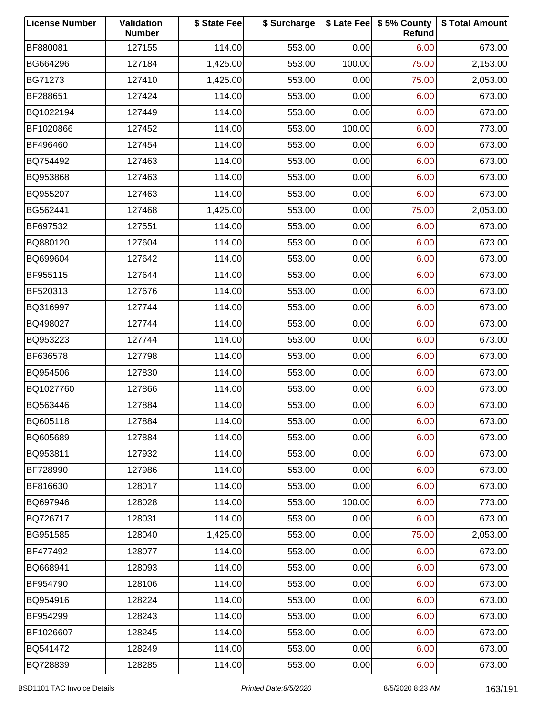| <b>License Number</b> | Validation<br><b>Number</b> | \$ State Fee | \$ Surcharge |        | \$ Late Fee   \$5% County<br>Refund | \$ Total Amount |
|-----------------------|-----------------------------|--------------|--------------|--------|-------------------------------------|-----------------|
| BF880081              | 127155                      | 114.00       | 553.00       | 0.00   | 6.00                                | 673.00          |
| BG664296              | 127184                      | 1,425.00     | 553.00       | 100.00 | 75.00                               | 2,153.00        |
| BG71273               | 127410                      | 1,425.00     | 553.00       | 0.00   | 75.00                               | 2,053.00        |
| BF288651              | 127424                      | 114.00       | 553.00       | 0.00   | 6.00                                | 673.00          |
| BQ1022194             | 127449                      | 114.00       | 553.00       | 0.00   | 6.00                                | 673.00          |
| BF1020866             | 127452                      | 114.00       | 553.00       | 100.00 | 6.00                                | 773.00          |
| BF496460              | 127454                      | 114.00       | 553.00       | 0.00   | 6.00                                | 673.00          |
| BQ754492              | 127463                      | 114.00       | 553.00       | 0.00   | 6.00                                | 673.00          |
| BQ953868              | 127463                      | 114.00       | 553.00       | 0.00   | 6.00                                | 673.00          |
| BQ955207              | 127463                      | 114.00       | 553.00       | 0.00   | 6.00                                | 673.00          |
| BG562441              | 127468                      | 1,425.00     | 553.00       | 0.00   | 75.00                               | 2,053.00        |
| BF697532              | 127551                      | 114.00       | 553.00       | 0.00   | 6.00                                | 673.00          |
| BQ880120              | 127604                      | 114.00       | 553.00       | 0.00   | 6.00                                | 673.00          |
| BQ699604              | 127642                      | 114.00       | 553.00       | 0.00   | 6.00                                | 673.00          |
| BF955115              | 127644                      | 114.00       | 553.00       | 0.00   | 6.00                                | 673.00          |
| BF520313              | 127676                      | 114.00       | 553.00       | 0.00   | 6.00                                | 673.00          |
| BQ316997              | 127744                      | 114.00       | 553.00       | 0.00   | 6.00                                | 673.00          |
| BQ498027              | 127744                      | 114.00       | 553.00       | 0.00   | 6.00                                | 673.00          |
| BQ953223              | 127744                      | 114.00       | 553.00       | 0.00   | 6.00                                | 673.00          |
| BF636578              | 127798                      | 114.00       | 553.00       | 0.00   | 6.00                                | 673.00          |
| BQ954506              | 127830                      | 114.00       | 553.00       | 0.00   | 6.00                                | 673.00          |
| BQ1027760             | 127866                      | 114.00       | 553.00       | 0.00   | 6.00                                | 673.00          |
| BQ563446              | 127884                      | 114.00       | 553.00       | 0.00   | 6.00                                | 673.00          |
| BQ605118              | 127884                      | 114.00       | 553.00       | 0.00   | 6.00                                | 673.00          |
| BQ605689              | 127884                      | 114.00       | 553.00       | 0.00   | 6.00                                | 673.00          |
| BQ953811              | 127932                      | 114.00       | 553.00       | 0.00   | 6.00                                | 673.00          |
| BF728990              | 127986                      | 114.00       | 553.00       | 0.00   | 6.00                                | 673.00          |
| BF816630              | 128017                      | 114.00       | 553.00       | 0.00   | 6.00                                | 673.00          |
| BQ697946              | 128028                      | 114.00       | 553.00       | 100.00 | 6.00                                | 773.00          |
| BQ726717              | 128031                      | 114.00       | 553.00       | 0.00   | 6.00                                | 673.00          |
| BG951585              | 128040                      | 1,425.00     | 553.00       | 0.00   | 75.00                               | 2,053.00        |
| BF477492              | 128077                      | 114.00       | 553.00       | 0.00   | 6.00                                | 673.00          |
| BQ668941              | 128093                      | 114.00       | 553.00       | 0.00   | 6.00                                | 673.00          |
| BF954790              | 128106                      | 114.00       | 553.00       | 0.00   | 6.00                                | 673.00          |
| BQ954916              | 128224                      | 114.00       | 553.00       | 0.00   | 6.00                                | 673.00          |
| BF954299              | 128243                      | 114.00       | 553.00       | 0.00   | 6.00                                | 673.00          |
| BF1026607             | 128245                      | 114.00       | 553.00       | 0.00   | 6.00                                | 673.00          |
| BQ541472              | 128249                      | 114.00       | 553.00       | 0.00   | 6.00                                | 673.00          |
| BQ728839              | 128285                      | 114.00       | 553.00       | 0.00   | 6.00                                | 673.00          |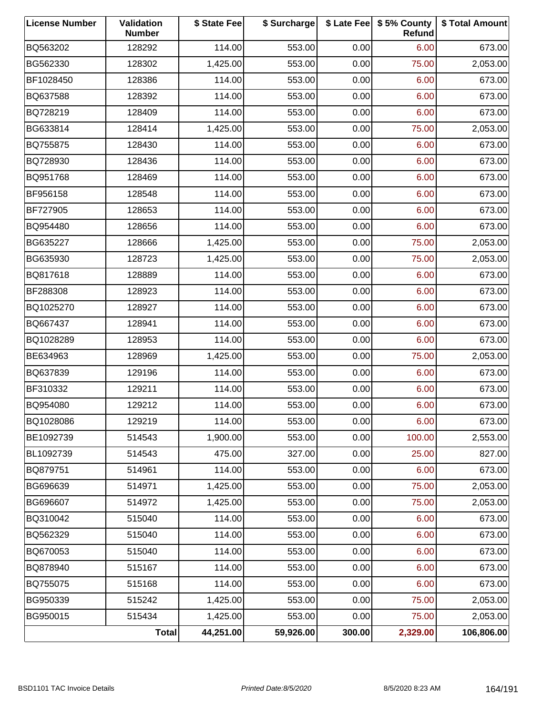| <b>License Number</b> | Validation<br><b>Number</b> | \$ State Fee | \$ Surcharge |        | \$ Late Fee   \$5% County<br>Refund | \$ Total Amount |
|-----------------------|-----------------------------|--------------|--------------|--------|-------------------------------------|-----------------|
| BQ563202              | 128292                      | 114.00       | 553.00       | 0.00   | 6.00                                | 673.00          |
| BG562330              | 128302                      | 1,425.00     | 553.00       | 0.00   | 75.00                               | 2,053.00        |
| BF1028450             | 128386                      | 114.00       | 553.00       | 0.00   | 6.00                                | 673.00          |
| BQ637588              | 128392                      | 114.00       | 553.00       | 0.00   | 6.00                                | 673.00          |
| BQ728219              | 128409                      | 114.00       | 553.00       | 0.00   | 6.00                                | 673.00          |
| BG633814              | 128414                      | 1,425.00     | 553.00       | 0.00   | 75.00                               | 2,053.00        |
| BQ755875              | 128430                      | 114.00       | 553.00       | 0.00   | 6.00                                | 673.00          |
| BQ728930              | 128436                      | 114.00       | 553.00       | 0.00   | 6.00                                | 673.00          |
| BQ951768              | 128469                      | 114.00       | 553.00       | 0.00   | 6.00                                | 673.00          |
| BF956158              | 128548                      | 114.00       | 553.00       | 0.00   | 6.00                                | 673.00          |
| BF727905              | 128653                      | 114.00       | 553.00       | 0.00   | 6.00                                | 673.00          |
| BQ954480              | 128656                      | 114.00       | 553.00       | 0.00   | 6.00                                | 673.00          |
| BG635227              | 128666                      | 1,425.00     | 553.00       | 0.00   | 75.00                               | 2,053.00        |
| BG635930              | 128723                      | 1,425.00     | 553.00       | 0.00   | 75.00                               | 2,053.00        |
| BQ817618              | 128889                      | 114.00       | 553.00       | 0.00   | 6.00                                | 673.00          |
| BF288308              | 128923                      | 114.00       | 553.00       | 0.00   | 6.00                                | 673.00          |
| BQ1025270             | 128927                      | 114.00       | 553.00       | 0.00   | 6.00                                | 673.00          |
| BQ667437              | 128941                      | 114.00       | 553.00       | 0.00   | 6.00                                | 673.00          |
| BQ1028289             | 128953                      | 114.00       | 553.00       | 0.00   | 6.00                                | 673.00          |
| BE634963              | 128969                      | 1,425.00     | 553.00       | 0.00   | 75.00                               | 2,053.00        |
| BQ637839              | 129196                      | 114.00       | 553.00       | 0.00   | 6.00                                | 673.00          |
| BF310332              | 129211                      | 114.00       | 553.00       | 0.00   | 6.00                                | 673.00          |
| BQ954080              | 129212                      | 114.00       | 553.00       | 0.00   | 6.00                                | 673.00          |
| BQ1028086             | 129219                      | 114.00       | 553.00       | 0.00   | 6.00                                | 673.00          |
| BE1092739             | 514543                      | 1,900.00     | 553.00       | 0.00   | 100.00                              | 2,553.00        |
| BL1092739             | 514543                      | 475.00       | 327.00       | 0.00   | 25.00                               | 827.00          |
| BQ879751              | 514961                      | 114.00       | 553.00       | 0.00   | 6.00                                | 673.00          |
| BG696639              | 514971                      | 1,425.00     | 553.00       | 0.00   | 75.00                               | 2,053.00        |
| BG696607              | 514972                      | 1,425.00     | 553.00       | 0.00   | 75.00                               | 2,053.00        |
| BQ310042              | 515040                      | 114.00       | 553.00       | 0.00   | 6.00                                | 673.00          |
| BQ562329              | 515040                      | 114.00       | 553.00       | 0.00   | 6.00                                | 673.00          |
| BQ670053              | 515040                      | 114.00       | 553.00       | 0.00   | 6.00                                | 673.00          |
| BQ878940              | 515167                      | 114.00       | 553.00       | 0.00   | 6.00                                | 673.00          |
| BQ755075              | 515168                      | 114.00       | 553.00       | 0.00   | 6.00                                | 673.00          |
| BG950339              | 515242                      | 1,425.00     | 553.00       | 0.00   | 75.00                               | 2,053.00        |
| BG950015              | 515434                      | 1,425.00     | 553.00       | 0.00   | 75.00                               | 2,053.00        |
|                       | <b>Total</b>                | 44,251.00    | 59,926.00    | 300.00 | 2,329.00                            | 106,806.00      |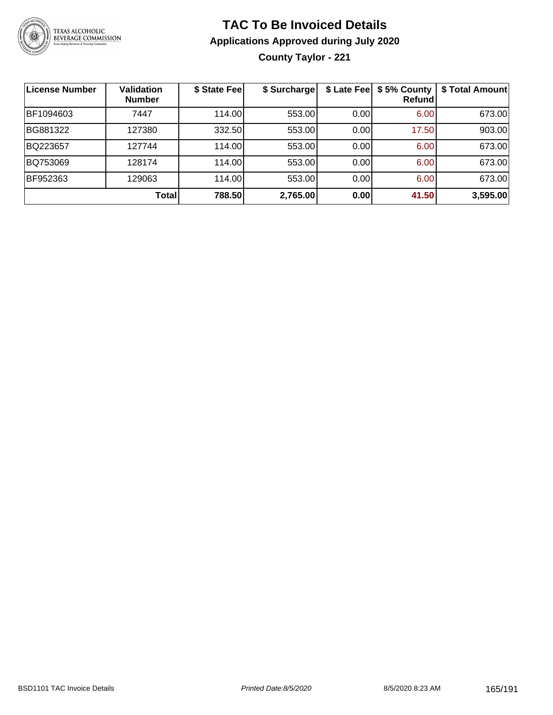

**County Taylor - 221**

| <b>License Number</b> | <b>Validation</b><br><b>Number</b> | \$ State Fee | \$ Surcharge | \$ Late Fee | \$5% County<br>Refundl | \$ Total Amount |
|-----------------------|------------------------------------|--------------|--------------|-------------|------------------------|-----------------|
| BF1094603             | 7447                               | 114.00       | 553.00       | 0.00        | 6.00                   | 673.00          |
| BG881322              | 127380                             | 332.50       | 553.00       | 0.00        | 17.50                  | 903.00          |
| BQ223657              | 127744                             | 114.00       | 553.00       | 0.00        | 6.00                   | 673.00          |
| BQ753069              | 128174                             | 114.00       | 553.00       | 0.00        | 6.00                   | 673.00          |
| BF952363              | 129063                             | 114.00       | 553.00       | 0.00        | 6.00                   | 673.00          |
|                       | Total                              | 788.50       | 2,765.00     | 0.00        | 41.50                  | 3,595.00        |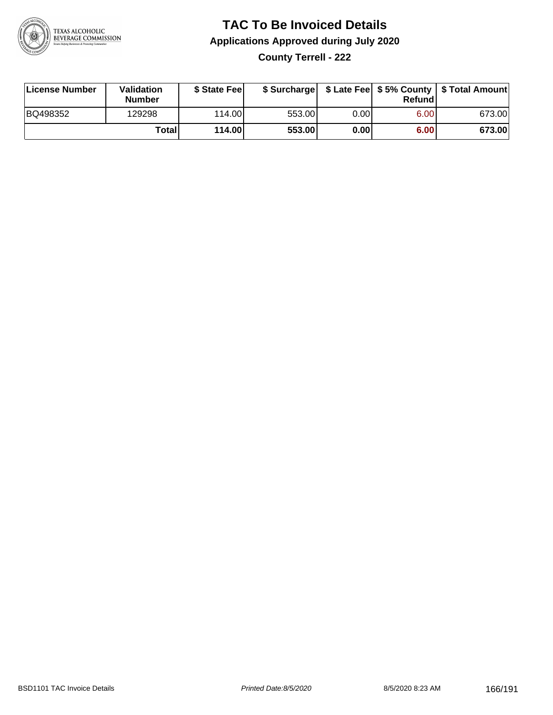

**County Terrell - 222**

| License Number | Validation<br><b>Number</b> | \$ State Feel |        |      | Refundl | \$ Surcharge   \$ Late Fee   \$5% County   \$ Total Amount |
|----------------|-----------------------------|---------------|--------|------|---------|------------------------------------------------------------|
| BQ498352       | 129298                      | 114.00        | 553.00 | 0.00 | 6.00    | 673.00                                                     |
|                | Totall                      | 114.00        | 553.00 | 0.00 | 6.00    | 673.00                                                     |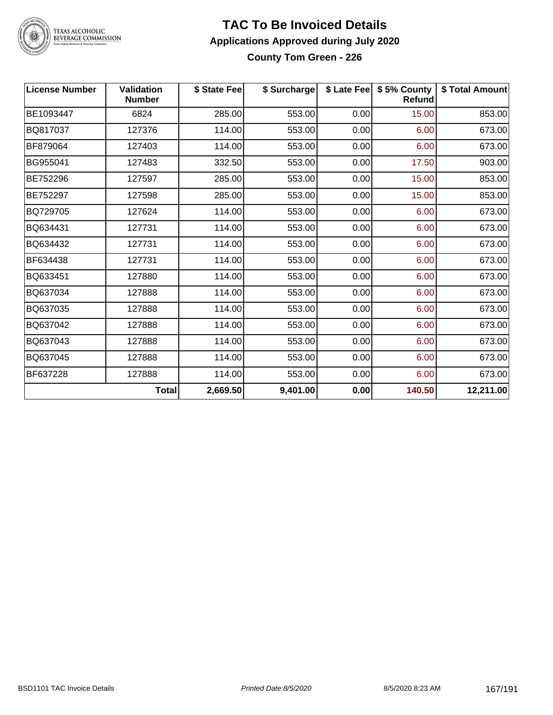

# TEXAS ALCOHOLIC<br>BEVERAGE COMMISSION

#### **TAC To Be Invoiced Details Applications Approved during July 2020 County Tom Green - 226**

| <b>License Number</b> | <b>Validation</b><br><b>Number</b> | \$ State Fee | \$ Surcharge |      | \$ Late Fee   \$5% County<br>Refund | \$ Total Amount |
|-----------------------|------------------------------------|--------------|--------------|------|-------------------------------------|-----------------|
| BE1093447             | 6824                               | 285.00       | 553.00       | 0.00 | 15.00                               | 853.00          |
| BQ817037              | 127376                             | 114.00       | 553.00       | 0.00 | 6.00                                | 673.00          |
| BF879064              | 127403                             | 114.00       | 553.00       | 0.00 | 6.00                                | 673.00          |
| BG955041              | 127483                             | 332.50       | 553.00       | 0.00 | 17.50                               | 903.00          |
| BE752296              | 127597                             | 285.00       | 553.00       | 0.00 | 15.00                               | 853.00          |
| BE752297              | 127598                             | 285.00       | 553.00       | 0.00 | 15.00                               | 853.00          |
| BQ729705              | 127624                             | 114.00       | 553.00       | 0.00 | 6.00                                | 673.00          |
| BQ634431              | 127731                             | 114.00       | 553.00       | 0.00 | 6.00                                | 673.00          |
| BQ634432              | 127731                             | 114.00       | 553.00       | 0.00 | 6.00                                | 673.00          |
| BF634438              | 127731                             | 114.00       | 553.00       | 0.00 | 6.00                                | 673.00          |
| BQ633451              | 127880                             | 114.00       | 553.00       | 0.00 | 6.00                                | 673.00          |
| BQ637034              | 127888                             | 114.00       | 553.00       | 0.00 | 6.00                                | 673.00          |
| BQ637035              | 127888                             | 114.00       | 553.00       | 0.00 | 6.00                                | 673.00          |
| BQ637042              | 127888                             | 114.00       | 553.00       | 0.00 | 6.00                                | 673.00          |
| BQ637043              | 127888                             | 114.00       | 553.00       | 0.00 | 6.00                                | 673.00          |
| BQ637045              | 127888                             | 114.00       | 553.00       | 0.00 | 6.00                                | 673.00          |
| BF637228              | 127888                             | 114.00       | 553.00       | 0.00 | 6.00                                | 673.00          |
|                       | <b>Total</b>                       | 2,669.50     | 9,401.00     | 0.00 | 140.50                              | 12,211.00       |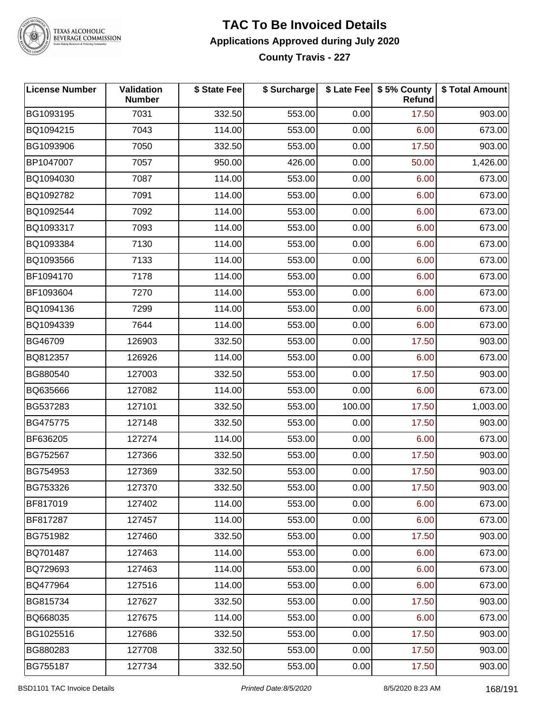

TEXAS ALCOHOLIC<br>BEVERAGE COMMISSION

### **TAC To Be Invoiced Details Applications Approved during July 2020**

**County Travis - 227**

| <b>License Number</b> | Validation<br><b>Number</b> | \$ State Fee | \$ Surcharge |        | \$ Late Fee   \$5% County<br>Refund | \$ Total Amount |
|-----------------------|-----------------------------|--------------|--------------|--------|-------------------------------------|-----------------|
| BG1093195             | 7031                        | 332.50       | 553.00       | 0.00   | 17.50                               | 903.00          |
| BQ1094215             | 7043                        | 114.00       | 553.00       | 0.00   | 6.00                                | 673.00          |
| BG1093906             | 7050                        | 332.50       | 553.00       | 0.00   | 17.50                               | 903.00          |
| BP1047007             | 7057                        | 950.00       | 426.00       | 0.00   | 50.00                               | 1,426.00        |
| BQ1094030             | 7087                        | 114.00       | 553.00       | 0.00   | 6.00                                | 673.00          |
| BQ1092782             | 7091                        | 114.00       | 553.00       | 0.00   | 6.00                                | 673.00          |
| BQ1092544             | 7092                        | 114.00       | 553.00       | 0.00   | 6.00                                | 673.00          |
| BQ1093317             | 7093                        | 114.00       | 553.00       | 0.00   | 6.00                                | 673.00          |
| BQ1093384             | 7130                        | 114.00       | 553.00       | 0.00   | 6.00                                | 673.00          |
| BQ1093566             | 7133                        | 114.00       | 553.00       | 0.00   | 6.00                                | 673.00          |
| BF1094170             | 7178                        | 114.00       | 553.00       | 0.00   | 6.00                                | 673.00          |
| BF1093604             | 7270                        | 114.00       | 553.00       | 0.00   | 6.00                                | 673.00          |
| BQ1094136             | 7299                        | 114.00       | 553.00       | 0.00   | 6.00                                | 673.00          |
| BQ1094339             | 7644                        | 114.00       | 553.00       | 0.00   | 6.00                                | 673.00          |
| BG46709               | 126903                      | 332.50       | 553.00       | 0.00   | 17.50                               | 903.00          |
| BQ812357              | 126926                      | 114.00       | 553.00       | 0.00   | 6.00                                | 673.00          |
| BG880540              | 127003                      | 332.50       | 553.00       | 0.00   | 17.50                               | 903.00          |
| BQ635666              | 127082                      | 114.00       | 553.00       | 0.00   | 6.00                                | 673.00          |
| BG537283              | 127101                      | 332.50       | 553.00       | 100.00 | 17.50                               | 1,003.00        |
| BG475775              | 127148                      | 332.50       | 553.00       | 0.00   | 17.50                               | 903.00          |
| BF636205              | 127274                      | 114.00       | 553.00       | 0.00   | 6.00                                | 673.00          |
| BG752567              | 127366                      | 332.50       | 553.00       | 0.00   | 17.50                               | 903.00          |
| BG754953              | 127369                      | 332.50       | 553.00       | 0.00   | 17.50                               | 903.00          |
| BG753326              | 127370                      | 332.50       | 553.00       | 0.00   | 17.50                               | 903.00          |
| BF817019              | 127402                      | 114.00       | 553.00       | 0.00   | 6.00                                | 673.00          |
| BF817287              | 127457                      | 114.00       | 553.00       | 0.00   | 6.00                                | 673.00          |
| BG751982              | 127460                      | 332.50       | 553.00       | 0.00   | 17.50                               | 903.00          |
| BQ701487              | 127463                      | 114.00       | 553.00       | 0.00   | 6.00                                | 673.00          |
| BQ729693              | 127463                      | 114.00       | 553.00       | 0.00   | 6.00                                | 673.00          |
| BQ477964              | 127516                      | 114.00       | 553.00       | 0.00   | 6.00                                | 673.00          |
| BG815734              | 127627                      | 332.50       | 553.00       | 0.00   | 17.50                               | 903.00          |
| BQ668035              | 127675                      | 114.00       | 553.00       | 0.00   | 6.00                                | 673.00          |
| BG1025516             | 127686                      | 332.50       | 553.00       | 0.00   | 17.50                               | 903.00          |
| BG880283              | 127708                      | 332.50       | 553.00       | 0.00   | 17.50                               | 903.00          |
| BG755187              | 127734                      | 332.50       | 553.00       | 0.00   | 17.50                               | 903.00          |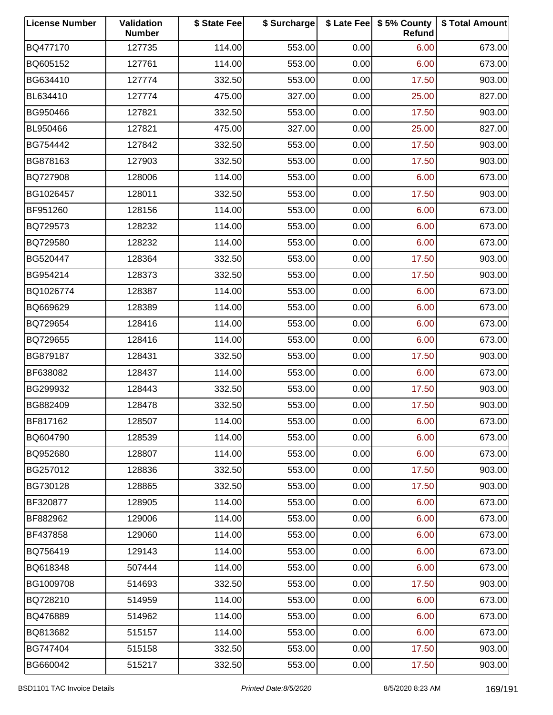| <b>License Number</b> | Validation<br><b>Number</b> | \$ State Fee | \$ Surcharge |      | \$ Late Fee   \$5% County<br>Refund | \$ Total Amount |
|-----------------------|-----------------------------|--------------|--------------|------|-------------------------------------|-----------------|
| BQ477170              | 127735                      | 114.00       | 553.00       | 0.00 | 6.00                                | 673.00          |
| BQ605152              | 127761                      | 114.00       | 553.00       | 0.00 | 6.00                                | 673.00          |
| BG634410              | 127774                      | 332.50       | 553.00       | 0.00 | 17.50                               | 903.00          |
| BL634410              | 127774                      | 475.00       | 327.00       | 0.00 | 25.00                               | 827.00          |
| BG950466              | 127821                      | 332.50       | 553.00       | 0.00 | 17.50                               | 903.00          |
| BL950466              | 127821                      | 475.00       | 327.00       | 0.00 | 25.00                               | 827.00          |
| BG754442              | 127842                      | 332.50       | 553.00       | 0.00 | 17.50                               | 903.00          |
| BG878163              | 127903                      | 332.50       | 553.00       | 0.00 | 17.50                               | 903.00          |
| BQ727908              | 128006                      | 114.00       | 553.00       | 0.00 | 6.00                                | 673.00          |
| BG1026457             | 128011                      | 332.50       | 553.00       | 0.00 | 17.50                               | 903.00          |
| BF951260              | 128156                      | 114.00       | 553.00       | 0.00 | 6.00                                | 673.00          |
| BQ729573              | 128232                      | 114.00       | 553.00       | 0.00 | 6.00                                | 673.00          |
| BQ729580              | 128232                      | 114.00       | 553.00       | 0.00 | 6.00                                | 673.00          |
| BG520447              | 128364                      | 332.50       | 553.00       | 0.00 | 17.50                               | 903.00          |
| BG954214              | 128373                      | 332.50       | 553.00       | 0.00 | 17.50                               | 903.00          |
| BQ1026774             | 128387                      | 114.00       | 553.00       | 0.00 | 6.00                                | 673.00          |
| BQ669629              | 128389                      | 114.00       | 553.00       | 0.00 | 6.00                                | 673.00          |
| BQ729654              | 128416                      | 114.00       | 553.00       | 0.00 | 6.00                                | 673.00          |
| BQ729655              | 128416                      | 114.00       | 553.00       | 0.00 | 6.00                                | 673.00          |
| BG879187              | 128431                      | 332.50       | 553.00       | 0.00 | 17.50                               | 903.00          |
| BF638082              | 128437                      | 114.00       | 553.00       | 0.00 | 6.00                                | 673.00          |
| BG299932              | 128443                      | 332.50       | 553.00       | 0.00 | 17.50                               | 903.00          |
| BG882409              | 128478                      | 332.50       | 553.00       | 0.00 | 17.50                               | 903.00          |
| BF817162              | 128507                      | 114.00       | 553.00       | 0.00 | 6.00                                | 673.00          |
| BQ604790              | 128539                      | 114.00       | 553.00       | 0.00 | 6.00                                | 673.00          |
| BQ952680              | 128807                      | 114.00       | 553.00       | 0.00 | 6.00                                | 673.00          |
| BG257012              | 128836                      | 332.50       | 553.00       | 0.00 | 17.50                               | 903.00          |
| BG730128              | 128865                      | 332.50       | 553.00       | 0.00 | 17.50                               | 903.00          |
| BF320877              | 128905                      | 114.00       | 553.00       | 0.00 | 6.00                                | 673.00          |
| BF882962              | 129006                      | 114.00       | 553.00       | 0.00 | 6.00                                | 673.00          |
| BF437858              | 129060                      | 114.00       | 553.00       | 0.00 | 6.00                                | 673.00          |
| BQ756419              | 129143                      | 114.00       | 553.00       | 0.00 | 6.00                                | 673.00          |
| BQ618348              | 507444                      | 114.00       | 553.00       | 0.00 | 6.00                                | 673.00          |
| BG1009708             | 514693                      | 332.50       | 553.00       | 0.00 | 17.50                               | 903.00          |
| BQ728210              | 514959                      | 114.00       | 553.00       | 0.00 | 6.00                                | 673.00          |
| BQ476889              | 514962                      | 114.00       | 553.00       | 0.00 | 6.00                                | 673.00          |
| BQ813682              | 515157                      | 114.00       | 553.00       | 0.00 | 6.00                                | 673.00          |
| BG747404              | 515158                      | 332.50       | 553.00       | 0.00 | 17.50                               | 903.00          |
| BG660042              | 515217                      | 332.50       | 553.00       | 0.00 | 17.50                               | 903.00          |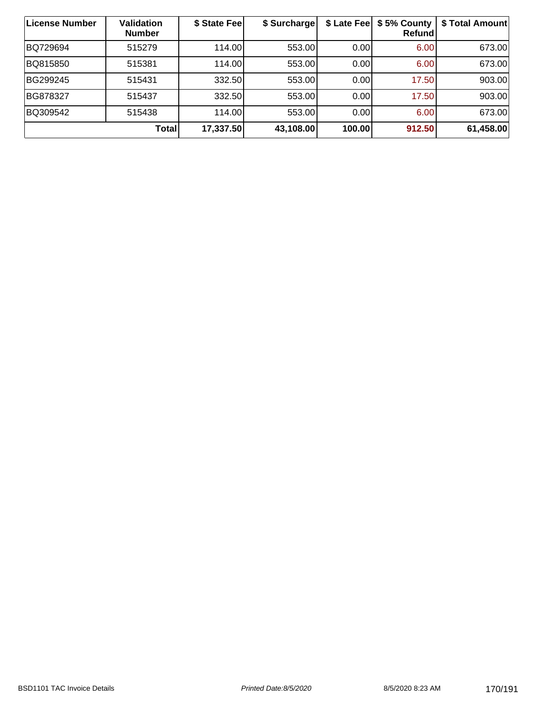| License Number | Validation<br><b>Number</b> | \$ State Feel | \$ Surcharge | \$ Late Fee | \$5% County<br>Refund | \$ Total Amount |
|----------------|-----------------------------|---------------|--------------|-------------|-----------------------|-----------------|
| BQ729694       | 515279                      | 114.00L       | 553.00       | 0.00        | 6.00                  | 673.00          |
| BQ815850       | 515381                      | 114.00        | 553.00       | 0.00        | 6.00                  | 673.00          |
| BG299245       | 515431                      | 332.50        | 553.00       | 0.00        | 17.50                 | 903.00          |
| BG878327       | 515437                      | 332.50        | 553.00       | 0.00        | 17.50                 | 903.00          |
| BQ309542       | 515438                      | 114.00        | 553.00       | 0.00        | 6.00                  | 673.00          |
|                | <b>Total</b>                | 17,337.50     | 43,108.00    | 100.00      | 912.50                | 61,458.00       |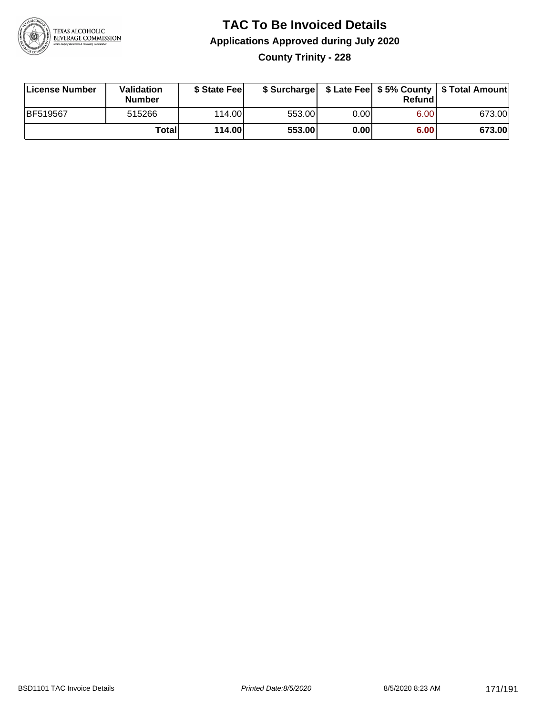

**County Trinity - 228**

| License Number | Validation<br><b>Number</b> | \$ State Feel |        |      | Refundl | \$ Surcharge   \$ Late Fee   \$5% County   \$ Total Amount |
|----------------|-----------------------------|---------------|--------|------|---------|------------------------------------------------------------|
| BF519567       | 515266                      | 114.00        | 553.00 | 0.00 | 6.00    | 673.00                                                     |
|                | Totall                      | 114.00        | 553.00 | 0.00 | 6.00    | 673.00                                                     |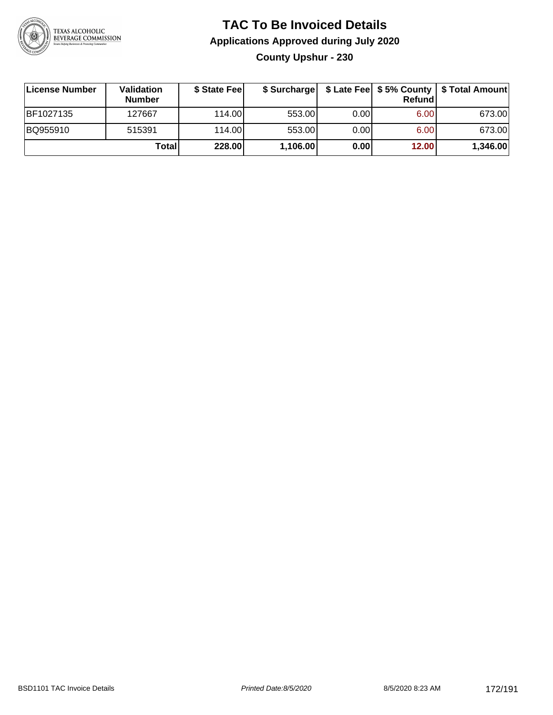

### **TAC To Be Invoiced Details Applications Approved during July 2020 County Upshur - 230**

| License Number | Validation<br><b>Number</b> | \$ State Fee | \$ Surcharge |      | Refund | \$ Late Fee   \$5% County   \$ Total Amount |
|----------------|-----------------------------|--------------|--------------|------|--------|---------------------------------------------|
| BF1027135      | 127667                      | 114.00L      | 553.00       | 0.00 | 6.00   | 673.00                                      |
| BQ955910       | 515391                      | 114.00L      | 553.00       | 0.00 | 6.00   | 673.00                                      |
|                | Total                       | 228.00       | 1,106.00     | 0.00 | 12.00  | 1,346.00                                    |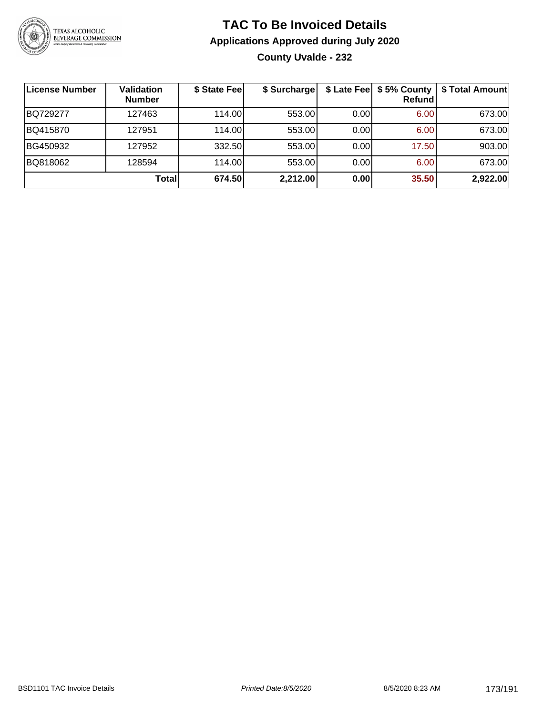

### **TAC To Be Invoiced Details Applications Approved during July 2020 County Uvalde - 232**

| License Number | <b>Validation</b><br><b>Number</b> | \$ State Fee | \$ Surcharge |      | \$ Late Fee   \$5% County  <br>Refundl | \$ Total Amount |
|----------------|------------------------------------|--------------|--------------|------|----------------------------------------|-----------------|
| BQ729277       | 127463                             | 114.00       | 553.00       | 0.00 | 6.00                                   | 673.00          |
| BQ415870       | 127951                             | 114.00       | 553.00       | 0.00 | 6.00                                   | 673.00          |
| BG450932       | 127952                             | 332.50       | 553.00       | 0.00 | 17.50                                  | 903.00          |
| BQ818062       | 128594                             | 114.00       | 553.00       | 0.00 | 6.00                                   | 673.00          |
|                | Total                              | 674.50       | 2,212.00     | 0.00 | 35.50                                  | 2,922.00        |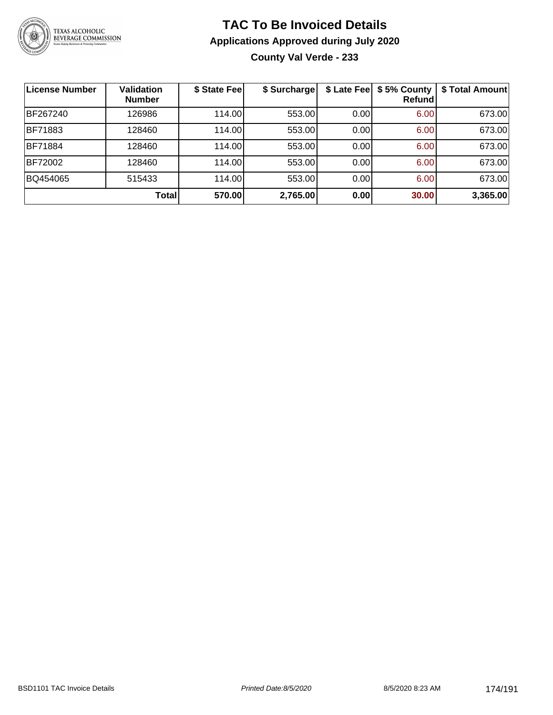

### **TAC To Be Invoiced Details Applications Approved during July 2020 County Val Verde - 233**

| ∣License Number | <b>Validation</b><br><b>Number</b> | \$ State Fee | \$ Surcharge | \$ Late Fee | \$5% County<br>Refundl | \$ Total Amount |
|-----------------|------------------------------------|--------------|--------------|-------------|------------------------|-----------------|
| BF267240        | 126986                             | 114.00       | 553.00       | 0.00        | 6.00                   | 673.00          |
| <b>BF71883</b>  | 128460                             | 114.00       | 553.00       | 0.00        | 6.00                   | 673.00          |
| <b>BF71884</b>  | 128460                             | 114.00       | 553.00       | 0.00        | 6.00                   | 673.00          |
| <b>BF72002</b>  | 128460                             | 114.00       | 553.00       | 0.00        | 6.00                   | 673.00          |
| BQ454065        | 515433                             | 114.00       | 553.00       | 0.00        | 6.00                   | 673.00          |
|                 | <b>Total</b>                       | 570.00       | 2,765.00     | 0.00        | 30.00                  | 3,365.00        |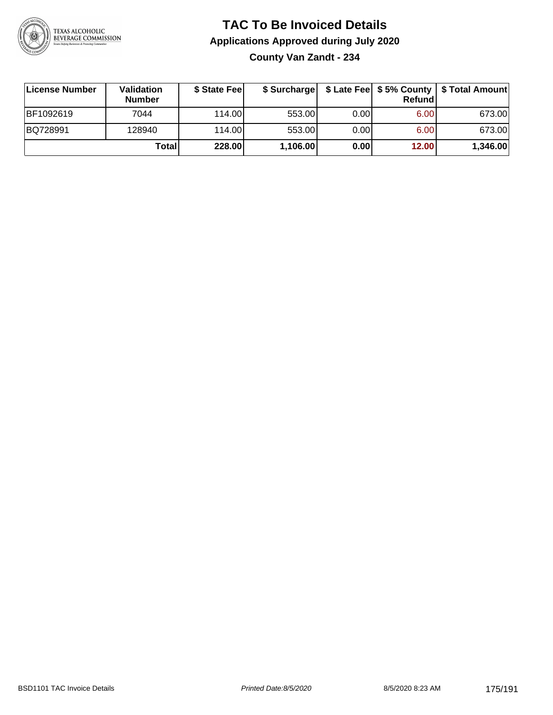

**County Van Zandt - 234**

| ∣License Number | <b>Validation</b><br><b>Number</b> | \$ State Fee | \$ Surcharge |      | <b>Refund</b>     | \$ Late Fee   \$5% County   \$ Total Amount |
|-----------------|------------------------------------|--------------|--------------|------|-------------------|---------------------------------------------|
| BF1092619       | 7044                               | 114.00L      | 553.00       | 0.00 | 6.00 <sub>1</sub> | 673.00                                      |
| BQ728991        | 128940                             | 114.00L      | 553.00       | 0.00 | 6.00              | 673.00                                      |
|                 | Totall                             | 228.00       | 1,106.00     | 0.00 | 12.00             | 1,346.00                                    |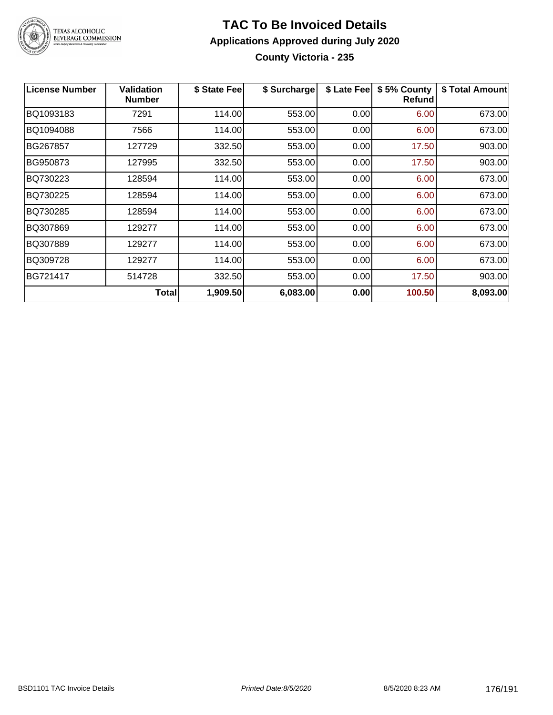

### **TAC To Be Invoiced Details Applications Approved during July 2020 County Victoria - 235**

| <b>License Number</b> | <b>Validation</b><br><b>Number</b> | \$ State Fee | \$ Surcharge | \$ Late Fee | \$5% County<br>Refund | \$ Total Amount |
|-----------------------|------------------------------------|--------------|--------------|-------------|-----------------------|-----------------|
| BQ1093183             | 7291                               | 114.00       | 553.00       | 0.00        | 6.00                  | 673.00          |
| BQ1094088             | 7566                               | 114.00       | 553.00       | 0.00        | 6.00                  | 673.00          |
| BG267857              | 127729                             | 332.50       | 553.00       | 0.00        | 17.50                 | 903.00          |
| BG950873              | 127995                             | 332.50       | 553.00       | 0.00        | 17.50                 | 903.00          |
| BQ730223              | 128594                             | 114.00       | 553.00       | 0.00        | 6.00                  | 673.00          |
| BQ730225              | 128594                             | 114.00       | 553.00       | 0.00        | 6.00                  | 673.00          |
| BQ730285              | 128594                             | 114.00       | 553.00       | 0.00        | 6.00                  | 673.00          |
| BQ307869              | 129277                             | 114.00       | 553.00       | 0.00        | 6.00                  | 673.00          |
| BQ307889              | 129277                             | 114.00       | 553.00       | 0.00        | 6.00                  | 673.00          |
| BQ309728              | 129277                             | 114.00       | 553.00       | 0.00        | 6.00                  | 673.00          |
| BG721417              | 514728                             | 332.50       | 553.00       | 0.00        | 17.50                 | 903.00          |
|                       | <b>Total</b>                       | 1,909.50     | 6,083.00     | 0.00        | 100.50                | 8,093.00        |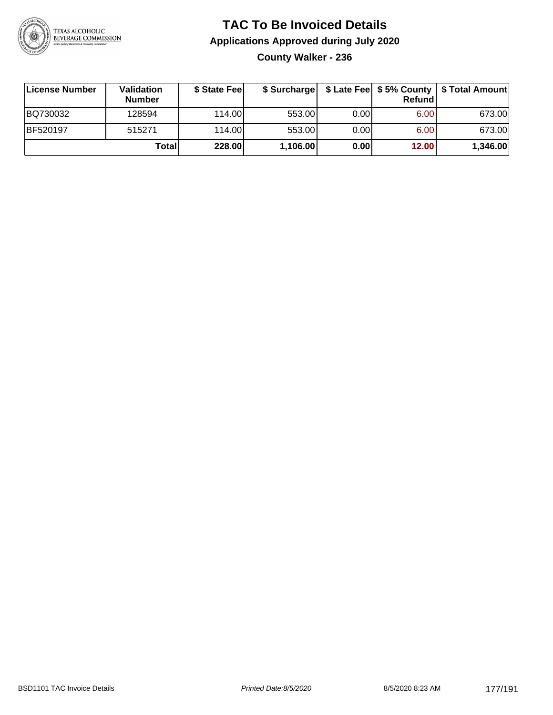

### **TAC To Be Invoiced Details Applications Approved during July 2020 County Walker - 236**

| License Number | Validation<br><b>Number</b> | \$ State Fee | \$ Surcharge |      | Refund | \$ Late Fee   \$5% County   \$ Total Amount |
|----------------|-----------------------------|--------------|--------------|------|--------|---------------------------------------------|
| BQ730032       | 128594                      | 114.00L      | 553.00       | 0.00 | 6.00   | 673.00                                      |
| BF520197       | 515271                      | 114.00L      | 553.00       | 0.00 | 6.00   | 673.00                                      |
|                | Total                       | 228.00       | 1,106.00     | 0.00 | 12.00  | 1,346.00                                    |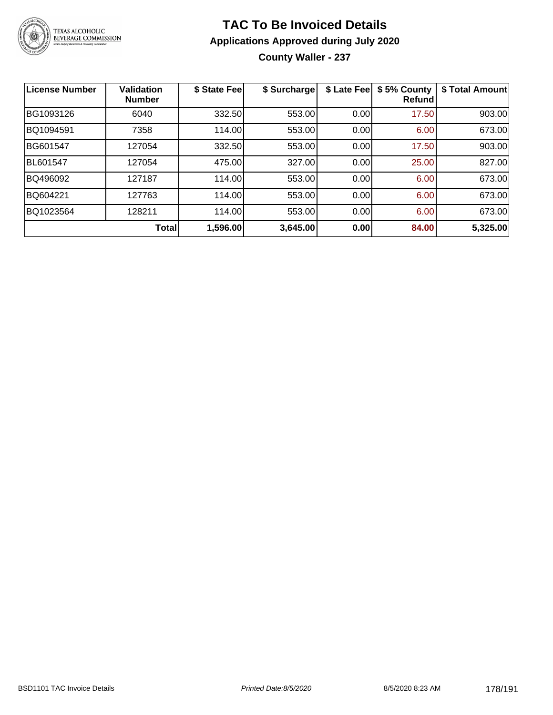

**County Waller - 237**

| License Number  | <b>Validation</b><br><b>Number</b> | \$ State Fee | \$ Surcharge | \$ Late Fee | \$5% County<br>Refundl | \$ Total Amount |
|-----------------|------------------------------------|--------------|--------------|-------------|------------------------|-----------------|
| BG1093126       | 6040                               | 332.50       | 553.00       | 0.00        | 17.50                  | 903.00          |
| BQ1094591       | 7358                               | 114.00       | 553.00       | 0.00        | 6.00                   | 673.00          |
| BG601547        | 127054                             | 332.50       | 553.00       | 0.00        | 17.50                  | 903.00          |
| <b>BL601547</b> | 127054                             | 475.00       | 327.00       | 0.00        | 25.00                  | 827.00          |
| BQ496092        | 127187                             | 114.00       | 553.00       | 0.00        | 6.00                   | 673.00          |
| BQ604221        | 127763                             | 114.00       | 553.00       | 0.00        | 6.00                   | 673.00          |
| BQ1023564       | 128211                             | 114.00       | 553.00       | 0.00        | 6.00                   | 673.00          |
|                 | Total                              | 1,596.00     | 3,645.00     | 0.00        | 84.00                  | 5,325.00        |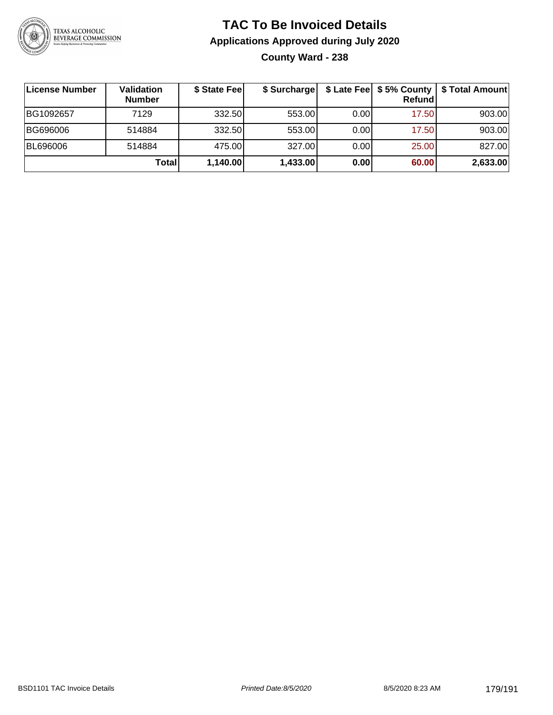

**County Ward - 238**

| <b>License Number</b> | Validation<br><b>Number</b> | \$ State Fee | \$ Surcharge |      | Refundl | \$ Late Fee   \$5% County   \$ Total Amount |
|-----------------------|-----------------------------|--------------|--------------|------|---------|---------------------------------------------|
| BG1092657             | 7129                        | 332.50       | 553.00       | 0.00 | 17.50   | 903.00                                      |
| BG696006              | 514884                      | 332.50       | 553.00       | 0.00 | 17.50   | 903.00                                      |
| BL696006              | 514884                      | 475.00       | 327.00       | 0.00 | 25.00   | 827.00                                      |
|                       | Totall                      | 1,140.00     | 1,433.00     | 0.00 | 60.00   | 2,633.00                                    |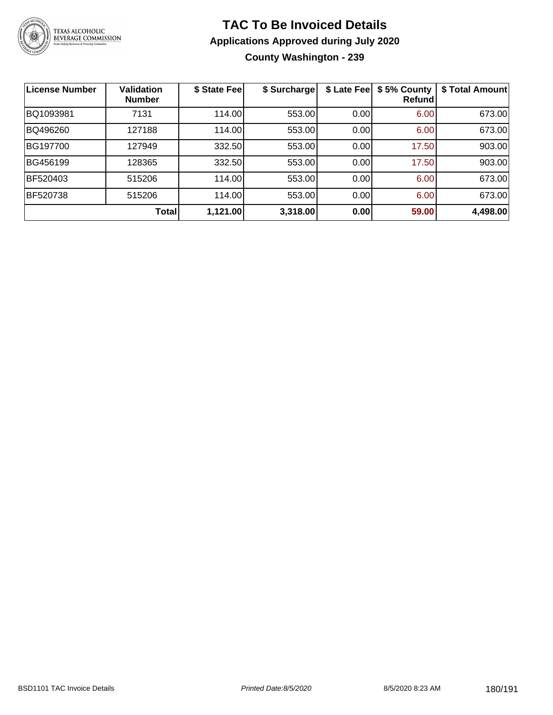

### **TAC To Be Invoiced Details Applications Approved during July 2020 County Washington - 239**

| <b>License Number</b> | <b>Validation</b><br><b>Number</b> | \$ State Fee | \$ Surcharge | \$ Late Fee | \$5% County<br>Refund | \$ Total Amount |
|-----------------------|------------------------------------|--------------|--------------|-------------|-----------------------|-----------------|
| BQ1093981             | 7131                               | 114.00       | 553.00       | 0.00        | 6.00                  | 673.00          |
| BQ496260              | 127188                             | 114.00       | 553.00       | 0.00        | 6.00                  | 673.00          |
| BG197700              | 127949                             | 332.50       | 553.00       | 0.00        | 17.50                 | 903.00          |
| BG456199              | 128365                             | 332.50       | 553.00       | 0.00        | 17.50                 | 903.00          |
| BF520403              | 515206                             | 114.00       | 553.00       | 0.00        | 6.00                  | 673.00          |
| <b>BF520738</b>       | 515206                             | 114.00       | 553.00       | 0.00        | 6.00                  | 673.00          |
|                       | Total                              | 1,121.00     | 3,318.00     | 0.00        | 59.00                 | 4,498.00        |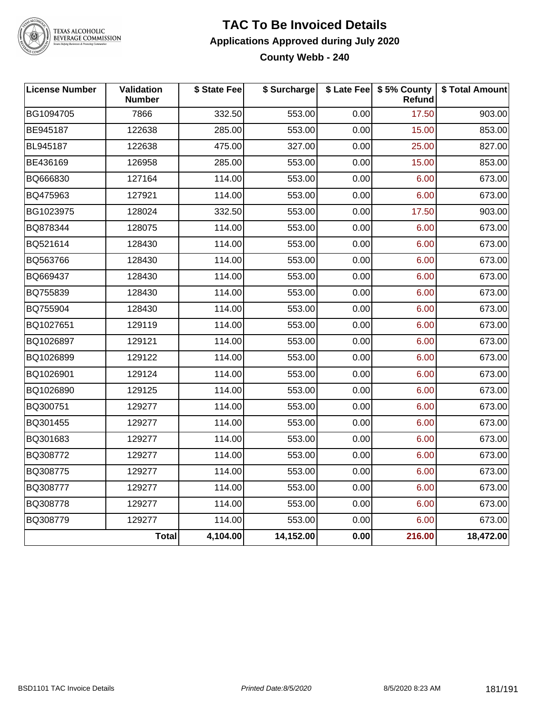

# TEXAS ALCOHOLIC<br>BEVERAGE COMMISSION

#### **TAC To Be Invoiced Details Applications Approved during July 2020 County Webb - 240**

| <b>License Number</b> | Validation<br><b>Number</b> | \$ State Fee | \$ Surcharge |      | \$ Late Fee   \$5% County<br>Refund | \$ Total Amount |
|-----------------------|-----------------------------|--------------|--------------|------|-------------------------------------|-----------------|
| BG1094705             | 7866                        | 332.50       | 553.00       | 0.00 | 17.50                               | 903.00          |
| BE945187              | 122638                      | 285.00       | 553.00       | 0.00 | 15.00                               | 853.00          |
| BL945187              | 122638                      | 475.00       | 327.00       | 0.00 | 25.00                               | 827.00          |
| BE436169              | 126958                      | 285.00       | 553.00       | 0.00 | 15.00                               | 853.00          |
| BQ666830              | 127164                      | 114.00       | 553.00       | 0.00 | 6.00                                | 673.00          |
| BQ475963              | 127921                      | 114.00       | 553.00       | 0.00 | 6.00                                | 673.00          |
| BG1023975             | 128024                      | 332.50       | 553.00       | 0.00 | 17.50                               | 903.00          |
| BQ878344              | 128075                      | 114.00       | 553.00       | 0.00 | 6.00                                | 673.00          |
| BQ521614              | 128430                      | 114.00       | 553.00       | 0.00 | 6.00                                | 673.00          |
| BQ563766              | 128430                      | 114.00       | 553.00       | 0.00 | 6.00                                | 673.00          |
| BQ669437              | 128430                      | 114.00       | 553.00       | 0.00 | 6.00                                | 673.00          |
| BQ755839              | 128430                      | 114.00       | 553.00       | 0.00 | 6.00                                | 673.00          |
| BQ755904              | 128430                      | 114.00       | 553.00       | 0.00 | 6.00                                | 673.00          |
| BQ1027651             | 129119                      | 114.00       | 553.00       | 0.00 | 6.00                                | 673.00          |
| BQ1026897             | 129121                      | 114.00       | 553.00       | 0.00 | 6.00                                | 673.00          |
| BQ1026899             | 129122                      | 114.00       | 553.00       | 0.00 | 6.00                                | 673.00          |
| BQ1026901             | 129124                      | 114.00       | 553.00       | 0.00 | 6.00                                | 673.00          |
| BQ1026890             | 129125                      | 114.00       | 553.00       | 0.00 | 6.00                                | 673.00          |
| BQ300751              | 129277                      | 114.00       | 553.00       | 0.00 | 6.00                                | 673.00          |
| BQ301455              | 129277                      | 114.00       | 553.00       | 0.00 | 6.00                                | 673.00          |
| BQ301683              | 129277                      | 114.00       | 553.00       | 0.00 | 6.00                                | 673.00          |
| BQ308772              | 129277                      | 114.00       | 553.00       | 0.00 | 6.00                                | 673.00          |
| BQ308775              | 129277                      | 114.00       | 553.00       | 0.00 | 6.00                                | 673.00          |
| BQ308777              | 129277                      | 114.00       | 553.00       | 0.00 | 6.00                                | 673.00          |
| BQ308778              | 129277                      | 114.00       | 553.00       | 0.00 | 6.00                                | 673.00          |
| BQ308779              | 129277                      | 114.00       | 553.00       | 0.00 | 6.00                                | 673.00          |
|                       | <b>Total</b>                | 4,104.00     | 14,152.00    | 0.00 | 216.00                              | 18,472.00       |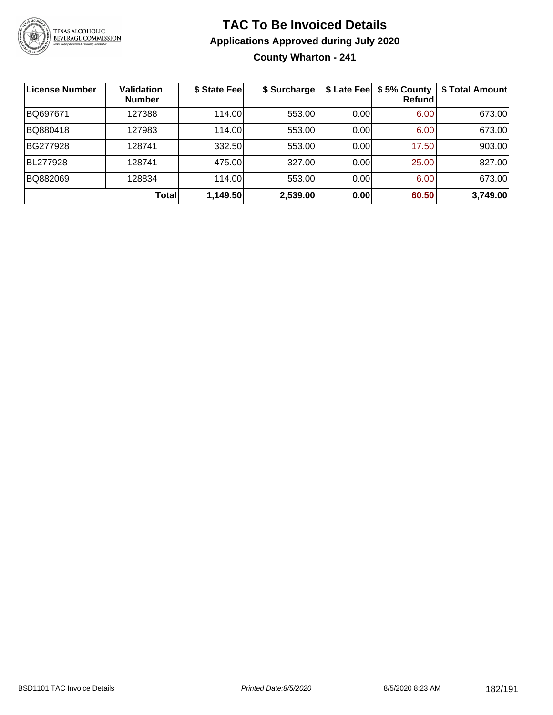

## **TAC To Be Invoiced Details Applications Approved during July 2020 County Wharton - 241**

| License Number | <b>Validation</b><br><b>Number</b> | \$ State Fee | \$ Surcharge | \$ Late Fee | \$5% County<br>Refundl | \$ Total Amount |
|----------------|------------------------------------|--------------|--------------|-------------|------------------------|-----------------|
| BQ697671       | 127388                             | 114.00       | 553.00       | 0.00        | 6.00                   | 673.00          |
| BQ880418       | 127983                             | 114.00       | 553.00       | 0.00        | 6.00                   | 673.00          |
| BG277928       | 128741                             | 332.50       | 553.00       | 0.00        | 17.50                  | 903.00          |
| BL277928       | 128741                             | 475.00       | 327.00       | 0.00        | 25.00                  | 827.00          |
| BQ882069       | 128834                             | 114.00       | 553.00       | 0.00        | 6.00                   | 673.00          |
|                | Total                              | 1,149.50     | 2,539.00     | 0.00        | 60.50                  | 3,749.00        |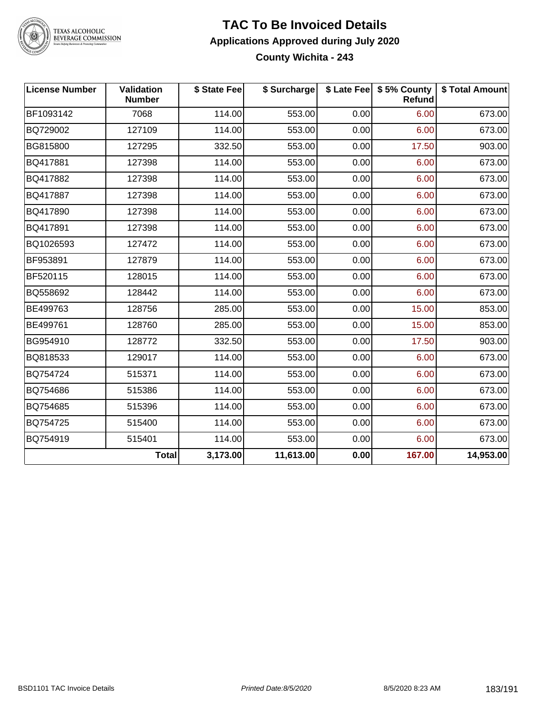

TEXAS ALCOHOLIC<br>BEVERAGE COMMISSION

#### **TAC To Be Invoiced Details Applications Approved during July 2020 County Wichita - 243**

| <b>License Number</b> | <b>Validation</b><br><b>Number</b> | \$ State Fee | \$ Surcharge |      | \$ Late Fee   \$5% County<br>Refund | \$ Total Amount |
|-----------------------|------------------------------------|--------------|--------------|------|-------------------------------------|-----------------|
| BF1093142             | 7068                               | 114.00       | 553.00       | 0.00 | 6.00                                | 673.00          |
| BQ729002              | 127109                             | 114.00       | 553.00       | 0.00 | 6.00                                | 673.00          |
| BG815800              | 127295                             | 332.50       | 553.00       | 0.00 | 17.50                               | 903.00          |
| BQ417881              | 127398                             | 114.00       | 553.00       | 0.00 | 6.00                                | 673.00          |
| BQ417882              | 127398                             | 114.00       | 553.00       | 0.00 | 6.00                                | 673.00          |
| BQ417887              | 127398                             | 114.00       | 553.00       | 0.00 | 6.00                                | 673.00          |
| BQ417890              | 127398                             | 114.00       | 553.00       | 0.00 | 6.00                                | 673.00          |
| BQ417891              | 127398                             | 114.00       | 553.00       | 0.00 | 6.00                                | 673.00          |
| BQ1026593             | 127472                             | 114.00       | 553.00       | 0.00 | 6.00                                | 673.00          |
| BF953891              | 127879                             | 114.00       | 553.00       | 0.00 | 6.00                                | 673.00          |
| BF520115              | 128015                             | 114.00       | 553.00       | 0.00 | 6.00                                | 673.00          |
| BQ558692              | 128442                             | 114.00       | 553.00       | 0.00 | 6.00                                | 673.00          |
| BE499763              | 128756                             | 285.00       | 553.00       | 0.00 | 15.00                               | 853.00          |
| BE499761              | 128760                             | 285.00       | 553.00       | 0.00 | 15.00                               | 853.00          |
| BG954910              | 128772                             | 332.50       | 553.00       | 0.00 | 17.50                               | 903.00          |
| BQ818533              | 129017                             | 114.00       | 553.00       | 0.00 | 6.00                                | 673.00          |
| BQ754724              | 515371                             | 114.00       | 553.00       | 0.00 | 6.00                                | 673.00          |
| BQ754686              | 515386                             | 114.00       | 553.00       | 0.00 | 6.00                                | 673.00          |
| BQ754685              | 515396                             | 114.00       | 553.00       | 0.00 | 6.00                                | 673.00          |
| BQ754725              | 515400                             | 114.00       | 553.00       | 0.00 | 6.00                                | 673.00          |
| BQ754919              | 515401                             | 114.00       | 553.00       | 0.00 | 6.00                                | 673.00          |
|                       | <b>Total</b>                       | 3,173.00     | 11,613.00    | 0.00 | 167.00                              | 14,953.00       |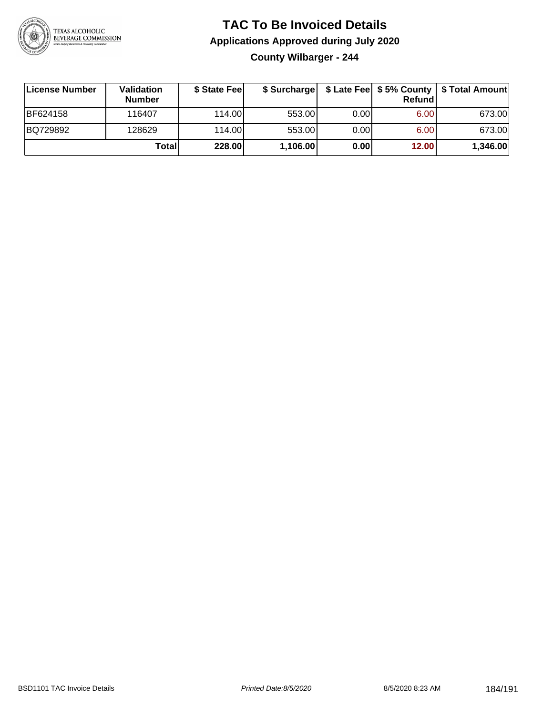

## **TAC To Be Invoiced Details Applications Approved during July 2020 County Wilbarger - 244**

| License Number | Validation<br><b>Number</b> | \$ State Fee | \$ Surcharge |       | Refundl | \$ Late Fee   \$5% County   \$ Total Amount |
|----------------|-----------------------------|--------------|--------------|-------|---------|---------------------------------------------|
| BF624158       | 116407                      | 114.00L      | 553.00       | 0.001 | 6.00    | 673.00                                      |
| BQ729892       | 128629                      | 114.00       | 553.00       | 0.00  | 6.00    | 673.00                                      |
|                | <b>Total</b>                | 228.00       | 1,106.00     | 0.00  | 12.00   | 1,346.00                                    |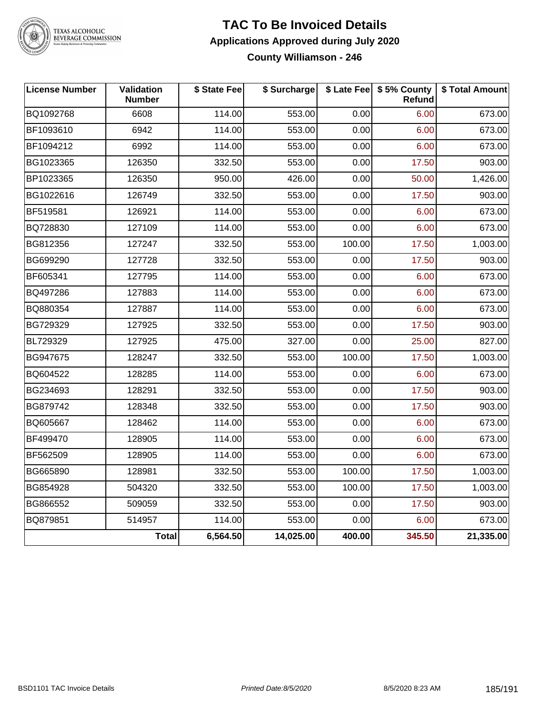

# TEXAS ALCOHOLIC<br>BEVERAGE COMMISSION

#### **TAC To Be Invoiced Details Applications Approved during July 2020 County Williamson - 246**

| <b>License Number</b> | Validation<br><b>Number</b> | \$ State Fee | \$ Surcharge |        | \$ Late Fee   \$5% County<br>Refund | \$ Total Amount |
|-----------------------|-----------------------------|--------------|--------------|--------|-------------------------------------|-----------------|
| BQ1092768             | 6608                        | 114.00       | 553.00       | 0.00   | 6.00                                | 673.00          |
| BF1093610             | 6942                        | 114.00       | 553.00       | 0.00   | 6.00                                | 673.00          |
| BF1094212             | 6992                        | 114.00       | 553.00       | 0.00   | 6.00                                | 673.00          |
| BG1023365             | 126350                      | 332.50       | 553.00       | 0.00   | 17.50                               | 903.00          |
| BP1023365             | 126350                      | 950.00       | 426.00       | 0.00   | 50.00                               | 1,426.00        |
| BG1022616             | 126749                      | 332.50       | 553.00       | 0.00   | 17.50                               | 903.00          |
| BF519581              | 126921                      | 114.00       | 553.00       | 0.00   | 6.00                                | 673.00          |
| BQ728830              | 127109                      | 114.00       | 553.00       | 0.00   | 6.00                                | 673.00          |
| BG812356              | 127247                      | 332.50       | 553.00       | 100.00 | 17.50                               | 1,003.00        |
| BG699290              | 127728                      | 332.50       | 553.00       | 0.00   | 17.50                               | 903.00          |
| BF605341              | 127795                      | 114.00       | 553.00       | 0.00   | 6.00                                | 673.00          |
| BQ497286              | 127883                      | 114.00       | 553.00       | 0.00   | 6.00                                | 673.00          |
| BQ880354              | 127887                      | 114.00       | 553.00       | 0.00   | 6.00                                | 673.00          |
| BG729329              | 127925                      | 332.50       | 553.00       | 0.00   | 17.50                               | 903.00          |
| BL729329              | 127925                      | 475.00       | 327.00       | 0.00   | 25.00                               | 827.00          |
| BG947675              | 128247                      | 332.50       | 553.00       | 100.00 | 17.50                               | 1,003.00        |
| BQ604522              | 128285                      | 114.00       | 553.00       | 0.00   | 6.00                                | 673.00          |
| BG234693              | 128291                      | 332.50       | 553.00       | 0.00   | 17.50                               | 903.00          |
| BG879742              | 128348                      | 332.50       | 553.00       | 0.00   | 17.50                               | 903.00          |
| BQ605667              | 128462                      | 114.00       | 553.00       | 0.00   | 6.00                                | 673.00          |
| BF499470              | 128905                      | 114.00       | 553.00       | 0.00   | 6.00                                | 673.00          |
| BF562509              | 128905                      | 114.00       | 553.00       | 0.00   | 6.00                                | 673.00          |
| BG665890              | 128981                      | 332.50       | 553.00       | 100.00 | 17.50                               | 1,003.00        |
| BG854928              | 504320                      | 332.50       | 553.00       | 100.00 | 17.50                               | 1,003.00        |
| BG866552              | 509059                      | 332.50       | 553.00       | 0.00   | 17.50                               | 903.00          |
| BQ879851              | 514957                      | 114.00       | 553.00       | 0.00   | 6.00                                | 673.00          |
|                       | <b>Total</b>                | 6,564.50     | 14,025.00    | 400.00 | 345.50                              | 21,335.00       |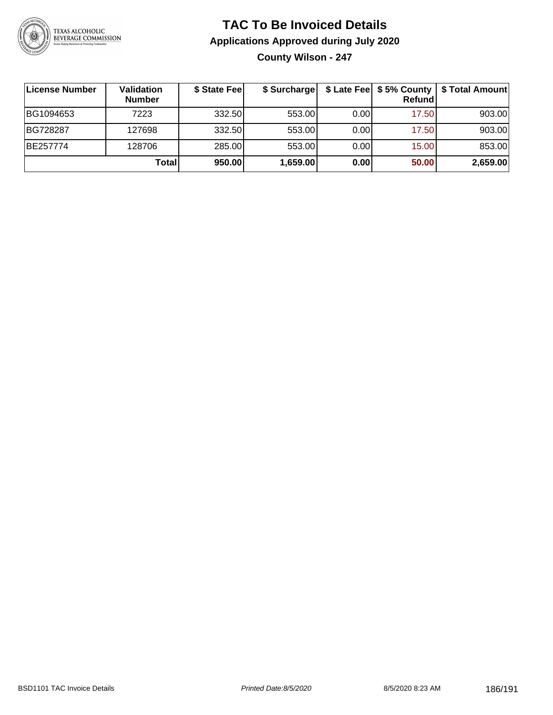

## **TAC To Be Invoiced Details Applications Approved during July 2020 County Wilson - 247**

| License Number | Validation<br><b>Number</b> | \$ State Feel | \$ Surcharge |      | Refundl | \$ Late Fee   \$5% County   \$ Total Amount |
|----------------|-----------------------------|---------------|--------------|------|---------|---------------------------------------------|
| BG1094653      | 7223                        | 332.50        | 553.00       | 0.00 | 17.50   | 903.00                                      |
| BG728287       | 127698                      | 332.50        | 553.00       | 0.00 | 17.50   | 903.00                                      |
| BE257774       | 128706                      | 285.00        | 553.00       | 0.00 | 15.00   | 853.00                                      |
|                | Total                       | 950.00        | 1,659.00     | 0.00 | 50.00   | 2,659.00                                    |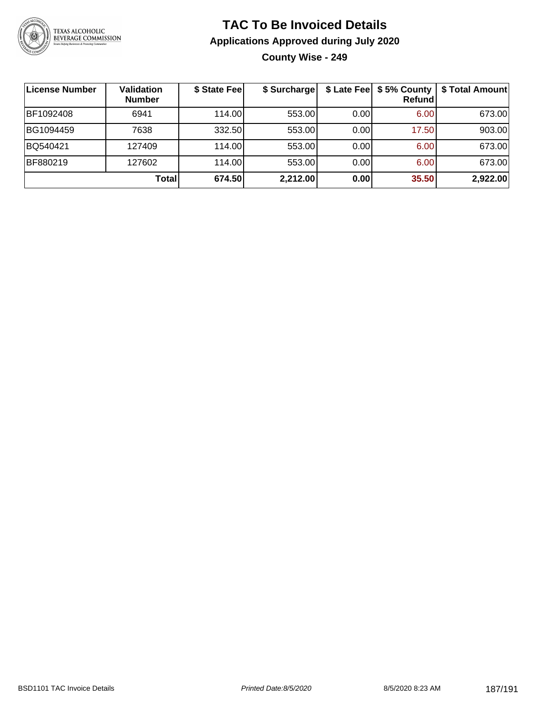

## **TAC To Be Invoiced Details Applications Approved during July 2020 County Wise - 249**

| License Number | <b>Validation</b><br><b>Number</b> | \$ State Fee | \$ Surcharge |      | \$ Late Fee   \$5% County<br>Refund | \$ Total Amount |
|----------------|------------------------------------|--------------|--------------|------|-------------------------------------|-----------------|
| BF1092408      | 6941                               | 114.00L      | 553.00       | 0.00 | 6.00                                | 673.00          |
| BG1094459      | 7638                               | 332.50       | 553.00       | 0.00 | 17.50                               | 903.00          |
| BQ540421       | 127409                             | 114.00       | 553.00       | 0.00 | 6.00                                | 673.00          |
| BF880219       | 127602                             | 114.00       | 553.00       | 0.00 | 6.00                                | 673.00          |
|                | <b>Total</b>                       | 674.50       | 2,212.00     | 0.00 | 35.50                               | 2,922.00        |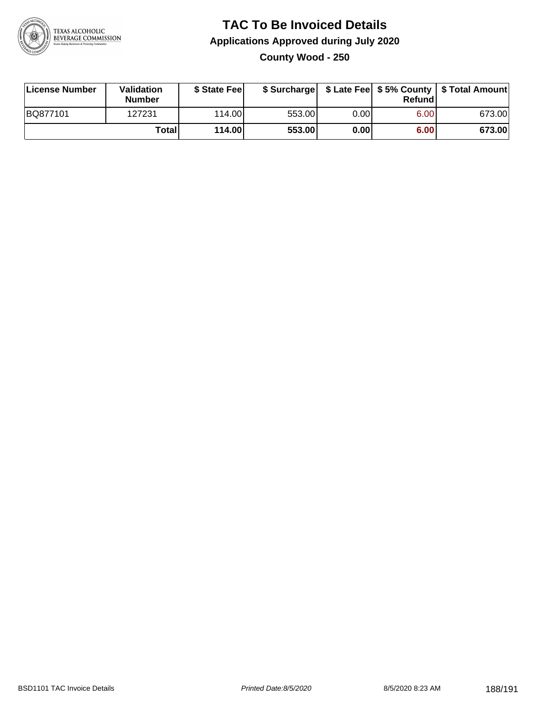

#### **TAC To Be Invoiced Details Applications Approved during July 2020 County Wood - 250**

| License Number | Validation<br><b>Number</b> | \$ State Fee |        |      | Refund | \$ Surcharge   \$ Late Fee   \$5% County   \$ Total Amount |
|----------------|-----------------------------|--------------|--------|------|--------|------------------------------------------------------------|
| BQ877101       | 127231                      | 114.00L      | 553.00 | 0.00 | 6.00   | 673.00                                                     |
|                | Total                       | 114.00       | 553.00 | 0.00 | 6.00   | 673.00                                                     |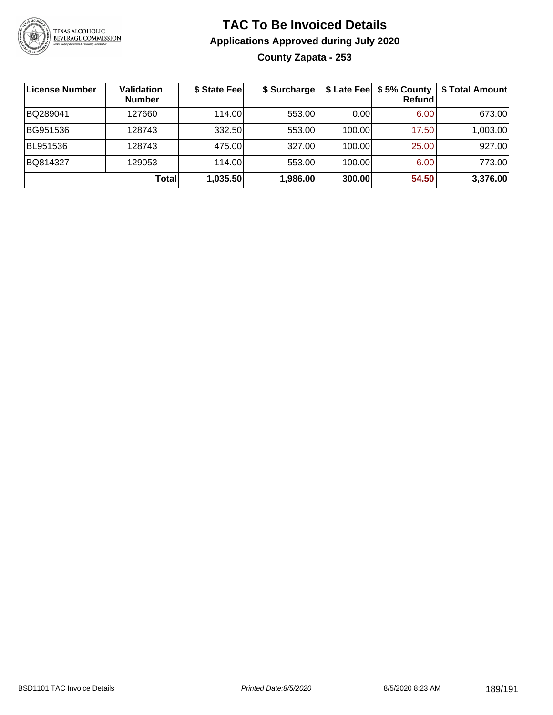

## **TAC To Be Invoiced Details Applications Approved during July 2020 County Zapata - 253**

| License Number | Validation<br><b>Number</b> | \$ State Fee | \$ Surcharge |        | \$ Late Fee   \$5% County<br>Refundl | \$ Total Amount |
|----------------|-----------------------------|--------------|--------------|--------|--------------------------------------|-----------------|
| BQ289041       | 127660                      | 114.00       | 553.00       | 0.00   | 6.00                                 | 673.00          |
| BG951536       | 128743                      | 332.50       | 553.00       | 100.00 | 17.50                                | 1,003.00        |
| BL951536       | 128743                      | 475.00       | 327.00       | 100.00 | 25.00                                | 927.00          |
| BQ814327       | 129053                      | 114.00L      | 553.00       | 100.00 | 6.00                                 | 773.00          |
|                | Total                       | 1,035.50     | 1,986.00     | 300.00 | 54.50                                | 3,376.00        |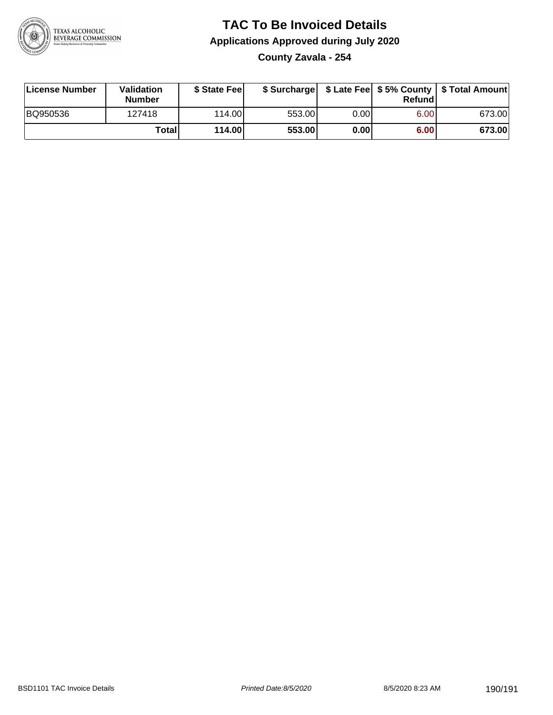

# **TAC To Be Invoiced Details Applications Approved during July 2020**

**County Zavala - 254**

| License Number | <b>Validation</b><br><b>Number</b> | \$ State Fee |        |                   | Refundl | \$ Surcharge   \$ Late Fee   \$5% County   \$ Total Amount |
|----------------|------------------------------------|--------------|--------|-------------------|---------|------------------------------------------------------------|
| BQ950536       | 127418                             | 114.00L      | 553.00 | 0.00              | 6.00    | 673.00                                                     |
|                | Totall                             | 114.00       | 553.00 | 0.00 <sub>1</sub> | 6.00    | 673.00                                                     |